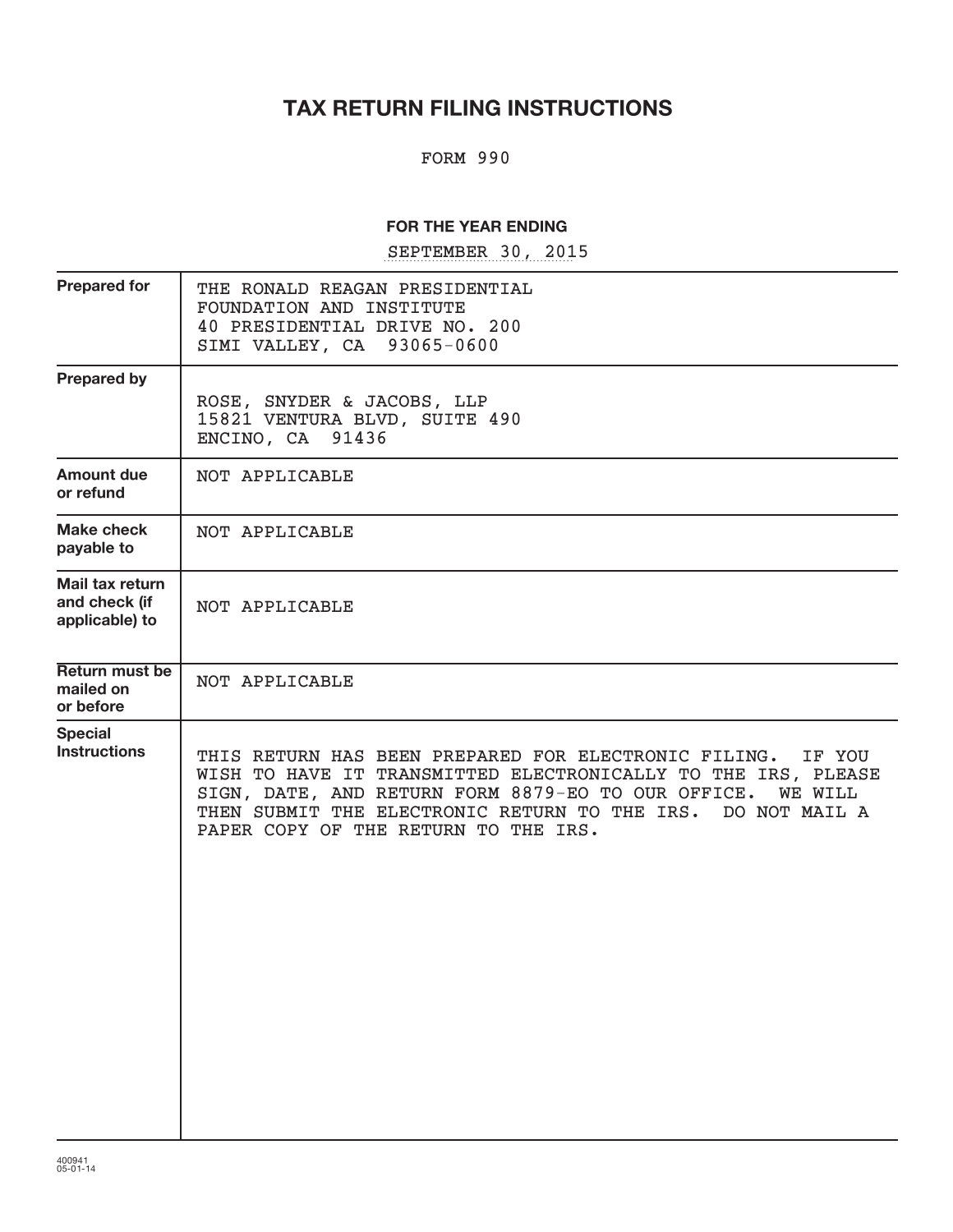# **TAX RETURN FILING INSTRUCTIONS**

#### FORM 990

#### **FOR THE YEAR ENDING**

SEPTEMBER 30, 2015

| THE RONALD REAGAN PRESIDENTIAL<br>FOUNDATION AND INSTITUTE<br>40 PRESIDENTIAL DRIVE NO. 200<br>SIMI VALLEY, CA 93065-0600                                                                                                                                                                                         |
|-------------------------------------------------------------------------------------------------------------------------------------------------------------------------------------------------------------------------------------------------------------------------------------------------------------------|
| ROSE, SNYDER & JACOBS, LLP<br>15821 VENTURA BLVD, SUITE 490<br>ENCINO, CA 91436                                                                                                                                                                                                                                   |
| NOT APPLICABLE                                                                                                                                                                                                                                                                                                    |
| NOT APPLICABLE                                                                                                                                                                                                                                                                                                    |
| NOT APPLICABLE                                                                                                                                                                                                                                                                                                    |
| NOT APPLICABLE                                                                                                                                                                                                                                                                                                    |
| THIS RETURN HAS BEEN PREPARED FOR ELECTRONIC FILING.<br>IF YOU<br>WISH TO HAVE IT TRANSMITTED ELECTRONICALLY TO THE IRS, PLEASE<br>SIGN, DATE, AND RETURN FORM 8879-EO TO OUR OFFICE.<br><b>WE WILL</b><br>THEN SUBMIT THE ELECTRONIC RETURN TO THE IRS.<br>DO NOT MAIL A<br>PAPER COPY OF THE RETURN TO THE IRS. |
|                                                                                                                                                                                                                                                                                                                   |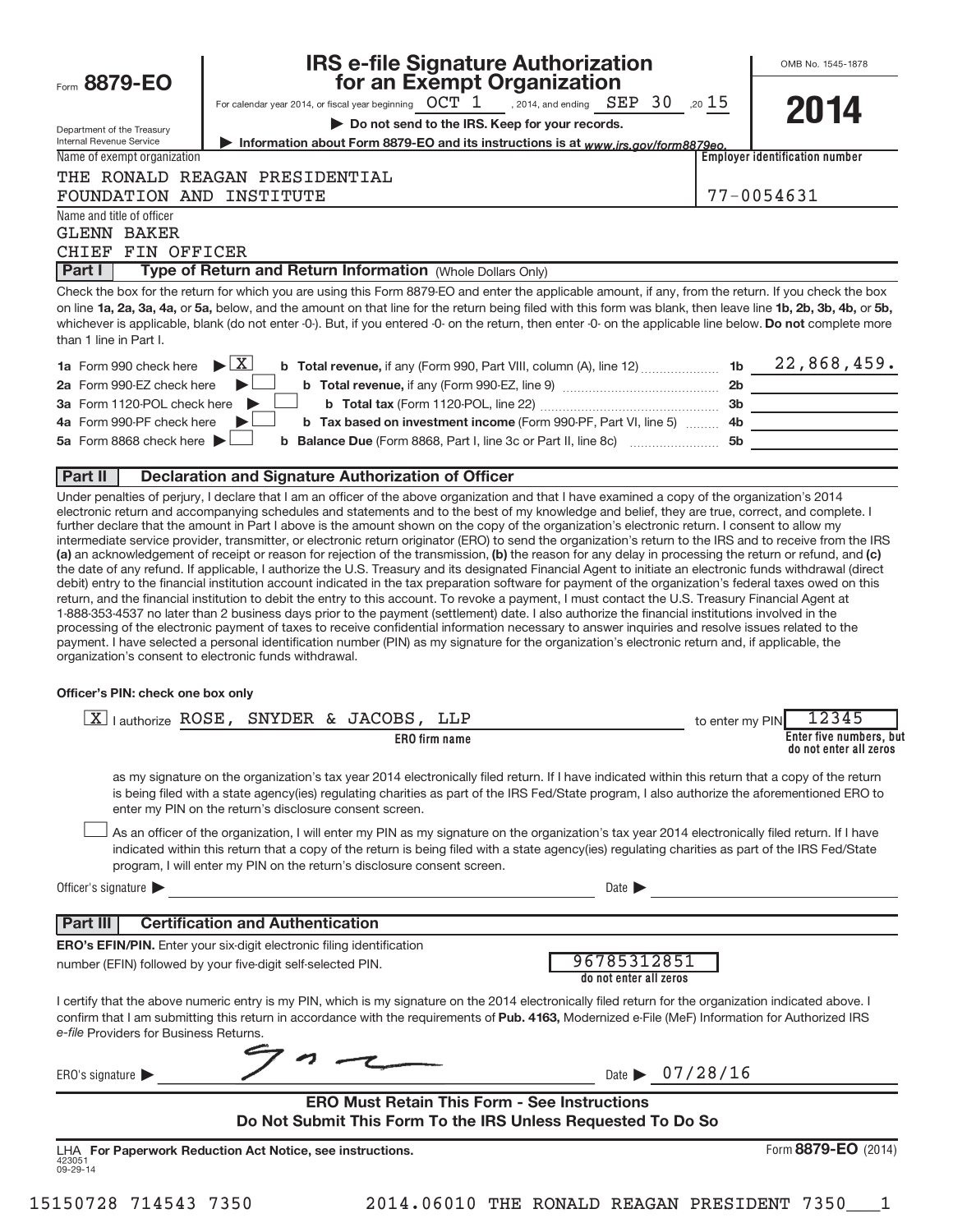| Form 8879-EO                                                                   | <b>IRS e-file Signature Authorization<br/>for an Exempt Organization</b>                                                                                                                                                                                                                                                                                                                                                                                                                                                                                                                                                                                                                                                                                                                                                                                                                                                                                                                                                                                                                                                                                                                                                                                                                                                                                                                                                                                                                                                                                                                                                                                                                                                                                                                                                                         |                 | OMB No. 1545-1878                                          |
|--------------------------------------------------------------------------------|--------------------------------------------------------------------------------------------------------------------------------------------------------------------------------------------------------------------------------------------------------------------------------------------------------------------------------------------------------------------------------------------------------------------------------------------------------------------------------------------------------------------------------------------------------------------------------------------------------------------------------------------------------------------------------------------------------------------------------------------------------------------------------------------------------------------------------------------------------------------------------------------------------------------------------------------------------------------------------------------------------------------------------------------------------------------------------------------------------------------------------------------------------------------------------------------------------------------------------------------------------------------------------------------------------------------------------------------------------------------------------------------------------------------------------------------------------------------------------------------------------------------------------------------------------------------------------------------------------------------------------------------------------------------------------------------------------------------------------------------------------------------------------------------------------------------------------------------------|-----------------|------------------------------------------------------------|
|                                                                                | For calendar year 2014, or fiscal year beginning $\overline{OCT}$ 1 , 2014, and ending $\overline{SEP}$ 30 ,20 15                                                                                                                                                                                                                                                                                                                                                                                                                                                                                                                                                                                                                                                                                                                                                                                                                                                                                                                                                                                                                                                                                                                                                                                                                                                                                                                                                                                                                                                                                                                                                                                                                                                                                                                                |                 |                                                            |
|                                                                                | Do not send to the IRS. Keep for your records.                                                                                                                                                                                                                                                                                                                                                                                                                                                                                                                                                                                                                                                                                                                                                                                                                                                                                                                                                                                                                                                                                                                                                                                                                                                                                                                                                                                                                                                                                                                                                                                                                                                                                                                                                                                                   |                 | 2014                                                       |
| Department of the Treasury<br>Internal Revenue Service                         | Information about Form 8879-EO and its instructions is at www.irs.gov/form8879eo.                                                                                                                                                                                                                                                                                                                                                                                                                                                                                                                                                                                                                                                                                                                                                                                                                                                                                                                                                                                                                                                                                                                                                                                                                                                                                                                                                                                                                                                                                                                                                                                                                                                                                                                                                                |                 |                                                            |
| Name of exempt organization                                                    |                                                                                                                                                                                                                                                                                                                                                                                                                                                                                                                                                                                                                                                                                                                                                                                                                                                                                                                                                                                                                                                                                                                                                                                                                                                                                                                                                                                                                                                                                                                                                                                                                                                                                                                                                                                                                                                  |                 | <b>Employer identification number</b>                      |
| FOUNDATION AND INSTITUTE                                                       | THE RONALD REAGAN PRESIDENTIAL                                                                                                                                                                                                                                                                                                                                                                                                                                                                                                                                                                                                                                                                                                                                                                                                                                                                                                                                                                                                                                                                                                                                                                                                                                                                                                                                                                                                                                                                                                                                                                                                                                                                                                                                                                                                                   |                 | 77-0054631                                                 |
| Name and title of officer<br><b>GLENN BAKER</b><br>CHIEF FIN OFFICER<br>Part I | Type of Return and Return Information (Whole Dollars Only)                                                                                                                                                                                                                                                                                                                                                                                                                                                                                                                                                                                                                                                                                                                                                                                                                                                                                                                                                                                                                                                                                                                                                                                                                                                                                                                                                                                                                                                                                                                                                                                                                                                                                                                                                                                       |                 |                                                            |
|                                                                                | Check the box for the return for which you are using this Form 8879-EO and enter the applicable amount, if any, from the return. If you check the box                                                                                                                                                                                                                                                                                                                                                                                                                                                                                                                                                                                                                                                                                                                                                                                                                                                                                                                                                                                                                                                                                                                                                                                                                                                                                                                                                                                                                                                                                                                                                                                                                                                                                            |                 |                                                            |
| than 1 line in Part I.                                                         | on line 1a, 2a, 3a, 4a, or 5a, below, and the amount on that line for the return being filed with this form was blank, then leave line 1b, 2b, 3b, 4b, or 5b,<br>whichever is applicable, blank (do not enter -0-). But, if you entered -0- on the return, then enter -0- on the applicable line below. Do not complete more                                                                                                                                                                                                                                                                                                                                                                                                                                                                                                                                                                                                                                                                                                                                                                                                                                                                                                                                                                                                                                                                                                                                                                                                                                                                                                                                                                                                                                                                                                                     |                 |                                                            |
| 1a Form 990 check here                                                         | $\blacktriangleright$ $\mathbf{X}$<br><b>b</b> Total revenue, if any (Form 990, Part VIII, column (A), line 12)  1b $22,868,459$ .                                                                                                                                                                                                                                                                                                                                                                                                                                                                                                                                                                                                                                                                                                                                                                                                                                                                                                                                                                                                                                                                                                                                                                                                                                                                                                                                                                                                                                                                                                                                                                                                                                                                                                               |                 |                                                            |
| 2a Form 990-EZ check here                                                      |                                                                                                                                                                                                                                                                                                                                                                                                                                                                                                                                                                                                                                                                                                                                                                                                                                                                                                                                                                                                                                                                                                                                                                                                                                                                                                                                                                                                                                                                                                                                                                                                                                                                                                                                                                                                                                                  |                 |                                                            |
| 3a Form 1120-POL check here                                                    |                                                                                                                                                                                                                                                                                                                                                                                                                                                                                                                                                                                                                                                                                                                                                                                                                                                                                                                                                                                                                                                                                                                                                                                                                                                                                                                                                                                                                                                                                                                                                                                                                                                                                                                                                                                                                                                  |                 |                                                            |
| 4a Form 990-PF check here                                                      | b Tax based on investment income (Form 990-PF, Part VI, line 5)  4b ______________________                                                                                                                                                                                                                                                                                                                                                                                                                                                                                                                                                                                                                                                                                                                                                                                                                                                                                                                                                                                                                                                                                                                                                                                                                                                                                                                                                                                                                                                                                                                                                                                                                                                                                                                                                       |                 |                                                            |
| 5a Form 8868 check here                                                        |                                                                                                                                                                                                                                                                                                                                                                                                                                                                                                                                                                                                                                                                                                                                                                                                                                                                                                                                                                                                                                                                                                                                                                                                                                                                                                                                                                                                                                                                                                                                                                                                                                                                                                                                                                                                                                                  |                 |                                                            |
| Part II                                                                        | <b>Declaration and Signature Authorization of Officer</b>                                                                                                                                                                                                                                                                                                                                                                                                                                                                                                                                                                                                                                                                                                                                                                                                                                                                                                                                                                                                                                                                                                                                                                                                                                                                                                                                                                                                                                                                                                                                                                                                                                                                                                                                                                                        |                 |                                                            |
| Officer's PIN: check one box only                                              | Under penalties of perjury, I declare that I am an officer of the above organization and that I have examined a copy of the organization's 2014<br>electronic return and accompanying schedules and statements and to the best of my knowledge and belief, they are true, correct, and complete. I<br>further declare that the amount in Part I above is the amount shown on the copy of the organization's electronic return. I consent to allow my<br>intermediate service provider, transmitter, or electronic return originator (ERO) to send the organization's return to the IRS and to receive from the IRS<br>(a) an acknowledgement of receipt or reason for rejection of the transmission, (b) the reason for any delay in processing the return or refund, and (c)<br>the date of any refund. If applicable, I authorize the U.S. Treasury and its designated Financial Agent to initiate an electronic funds withdrawal (direct<br>debit) entry to the financial institution account indicated in the tax preparation software for payment of the organization's federal taxes owed on this<br>return, and the financial institution to debit the entry to this account. To revoke a payment, I must contact the U.S. Treasury Financial Agent at<br>1-888-353-4537 no later than 2 business days prior to the payment (settlement) date. I also authorize the financial institutions involved in the<br>processing of the electronic payment of taxes to receive confidential information necessary to answer inquiries and resolve issues related to the<br>payment. I have selected a personal identification number (PIN) as my signature for the organization's electronic return and, if applicable, the<br>organization's consent to electronic funds withdrawal.<br>X lauthorize ROSE, SNYDER & JACOBS, LLP<br>ERO firm name | to enter my PIN | 12345<br>Enter five numbers, but<br>do not enter all zeros |
|                                                                                | as my signature on the organization's tax year 2014 electronically filed return. If I have indicated within this return that a copy of the return<br>is being filed with a state agency(ies) regulating charities as part of the IRS Fed/State program, I also authorize the aforementioned ERO to<br>enter my PIN on the return's disclosure consent screen.<br>As an officer of the organization, I will enter my PIN as my signature on the organization's tax year 2014 electronically filed return. If I have                                                                                                                                                                                                                                                                                                                                                                                                                                                                                                                                                                                                                                                                                                                                                                                                                                                                                                                                                                                                                                                                                                                                                                                                                                                                                                                               |                 |                                                            |
|                                                                                | indicated within this return that a copy of the return is being filed with a state agency(ies) regulating charities as part of the IRS Fed/State<br>program, I will enter my PIN on the return's disclosure consent screen.                                                                                                                                                                                                                                                                                                                                                                                                                                                                                                                                                                                                                                                                                                                                                                                                                                                                                                                                                                                                                                                                                                                                                                                                                                                                                                                                                                                                                                                                                                                                                                                                                      |                 |                                                            |
| Officer's signature                                                            | Date $\blacktriangleright$<br><u> 1989 - Andrea Andrew Maria (h. 1989).</u>                                                                                                                                                                                                                                                                                                                                                                                                                                                                                                                                                                                                                                                                                                                                                                                                                                                                                                                                                                                                                                                                                                                                                                                                                                                                                                                                                                                                                                                                                                                                                                                                                                                                                                                                                                      |                 |                                                            |
|                                                                                | <b>Part III Certification and Authentication</b>                                                                                                                                                                                                                                                                                                                                                                                                                                                                                                                                                                                                                                                                                                                                                                                                                                                                                                                                                                                                                                                                                                                                                                                                                                                                                                                                                                                                                                                                                                                                                                                                                                                                                                                                                                                                 |                 |                                                            |
|                                                                                | ERO's EFIN/PIN. Enter your six-digit electronic filing identification                                                                                                                                                                                                                                                                                                                                                                                                                                                                                                                                                                                                                                                                                                                                                                                                                                                                                                                                                                                                                                                                                                                                                                                                                                                                                                                                                                                                                                                                                                                                                                                                                                                                                                                                                                            |                 |                                                            |
|                                                                                | 96785312851<br>number (EFIN) followed by your five-digit self-selected PIN.<br>do not enter all zeros                                                                                                                                                                                                                                                                                                                                                                                                                                                                                                                                                                                                                                                                                                                                                                                                                                                                                                                                                                                                                                                                                                                                                                                                                                                                                                                                                                                                                                                                                                                                                                                                                                                                                                                                            |                 |                                                            |
| e-file Providers for Business Returns.                                         | I certify that the above numeric entry is my PIN, which is my signature on the 2014 electronically filed return for the organization indicated above. I<br>confirm that I am submitting this return in accordance with the requirements of Pub. 4163, Modernized e-File (MeF) Information for Authorized IRS                                                                                                                                                                                                                                                                                                                                                                                                                                                                                                                                                                                                                                                                                                                                                                                                                                                                                                                                                                                                                                                                                                                                                                                                                                                                                                                                                                                                                                                                                                                                     |                 |                                                            |
| ERO's signature $\blacktriangleright$                                          | Date $\triangleright$ 07/28/16                                                                                                                                                                                                                                                                                                                                                                                                                                                                                                                                                                                                                                                                                                                                                                                                                                                                                                                                                                                                                                                                                                                                                                                                                                                                                                                                                                                                                                                                                                                                                                                                                                                                                                                                                                                                                   |                 |                                                            |

**ERO Must Retain This Form - See Instructions Do Not Submit This Form To the IRS Unless Requested To Do So**

423051 09-29-14 **For Paperwork Reduction Act Notice, see instructions.** LHA Form (2014) **8879-EO**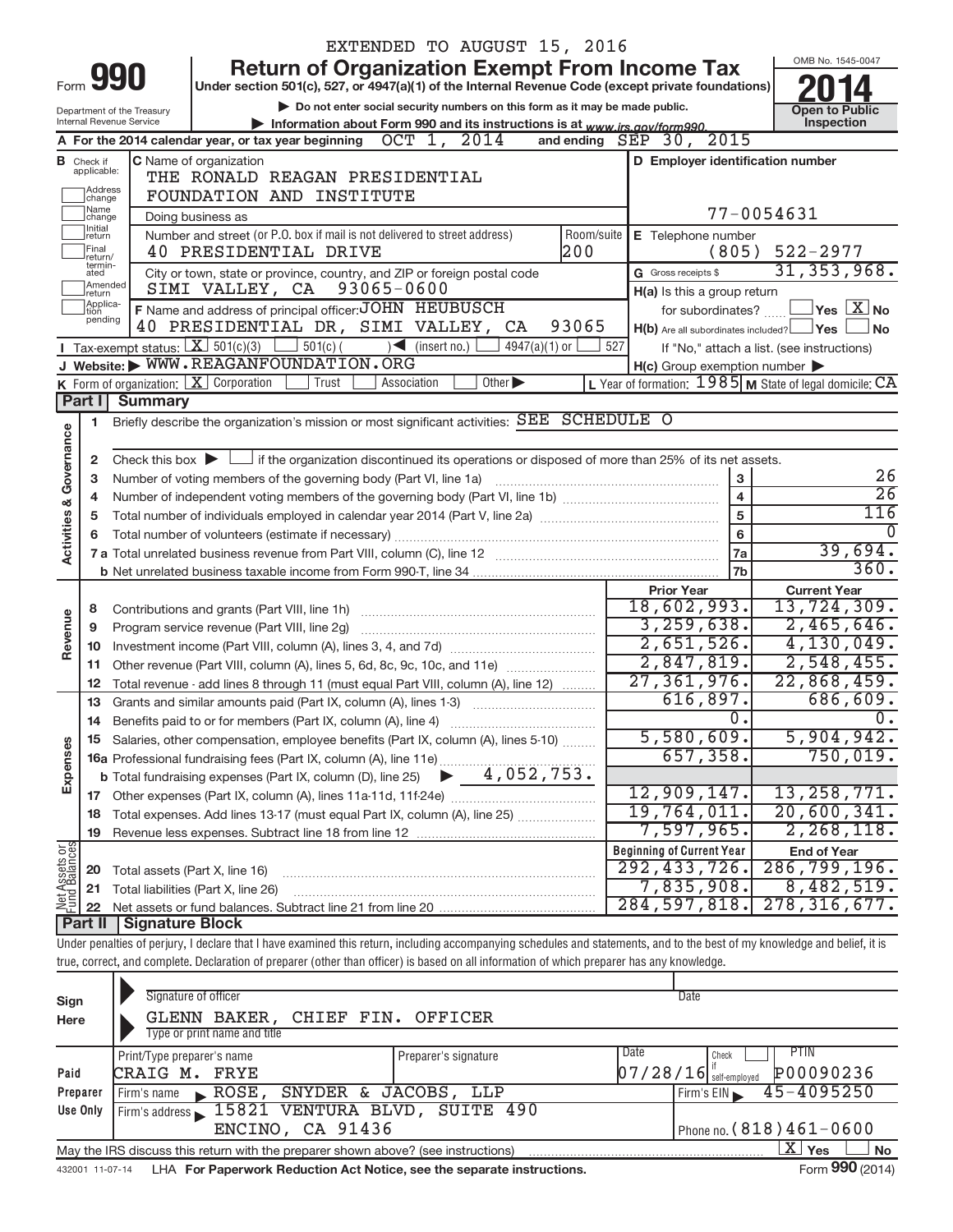|                                |                                  |                                                                                                                                                                            |                                                                            |            |            |             |                     |                             | EXTENDED TO AUGUST 15, 2016                                                                        |                                  |                   |                                                     |                                                                      |            |                  |
|--------------------------------|----------------------------------|----------------------------------------------------------------------------------------------------------------------------------------------------------------------------|----------------------------------------------------------------------------|------------|------------|-------------|---------------------|-----------------------------|----------------------------------------------------------------------------------------------------|----------------------------------|-------------------|-----------------------------------------------------|----------------------------------------------------------------------|------------|------------------|
|                                |                                  |                                                                                                                                                                            |                                                                            |            |            |             |                     |                             | <b>Return of Organization Exempt From Income Tax</b>                                               |                                  |                   |                                                     | OMB No. 1545-0047                                                    |            |                  |
| Form                           |                                  | 990                                                                                                                                                                        |                                                                            |            |            |             |                     |                             | Under section 501(c), 527, or 4947(a)(1) of the Internal Revenue Code (except private foundations) |                                  |                   |                                                     |                                                                      |            |                  |
|                                |                                  | Department of the Treasury                                                                                                                                                 |                                                                            |            |            |             |                     |                             | Do not enter social security numbers on this form as it may be made public.                        |                                  |                   |                                                     | <b>Open to Public</b>                                                |            |                  |
|                                |                                  | Internal Revenue Service                                                                                                                                                   |                                                                            |            |            |             |                     |                             | Information about Form 990 and its instructions is at www.irs.gov/form990.                         |                                  |                   |                                                     |                                                                      | Inspection |                  |
|                                |                                  | A For the 2014 calendar year, or tax year beginning $OCT$ 1, $2014$                                                                                                        |                                                                            |            |            |             |                     |                             | and ending $SEP$ 30,                                                                               |                                  |                   | 2015                                                |                                                                      |            |                  |
|                                | <b>B</b> Check if<br>applicable: | C Name of organization                                                                                                                                                     | THE RONALD REAGAN PRESIDENTIAL                                             |            |            |             |                     |                             |                                                                                                    |                                  |                   |                                                     | D Employer identification number                                     |            |                  |
|                                | Address<br>change                |                                                                                                                                                                            | FOUNDATION AND INSTITUTE                                                   |            |            |             |                     |                             |                                                                                                    |                                  |                   |                                                     |                                                                      |            |                  |
|                                | Name<br>change                   |                                                                                                                                                                            | Doing business as                                                          |            |            |             |                     |                             |                                                                                                    |                                  |                   | 77-0054631                                          |                                                                      |            |                  |
|                                | Initial<br>return                |                                                                                                                                                                            | Number and street (or P.O. box if mail is not delivered to street address) |            |            |             |                     |                             | Room/suite                                                                                         |                                  |                   | E Telephone number                                  |                                                                      |            |                  |
|                                | Final<br>return/                 |                                                                                                                                                                            | 40 PRESIDENTIAL DRIVE                                                      |            |            |             |                     |                             | 200                                                                                                |                                  |                   | (805)                                               | $522 - 2977$                                                         |            |                  |
|                                | termin-<br>ated                  |                                                                                                                                                                            | City or town, state or province, country, and ZIP or foreign postal code   |            |            |             |                     |                             |                                                                                                    | G Gross receipts \$              |                   |                                                     | 31, 353, 968.                                                        |            |                  |
|                                | Amended<br>return                |                                                                                                                                                                            | SIMI VALLEY, CA 93065-0600                                                 |            |            |             |                     |                             |                                                                                                    |                                  |                   | H(a) Is this a group return                         |                                                                      |            |                  |
|                                | Applica-<br>tion<br>pending      | F Name and address of principal officer: JOHN HEUBUSCH                                                                                                                     |                                                                            |            |            |             |                     |                             |                                                                                                    |                                  |                   |                                                     | for subordinates? $\boxed{\phantom{a}}$ Yes $\boxed{\phantom{a}}$ No |            |                  |
|                                |                                  | 40 PRESIDENTIAL DR, SIMI VALLEY,                                                                                                                                           |                                                                            |            |            |             |                     | CA                          | 93065                                                                                              |                                  |                   |                                                     | $H(b)$ Are all subordinates included? $\Box$ Yes                     |            | l No             |
|                                |                                  | <b>I</b> Tax-exempt status: $X \over 301(c)(3)$                                                                                                                            |                                                                            | $501(c)$ ( |            |             | $\sum$ (insert no.) | $4947(a)(1)$ or             | 527                                                                                                |                                  |                   |                                                     | If "No," attach a list. (see instructions)                           |            |                  |
|                                |                                  | J Website: WWW.REAGANFOUNDATION.ORG                                                                                                                                        |                                                                            |            |            |             |                     |                             |                                                                                                    |                                  |                   | $H(c)$ Group exemption number $\blacktriangleright$ |                                                                      |            |                  |
|                                | Part I                           | <b>K</b> Form of organization: $\boxed{\mathbf{X}}$ Corporation<br><b>Summary</b>                                                                                          |                                                                            |            | Trust      | Association |                     | Other $\blacktriangleright$ |                                                                                                    |                                  |                   |                                                     | L Year of formation: $1985$ M State of legal domicile: $CA$          |            |                  |
|                                |                                  | Briefly describe the organization's mission or most significant activities: SEE SCHEDULE O                                                                                 |                                                                            |            |            |             |                     |                             |                                                                                                    |                                  |                   |                                                     |                                                                      |            |                  |
|                                | 1                                |                                                                                                                                                                            |                                                                            |            |            |             |                     |                             |                                                                                                    |                                  |                   |                                                     |                                                                      |            |                  |
| Activities & Governance        | $\mathbf{2}$                     | Check this box $\blacktriangleright$ $\Box$ if the organization discontinued its operations or disposed of more than 25% of its net assets.                                |                                                                            |            |            |             |                     |                             |                                                                                                    |                                  |                   |                                                     |                                                                      |            |                  |
|                                | 3                                | Number of voting members of the governing body (Part VI, line 1a)                                                                                                          |                                                                            |            |            |             |                     |                             |                                                                                                    |                                  |                   | 3                                                   |                                                                      |            | 26               |
|                                | 4                                |                                                                                                                                                                            |                                                                            |            |            |             |                     |                             |                                                                                                    |                                  |                   | $\overline{\mathbf{4}}$                             |                                                                      |            | $\overline{26}$  |
|                                | 5                                |                                                                                                                                                                            |                                                                            |            |            |             |                     |                             |                                                                                                    |                                  |                   | 5                                                   |                                                                      |            | 116              |
|                                | 6                                |                                                                                                                                                                            |                                                                            |            |            |             |                     |                             |                                                                                                    |                                  |                   | $\bf 6$                                             |                                                                      |            | <sup>0</sup>     |
|                                |                                  |                                                                                                                                                                            |                                                                            |            |            |             |                     |                             |                                                                                                    |                                  |                   | 7a                                                  |                                                                      | 39,694.    |                  |
|                                |                                  |                                                                                                                                                                            |                                                                            |            |            |             |                     |                             |                                                                                                    |                                  |                   | 7b                                                  |                                                                      |            | 360.             |
|                                |                                  |                                                                                                                                                                            |                                                                            |            |            |             |                     |                             |                                                                                                    |                                  | <b>Prior Year</b> |                                                     | <b>Current Year</b>                                                  |            |                  |
|                                | 8                                |                                                                                                                                                                            |                                                                            |            |            |             |                     |                             |                                                                                                    | 18,602,993.                      |                   |                                                     | 13,724,309.                                                          |            |                  |
| Revenue                        | 9                                | Program service revenue (Part VIII, line 2g)                                                                                                                               |                                                                            |            |            |             |                     |                             |                                                                                                    |                                  |                   | 3, 259, 638.<br>2,651,526.                          | 2,465,646.<br>4,130,049.                                             |            |                  |
|                                | 10                               |                                                                                                                                                                            |                                                                            |            |            |             |                     |                             |                                                                                                    |                                  |                   | 2,847,819.                                          | 2,548,455.                                                           |            |                  |
|                                | 11<br>12                         | Other revenue (Part VIII, column (A), lines 5, 6d, 8c, 9c, 10c, and 11e)<br>Total revenue - add lines 8 through 11 (must equal Part VIII, column (A), line 12)             |                                                                            |            |            |             |                     |                             |                                                                                                    | 27, 361, 976.                    |                   |                                                     | 22,868,459.                                                          |            |                  |
|                                | 13                               | Grants and similar amounts paid (Part IX, column (A), lines 1-3)                                                                                                           |                                                                            |            |            |             |                     |                             |                                                                                                    |                                  |                   | 616,897.                                            |                                                                      | 686,609.   |                  |
|                                | 14                               | Benefits paid to or for members (Part IX, column (A), line 4)                                                                                                              |                                                                            |            |            |             |                     |                             |                                                                                                    |                                  |                   | 0.                                                  |                                                                      |            | $\overline{0}$ . |
|                                |                                  | 15 Salaries, other compensation, employee benefits (Part IX, column (A), lines 5-10)                                                                                       |                                                                            |            |            |             |                     |                             |                                                                                                    |                                  |                   | 5,580,609.                                          | 5,904,942.                                                           |            |                  |
|                                |                                  |                                                                                                                                                                            |                                                                            |            |            |             |                     |                             |                                                                                                    |                                  |                   | 657, 358.                                           |                                                                      | 750,019.   |                  |
| Expenses                       |                                  |                                                                                                                                                                            |                                                                            |            |            |             |                     |                             |                                                                                                    |                                  |                   |                                                     |                                                                      |            |                  |
|                                |                                  |                                                                                                                                                                            |                                                                            |            |            |             |                     |                             |                                                                                                    | 12,909,147.                      |                   |                                                     | 13, 258, 771.                                                        |            |                  |
|                                | 18                               | Total expenses. Add lines 13-17 (must equal Part IX, column (A), line 25)                                                                                                  |                                                                            |            |            |             |                     |                             |                                                                                                    | 19,764,011.                      |                   |                                                     | 20,600,341.                                                          |            |                  |
|                                | 19                               |                                                                                                                                                                            |                                                                            |            |            |             |                     |                             |                                                                                                    |                                  |                   | 7,597,965.                                          | 2,268,118.                                                           |            |                  |
| Net Assets or<br>Fund Balances |                                  |                                                                                                                                                                            |                                                                            |            |            |             |                     |                             |                                                                                                    | <b>Beginning of Current Year</b> |                   |                                                     | <b>End of Year</b>                                                   |            |                  |
|                                | 20                               | Total assets (Part X, line 16)                                                                                                                                             |                                                                            |            |            |             |                     |                             |                                                                                                    | 292, 433, 726.                   |                   |                                                     | 286, 799, 196.                                                       |            |                  |
|                                | 21                               | Total liabilities (Part X, line 26)                                                                                                                                        |                                                                            |            |            |             |                     |                             |                                                                                                    | 284, 597, 818.                   |                   | 7,835,908.                                          | 8,482,519.<br>278, 316, 677.                                         |            |                  |
|                                | 22<br><b>Part II</b>             | <b>Signature Block</b>                                                                                                                                                     |                                                                            |            |            |             |                     |                             |                                                                                                    |                                  |                   |                                                     |                                                                      |            |                  |
|                                |                                  | Under penalties of perjury, I declare that I have examined this return, including accompanying schedules and statements, and to the best of my knowledge and belief, it is |                                                                            |            |            |             |                     |                             |                                                                                                    |                                  |                   |                                                     |                                                                      |            |                  |
|                                |                                  | true, correct, and complete. Declaration of preparer (other than officer) is based on all information of which preparer has any knowledge.                                 |                                                                            |            |            |             |                     |                             |                                                                                                    |                                  |                   |                                                     |                                                                      |            |                  |
|                                |                                  |                                                                                                                                                                            |                                                                            |            |            |             |                     |                             |                                                                                                    |                                  |                   |                                                     |                                                                      |            |                  |
| Sign                           |                                  |                                                                                                                                                                            | Signature of officer                                                       |            |            |             |                     |                             |                                                                                                    |                                  | Date              |                                                     |                                                                      |            |                  |
| Here                           |                                  |                                                                                                                                                                            | GLENN BAKER,                                                               |            | CHIEF FIN. |             | OFFICER             |                             |                                                                                                    |                                  |                   |                                                     |                                                                      |            |                  |
|                                |                                  |                                                                                                                                                                            | Type or print name and title                                               |            |            |             |                     |                             |                                                                                                    |                                  |                   |                                                     |                                                                      |            |                  |

|          | Print/Type preparer's name                                                                     | Date<br>Preparer's signature | PTIN<br>Check                            |  |  |  |  |  |
|----------|------------------------------------------------------------------------------------------------|------------------------------|------------------------------------------|--|--|--|--|--|
| Paid     | CRAIG M. FRYE                                                                                  |                              | $[07/28/16]$ self-employed $[200090236]$ |  |  |  |  |  |
| Preparer | ROSE, SNYDER & JACOBS, LLP<br>Firm's name                                                      |                              | $45 - 4095250$<br>Firm's EIN             |  |  |  |  |  |
| Use Only | Firm's address 15821 VENTURA BLVD, SUITE 490                                                   |                              |                                          |  |  |  |  |  |
|          | ENCINO, CA 91436                                                                               |                              | Phone no. $(818)$ $461 - 0600$           |  |  |  |  |  |
|          | Yes<br>May the IRS discuss this return with the preparer shown above? (see instructions)<br>No |                              |                                          |  |  |  |  |  |

432001 11-07-14 **For Paperwork Reduction Act Notice, see the separate instructions.**  LHA Form (2014)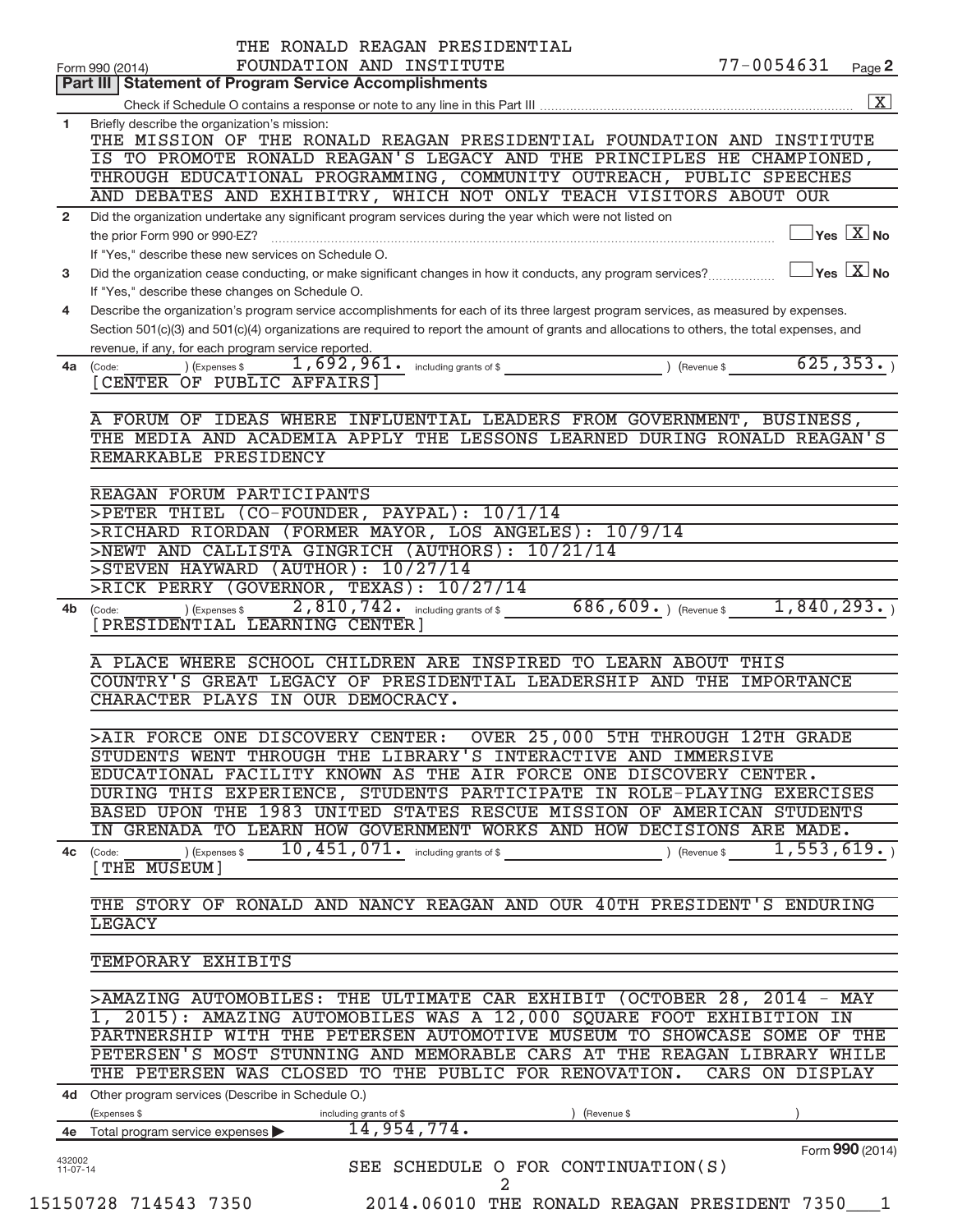|                      | THE RONALD REAGAN PRESIDENTIAL                                                                                                                                                                                                                                                       |                 |                                                |
|----------------------|--------------------------------------------------------------------------------------------------------------------------------------------------------------------------------------------------------------------------------------------------------------------------------------|-----------------|------------------------------------------------|
|                      | FOUNDATION AND INSTITUTE<br>Form 990 (2014)                                                                                                                                                                                                                                          | 77-0054631      | Page 2                                         |
|                      | <b>Part III   Statement of Program Service Accomplishments</b>                                                                                                                                                                                                                       |                 |                                                |
|                      |                                                                                                                                                                                                                                                                                      |                 | $\boxed{\text{X}}$                             |
| 1                    | Briefly describe the organization's mission:<br>THE MISSION OF THE RONALD REAGAN PRESIDENTIAL FOUNDATION AND INSTITUTE                                                                                                                                                               |                 |                                                |
|                      | IS TO PROMOTE RONALD REAGAN'S LEGACY AND THE PRINCIPLES HE CHAMPIONED,                                                                                                                                                                                                               |                 |                                                |
|                      | THROUGH EDUCATIONAL PROGRAMMING, COMMUNITY OUTREACH, PUBLIC SPEECHES                                                                                                                                                                                                                 |                 |                                                |
|                      | AND DEBATES AND EXHIBITRY, WHICH NOT ONLY TEACH VISITORS ABOUT OUR                                                                                                                                                                                                                   |                 |                                                |
| $\overline{2}$       | Did the organization undertake any significant program services during the year which were not listed on                                                                                                                                                                             |                 |                                                |
|                      |                                                                                                                                                                                                                                                                                      |                 | $\overline{\ }$ Yes $\overline{\ \text{X}}$ No |
|                      | If "Yes," describe these new services on Schedule O.                                                                                                                                                                                                                                 |                 |                                                |
| 3                    | Did the organization cease conducting, or make significant changes in how it conducts, any program services?                                                                                                                                                                         |                 | $\sqrt{}$ Yes $\sqrt{ \ \overline{\rm X}}$ No  |
|                      | If "Yes," describe these changes on Schedule O.                                                                                                                                                                                                                                      |                 |                                                |
| 4                    | Describe the organization's program service accomplishments for each of its three largest program services, as measured by expenses.<br>Section 501(c)(3) and 501(c)(4) organizations are required to report the amount of grants and allocations to others, the total expenses, and |                 |                                                |
|                      | revenue, if any, for each program service reported.                                                                                                                                                                                                                                  |                 |                                                |
| 4a                   | 1,692,961. including grants of \$ (Revenue \$625,353.)<br>) (Expenses \$<br>(Code:                                                                                                                                                                                                   |                 |                                                |
|                      | [CENTER OF PUBLIC AFFAIRS]                                                                                                                                                                                                                                                           |                 |                                                |
|                      |                                                                                                                                                                                                                                                                                      |                 |                                                |
|                      | A FORUM OF IDEAS WHERE INFLUENTIAL LEADERS FROM GOVERNMENT, BUSINESS,                                                                                                                                                                                                                |                 |                                                |
|                      | THE MEDIA AND ACADEMIA APPLY THE LESSONS LEARNED DURING RONALD REAGAN'S                                                                                                                                                                                                              |                 |                                                |
|                      | REMARKABLE PRESIDENCY                                                                                                                                                                                                                                                                |                 |                                                |
|                      | REAGAN FORUM PARTICIPANTS                                                                                                                                                                                                                                                            |                 |                                                |
|                      | >PETER THIEL (CO-FOUNDER, PAYPAL): 10/1/14                                                                                                                                                                                                                                           |                 |                                                |
|                      | >RICHARD RIORDAN (FORMER MAYOR, LOS ANGELES): 10/9/14                                                                                                                                                                                                                                |                 |                                                |
|                      | >NEWT AND CALLISTA GINGRICH (AUTHORS): 10/21/14                                                                                                                                                                                                                                      |                 |                                                |
|                      | >STEVEN HAYWARD (AUTHOR): 10/27/14                                                                                                                                                                                                                                                   |                 |                                                |
|                      | >RICK PERRY (GOVERNOR, TEXAS): 10/27/14                                                                                                                                                                                                                                              |                 |                                                |
| 4b                   | $686, 609.$ (Revenue \$1,840,293.)<br>2,810,742. including grants of \$<br>) (Expenses \$<br>(Code:                                                                                                                                                                                  |                 |                                                |
|                      | [PRESIDENTIAL LEARNING CENTER]                                                                                                                                                                                                                                                       |                 |                                                |
|                      |                                                                                                                                                                                                                                                                                      |                 |                                                |
|                      | A PLACE WHERE SCHOOL CHILDREN ARE INSPIRED<br>TO LEARN ABOUT THIS                                                                                                                                                                                                                    |                 |                                                |
|                      | COUNTRY'S GREAT LEGACY OF PRESIDENTIAL LEADERSHIP AND THE IMPORTANCE<br>CHARACTER PLAYS IN OUR DEMOCRACY.                                                                                                                                                                            |                 |                                                |
|                      |                                                                                                                                                                                                                                                                                      |                 |                                                |
|                      | >AIR FORCE ONE DISCOVERY CENTER: OVER 25,000 5TH THROUGH 12TH GRADE                                                                                                                                                                                                                  |                 |                                                |
|                      | STUDENTS WENT THROUGH THE LIBRARY'S INTERACTIVE AND IMMERSIVE                                                                                                                                                                                                                        |                 |                                                |
|                      | EDUCATIONAL FACILITY KNOWN AS THE AIR FORCE ONE DISCOVERY CENTER.                                                                                                                                                                                                                    |                 |                                                |
|                      | DURING THIS EXPERIENCE, STUDENTS PARTICIPATE IN ROLE-PLAYING EXERCISES                                                                                                                                                                                                               |                 |                                                |
|                      | BASED UPON THE 1983 UNITED STATES RESCUE MISSION OF AMERICAN STUDENTS                                                                                                                                                                                                                |                 |                                                |
|                      | IN GRENADA TO LEARN HOW GOVERNMENT WORKS AND HOW DECISIONS ARE MADE.                                                                                                                                                                                                                 |                 |                                                |
|                      | 10, 451, 071. including grants of \$<br>) (Expenses \$<br>4c (Code:                                                                                                                                                                                                                  | ) (Revenue \$   | 1,553,619.                                     |
|                      | [THE MUSEUM]                                                                                                                                                                                                                                                                         |                 |                                                |
|                      | THE STORY OF RONALD AND NANCY REAGAN AND OUR 40TH PRESIDENT'S ENDURING                                                                                                                                                                                                               |                 |                                                |
|                      | <b>LEGACY</b>                                                                                                                                                                                                                                                                        |                 |                                                |
|                      |                                                                                                                                                                                                                                                                                      |                 |                                                |
|                      | TEMPORARY EXHIBITS                                                                                                                                                                                                                                                                   |                 |                                                |
|                      |                                                                                                                                                                                                                                                                                      |                 |                                                |
|                      | >AMAZING AUTOMOBILES: THE ULTIMATE CAR EXHIBIT (OCTOBER 28, 2014 - MAY                                                                                                                                                                                                               |                 |                                                |
|                      | 1, 2015): AMAZING AUTOMOBILES WAS A 12,000 SQUARE FOOT EXHIBITION IN                                                                                                                                                                                                                 |                 |                                                |
|                      | PARTNERSHIP WITH THE PETERSEN AUTOMOTIVE MUSEUM TO SHOWCASE SOME OF THE                                                                                                                                                                                                              |                 |                                                |
|                      | PETERSEN'S MOST STUNNING AND MEMORABLE CARS AT THE REAGAN LIBRARY WHILE                                                                                                                                                                                                              |                 |                                                |
|                      | THE PETERSEN WAS CLOSED TO THE PUBLIC FOR RENOVATION.                                                                                                                                                                                                                                | CARS ON DISPLAY |                                                |
|                      | 4d Other program services (Describe in Schedule O.)                                                                                                                                                                                                                                  |                 |                                                |
| 4e                   | (Expenses \$<br>(Revenue \$<br>including grants of \$<br>14,954,774.<br>Total program service expenses                                                                                                                                                                               |                 |                                                |
|                      |                                                                                                                                                                                                                                                                                      |                 | Form 990 (2014)                                |
| 432002<br>$11-07-14$ | SEE SCHEDULE O FOR CONTINUATION(S)                                                                                                                                                                                                                                                   |                 |                                                |
|                      | 2                                                                                                                                                                                                                                                                                    |                 |                                                |

<sup>15150728 714543 7350 2014.06010</sup> THE RONALD REAGAN PRESIDENT 7350\_\_\_1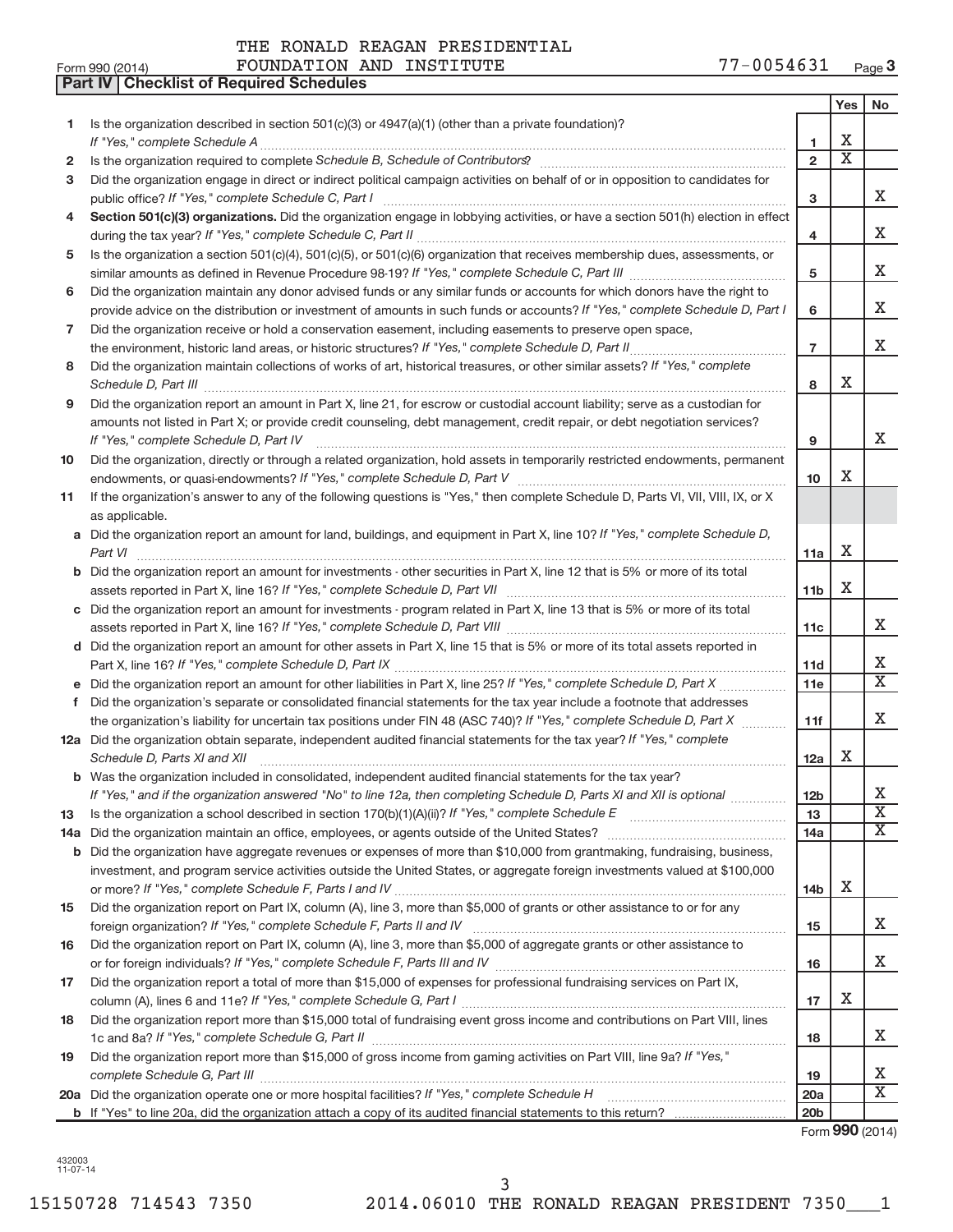**Part IV Checklist of Required Schedules**

|     |                                                                                                                                                                                                                                                                                                                                                                      |                 | Yes                         | No                      |
|-----|----------------------------------------------------------------------------------------------------------------------------------------------------------------------------------------------------------------------------------------------------------------------------------------------------------------------------------------------------------------------|-----------------|-----------------------------|-------------------------|
| 1   | Is the organization described in section 501(c)(3) or $4947(a)(1)$ (other than a private foundation)?                                                                                                                                                                                                                                                                |                 |                             |                         |
|     |                                                                                                                                                                                                                                                                                                                                                                      | 1               | Х                           |                         |
| 2   |                                                                                                                                                                                                                                                                                                                                                                      | $\overline{2}$  | $\overline{\textnormal{x}}$ |                         |
| 3   | Did the organization engage in direct or indirect political campaign activities on behalf of or in opposition to candidates for                                                                                                                                                                                                                                      | 3               |                             | X                       |
| 4   | Section 501(c)(3) organizations. Did the organization engage in lobbying activities, or have a section 501(h) election in effect                                                                                                                                                                                                                                     | 4               |                             | X                       |
| 5   | Is the organization a section 501(c)(4), 501(c)(5), or 501(c)(6) organization that receives membership dues, assessments, or                                                                                                                                                                                                                                         |                 |                             |                         |
|     |                                                                                                                                                                                                                                                                                                                                                                      | 5               |                             | X                       |
| 6   | Did the organization maintain any donor advised funds or any similar funds or accounts for which donors have the right to                                                                                                                                                                                                                                            |                 |                             |                         |
|     | provide advice on the distribution or investment of amounts in such funds or accounts? If "Yes," complete Schedule D, Part I                                                                                                                                                                                                                                         | 6               |                             | X                       |
| 7   | Did the organization receive or hold a conservation easement, including easements to preserve open space,                                                                                                                                                                                                                                                            |                 |                             |                         |
|     |                                                                                                                                                                                                                                                                                                                                                                      | $\overline{7}$  |                             | X                       |
| 8   | Did the organization maintain collections of works of art, historical treasures, or other similar assets? If "Yes," complete                                                                                                                                                                                                                                         | 8               | x                           |                         |
| 9   | Schedule D, Part III <b>Marting Communities</b> and the contract of the contract of the contract of the contract of the contract of the contract of the contract of the contract of the contract of the contract of the contract of<br>Did the organization report an amount in Part X, line 21, for escrow or custodial account liability; serve as a custodian for |                 |                             |                         |
|     | amounts not listed in Part X; or provide credit counseling, debt management, credit repair, or debt negotiation services?                                                                                                                                                                                                                                            | 9               |                             | X                       |
| 10  | Did the organization, directly or through a related organization, hold assets in temporarily restricted endowments, permanent                                                                                                                                                                                                                                        |                 |                             |                         |
|     |                                                                                                                                                                                                                                                                                                                                                                      | 10 <sup>1</sup> | x                           |                         |
| 11  | If the organization's answer to any of the following questions is "Yes," then complete Schedule D, Parts VI, VII, VIII, IX, or X<br>as applicable.                                                                                                                                                                                                                   |                 |                             |                         |
|     | a Did the organization report an amount for land, buildings, and equipment in Part X, line 10? If "Yes," complete Schedule D,                                                                                                                                                                                                                                        |                 |                             |                         |
|     | Part VI                                                                                                                                                                                                                                                                                                                                                              | 11a             | Х                           |                         |
|     | <b>b</b> Did the organization report an amount for investments - other securities in Part X, line 12 that is 5% or more of its total                                                                                                                                                                                                                                 |                 |                             |                         |
|     |                                                                                                                                                                                                                                                                                                                                                                      | 11 <sub>b</sub> | X                           |                         |
|     | c Did the organization report an amount for investments - program related in Part X, line 13 that is 5% or more of its total                                                                                                                                                                                                                                         |                 |                             |                         |
|     |                                                                                                                                                                                                                                                                                                                                                                      | 11c             |                             | X                       |
|     | d Did the organization report an amount for other assets in Part X, line 15 that is 5% or more of its total assets reported in                                                                                                                                                                                                                                       |                 |                             | X                       |
|     |                                                                                                                                                                                                                                                                                                                                                                      | 11d<br>11e      |                             | $\overline{\text{X}}$   |
| f.  | Did the organization's separate or consolidated financial statements for the tax year include a footnote that addresses                                                                                                                                                                                                                                              |                 |                             |                         |
|     | the organization's liability for uncertain tax positions under FIN 48 (ASC 740)? If "Yes," complete Schedule D, Part X                                                                                                                                                                                                                                               | 11f             |                             | X                       |
|     | 12a Did the organization obtain separate, independent audited financial statements for the tax year? If "Yes," complete                                                                                                                                                                                                                                              |                 |                             |                         |
|     | Schedule D, Parts XI and XII                                                                                                                                                                                                                                                                                                                                         | 12a             | х                           |                         |
|     | <b>b</b> Was the organization included in consolidated, independent audited financial statements for the tax year?                                                                                                                                                                                                                                                   |                 |                             |                         |
|     | If "Yes," and if the organization answered "No" to line 12a, then completing Schedule D, Parts XI and XII is optional                                                                                                                                                                                                                                                | 12b             |                             | ▵                       |
| 13  |                                                                                                                                                                                                                                                                                                                                                                      | 13              |                             | $\overline{\textbf{X}}$ |
| 14a | Did the organization maintain an office, employees, or agents outside of the United States? [111] Did the organization maintain an office, employees, or agents outside of the United States?                                                                                                                                                                        | 14a             |                             | $\overline{\mathbf{X}}$ |
| b   | Did the organization have aggregate revenues or expenses of more than \$10,000 from grantmaking, fundraising, business,                                                                                                                                                                                                                                              |                 |                             |                         |
|     | investment, and program service activities outside the United States, or aggregate foreign investments valued at \$100,000                                                                                                                                                                                                                                           |                 |                             |                         |
|     |                                                                                                                                                                                                                                                                                                                                                                      | 14b             | х                           |                         |
| 15  | Did the organization report on Part IX, column (A), line 3, more than \$5,000 of grants or other assistance to or for any                                                                                                                                                                                                                                            |                 |                             |                         |
|     |                                                                                                                                                                                                                                                                                                                                                                      | 15              |                             | X                       |
| 16  | Did the organization report on Part IX, column (A), line 3, more than \$5,000 of aggregate grants or other assistance to                                                                                                                                                                                                                                             |                 |                             | X                       |
|     | Did the organization report a total of more than \$15,000 of expenses for professional fundraising services on Part IX,                                                                                                                                                                                                                                              | 16              |                             |                         |
| 17  |                                                                                                                                                                                                                                                                                                                                                                      | 17              | х                           |                         |
| 18  | Did the organization report more than \$15,000 total of fundraising event gross income and contributions on Part VIII, lines                                                                                                                                                                                                                                         |                 |                             |                         |
|     |                                                                                                                                                                                                                                                                                                                                                                      | 18              |                             | x                       |
| 19  | Did the organization report more than \$15,000 of gross income from gaming activities on Part VIII, line 9a? If "Yes,"                                                                                                                                                                                                                                               | 19              |                             | Х                       |
|     | 20a Did the organization operate one or more hospital facilities? If "Yes," complete Schedule H                                                                                                                                                                                                                                                                      | <b>20a</b>      |                             | $\overline{\text{X}}$   |
|     |                                                                                                                                                                                                                                                                                                                                                                      | 20 <sub>b</sub> |                             |                         |

Form **990** (2014)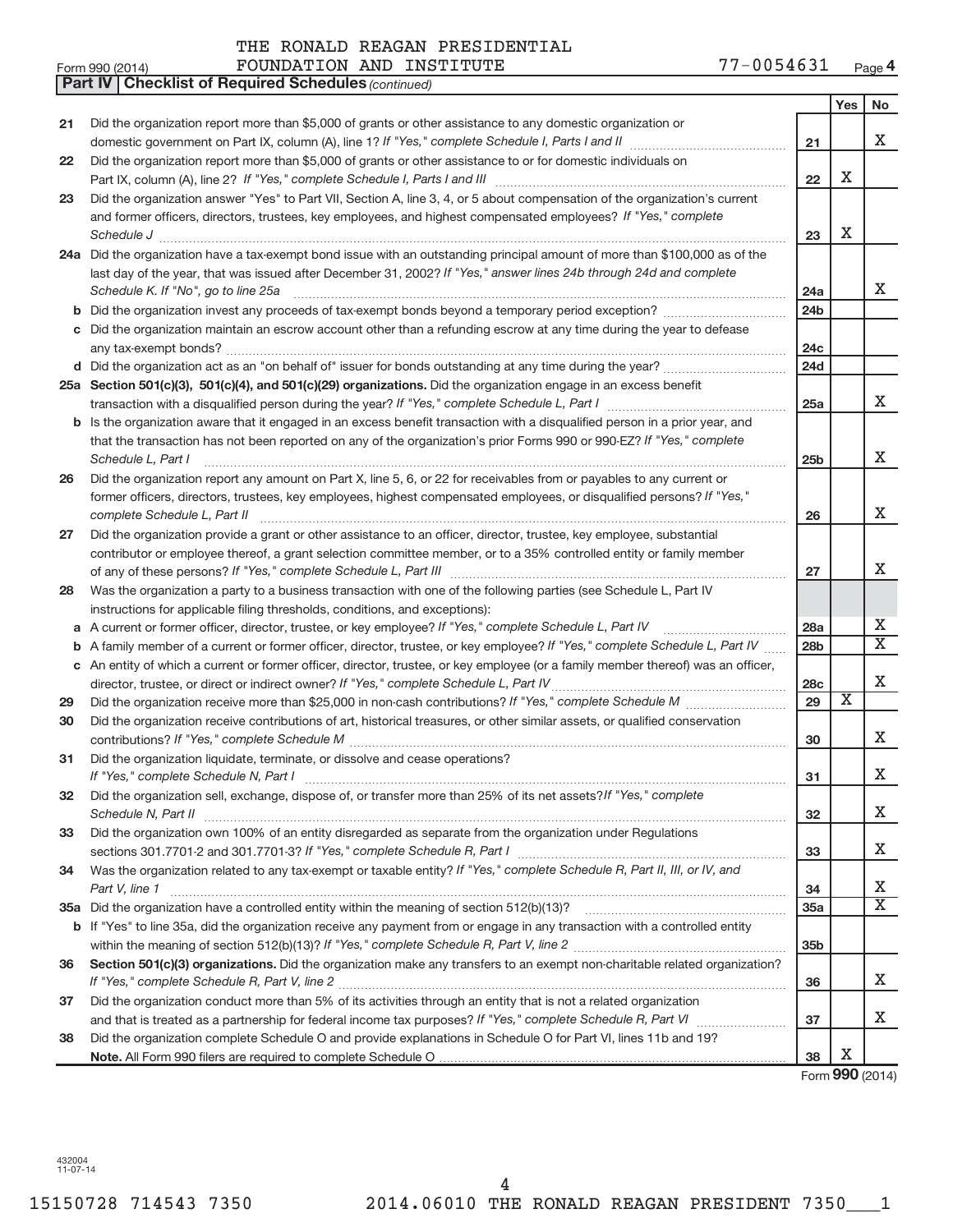| Form 990 (2014) | FOUNDATION AND INSTITUTE | 77-0054631<br>Page 4 |
|-----------------|--------------------------|----------------------|
|-----------------|--------------------------|----------------------|

|    | Part IV   Checklist of Required Schedules (continued)                                                                                                                       |                 |                         |                              |
|----|-----------------------------------------------------------------------------------------------------------------------------------------------------------------------------|-----------------|-------------------------|------------------------------|
|    |                                                                                                                                                                             |                 | Yes                     | No                           |
| 21 | Did the organization report more than \$5,000 of grants or other assistance to any domestic organization or                                                                 |                 |                         |                              |
|    |                                                                                                                                                                             | 21              |                         | X                            |
| 22 | Did the organization report more than \$5,000 of grants or other assistance to or for domestic individuals on                                                               |                 |                         |                              |
|    |                                                                                                                                                                             | 22              | X                       |                              |
| 23 | Did the organization answer "Yes" to Part VII, Section A, line 3, 4, or 5 about compensation of the organization's current                                                  |                 |                         |                              |
|    | and former officers, directors, trustees, key employees, and highest compensated employees? If "Yes," complete                                                              |                 |                         |                              |
|    |                                                                                                                                                                             | 23              | Х                       |                              |
|    | 24a Did the organization have a tax-exempt bond issue with an outstanding principal amount of more than \$100,000 as of the                                                 |                 |                         |                              |
|    | last day of the year, that was issued after December 31, 2002? If "Yes," answer lines 24b through 24d and complete                                                          |                 |                         |                              |
|    |                                                                                                                                                                             |                 |                         | х                            |
|    | Schedule K. If "No", go to line 25a                                                                                                                                         | 24a             |                         |                              |
|    |                                                                                                                                                                             | 24 <sub>b</sub> |                         |                              |
|    | c Did the organization maintain an escrow account other than a refunding escrow at any time during the year to defease                                                      |                 |                         |                              |
|    |                                                                                                                                                                             | 24с             |                         |                              |
|    |                                                                                                                                                                             | 24d             |                         |                              |
|    | 25a Section 501(c)(3), 501(c)(4), and 501(c)(29) organizations. Did the organization engage in an excess benefit                                                            |                 |                         |                              |
|    |                                                                                                                                                                             | 25a             |                         | x                            |
|    | b Is the organization aware that it engaged in an excess benefit transaction with a disqualified person in a prior year, and                                                |                 |                         |                              |
|    | that the transaction has not been reported on any of the organization's prior Forms 990 or 990-EZ? If "Yes," complete                                                       |                 |                         |                              |
|    | Schedule L, Part I                                                                                                                                                          | 25b             |                         | х                            |
| 26 | Did the organization report any amount on Part X, line 5, 6, or 22 for receivables from or payables to any current or                                                       |                 |                         |                              |
|    | former officers, directors, trustees, key employees, highest compensated employees, or disqualified persons? If "Yes,"                                                      |                 |                         |                              |
|    |                                                                                                                                                                             | 26              |                         | х                            |
| 27 | Did the organization provide a grant or other assistance to an officer, director, trustee, key employee, substantial                                                        |                 |                         |                              |
|    | contributor or employee thereof, a grant selection committee member, or to a 35% controlled entity or family member                                                         |                 |                         |                              |
|    |                                                                                                                                                                             | 27              |                         | х                            |
| 28 | Was the organization a party to a business transaction with one of the following parties (see Schedule L, Part IV                                                           |                 |                         |                              |
|    | instructions for applicable filing thresholds, conditions, and exceptions):                                                                                                 |                 |                         |                              |
| а  | A current or former officer, director, trustee, or key employee? If "Yes," complete Schedule L, Part IV                                                                     | 28a             |                         | х                            |
| b  | A family member of a current or former officer, director, trustee, or key employee? If "Yes," complete Schedule L, Part IV                                                  | 28b             |                         | $\overline{\text{X}}$        |
|    | c An entity of which a current or former officer, director, trustee, or key employee (or a family member thereof) was an officer,                                           |                 |                         |                              |
|    | director, trustee, or direct or indirect owner? If "Yes," complete Schedule L, Part IV                                                                                      | 28c             |                         | х                            |
| 29 |                                                                                                                                                                             | 29              | $\overline{\textbf{x}}$ |                              |
| 30 | Did the organization receive contributions of art, historical treasures, or other similar assets, or qualified conservation                                                 |                 |                         |                              |
|    |                                                                                                                                                                             | 30              |                         | х                            |
| 31 | Did the organization liquidate, terminate, or dissolve and cease operations?                                                                                                |                 |                         |                              |
|    |                                                                                                                                                                             | 31              |                         | Χ                            |
| 32 | Did the organization sell, exchange, dispose of, or transfer more than 25% of its net assets? If "Yes," complete                                                            |                 |                         |                              |
|    | Schedule N, Part II                                                                                                                                                         | 32              |                         | х                            |
| 33 | Did the organization own 100% of an entity disregarded as separate from the organization under Regulations                                                                  |                 |                         |                              |
|    | sections 301.7701-2 and 301.7701-3? If "Yes," complete Schedule R, Part I [1] [1] [1] [1] [1] [1] sections 301.7701-2 and 301.7701-3? If "Yes," complete Schedule R, Part I | 33              |                         | х                            |
| 34 | Was the organization related to any tax-exempt or taxable entity? If "Yes," complete Schedule R, Part II, III, or IV, and                                                   |                 |                         |                              |
|    | Part V, line 1                                                                                                                                                              | 34              |                         | х                            |
|    |                                                                                                                                                                             | 35a             |                         | X                            |
|    |                                                                                                                                                                             |                 |                         |                              |
|    | b If "Yes" to line 35a, did the organization receive any payment from or engage in any transaction with a controlled entity                                                 | 35 <sub>b</sub> |                         |                              |
|    |                                                                                                                                                                             |                 |                         |                              |
| 36 | Section 501(c)(3) organizations. Did the organization make any transfers to an exempt non-charitable related organization?                                                  |                 |                         | X.                           |
|    |                                                                                                                                                                             | 36              |                         |                              |
| 37 | Did the organization conduct more than 5% of its activities through an entity that is not a related organization                                                            |                 |                         | x                            |
|    |                                                                                                                                                                             | 37              |                         |                              |
| 38 | Did the organization complete Schedule O and provide explanations in Schedule O for Part VI, lines 11b and 19?                                                              |                 | X                       |                              |
|    |                                                                                                                                                                             | 38              |                         | $T_{\text{max}}$ QQQ (001.4) |

Form **990** (2014)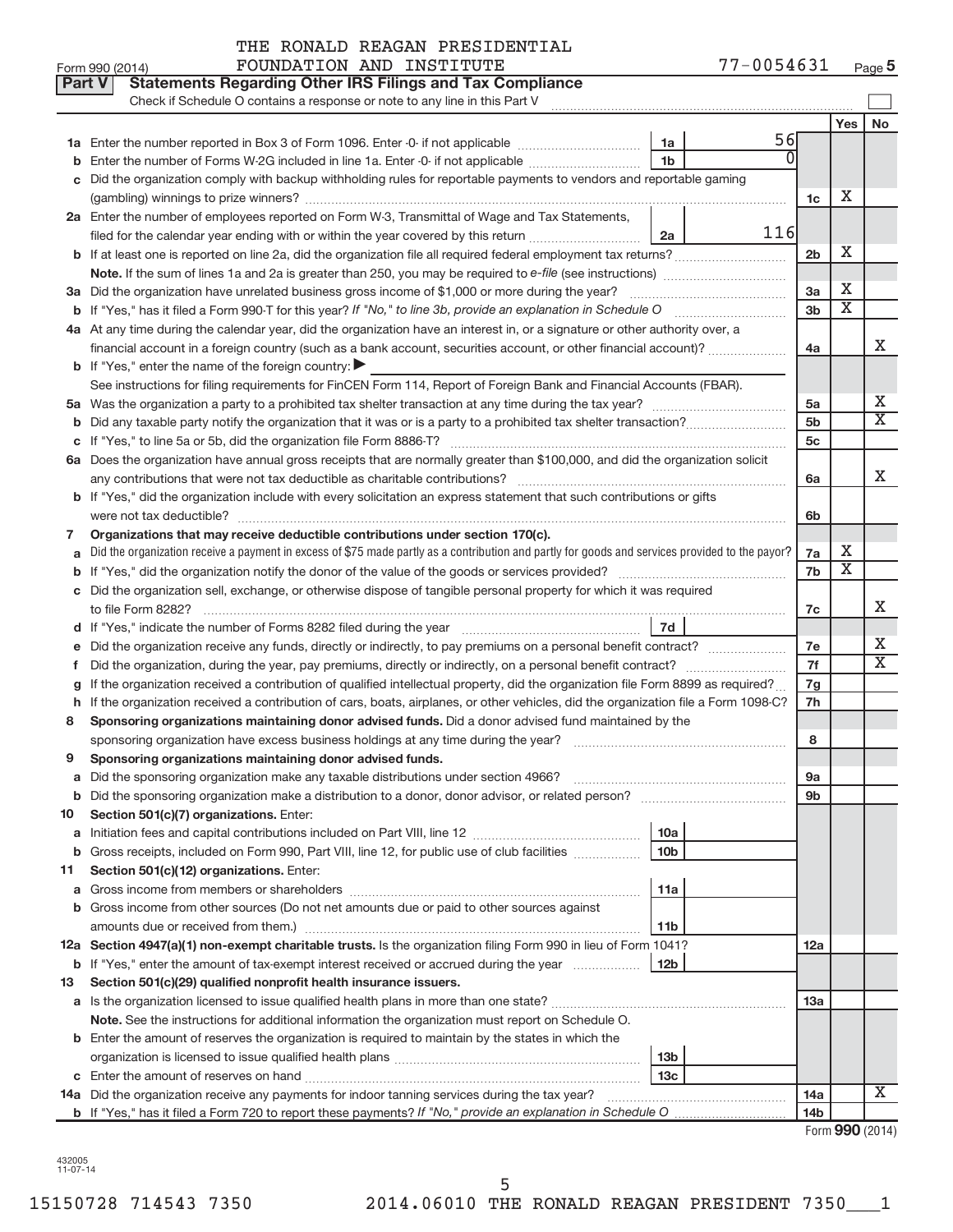|        | Part V<br><b>Statements Regarding Other IRS Filings and Tax Compliance</b><br>Check if Schedule O contains a response or note to any line in this Part V                                                                                   |                 |     |                 |                            |                       |
|--------|--------------------------------------------------------------------------------------------------------------------------------------------------------------------------------------------------------------------------------------------|-----------------|-----|-----------------|----------------------------|-----------------------|
|        |                                                                                                                                                                                                                                            |                 |     |                 | Yes                        | No                    |
|        |                                                                                                                                                                                                                                            | 1a              | 56  |                 |                            |                       |
|        | Enter the number of Forms W-2G included in line 1a. Enter -0- if not applicable                                                                                                                                                            | 1 <sub>b</sub>  |     |                 |                            |                       |
|        | c Did the organization comply with backup withholding rules for reportable payments to vendors and reportable gaming                                                                                                                       |                 |     |                 |                            |                       |
|        |                                                                                                                                                                                                                                            |                 |     | 1c              | X                          |                       |
|        | 2a Enter the number of employees reported on Form W-3, Transmittal of Wage and Tax Statements,                                                                                                                                             |                 |     |                 |                            |                       |
|        | filed for the calendar year ending with or within the year covered by this return                                                                                                                                                          | 2a              | 116 |                 |                            |                       |
|        |                                                                                                                                                                                                                                            |                 |     | 2b              | X                          |                       |
|        |                                                                                                                                                                                                                                            |                 |     |                 |                            |                       |
|        | 3a Did the organization have unrelated business gross income of \$1,000 or more during the year?                                                                                                                                           |                 |     | 3a              | X                          |                       |
|        | <b>b</b> If "Yes," has it filed a Form 990-T for this year? If "No," to line 3b, provide an explanation in Schedule O manumum                                                                                                              |                 |     | 3 <sub>b</sub>  | $\overline{\text{x}}$      |                       |
|        | 4a At any time during the calendar year, did the organization have an interest in, or a signature or other authority over, a                                                                                                               |                 |     |                 |                            |                       |
|        | financial account in a foreign country (such as a bank account, securities account, or other financial account)?                                                                                                                           |                 |     | 4a              |                            | X                     |
|        | <b>b</b> If "Yes," enter the name of the foreign country:                                                                                                                                                                                  |                 |     |                 |                            |                       |
|        | See instructions for filing requirements for FinCEN Form 114, Report of Foreign Bank and Financial Accounts (FBAR).                                                                                                                        |                 |     |                 |                            |                       |
|        |                                                                                                                                                                                                                                            |                 |     | 5a              |                            | Х                     |
|        |                                                                                                                                                                                                                                            |                 |     | 5 <sub>b</sub>  |                            | $\overline{\text{x}}$ |
|        |                                                                                                                                                                                                                                            |                 |     | 5c              |                            |                       |
|        | 6a Does the organization have annual gross receipts that are normally greater than \$100,000, and did the organization solicit                                                                                                             |                 |     |                 |                            |                       |
|        |                                                                                                                                                                                                                                            |                 |     | 6a              |                            | х                     |
|        | b If "Yes," did the organization include with every solicitation an express statement that such contributions or gifts                                                                                                                     |                 |     |                 |                            |                       |
|        |                                                                                                                                                                                                                                            |                 |     | 6b              |                            |                       |
| 7      | Organizations that may receive deductible contributions under section 170(c).                                                                                                                                                              |                 |     |                 |                            |                       |
|        | Did the organization receive a payment in excess of \$75 made partly as a contribution and partly for goods and services provided to the payor?                                                                                            |                 |     | 7a              | X<br>$\overline{\text{X}}$ |                       |
|        |                                                                                                                                                                                                                                            |                 |     | 7b              |                            |                       |
|        | c Did the organization sell, exchange, or otherwise dispose of tangible personal property for which it was required                                                                                                                        |                 |     |                 |                            | х                     |
|        |                                                                                                                                                                                                                                            |                 |     | 7c              |                            |                       |
|        |                                                                                                                                                                                                                                            | 7d              |     |                 |                            | х                     |
|        | Did the organization receive any funds, directly or indirectly, to pay premiums on a personal benefit contract?                                                                                                                            |                 |     | 7e<br>7f        |                            | X                     |
| Ť.     |                                                                                                                                                                                                                                            |                 |     |                 |                            |                       |
|        | If the organization received a contribution of qualified intellectual property, did the organization file Form 8899 as required?                                                                                                           |                 |     | 7g<br>7h        |                            |                       |
| h<br>8 | If the organization received a contribution of cars, boats, airplanes, or other vehicles, did the organization file a Form 1098-C?<br>Sponsoring organizations maintaining donor advised funds. Did a donor advised fund maintained by the |                 |     |                 |                            |                       |
|        |                                                                                                                                                                                                                                            |                 |     | 8               |                            |                       |
| 9      | Sponsoring organizations maintaining donor advised funds.                                                                                                                                                                                  |                 |     |                 |                            |                       |
|        |                                                                                                                                                                                                                                            |                 |     | эа              |                            |                       |
|        | <b>b</b> Did the sponsoring organization make a distribution to a donor, donor advisor, or related person?                                                                                                                                 |                 |     | 9b              |                            |                       |
| 10     | Section 501(c)(7) organizations. Enter:                                                                                                                                                                                                    |                 |     |                 |                            |                       |
|        |                                                                                                                                                                                                                                            | 10a             |     |                 |                            |                       |
|        | <b>b</b> Gross receipts, included on Form 990, Part VIII, line 12, for public use of club facilities <i>manumum</i>                                                                                                                        | 10 <sub>b</sub> |     |                 |                            |                       |
| 11     | Section 501(c)(12) organizations. Enter:                                                                                                                                                                                                   |                 |     |                 |                            |                       |
|        |                                                                                                                                                                                                                                            | 11a             |     |                 |                            |                       |
|        | <b>b</b> Gross income from other sources (Do not net amounts due or paid to other sources against                                                                                                                                          |                 |     |                 |                            |                       |
|        | amounts due or received from them.)                                                                                                                                                                                                        | 11 <sub>b</sub> |     |                 |                            |                       |
|        | 12a Section 4947(a)(1) non-exempt charitable trusts. Is the organization filing Form 990 in lieu of Form 1041?                                                                                                                             |                 |     | 12a             |                            |                       |
|        | <b>b</b> If "Yes," enter the amount of tax-exempt interest received or accrued during the year                                                                                                                                             | 12 <sub>b</sub> |     |                 |                            |                       |
| 13     | Section 501(c)(29) qualified nonprofit health insurance issuers.                                                                                                                                                                           |                 |     |                 |                            |                       |
|        | a Is the organization licensed to issue qualified health plans in more than one state?                                                                                                                                                     |                 |     | 13a             |                            |                       |
|        | Note. See the instructions for additional information the organization must report on Schedule O.                                                                                                                                          |                 |     |                 |                            |                       |
|        | <b>b</b> Enter the amount of reserves the organization is required to maintain by the states in which the                                                                                                                                  |                 |     |                 |                            |                       |
|        |                                                                                                                                                                                                                                            | 13 <sub>b</sub> |     |                 |                            |                       |
|        |                                                                                                                                                                                                                                            | 13с             |     |                 |                            |                       |
|        | 14a Did the organization receive any payments for indoor tanning services during the tax year?                                                                                                                                             |                 |     | 14a             |                            | X                     |
|        |                                                                                                                                                                                                                                            |                 |     | 14 <sub>b</sub> |                            |                       |

| Form 990 (2014) |  |
|-----------------|--|
|-----------------|--|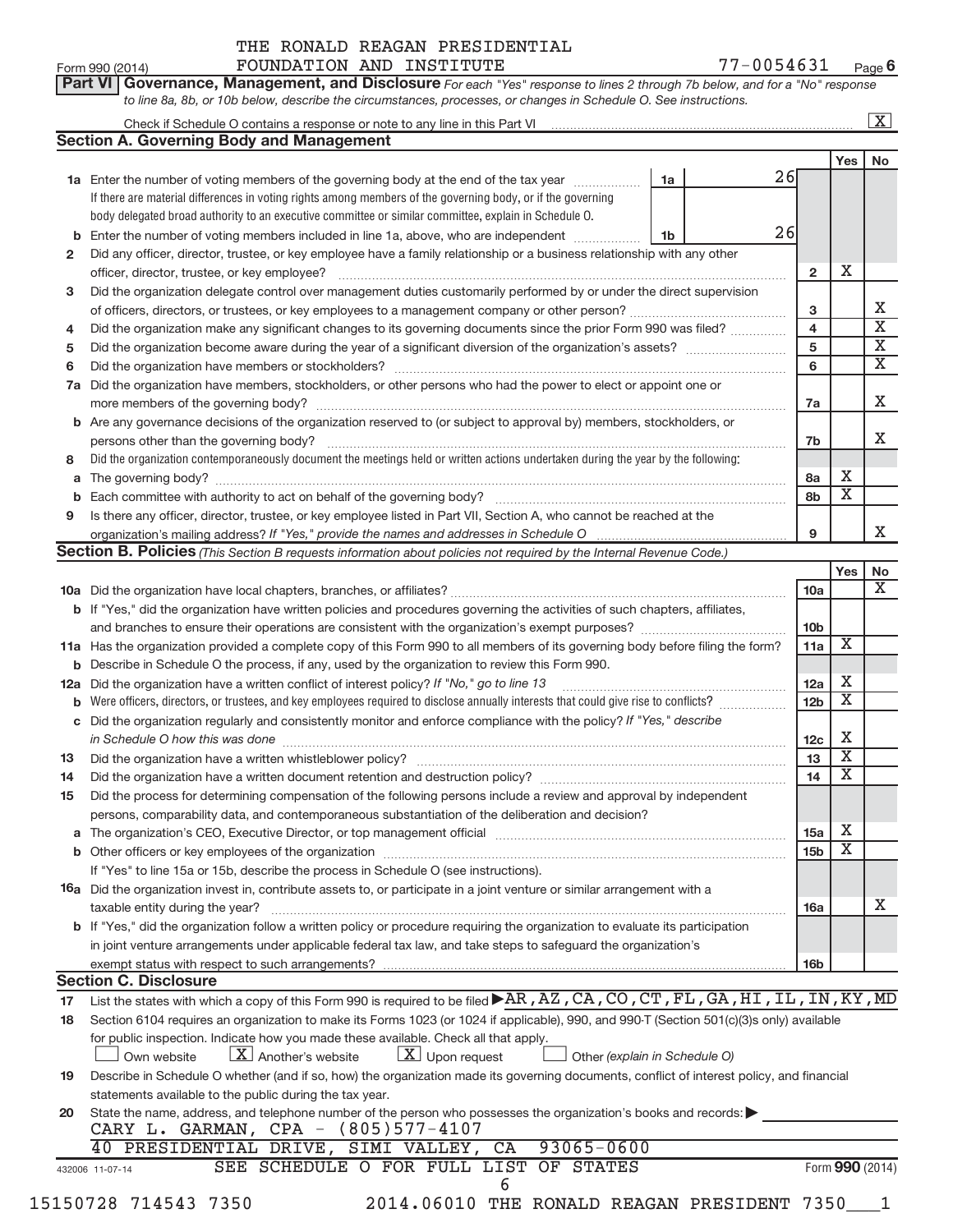| Part VI   Governance, Management, and Disclosure For each "Yes" response to lines 2 through 7b below, and for a "No" response |  |
|-------------------------------------------------------------------------------------------------------------------------------|--|
| to line 8a, 8b, or 10b below, describe the circumstances, processes, or changes in Schedule O. See instructions.              |  |

|     | Check if Schedule O contains a response or note to any line in this Part VI [11] [12] Check if Schedule O contains a response or note to any line in this Part VI                                                |    |    |                         |                         | X                                                |  |  |  |  |
|-----|------------------------------------------------------------------------------------------------------------------------------------------------------------------------------------------------------------------|----|----|-------------------------|-------------------------|--------------------------------------------------|--|--|--|--|
|     | <b>Section A. Governing Body and Management</b>                                                                                                                                                                  |    |    |                         |                         |                                                  |  |  |  |  |
|     |                                                                                                                                                                                                                  |    |    |                         | Yes                     | No                                               |  |  |  |  |
|     | <b>1a</b> Enter the number of voting members of the governing body at the end of the tax year                                                                                                                    | 1a | 26 |                         |                         |                                                  |  |  |  |  |
|     | If there are material differences in voting rights among members of the governing body, or if the governing                                                                                                      |    |    |                         |                         |                                                  |  |  |  |  |
|     | body delegated broad authority to an executive committee or similar committee, explain in Schedule O.                                                                                                            |    |    |                         |                         |                                                  |  |  |  |  |
| b   | Enter the number of voting members included in line 1a, above, who are independent                                                                                                                               | 1b | 26 |                         |                         |                                                  |  |  |  |  |
| 2   | Did any officer, director, trustee, or key employee have a family relationship or a business relationship with any other                                                                                         |    |    |                         |                         |                                                  |  |  |  |  |
|     | officer, director, trustee, or key employee?                                                                                                                                                                     |    |    | $\overline{2}$          | х                       |                                                  |  |  |  |  |
| 3   | Did the organization delegate control over management duties customarily performed by or under the direct supervision                                                                                            |    |    |                         |                         |                                                  |  |  |  |  |
|     |                                                                                                                                                                                                                  |    |    | 3                       |                         | х                                                |  |  |  |  |
| 4   | Did the organization make any significant changes to its governing documents since the prior Form 990 was filed?                                                                                                 |    |    | $\overline{\mathbf{4}}$ |                         | $\overline{\text{x}}$<br>$\overline{\textbf{X}}$ |  |  |  |  |
| 5   |                                                                                                                                                                                                                  |    |    |                         |                         |                                                  |  |  |  |  |
| 6   |                                                                                                                                                                                                                  |    |    |                         |                         |                                                  |  |  |  |  |
|     | 7a Did the organization have members, stockholders, or other persons who had the power to elect or appoint one or                                                                                                |    |    |                         |                         |                                                  |  |  |  |  |
|     |                                                                                                                                                                                                                  |    |    | 7a                      |                         | Χ                                                |  |  |  |  |
|     | b Are any governance decisions of the organization reserved to (or subject to approval by) members, stockholders, or                                                                                             |    |    |                         |                         |                                                  |  |  |  |  |
|     | persons other than the governing body?                                                                                                                                                                           |    |    | 7b                      |                         | X.                                               |  |  |  |  |
| 8   | Did the organization contemporaneously document the meetings held or written actions undertaken during the year by the following:                                                                                |    |    |                         |                         |                                                  |  |  |  |  |
| a   |                                                                                                                                                                                                                  |    |    | 8a                      | х                       |                                                  |  |  |  |  |
| b   |                                                                                                                                                                                                                  |    |    | 8b                      | $\overline{\textbf{X}}$ |                                                  |  |  |  |  |
| 9   | Is there any officer, director, trustee, or key employee listed in Part VII, Section A, who cannot be reached at the                                                                                             |    |    |                         |                         |                                                  |  |  |  |  |
|     |                                                                                                                                                                                                                  |    |    | 9                       |                         | X.                                               |  |  |  |  |
|     | <b>Section B. Policies</b> (This Section B requests information about policies not required by the Internal Revenue Code.)                                                                                       |    |    |                         |                         |                                                  |  |  |  |  |
|     |                                                                                                                                                                                                                  |    |    |                         | Yes                     | No                                               |  |  |  |  |
|     |                                                                                                                                                                                                                  |    |    | 10a                     |                         | $\overline{\mathbf{X}}$                          |  |  |  |  |
|     | b If "Yes," did the organization have written policies and procedures governing the activities of such chapters, affiliates,                                                                                     |    |    |                         |                         |                                                  |  |  |  |  |
|     | and branches to ensure their operations are consistent with the organization's exempt purposes? www.www.www.www.                                                                                                 |    |    | 10 <sub>b</sub>         |                         |                                                  |  |  |  |  |
|     | 11a Has the organization provided a complete copy of this Form 990 to all members of its governing body before filing the form?                                                                                  |    |    | 11a                     | $\overline{\textbf{X}}$ |                                                  |  |  |  |  |
| b   | Describe in Schedule O the process, if any, used by the organization to review this Form 990.                                                                                                                    |    |    |                         |                         |                                                  |  |  |  |  |
| 12a | Did the organization have a written conflict of interest policy? If "No," go to line 13                                                                                                                          |    |    | <b>12a</b>              | х                       |                                                  |  |  |  |  |
| b   | Were officers, directors, or trustees, and key employees required to disclose annually interests that could give rise to conflicts?                                                                              |    |    | 12 <sub>b</sub>         | $\overline{\textbf{x}}$ |                                                  |  |  |  |  |
| С   | Did the organization regularly and consistently monitor and enforce compliance with the policy? If "Yes," describe                                                                                               |    |    |                         |                         |                                                  |  |  |  |  |
|     | in Schedule O how this was done manufactured and contained a state of the state of the state of the state of t                                                                                                   |    |    | 12 <sub>c</sub>         | х                       |                                                  |  |  |  |  |
| 13  | Did the organization have a written whistleblower policy?                                                                                                                                                        |    |    | 13                      | $\overline{\textbf{X}}$ |                                                  |  |  |  |  |
| 14  |                                                                                                                                                                                                                  |    |    | 14                      | $\overline{\textbf{X}}$ |                                                  |  |  |  |  |
| 15  | Did the process for determining compensation of the following persons include a review and approval by independent                                                                                               |    |    |                         |                         |                                                  |  |  |  |  |
|     | persons, comparability data, and contemporaneous substantiation of the deliberation and decision?                                                                                                                |    |    |                         |                         |                                                  |  |  |  |  |
| а   |                                                                                                                                                                                                                  |    |    | 15a                     | Χ                       |                                                  |  |  |  |  |
|     |                                                                                                                                                                                                                  |    |    | 15 <sub>b</sub>         | $\overline{\textbf{X}}$ |                                                  |  |  |  |  |
|     | If "Yes" to line 15a or 15b, describe the process in Schedule O (see instructions).                                                                                                                              |    |    |                         |                         |                                                  |  |  |  |  |
|     | 16a Did the organization invest in, contribute assets to, or participate in a joint venture or similar arrangement with a                                                                                        |    |    |                         |                         |                                                  |  |  |  |  |
|     | taxable entity during the year?                                                                                                                                                                                  |    |    | 16a                     |                         | х                                                |  |  |  |  |
|     | b If "Yes," did the organization follow a written policy or procedure requiring the organization to evaluate its participation                                                                                   |    |    |                         |                         |                                                  |  |  |  |  |
|     | in joint venture arrangements under applicable federal tax law, and take steps to safeguard the organization's                                                                                                   |    |    |                         |                         |                                                  |  |  |  |  |
|     |                                                                                                                                                                                                                  |    |    |                         |                         |                                                  |  |  |  |  |
|     | exempt status with respect to such arrangements?<br><b>Section C. Disclosure</b>                                                                                                                                 |    |    | <b>16b</b>              |                         |                                                  |  |  |  |  |
| 17  | List the states with which a copy of this Form 990 is required to be filed AR, AZ, CA, CO, CT, FL, GA, HI, IL, IN, KY, MD                                                                                        |    |    |                         |                         |                                                  |  |  |  |  |
|     | Section 6104 requires an organization to make its Forms 1023 (or 1024 if applicable), 990, and 990-T (Section 501(c)(3)s only) available                                                                         |    |    |                         |                         |                                                  |  |  |  |  |
| 18  |                                                                                                                                                                                                                  |    |    |                         |                         |                                                  |  |  |  |  |
|     | for public inspection. Indicate how you made these available. Check all that apply.<br>$\lfloor x \rfloor$ Upon request<br>$\lfloor X \rfloor$ Another's website<br>Own website<br>Other (explain in Schedule O) |    |    |                         |                         |                                                  |  |  |  |  |
|     |                                                                                                                                                                                                                  |    |    |                         |                         |                                                  |  |  |  |  |
| 19  | Describe in Schedule O whether (and if so, how) the organization made its governing documents, conflict of interest policy, and financial                                                                        |    |    |                         |                         |                                                  |  |  |  |  |
|     | statements available to the public during the tax year.                                                                                                                                                          |    |    |                         |                         |                                                  |  |  |  |  |
| 20  | State the name, address, and telephone number of the person who possesses the organization's books and records:<br>CARY L. GARMAN, CPA - (805)577-4107                                                           |    |    |                         |                         |                                                  |  |  |  |  |
|     | $93065 - 0600$<br>40 PRESIDENTIAL DRIVE, SIMI VALLEY,<br>CA                                                                                                                                                      |    |    |                         |                         |                                                  |  |  |  |  |
|     | SEE SCHEDULE O FOR FULL LIST OF STATES                                                                                                                                                                           |    |    |                         |                         | Form 990 (2014)                                  |  |  |  |  |
|     | 432006 11-07-14<br>6                                                                                                                                                                                             |    |    |                         |                         |                                                  |  |  |  |  |
|     |                                                                                                                                                                                                                  |    |    |                         |                         |                                                  |  |  |  |  |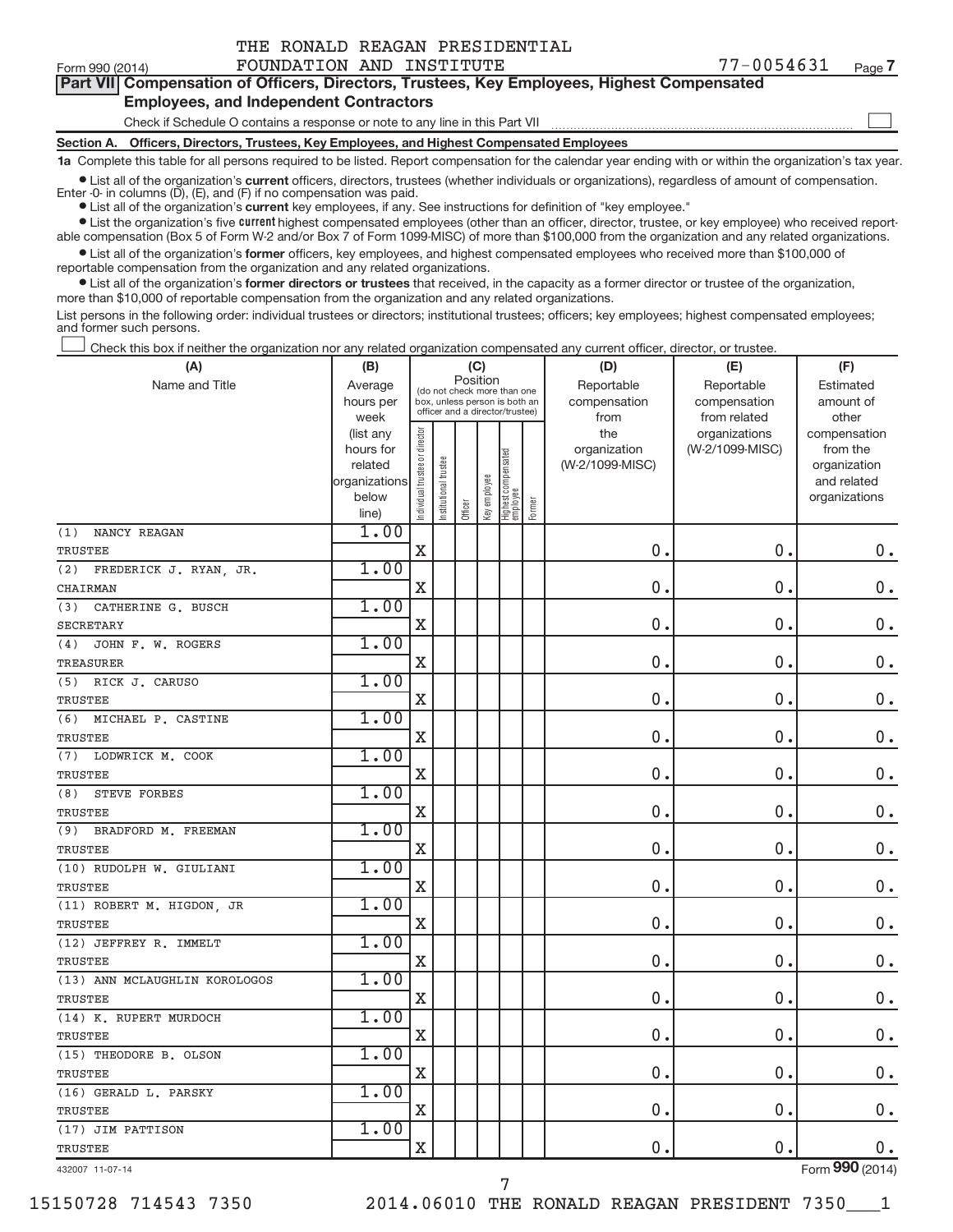|  | THE RONALD REAGAN PRESIDENTIAL |
|--|--------------------------------|
|  |                                |

 $\begin{array}{c} \hline \end{array}$ 

|  |                                               |  | Part VII Compensation of Officers, Directors, Trustees, Key Employees, Highest Compensated |  |
|--|-----------------------------------------------|--|--------------------------------------------------------------------------------------------|--|
|  | <b>Employees, and Independent Contractors</b> |  |                                                                                            |  |

## Check if Schedule O contains a response or note to any line in this Part VII

**Section A. Officers, Directors, Trustees, Key Employees, and Highest Compensated Employees**

**1a**  Complete this table for all persons required to be listed. Report compensation for the calendar year ending with or within the organization's tax year.

 $\bullet$  List all of the organization's current officers, directors, trustees (whether individuals or organizations), regardless of amount of compensation.

Enter -0- in columns  $(D)$ ,  $(E)$ , and  $(F)$  if no compensation was paid.

**•** List all of the organization's **current** key employees, if any. See instructions for definition of "key employee."

**Examber 1** List the organization's five current highest compensated employees (other than an officer, director, trustee, or key employee) who received reportable compensation (Box 5 of Form W-2 and/or Box 7 of Form 1099-MISC) of more than \$100,000 from the organization and any related organizations.

 $\bullet$  List all of the organization's former officers, key employees, and highest compensated employees who received more than \$100,000 of reportable compensation from the organization and any related organizations.

**•** List all of the organization's former directors or trustees that received, in the capacity as a former director or trustee of the organization, more than \$10,000 of reportable compensation from the organization and any related organizations.

List persons in the following order: individual trustees or directors; institutional trustees; officers; key employees; highest compensated employees; and former such persons.

Check this box if neither the organization nor any related organization compensated any current officer, director, or trustee.  $\overline{\phantom{a}}$ 

| (A)                           | (B)                    |                                |                                                                  | (C)      |              |                                 |        | (D)                 | (E)                              | (F)                      |
|-------------------------------|------------------------|--------------------------------|------------------------------------------------------------------|----------|--------------|---------------------------------|--------|---------------------|----------------------------------|--------------------------|
| Name and Title                | Average                |                                | (do not check more than one                                      | Position |              |                                 |        | Reportable          | Reportable                       | Estimated                |
|                               | hours per              |                                | box, unless person is both an<br>officer and a director/trustee) |          |              |                                 |        | compensation        | compensation                     | amount of                |
|                               | week                   |                                |                                                                  |          |              |                                 |        | from                | from related                     | other                    |
|                               | (list any<br>hours for |                                |                                                                  |          |              |                                 |        | the<br>organization | organizations<br>(W-2/1099-MISC) | compensation<br>from the |
|                               | related                |                                |                                                                  |          |              |                                 |        | (W-2/1099-MISC)     |                                  | organization             |
|                               | organizations          | Individual trustee or director | Institutional trustee                                            |          |              |                                 |        |                     |                                  | and related              |
|                               | below                  |                                |                                                                  |          |              |                                 |        |                     |                                  | organizations            |
|                               | line)                  |                                |                                                                  | Officer  | Key employee | Highest compensated<br>employee | Former |                     |                                  |                          |
| (1)<br>NANCY REAGAN           | 1.00                   |                                |                                                                  |          |              |                                 |        |                     |                                  |                          |
| TRUSTEE                       |                        | $\mathbf X$                    |                                                                  |          |              |                                 |        | 0.                  | 0.                               | $0$ .                    |
| (2)<br>FREDERICK J. RYAN, JR. | 1.00                   |                                |                                                                  |          |              |                                 |        |                     |                                  |                          |
| CHAIRMAN                      |                        | $\mathbf X$                    |                                                                  |          |              |                                 |        | 0.                  | 0.                               | $\mathbf 0$ .            |
| (3)<br>CATHERINE G. BUSCH     | 1.00                   |                                |                                                                  |          |              |                                 |        |                     |                                  |                          |
| <b>SECRETARY</b>              |                        | X                              |                                                                  |          |              |                                 |        | 0.                  | 0.                               | $\mathbf 0$ .            |
| JOHN F. W. ROGERS<br>(4)      | 1.00                   |                                |                                                                  |          |              |                                 |        |                     |                                  |                          |
| <b>TREASURER</b>              |                        | $\mathbf X$                    |                                                                  |          |              |                                 |        | 0.                  | $0\,$ .                          | $\mathbf 0$ .            |
| (5) RICK J. CARUSO            | 1.00                   |                                |                                                                  |          |              |                                 |        |                     |                                  |                          |
| <b>TRUSTEE</b>                |                        | X                              |                                                                  |          |              |                                 |        | 0.                  | 0.                               | $\mathbf 0$ .            |
| (6)<br>MICHAEL P. CASTINE     | 1.00                   |                                |                                                                  |          |              |                                 |        |                     |                                  |                          |
| TRUSTEE                       |                        | X                              |                                                                  |          |              |                                 |        | $\mathbf 0$         | $\mathbf{0}$                     | $0$ .                    |
| LODWRICK M. COOK<br>(7)       | 1.00                   |                                |                                                                  |          |              |                                 |        |                     |                                  |                          |
| <b>TRUSTEE</b>                |                        | $\mathbf X$                    |                                                                  |          |              |                                 |        | $\mathbf 0$         | $\mathbf{0}$                     | $0$ .                    |
| (8)<br><b>STEVE FORBES</b>    | 1.00                   |                                |                                                                  |          |              |                                 |        |                     |                                  |                          |
| TRUSTEE                       |                        | $\mathbf X$                    |                                                                  |          |              |                                 |        | 0.                  | $\mathbf{0}$                     | $0$ .                    |
| BRADFORD M. FREEMAN<br>(9)    | 1.00                   |                                |                                                                  |          |              |                                 |        |                     |                                  |                          |
| TRUSTEE                       |                        | X                              |                                                                  |          |              |                                 |        | $\mathbf 0$         | $\mathbf 0$ .                    | $\mathbf 0$ .            |
| (10) RUDOLPH W. GIULIANI      | 1.00                   |                                |                                                                  |          |              |                                 |        |                     |                                  |                          |
| TRUSTEE                       |                        | X                              |                                                                  |          |              |                                 |        | $\mathbf 0$         | 0.                               | $0$ .                    |
| (11) ROBERT M. HIGDON, JR     | 1.00                   |                                |                                                                  |          |              |                                 |        |                     |                                  |                          |
| <b>TRUSTEE</b>                |                        | X                              |                                                                  |          |              |                                 |        | $\mathbf 0$         | 0.                               | $0$ .                    |
| (12) JEFFREY R. IMMELT        | 1.00                   |                                |                                                                  |          |              |                                 |        |                     |                                  |                          |
| <b>TRUSTEE</b>                |                        | $\mathbf X$                    |                                                                  |          |              |                                 |        | 0.                  | 0.                               | $0$ .                    |
| (13) ANN MCLAUGHLIN KOROLOGOS | 1.00                   |                                |                                                                  |          |              |                                 |        |                     |                                  |                          |
| TRUSTEE                       |                        | $\mathbf X$                    |                                                                  |          |              |                                 |        | 0.                  | 0.                               | $0$ .                    |
| (14) K. RUPERT MURDOCH        | 1.00                   |                                |                                                                  |          |              |                                 |        |                     |                                  |                          |
| TRUSTEE                       |                        | $\mathbf X$                    |                                                                  |          |              |                                 |        | 0.                  | $\mathbf 0$ .                    | 0.                       |
| (15) THEODORE B. OLSON        | 1.00                   |                                |                                                                  |          |              |                                 |        |                     |                                  |                          |
| <b>TRUSTEE</b>                |                        | $\mathbf X$                    |                                                                  |          |              |                                 |        | 0.                  | $\mathbf 0$ .                    | $0$ .                    |
| (16) GERALD L. PARSKY         | 1.00                   |                                |                                                                  |          |              |                                 |        |                     |                                  |                          |
| TRUSTEE                       |                        | $\mathbf X$                    |                                                                  |          |              |                                 |        | 0.                  | $\mathbf 0$ .                    | $0$ .                    |
| (17) JIM PATTISON             | 1.00                   |                                |                                                                  |          |              |                                 |        |                     |                                  |                          |
| <b>TRUSTEE</b>                |                        | $\mathbf X$                    |                                                                  |          |              |                                 |        | 0.                  | $\mathbf 0$ .                    | 0.                       |

7

432007 11-07-14

Form (2014) **990**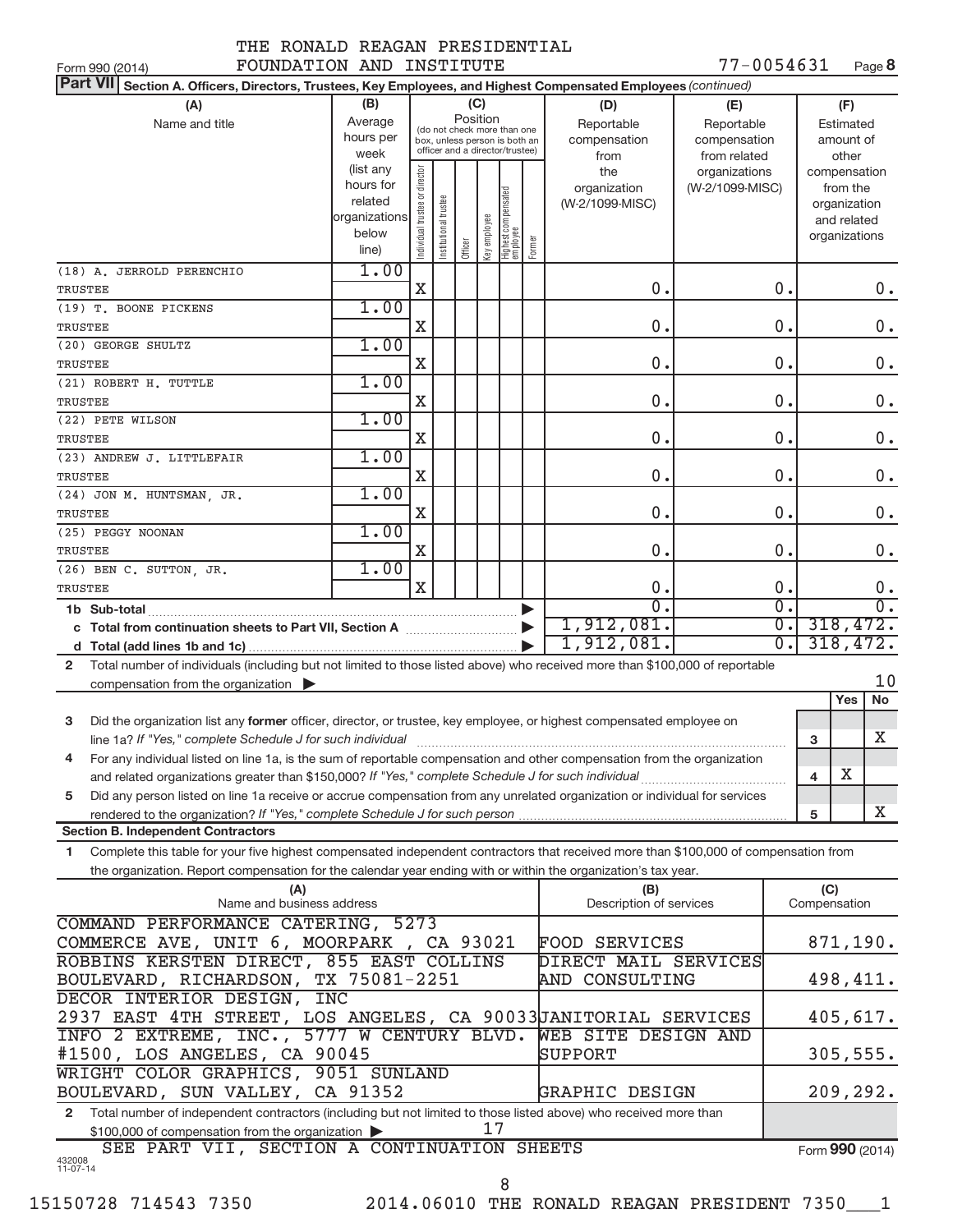|  |                                 |  | THE RONALD REAGAN PRESIDENTIAL |  |
|--|---------------------------------|--|--------------------------------|--|
|  | DOUND A DI ON AND INJOUT DURING |  |                                |  |

| wandni iwadidanilan                                                                                                                                                                                                                       |                        |                                |                       |          |              |                                                                  |        |                                 |                  |                         |                          |                        |
|-------------------------------------------------------------------------------------------------------------------------------------------------------------------------------------------------------------------------------------------|------------------------|--------------------------------|-----------------------|----------|--------------|------------------------------------------------------------------|--------|---------------------------------|------------------|-------------------------|--------------------------|------------------------|
| FOUNDATION AND INSTITUTE<br>Form 990 (2014)                                                                                                                                                                                               |                        |                                |                       |          |              |                                                                  |        |                                 | 77-0054631       |                         |                          | Page 8                 |
| Part VII Section A. Officers, Directors, Trustees, Key Employees, and Highest Compensated Employees (continued)                                                                                                                           |                        |                                |                       |          |              |                                                                  |        |                                 |                  |                         |                          |                        |
| (A)                                                                                                                                                                                                                                       | (B)                    |                                |                       |          | (C)          |                                                                  |        | (D)                             | (E)              |                         | (F)                      |                        |
| Name and title                                                                                                                                                                                                                            | Average                |                                |                       | Position |              | (do not check more than one                                      |        | Reportable                      | Reportable       |                         | Estimated                |                        |
|                                                                                                                                                                                                                                           | hours per              |                                |                       |          |              | box, unless person is both an<br>officer and a director/trustee) |        | compensation                    | compensation     |                         | amount of                |                        |
|                                                                                                                                                                                                                                           | week                   |                                |                       |          |              |                                                                  |        | from                            | from related     |                         | other                    |                        |
|                                                                                                                                                                                                                                           | (list any<br>hours for |                                |                       |          |              |                                                                  |        | the                             | organizations    |                         | compensation             |                        |
|                                                                                                                                                                                                                                           | related                |                                |                       |          |              |                                                                  |        | organization<br>(W-2/1099-MISC) | (W-2/1099-MISC)  |                         | from the<br>organization |                        |
|                                                                                                                                                                                                                                           | organizations          |                                |                       |          |              |                                                                  |        |                                 |                  |                         | and related              |                        |
|                                                                                                                                                                                                                                           | below                  |                                |                       |          |              |                                                                  |        |                                 |                  |                         | organizations            |                        |
|                                                                                                                                                                                                                                           | line)                  | Individual trustee or director | Institutional trustee | Officer  | Key employee | Highest compensated<br>employee                                  | Former |                                 |                  |                         |                          |                        |
| (18) A. JERROLD PERENCHIO                                                                                                                                                                                                                 | 1.00                   |                                |                       |          |              |                                                                  |        |                                 |                  |                         |                          |                        |
| TRUSTEE                                                                                                                                                                                                                                   |                        | $\mathbf X$                    |                       |          |              |                                                                  |        | $\mathbf 0$ .                   | 0.               |                         |                          | 0.                     |
| (19) T. BOONE PICKENS                                                                                                                                                                                                                     | 1.00                   |                                |                       |          |              |                                                                  |        |                                 |                  |                         |                          |                        |
| TRUSTEE                                                                                                                                                                                                                                   |                        | X                              |                       |          |              |                                                                  |        | 0.                              | 0.               |                         |                          | 0.                     |
| (20) GEORGE SHULTZ                                                                                                                                                                                                                        | 1.00                   |                                |                       |          |              |                                                                  |        |                                 |                  |                         |                          |                        |
| TRUSTEE                                                                                                                                                                                                                                   |                        | X                              |                       |          |              |                                                                  |        | 0.                              | $\overline{0}$ . |                         |                          | $0$ .                  |
| (21) ROBERT H. TUTTLE                                                                                                                                                                                                                     | 1.00                   |                                |                       |          |              |                                                                  |        |                                 |                  |                         |                          |                        |
| TRUSTEE                                                                                                                                                                                                                                   |                        | X                              |                       |          |              |                                                                  |        | $\mathbf 0$ .                   | $\mathbf 0$ .    |                         |                          | $0$ .                  |
| (22) PETE WILSON                                                                                                                                                                                                                          | 1.00                   |                                |                       |          |              |                                                                  |        |                                 |                  |                         |                          |                        |
| TRUSTEE                                                                                                                                                                                                                                   |                        | X                              |                       |          |              |                                                                  |        | 0.                              | 0.               |                         |                          | $0$ .                  |
| (23) ANDREW J. LITTLEFAIR                                                                                                                                                                                                                 | 1.00                   |                                |                       |          |              |                                                                  |        |                                 |                  |                         |                          |                        |
| TRUSTEE                                                                                                                                                                                                                                   |                        | $\mathbf X$                    |                       |          |              |                                                                  |        | $\mathbf 0$ .                   | $\mathbf 0$ .    |                         |                          | 0.                     |
| (24) JON M. HUNTSMAN, JR.                                                                                                                                                                                                                 | 1.00                   |                                |                       |          |              |                                                                  |        |                                 |                  |                         |                          |                        |
| TRUSTEE                                                                                                                                                                                                                                   |                        | X                              |                       |          |              |                                                                  |        | 0.                              | 0.               |                         |                          | 0.                     |
| (25) PEGGY NOONAN                                                                                                                                                                                                                         | 1.00                   |                                |                       |          |              |                                                                  |        |                                 |                  |                         |                          |                        |
| TRUSTEE                                                                                                                                                                                                                                   |                        | X                              |                       |          |              |                                                                  |        | 0.                              | 0.               |                         |                          | $0$ .                  |
| (26) BEN C. SUTTON, JR.                                                                                                                                                                                                                   | 1.00                   | X                              |                       |          |              |                                                                  |        | 0.                              | 0.               |                         |                          |                        |
| TRUSTEE                                                                                                                                                                                                                                   |                        |                                |                       |          |              |                                                                  |        | $\overline{0}$                  | $\overline{0}$ . |                         |                          | 0.<br>$\overline{0}$ . |
| 1b Sub-total <b>Example 20</b> Sub-total <b>District Contract Contract Contract Contract Contract Contract Contract Contract Contract Contract Contract Contract Contract Contract Contract Contract Contract Contract Contract Contr</b> |                        |                                |                       |          |              |                                                                  |        | 1,912,081.                      | $\overline{0}$ . |                         |                          | 318,472.               |
| c Total from continuation sheets to Part VII, Section A [11, 12, 13, 13, 13]                                                                                                                                                              |                        |                                |                       |          |              |                                                                  |        | 1,912,081.                      | $\overline{0}$ . |                         |                          | 318,472.               |
|                                                                                                                                                                                                                                           |                        |                                |                       |          |              |                                                                  |        |                                 |                  |                         |                          |                        |
| Total number of individuals (including but not limited to those listed above) who received more than \$100,000 of reportable<br>$\mathbf{2}$                                                                                              |                        |                                |                       |          |              |                                                                  |        |                                 |                  |                         |                          | 10                     |
| compensation from the organization $\blacktriangleright$                                                                                                                                                                                  |                        |                                |                       |          |              |                                                                  |        |                                 |                  |                         | Yes                      | <b>No</b>              |
| 3<br>Did the organization list any former officer, director, or trustee, key employee, or highest compensated employee on                                                                                                                 |                        |                                |                       |          |              |                                                                  |        |                                 |                  |                         |                          |                        |
| line 1a? If "Yes," complete Schedule J for such individual                                                                                                                                                                                |                        |                                |                       |          |              |                                                                  |        |                                 |                  | 3                       |                          | x.                     |
| For any individual listed on line 1a, is the sum of reportable compensation and other compensation from the organization<br>4                                                                                                             |                        |                                |                       |          |              |                                                                  |        |                                 |                  |                         |                          |                        |
| and related organizations greater than \$150,000? If "Yes," complete Schedule J for such individual                                                                                                                                       |                        |                                |                       |          |              |                                                                  |        |                                 |                  | $\overline{\mathbf{4}}$ | х                        |                        |
|                                                                                                                                                                                                                                           |                        |                                |                       |          |              |                                                                  |        |                                 |                  |                         |                          |                        |

**5** Did any person listed on line 1a receive or accrue compensation from any unrelated organization or individual for services **5 Section B. Independent Contractors** *If "Yes," complete Schedule J for such person* rendered to the organization?

**1** Complete this table for your five highest compensated independent contractors that received more than \$100,000 of compensation from the organization. Report compensation for the calendar year ending with or within the organization's tax year.

| (A)                                                                                                                              | (B)                     | (C)             |
|----------------------------------------------------------------------------------------------------------------------------------|-------------------------|-----------------|
| Name and business address                                                                                                        | Description of services | Compensation    |
| COMMAND PERFORMANCE CATERING, 5273                                                                                               |                         |                 |
| COMMERCE AVE, UNIT 6, MOORPARK, CA 93021                                                                                         | <b>FOOD SERVICES</b>    | 871,190.        |
| ROBBINS KERSTEN DIRECT, 855 EAST COLLINS                                                                                         | DIRECT MAIL SERVICES    |                 |
| BOULEVARD, RICHARDSON, TX 75081-2251                                                                                             | AND CONSULTING          | 498,411.        |
| DECOR INTERIOR DESIGN, INC                                                                                                       |                         |                 |
| 2937 EAST 4TH STREET, LOS ANGELES, CA 90033JANITORIAL SERVICES                                                                   |                         | 405,617.        |
| INFO 2 EXTREME, INC., 5777 W CENTURY BLVD. WEB SITE DESIGN AND                                                                   |                         |                 |
| #1500, LOS ANGELES, CA 90045                                                                                                     | SUPPORT                 | 305, 555.       |
| WRIGHT COLOR GRAPHICS, 9051 SUNLAND                                                                                              |                         |                 |
| BOULEVARD, SUN VALLEY, CA 91352                                                                                                  | GRAPHIC DESIGN          | 209,292.        |
| Total number of independent contractors (including but not limited to those listed above) who received more than<br>$\mathbf{2}$ |                         |                 |
| $$100,000$ of compensation from the organization $\triangleright$                                                                |                         |                 |
| SEE PART VII, SECTION A CONTINUATION SHEETS                                                                                      |                         | Form 990 (2014) |
| 432008<br>11-07-14                                                                                                               |                         |                 |
| 8                                                                                                                                |                         |                 |

X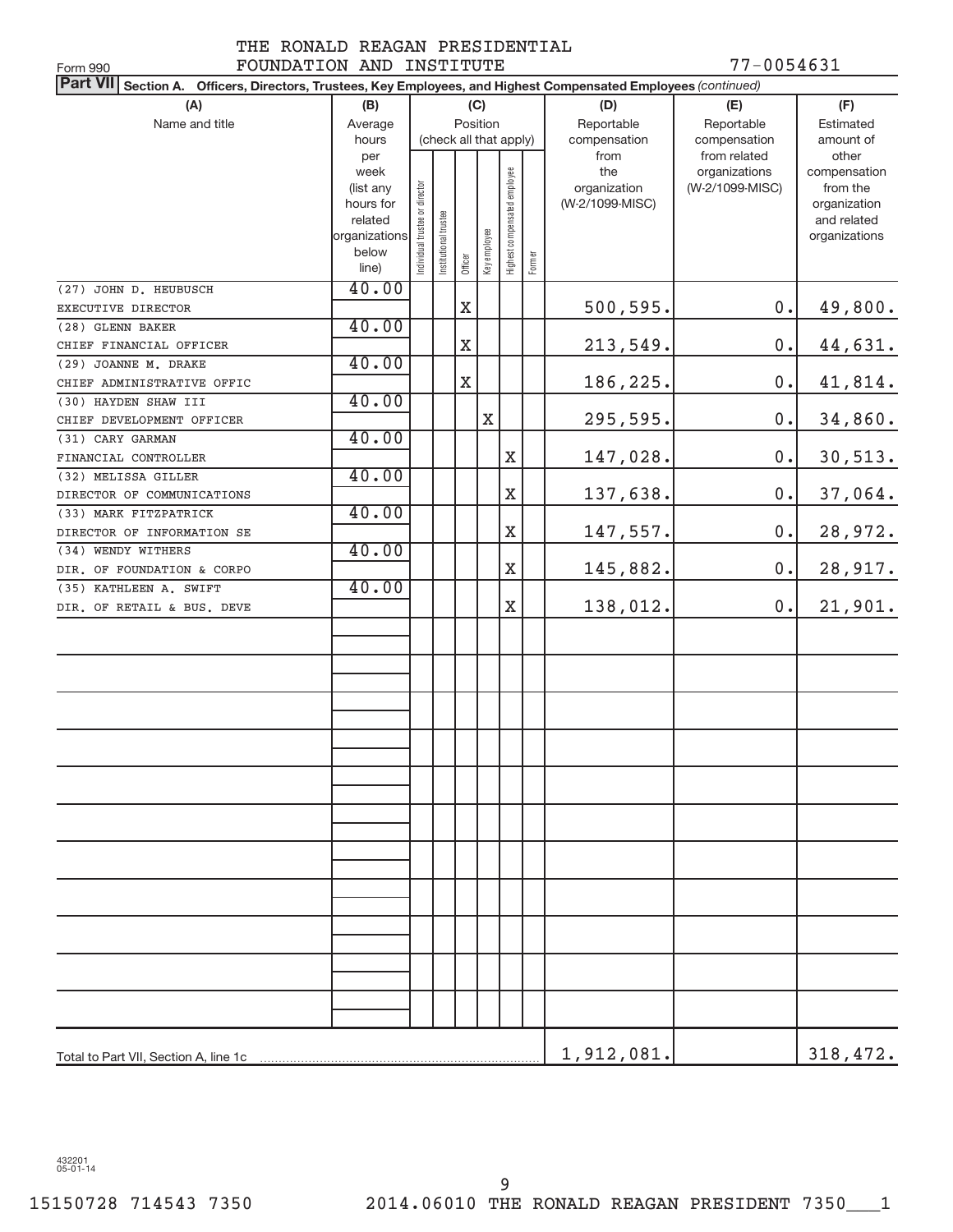#### THE RONALD REAGAN PRESIDENTIAL FOUNDATION AND INSTITUTE 77-0054631

| FOUNDATION AND INSTITUTE<br>Form 990                                                                                      |                      |                               |                      |                        |              |                              |        |                 | 77-0054631      |                             |
|---------------------------------------------------------------------------------------------------------------------------|----------------------|-------------------------------|----------------------|------------------------|--------------|------------------------------|--------|-----------------|-----------------|-----------------------------|
| <b>Part VII</b><br>Section A. Officers, Directors, Trustees, Key Employees, and Highest Compensated Employees (continued) |                      |                               |                      |                        |              |                              |        |                 |                 |                             |
| (A)                                                                                                                       | (B)                  |                               |                      |                        | (C)          |                              |        | (D)             | (F)             |                             |
| Name and title                                                                                                            | Average              |                               |                      | Position               |              |                              |        | Reportable      | Reportable      | Estimated                   |
|                                                                                                                           | hours                |                               |                      | (check all that apply) |              |                              |        | compensation    | compensation    | amount of                   |
|                                                                                                                           | per                  |                               |                      |                        |              |                              |        | from            | from related    | other                       |
|                                                                                                                           | week                 |                               |                      |                        |              |                              |        | the             | organizations   | compensation                |
|                                                                                                                           | (list any            |                               |                      |                        |              |                              |        | organization    | (W-2/1099-MISC) | from the                    |
|                                                                                                                           | hours for<br>related |                               |                      |                        |              |                              |        | (W-2/1099-MISC) |                 | organization<br>and related |
|                                                                                                                           | organizations        |                               |                      |                        |              |                              |        |                 |                 | organizations               |
|                                                                                                                           | below                | ndividual trustee or director | nstitutional trustee |                        |              | Highest compensated employee |        |                 |                 |                             |
|                                                                                                                           | line)                |                               |                      | Officer                | Key employee |                              | Former |                 |                 |                             |
| (27) JOHN D. HEUBUSCH                                                                                                     | 40.00                |                               |                      |                        |              |                              |        |                 |                 |                             |
| EXECUTIVE DIRECTOR                                                                                                        |                      |                               |                      | $\mathbf X$            |              |                              |        | 500,595.        | 0.              | 49,800.                     |
| (28) GLENN BAKER                                                                                                          | 40.00                |                               |                      |                        |              |                              |        |                 |                 |                             |
| CHIEF FINANCIAL OFFICER                                                                                                   |                      |                               |                      | X                      |              |                              |        | 213,549.        | 0.              | 44,631.                     |
| (29) JOANNE M. DRAKE                                                                                                      | 40.00                |                               |                      |                        |              |                              |        |                 |                 |                             |
| CHIEF ADMINISTRATIVE OFFIC                                                                                                |                      |                               |                      | X                      |              |                              |        | 186,225.        | 0.              | 41,814.                     |
| (30) HAYDEN SHAW III                                                                                                      | 40.00                |                               |                      |                        |              |                              |        |                 |                 |                             |
| CHIEF DEVELOPMENT OFFICER                                                                                                 |                      |                               |                      |                        | $\mathbf X$  |                              |        | 295,595.        | 0.              | 34,860.                     |
| (31) CARY GARMAN                                                                                                          | 40.00                |                               |                      |                        |              |                              |        |                 |                 |                             |
| FINANCIAL CONTROLLER                                                                                                      |                      |                               |                      |                        |              | X                            |        | 147,028.        | 0.              | 30,513.                     |
| (32) MELISSA GILLER                                                                                                       | 40.00                |                               |                      |                        |              |                              |        |                 |                 |                             |
| DIRECTOR OF COMMUNICATIONS                                                                                                |                      |                               |                      |                        |              | $\mathbf X$                  |        | 137,638.        | 0.              | 37,064.                     |
| (33) MARK FITZPATRICK                                                                                                     | 40.00                |                               |                      |                        |              |                              |        |                 |                 |                             |
| DIRECTOR OF INFORMATION SE                                                                                                |                      |                               |                      |                        |              | $\mathbf X$                  |        | 147,557.        | 0.              | 28,972.                     |
| (34) WENDY WITHERS                                                                                                        | 40.00                |                               |                      |                        |              |                              |        |                 |                 |                             |
| DIR. OF FOUNDATION & CORPO                                                                                                |                      |                               |                      |                        |              | $\mathbf X$                  |        | 145,882.        | 0.              | 28,917.                     |
| (35) KATHLEEN A. SWIFT                                                                                                    | 40.00                |                               |                      |                        |              |                              |        |                 |                 |                             |
| DIR. OF RETAIL & BUS. DEVE                                                                                                |                      |                               |                      |                        |              | X                            |        | 138,012.        | 0.              | 21,901.                     |
|                                                                                                                           |                      |                               |                      |                        |              |                              |        |                 |                 |                             |
|                                                                                                                           |                      |                               |                      |                        |              |                              |        |                 |                 |                             |
|                                                                                                                           |                      |                               |                      |                        |              |                              |        |                 |                 |                             |
|                                                                                                                           |                      |                               |                      |                        |              |                              |        |                 |                 |                             |
|                                                                                                                           |                      |                               |                      |                        |              |                              |        |                 |                 |                             |
|                                                                                                                           |                      |                               |                      |                        |              |                              |        |                 |                 |                             |
|                                                                                                                           |                      |                               |                      |                        |              |                              |        |                 |                 |                             |
|                                                                                                                           |                      |                               |                      |                        |              |                              |        |                 |                 |                             |
|                                                                                                                           |                      |                               |                      |                        |              |                              |        |                 |                 |                             |
|                                                                                                                           |                      |                               |                      |                        |              |                              |        |                 |                 |                             |
|                                                                                                                           |                      |                               |                      |                        |              |                              |        |                 |                 |                             |
|                                                                                                                           |                      |                               |                      |                        |              |                              |        |                 |                 |                             |
|                                                                                                                           |                      |                               |                      |                        |              |                              |        |                 |                 |                             |
|                                                                                                                           |                      |                               |                      |                        |              |                              |        |                 |                 |                             |
|                                                                                                                           |                      |                               |                      |                        |              |                              |        |                 |                 |                             |
|                                                                                                                           |                      |                               |                      |                        |              |                              |        |                 |                 |                             |
|                                                                                                                           |                      |                               |                      |                        |              |                              |        |                 |                 |                             |
|                                                                                                                           |                      |                               |                      |                        |              |                              |        |                 |                 |                             |
|                                                                                                                           |                      |                               |                      |                        |              |                              |        |                 |                 |                             |
|                                                                                                                           |                      |                               |                      |                        |              |                              |        |                 |                 |                             |
|                                                                                                                           |                      |                               |                      |                        |              |                              |        |                 |                 |                             |
|                                                                                                                           |                      |                               |                      |                        |              |                              |        |                 |                 |                             |
|                                                                                                                           |                      |                               |                      |                        |              |                              |        | 1,912,081.      |                 | 318,472.                    |

432201 05-01-14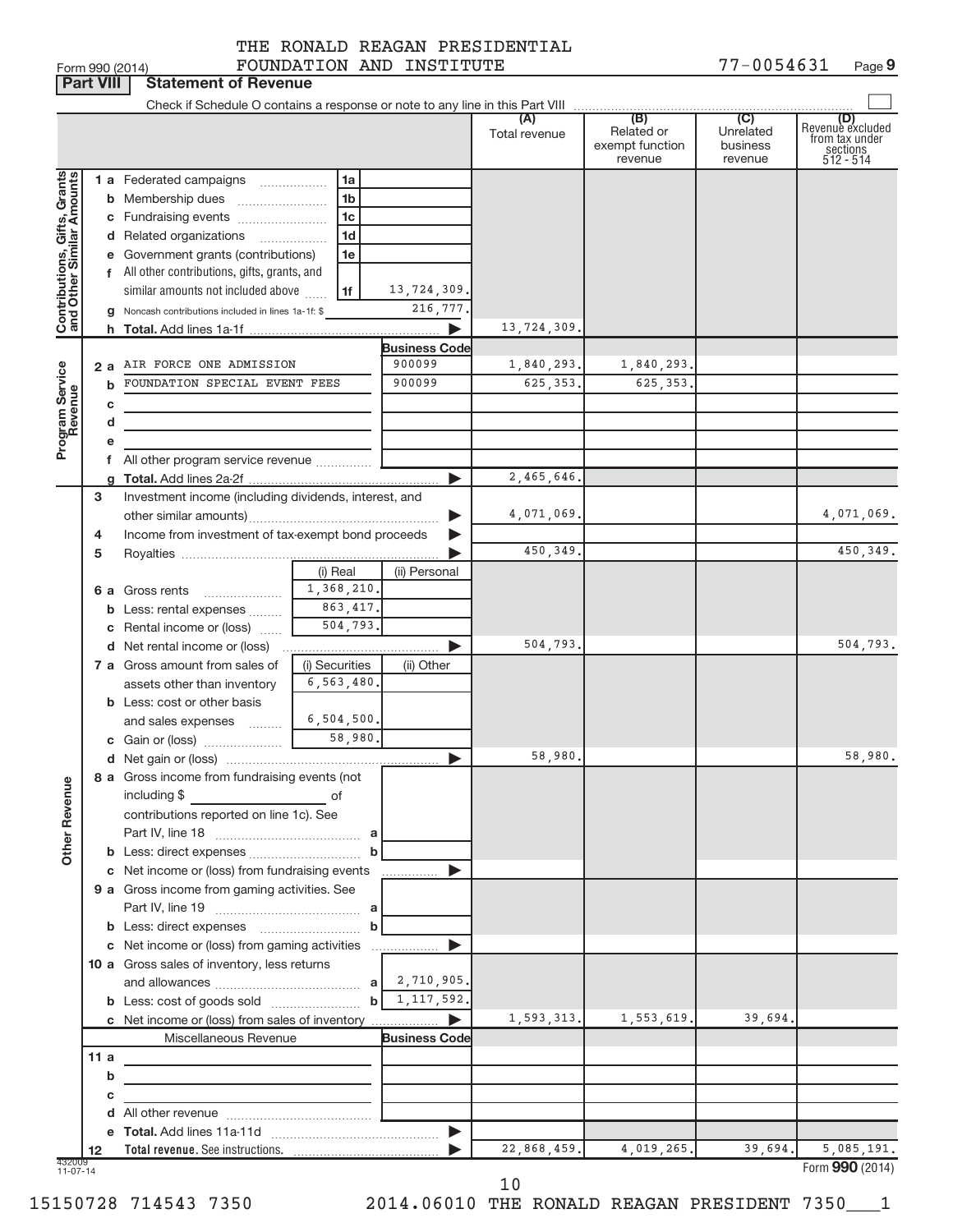**Part VIII Statement of Revenue**<br>**Part VIII** Statement of Revenue

# THE RONALD REAGAN PRESIDENTIAL

|                                                           | <b>Fait VIII</b> | <b>Slatement of Pevenue</b>                                   |                |                                |               |                                          |                                  |                                                                    |
|-----------------------------------------------------------|------------------|---------------------------------------------------------------|----------------|--------------------------------|---------------|------------------------------------------|----------------------------------|--------------------------------------------------------------------|
|                                                           |                  |                                                               |                |                                | Total revenue | Related or<br>exempt function<br>revenue | Unrelated<br>business<br>revenue | (D)<br>Revenue excluded<br>from tax under<br>sections<br>512 - 514 |
| Contributions, Gifts, Grants<br>and Other Similar Amounts |                  | 1 a Federated campaigns                                       | 1a             |                                |               |                                          |                                  |                                                                    |
|                                                           |                  |                                                               | 1 <sub>b</sub> |                                |               |                                          |                                  |                                                                    |
|                                                           |                  | c Fundraising events                                          | 1 <sub>c</sub> |                                |               |                                          |                                  |                                                                    |
|                                                           |                  | d Related organizations                                       | 1 <sub>d</sub> |                                |               |                                          |                                  |                                                                    |
|                                                           |                  | e Government grants (contributions)                           | 1e             |                                |               |                                          |                                  |                                                                    |
|                                                           |                  | f All other contributions, gifts, grants, and                 |                |                                |               |                                          |                                  |                                                                    |
|                                                           |                  | similar amounts not included above                            | 1f             | 13,724,309.                    |               |                                          |                                  |                                                                    |
|                                                           |                  | g Noncash contributions included in lines 1a-1f: \$           |                | 216,777.                       |               |                                          |                                  |                                                                    |
|                                                           |                  |                                                               |                |                                | 13,724,309    |                                          |                                  |                                                                    |
|                                                           |                  | 2 a AIR FORCE ONE ADMISSION                                   |                | <b>Business Code</b><br>900099 | 1,840,293.    | 1,840,293.                               |                                  |                                                                    |
|                                                           |                  | FOUNDATION SPECIAL EVENT FEES                                 |                | 900099                         | 625, 353.     | 625, 353,                                |                                  |                                                                    |
|                                                           |                  |                                                               |                |                                |               |                                          |                                  |                                                                    |
|                                                           | с<br>d           |                                                               |                |                                |               |                                          |                                  |                                                                    |
| Program Service<br>Revenue                                |                  |                                                               |                |                                |               |                                          |                                  |                                                                    |
|                                                           |                  | f All other program service revenue                           |                |                                |               |                                          |                                  |                                                                    |
|                                                           |                  |                                                               |                |                                | 2,465,646.    |                                          |                                  |                                                                    |
|                                                           | 3                | Investment income (including dividends, interest, and         |                |                                |               |                                          |                                  |                                                                    |
|                                                           |                  |                                                               |                | ▶                              | 4,071,069.    |                                          |                                  | 4,071,069.                                                         |
|                                                           | 4                | Income from investment of tax-exempt bond proceeds            |                |                                |               |                                          |                                  |                                                                    |
|                                                           | 5                |                                                               |                |                                | 450,349.      |                                          |                                  | 450,349.                                                           |
|                                                           |                  |                                                               | (i) Real       | (ii) Personal                  |               |                                          |                                  |                                                                    |
|                                                           |                  |                                                               |                |                                |               |                                          |                                  |                                                                    |
|                                                           |                  | <b>b</b> Less: rental expenses                                | 863, 417.      |                                |               |                                          |                                  |                                                                    |
|                                                           |                  | c Rental income or (loss)                                     | 504,793.       |                                |               |                                          |                                  |                                                                    |
|                                                           |                  |                                                               |                | ▶                              | 504,793.      |                                          |                                  | 504,793.                                                           |
|                                                           |                  | 7 a Gross amount from sales of                                | (i) Securities | (ii) Other                     |               |                                          |                                  |                                                                    |
|                                                           |                  | assets other than inventory                                   | 6, 563, 480.   |                                |               |                                          |                                  |                                                                    |
|                                                           |                  | <b>b</b> Less: cost or other basis                            |                |                                |               |                                          |                                  |                                                                    |
|                                                           |                  | and sales expenses                                            | 6,504,500.     |                                |               |                                          |                                  |                                                                    |
|                                                           |                  |                                                               |                |                                |               |                                          |                                  |                                                                    |
|                                                           |                  |                                                               |                |                                | 58,980        |                                          |                                  | 58,980.                                                            |
| Ф                                                         |                  | 8 a Gross income from fundraising events (not<br>including \$ |                |                                |               |                                          |                                  |                                                                    |
|                                                           |                  | contributions reported on line 1c). See                       | of             |                                |               |                                          |                                  |                                                                    |
|                                                           |                  |                                                               |                |                                |               |                                          |                                  |                                                                    |
| Other Revenu                                              |                  |                                                               |                |                                |               |                                          |                                  |                                                                    |
|                                                           |                  | c Net income or (loss) from fundraising events                |                |                                |               |                                          |                                  |                                                                    |
|                                                           |                  | 9 a Gross income from gaming activities. See                  |                |                                |               |                                          |                                  |                                                                    |
|                                                           |                  |                                                               |                |                                |               |                                          |                                  |                                                                    |
|                                                           |                  |                                                               | b              |                                |               |                                          |                                  |                                                                    |
|                                                           |                  | c Net income or (loss) from gaming activities                 |                | ▶<br>.                         |               |                                          |                                  |                                                                    |
|                                                           |                  | 10 a Gross sales of inventory, less returns                   |                |                                |               |                                          |                                  |                                                                    |
|                                                           |                  |                                                               |                | 2,710,905.                     |               |                                          |                                  |                                                                    |
|                                                           |                  |                                                               | b              | 1,117,592.                     |               |                                          |                                  |                                                                    |
|                                                           |                  | c Net income or (loss) from sales of inventory                |                |                                | 1,593,313.    | 1,553,619.                               | 39,694                           |                                                                    |
|                                                           |                  | Miscellaneous Revenue                                         |                | <b>Business Code</b>           |               |                                          |                                  |                                                                    |
|                                                           | 11a              |                                                               |                |                                |               |                                          |                                  |                                                                    |
|                                                           | b                |                                                               |                |                                |               |                                          |                                  |                                                                    |
|                                                           | с                |                                                               |                |                                |               |                                          |                                  |                                                                    |
|                                                           |                  |                                                               |                |                                |               |                                          |                                  |                                                                    |
|                                                           | 12               |                                                               |                |                                | 22,868,459.   | 4,019,265.                               | 39,694.                          | 5,085,191.                                                         |
| 432009<br>$11-07-14$                                      |                  |                                                               |                |                                |               |                                          |                                  | Form 990 (2014)                                                    |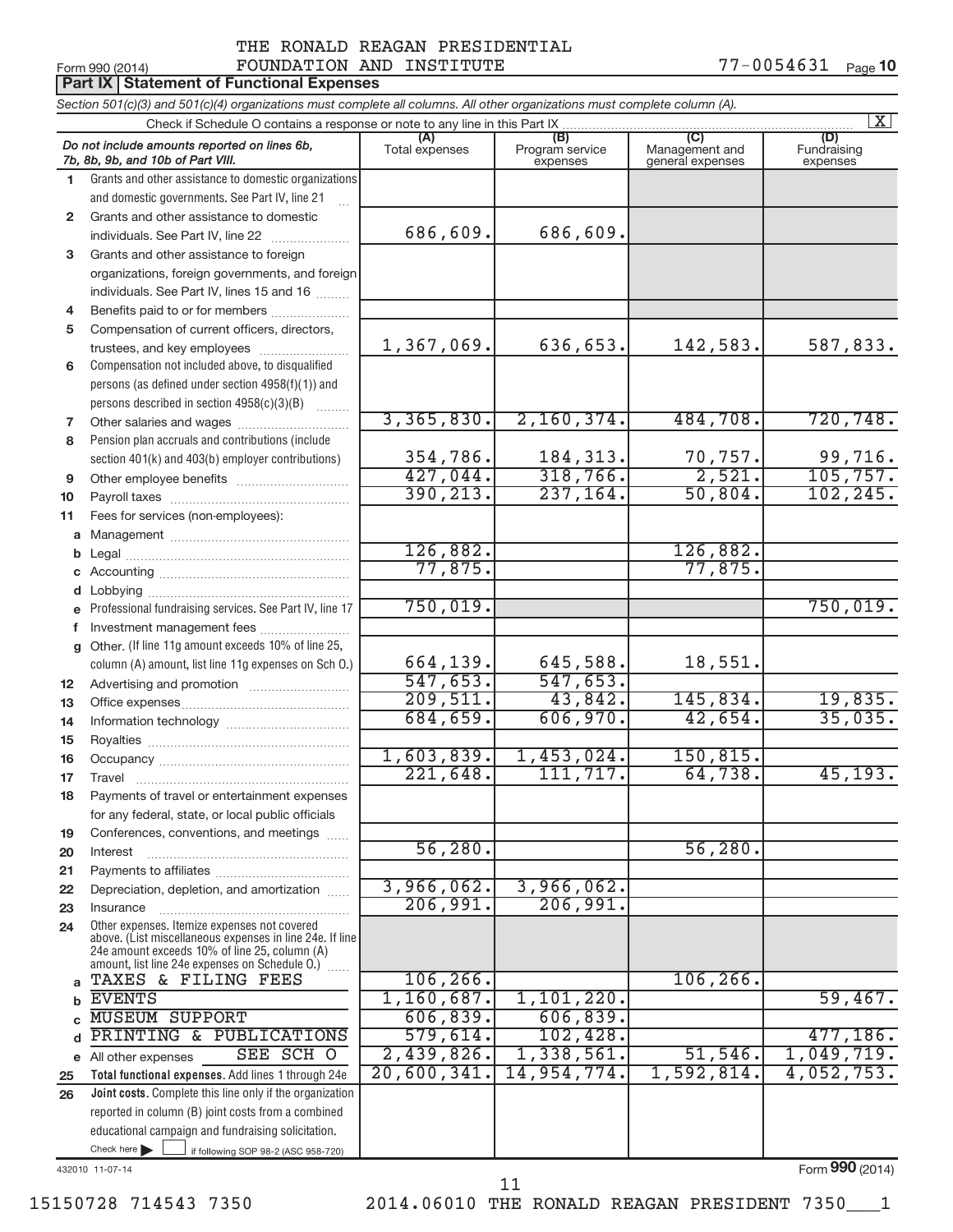#### Form 990 (2014)  $\qquad \qquad \text{FOUNDATION AND INSTITUTE}$   $\qquad \qquad \qquad \text{77--0054631} \quad \text{Page}$ THE RONALD REAGAN PRESIDENTIAL

|                 | <b>Part IX Statement of Functional Expenses</b>                                                                                                                                                             |                       |                                    |                                           |                                |
|-----------------|-------------------------------------------------------------------------------------------------------------------------------------------------------------------------------------------------------------|-----------------------|------------------------------------|-------------------------------------------|--------------------------------|
|                 | Section 501(c)(3) and 501(c)(4) organizations must complete all columns. All other organizations must complete column (A).                                                                                  |                       |                                    |                                           |                                |
|                 | Check if Schedule O contains a response or note to any line in this Part IX                                                                                                                                 |                       |                                    |                                           | $\mathbf{X}$                   |
|                 | Do not include amounts reported on lines 6b,<br>7b, 8b, 9b, and 10b of Part VIII.                                                                                                                           | (A)<br>Total expenses | (B)<br>Program service<br>expenses | (C)<br>Management and<br>general expenses | (D)<br>Fundraising<br>expenses |
| 1.              | Grants and other assistance to domestic organizations                                                                                                                                                       |                       |                                    |                                           |                                |
|                 | and domestic governments. See Part IV, line 21                                                                                                                                                              |                       |                                    |                                           |                                |
| $\mathbf{2}$    | Grants and other assistance to domestic                                                                                                                                                                     |                       |                                    |                                           |                                |
|                 | individuals. See Part IV, line 22                                                                                                                                                                           | 686,609.              | 686,609.                           |                                           |                                |
| 3               | Grants and other assistance to foreign                                                                                                                                                                      |                       |                                    |                                           |                                |
|                 | organizations, foreign governments, and foreign                                                                                                                                                             |                       |                                    |                                           |                                |
|                 | individuals. See Part IV, lines 15 and 16                                                                                                                                                                   |                       |                                    |                                           |                                |
| 4               | Benefits paid to or for members                                                                                                                                                                             |                       |                                    |                                           |                                |
| 5               | Compensation of current officers, directors,                                                                                                                                                                |                       |                                    |                                           |                                |
|                 | trustees, and key employees                                                                                                                                                                                 | 1,367,069.            | 636,653.                           | 142,583.                                  | 587,833.                       |
| 6               | Compensation not included above, to disqualified                                                                                                                                                            |                       |                                    |                                           |                                |
|                 | persons (as defined under section 4958(f)(1)) and                                                                                                                                                           |                       |                                    |                                           |                                |
|                 | persons described in section 4958(c)(3)(B)                                                                                                                                                                  | 3,365,830.            | 2,160,374.                         | 484,708.                                  | 720,748.                       |
| 7               |                                                                                                                                                                                                             |                       |                                    |                                           |                                |
| 8               | Pension plan accruals and contributions (include                                                                                                                                                            | 354,786.              | 184, 313.                          | 70, 757.                                  | 99,716.                        |
|                 | section 401(k) and 403(b) employer contributions)                                                                                                                                                           | 427,044.              | 318,766.                           | 2,521.                                    | 105, 757.                      |
| 9               |                                                                                                                                                                                                             | 390, 213.             | 237, 164.                          | 50,804.                                   | 102, 245.                      |
| 10<br>11        |                                                                                                                                                                                                             |                       |                                    |                                           |                                |
|                 | Fees for services (non-employees):                                                                                                                                                                          |                       |                                    |                                           |                                |
| b               |                                                                                                                                                                                                             | 126,882.              |                                    | 126,882.                                  |                                |
|                 |                                                                                                                                                                                                             | 77,875.               |                                    | 77,875.                                   |                                |
| d               |                                                                                                                                                                                                             |                       |                                    |                                           |                                |
|                 | e Professional fundraising services. See Part IV, line 17                                                                                                                                                   | 750,019.              |                                    |                                           | 750,019.                       |
| f               |                                                                                                                                                                                                             |                       |                                    |                                           |                                |
|                 | g Other. (If line 11g amount exceeds 10% of line 25,                                                                                                                                                        |                       |                                    |                                           |                                |
|                 | column (A) amount, list line 11g expenses on Sch O.)                                                                                                                                                        | 664,139.              | 645,588.                           | 18,551.                                   |                                |
| 12 <sup>2</sup> |                                                                                                                                                                                                             | 547,653.              | 547,653.                           |                                           |                                |
| 13              |                                                                                                                                                                                                             | 209,511.              | 43,842.                            | 145,834.                                  | 19,835.                        |
| 14              |                                                                                                                                                                                                             | 684,659.              | 606,970.                           | 42,654.                                   | 35,035.                        |
| 15              |                                                                                                                                                                                                             |                       |                                    |                                           |                                |
| 16              |                                                                                                                                                                                                             | 1,603,839.            | 1,453,024.                         | 150, 815.                                 |                                |
| 17              | Travel                                                                                                                                                                                                      | 221,648.              | 111, 717.                          | 64,738.                                   | 45, 193.                       |
| 18              | Payments of travel or entertainment expenses                                                                                                                                                                |                       |                                    |                                           |                                |
|                 | for any federal, state, or local public officials                                                                                                                                                           |                       |                                    |                                           |                                |
| 19              | Conferences, conventions, and meetings                                                                                                                                                                      |                       |                                    |                                           |                                |
| 20              | Interest                                                                                                                                                                                                    | 56, 280.              |                                    | 56, 280.                                  |                                |
| 21              |                                                                                                                                                                                                             |                       |                                    |                                           |                                |
| 22              | Depreciation, depletion, and amortization                                                                                                                                                                   | 3,966,062.            | 3,966,062.                         |                                           |                                |
| 23              | Insurance                                                                                                                                                                                                   | 206,991.              | 206,991.                           |                                           |                                |
| 24              | Other expenses. Itemize expenses not covered<br>above. (List miscellaneous expenses in line 24e. If line<br>24e amount exceeds 10% of line 25, column (A)<br>amount, list line 24e expenses on Schedule O.) |                       |                                    |                                           |                                |
| a               | TAXES & FILING FEES                                                                                                                                                                                         | 106, 266.             |                                    | 106, 266.                                 |                                |
|                 | <b>EVENTS</b>                                                                                                                                                                                               | 1,160,687.            | 1,101,220.                         |                                           | 59,467.                        |
|                 | <b>MUSEUM SUPPORT</b>                                                                                                                                                                                       | 606, 839.             | 606, 839.                          |                                           |                                |
|                 | PRINTING & PUBLICATIONS                                                                                                                                                                                     | 579,614.              | 102,428.                           |                                           | 477, 186.                      |
|                 | SEE SCH O<br>e All other expenses                                                                                                                                                                           | 2,439,826.            | 1,338,561.                         | 51, 546.                                  | 1,049,719.                     |
| 25              | Total functional expenses. Add lines 1 through 24e                                                                                                                                                          | 20,600,341.           | 14,954,774.                        | 1,592,814.                                | 4,052,753.                     |
| 26              | Joint costs. Complete this line only if the organization                                                                                                                                                    |                       |                                    |                                           |                                |
|                 | reported in column (B) joint costs from a combined                                                                                                                                                          |                       |                                    |                                           |                                |
|                 | educational campaign and fundraising solicitation.<br>Check here $\blacktriangleright$                                                                                                                      |                       |                                    |                                           |                                |
|                 | if following SOP 98-2 (ASC 958-720)                                                                                                                                                                         |                       |                                    |                                           |                                |

432010 11-07-14

Form (2014) **990**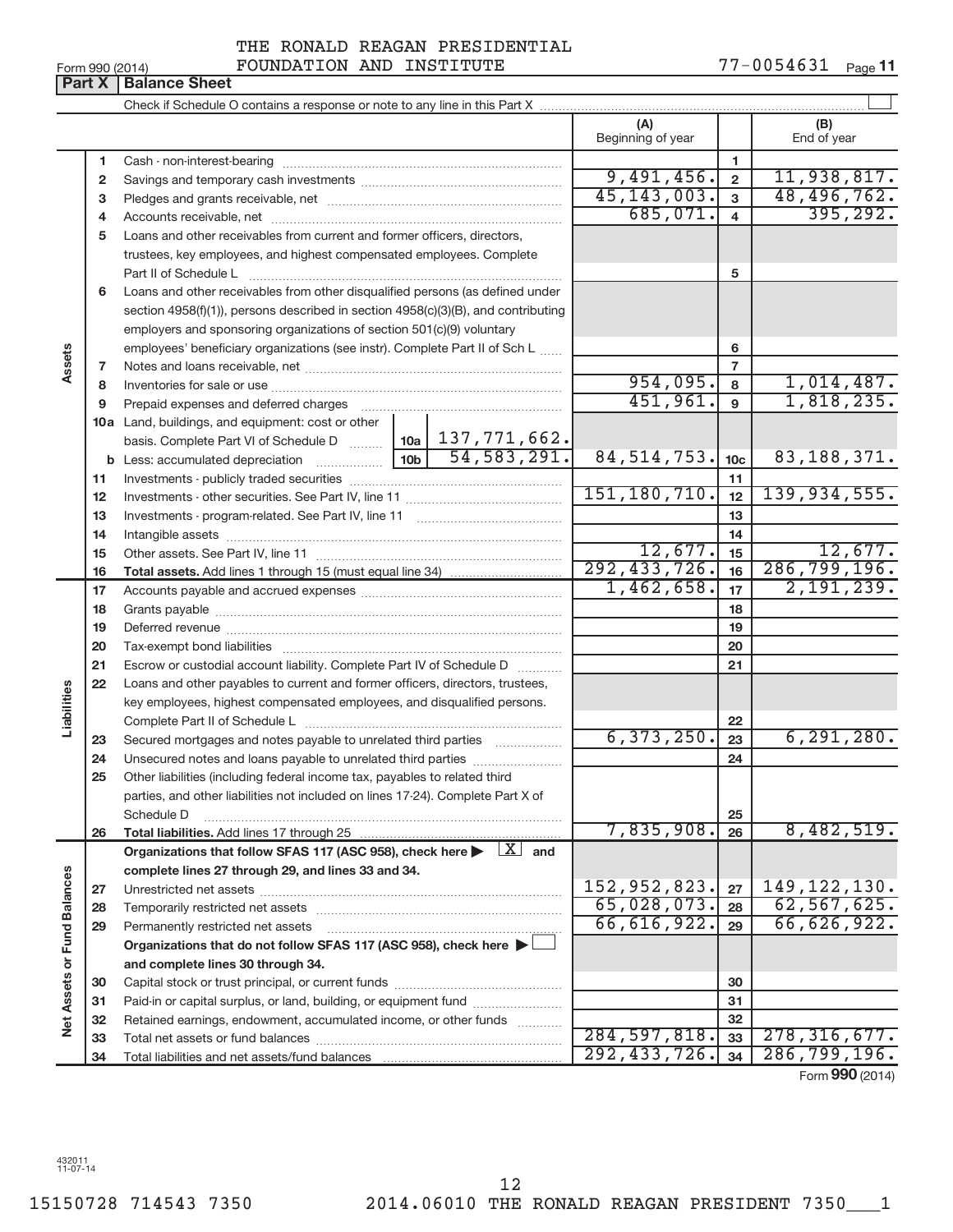| Form 990 (2014) |                               |  |
|-----------------|-------------------------------|--|
|                 | <b>Part X   Balance Sheet</b> |  |

 $\Box$ Check if Schedule O contains a response or note to any line in this Part X **(A) (B)** Beginning of year  $\vert$  | End of year **1 1** Cash - non-interest-bearing ~~~~~~~~~~~~~~~~~~~~~~~~~ 9,491,456. 2 11,938,817. **2 2** Savings and temporary cash investments ~~~~~~~~~~~~~~~~~~ 45,143,003. 48,496,762. **3 3** Pledges and grants receivable, net ~~~~~~~~~~~~~~~~~~~~~  $685,071.$  4 395,292. **4 4** Accounts receivable, net ~~~~~~~~~~~~~~~~~~~~~~~~~~ **5** Loans and other receivables from current and former officers, directors, trustees, key employees, and highest compensated employees. Complete Part II of Schedule L ~~~~~~~~~~~~~~~~~~~~~~~~~~~~ **5 6** Loans and other receivables from other disqualified persons (as defined under section 4958(f)(1)), persons described in section 4958(c)(3)(B), and contributing employers and sponsoring organizations of section 501(c)(9) voluntary employees' beneficiary organizations (see instr). Complete Part II of Sch L **6 Assets 7 7** Notes and loans receivable, net ~~~~~~~~~~~~~~~~~~~~~~~  $954,095.$  8 1,014,487. **8 8** Inventories for sale or use ~~~~~~~~~~~~~~~~~~~~~~~~~~ 1,818,235. **9 9** Prepaid expenses and deferred charges ~~~~~~~~~~~~~~~~~~ **10 a** Land, buildings, and equipment: cost or other **10a** basis. Complete Part VI of Schedule D ~~~ 137,771,662. **b 10b** Less: accumulated depreciation ~~~~~~ 54,583,291. 84,514,753. 83,188,371. **10c 11 11** Investments - publicly traded securities ~~~~~~~~~~~~~~~~~~~ 151,180,710. 12 | 139,934,555. **12 12** Investments - other securities. See Part IV, line 11 ~~~~~~~~~~~~~~ **13 13** Investments - program-related. See Part IV, line 11 ~~~~~~~~~~~~~ **14 14** Intangible assets ~~~~~~~~~~~~~~~~~~~~~~~~~~~~~~  $12,677$ .  $15$  12,677. Other assets. See Part IV, line 11 ~~~~~~~~~~~~~~~~~~~~~~ **15 15** 292,433,726. 286,799,196. **16 16 Total assets.**  Add lines 1 through 15 (must equal line 34)  $1,462,658$ .  $17$   $2,191,239$ . **17 17** Accounts payable and accrued expenses ~~~~~~~~~~~~~~~~~~ **18 18** Grants payable ~~~~~~~~~~~~~~~~~~~~~~~~~~~~~~~ **19 19** Deferred revenue ~~~~~~~~~~~~~~~~~~~~~~~~~~~~~~ **20 20** Tax-exempt bond liabilities ~~~~~~~~~~~~~~~~~~~~~~~~~ **21 21** Escrow or custodial account liability. Complete Part IV of Schedule D ........... **22** Loans and other payables to current and former officers, directors, trustees, **Liabilities** key employees, highest compensated employees, and disqualified persons. Complete Part II of Schedule L ~~~~~~~~~~~~~~~~~~~~~~~ **22** 6,373,250. 6,291,280. Secured mortgages and notes payable to unrelated third parties  $\ldots$  ................. **23 23 24** Unsecured notes and loans payable to unrelated third parties ~~~~~~~~ **24 25** Other liabilities (including federal income tax, payables to related third parties, and other liabilities not included on lines 17-24). Complete Part X of Schedule D ~~~~~~~~~~~~~~~~~~~~~~~~~~~~~~~~ **25** 7,835,908. 26 8,482,519. **26 26 Total liabilities.**  Add lines 17 through 25 Organizations that follow SFAS 117 (ASC 958), check here  $\blacktriangleright$   $\boxed{X}$  and **complete lines 27 through 29, and lines 33 and 34. Vet Assets or Fund Balances Net Assets or Fund Balances** 152,952,823. 27 | 149,122,130. **27 27** Unrestricted net assets ~~~~~~~~~~~~~~~~~~~~~~~~~~~ 65,028,073**. <sub>28</sub> 62,567,625. 28 28** Temporarily restricted net assets ~~~~~~~~~~~~~~~~~~~~~~ 66,616,922. 66,626,922. **29 29** Permanently restricted net assets ~~~~~~~~~~~~~~~~~~~~~ **Organizations that do not follow SFAS 117 (ASC 958), check here** | **and complete lines 30 through 34. 30 30** Capital stock or trust principal, or current funds ~~~~~~~~~~~~~~~ **31 31** Paid-in or capital surplus, or land, building, or equipment fund ....................... **32 32** Retained earnings, endowment, accumulated income, or other funds ............ Total net assets or fund balances ~~~~~~~~~~~~~~~~~~~~~~ 284,597,818. 278,316,677. **33 33** 292,433,726. 286,799,196. **34 34** Total liabilities and net assets/fund balances

Form (2014) **990**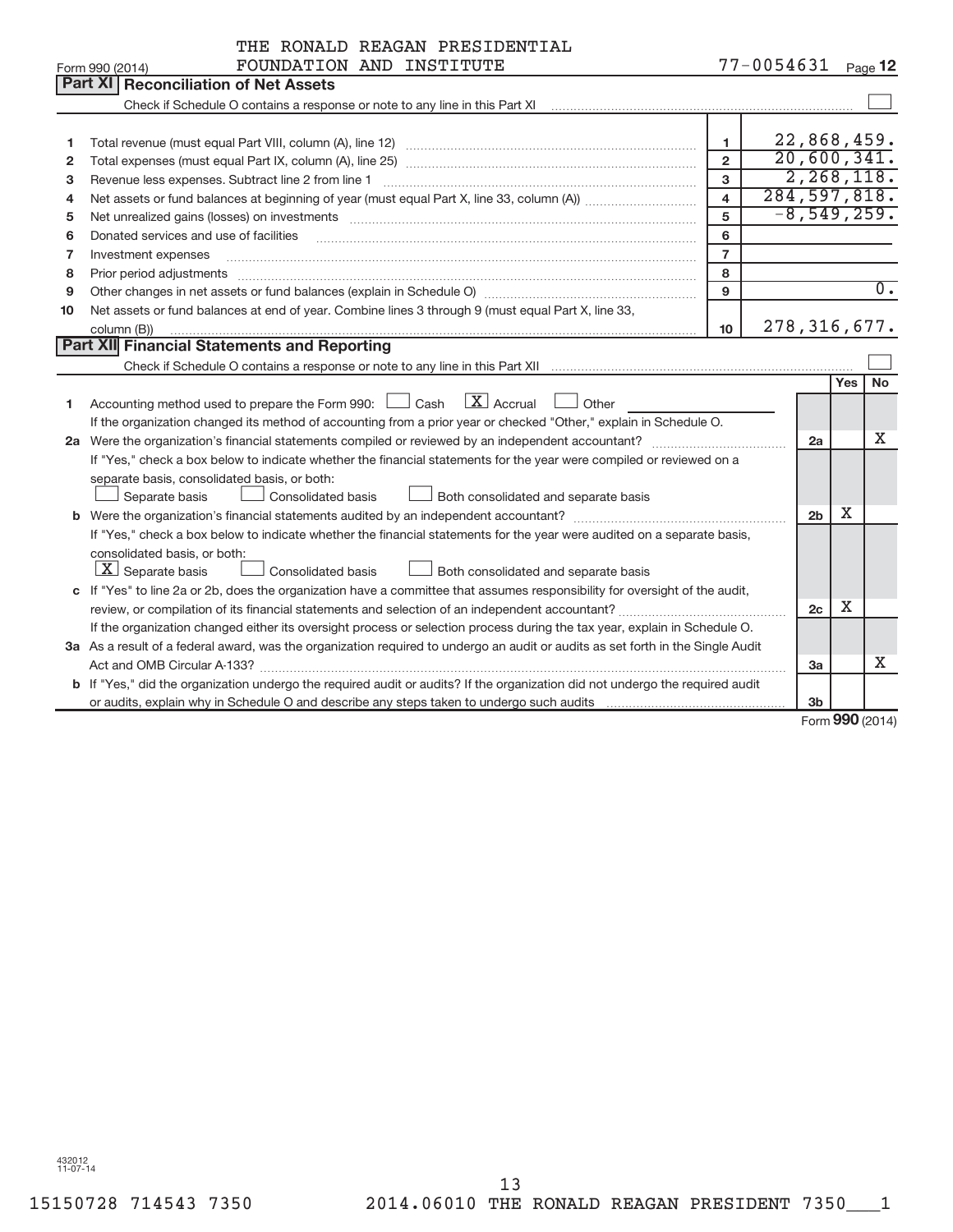|              | THE RONALD REAGAN PRESIDENTIAL                                                                                                                                                                                                 |                         |                |                |     |                  |
|--------------|--------------------------------------------------------------------------------------------------------------------------------------------------------------------------------------------------------------------------------|-------------------------|----------------|----------------|-----|------------------|
|              | FOUNDATION AND INSTITUTE<br>Form 990 (2014)                                                                                                                                                                                    |                         | 77-0054631     |                |     | Page $12$        |
|              | Part XI<br><b>Reconciliation of Net Assets</b>                                                                                                                                                                                 |                         |                |                |     |                  |
|              | Check if Schedule O contains a response or note to any line in this Part XI                                                                                                                                                    |                         |                |                |     |                  |
|              |                                                                                                                                                                                                                                |                         |                |                |     |                  |
| 1            |                                                                                                                                                                                                                                | 1                       | 22,868,459.    |                |     |                  |
| $\mathbf{2}$ |                                                                                                                                                                                                                                | $\overline{2}$          | 20,600,341.    |                |     |                  |
| 3            | Revenue less expenses. Subtract line 2 from line 1                                                                                                                                                                             | 3                       |                |                |     | 2,268,118.       |
| 4            |                                                                                                                                                                                                                                | $\overline{\mathbf{4}}$ | 284, 597, 818. |                |     |                  |
| 5            | Net unrealized gains (losses) on investments [111] matter in the contract of the contract of the contract of the contract of the contract of the contract of the contract of the contract of the contract of the contract of t | 5                       |                |                |     | $-8,549,259.$    |
| 6            | Donated services and use of facilities                                                                                                                                                                                         | 6                       |                |                |     |                  |
| 7            | Investment expenses                                                                                                                                                                                                            | $\overline{7}$          |                |                |     |                  |
| 8            | Prior period adjustments                                                                                                                                                                                                       | 8                       |                |                |     |                  |
| 9            |                                                                                                                                                                                                                                | 9                       |                |                |     | $\overline{0}$ . |
| 10           | Net assets or fund balances at end of year. Combine lines 3 through 9 (must equal Part X, line 33,                                                                                                                             |                         |                |                |     |                  |
|              | column (B))                                                                                                                                                                                                                    | 10 <sup>10</sup>        | 278, 316, 677. |                |     |                  |
|              | Part XII Financial Statements and Reporting                                                                                                                                                                                    |                         |                |                |     |                  |
|              |                                                                                                                                                                                                                                |                         |                |                |     |                  |
|              |                                                                                                                                                                                                                                |                         |                |                | Yes | <b>No</b>        |
| 1            | $\overline{X}$ Accrual<br>Accounting method used to prepare the Form 990: $\Box$ Cash<br>Other                                                                                                                                 |                         |                |                |     |                  |
|              | If the organization changed its method of accounting from a prior year or checked "Other," explain in Schedule O.                                                                                                              |                         |                |                |     |                  |
|              |                                                                                                                                                                                                                                |                         |                | 2a             |     | х                |
|              | If "Yes," check a box below to indicate whether the financial statements for the year were compiled or reviewed on a                                                                                                           |                         |                |                |     |                  |
|              | separate basis, consolidated basis, or both:                                                                                                                                                                                   |                         |                |                |     |                  |
|              | <b>Consolidated basis</b><br>Both consolidated and separate basis<br>Separate basis                                                                                                                                            |                         |                |                |     |                  |
|              |                                                                                                                                                                                                                                |                         |                | 2 <sub>b</sub> | X   |                  |
|              | If "Yes," check a box below to indicate whether the financial statements for the year were audited on a separate basis,                                                                                                        |                         |                |                |     |                  |
|              | consolidated basis, or both:                                                                                                                                                                                                   |                         |                |                |     |                  |
|              | $\lfloor x \rfloor$ Separate basis<br>Consolidated basis<br>Both consolidated and separate basis                                                                                                                               |                         |                |                |     |                  |
|              | c If "Yes" to line 2a or 2b, does the organization have a committee that assumes responsibility for oversight of the audit,                                                                                                    |                         |                |                | X   |                  |
|              |                                                                                                                                                                                                                                |                         |                | 2c             |     |                  |
|              | If the organization changed either its oversight process or selection process during the tax year, explain in Schedule O.                                                                                                      |                         |                |                |     |                  |
|              | 3a As a result of a federal award, was the organization required to undergo an audit or audits as set forth in the Single Audit                                                                                                |                         |                |                |     | x                |
|              |                                                                                                                                                                                                                                |                         |                | 3a             |     |                  |
|              | b If "Yes," did the organization undergo the required audit or audits? If the organization did not undergo the required audit                                                                                                  |                         |                |                |     |                  |
|              |                                                                                                                                                                                                                                |                         |                | 3 <sub>b</sub> |     | $000$ (001 $\mu$ |

Form (2014) **990**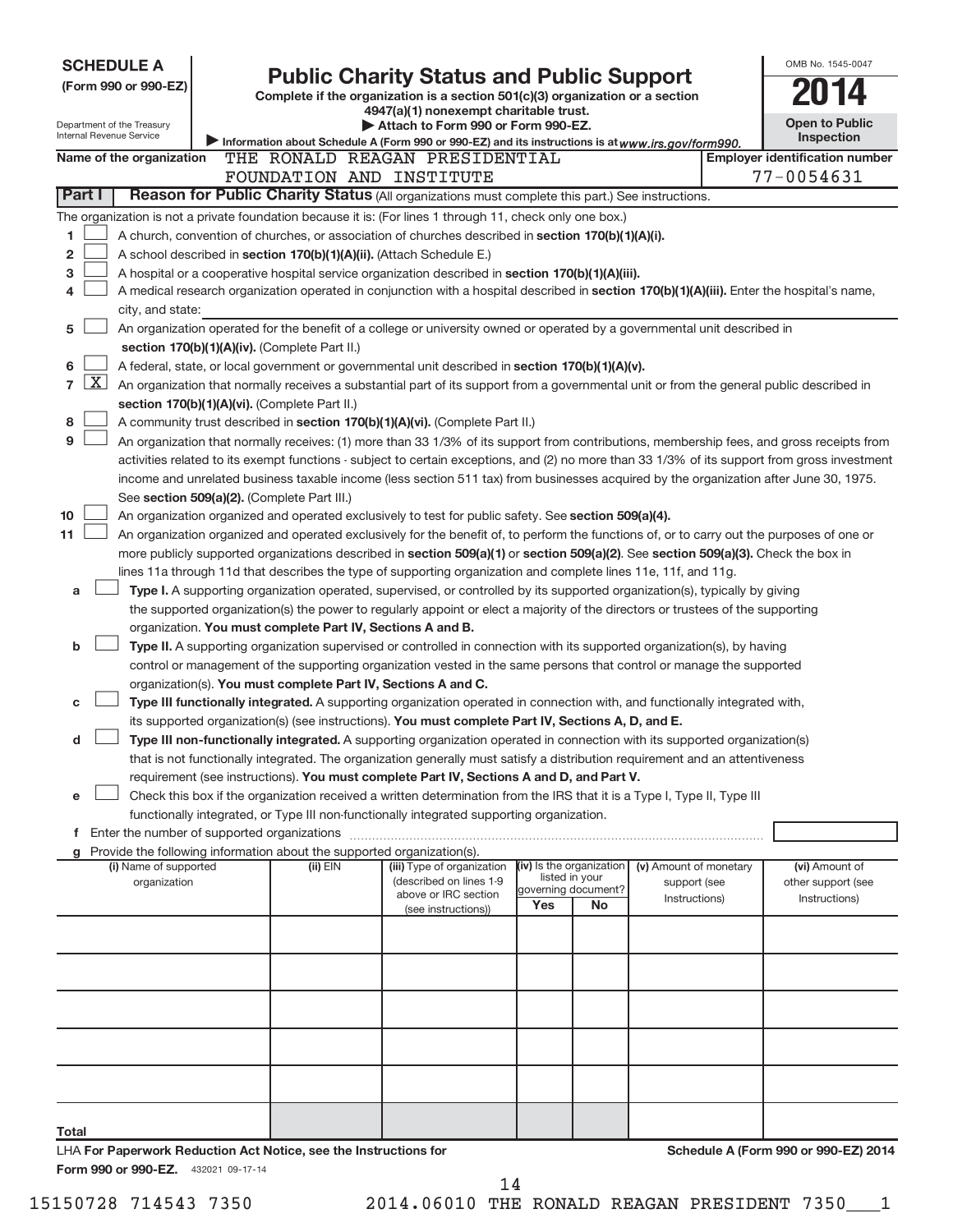|                                | <b>SCHEDULE A</b><br>(Form 990 or 990-EZ)              |                                                                                        | <b>Public Charity Status and Public Support</b>                                                                                               |                                       |    |                        | OMB No. 1545-0047                     |
|--------------------------------|--------------------------------------------------------|----------------------------------------------------------------------------------------|-----------------------------------------------------------------------------------------------------------------------------------------------|---------------------------------------|----|------------------------|---------------------------------------|
|                                |                                                        |                                                                                        | Complete if the organization is a section 501(c)(3) organization or a section                                                                 |                                       |    |                        |                                       |
|                                |                                                        |                                                                                        | 4947(a)(1) nonexempt charitable trust.                                                                                                        |                                       |    |                        | <b>Open to Public</b>                 |
|                                | Department of the Treasury<br>Internal Revenue Service |                                                                                        | Attach to Form 990 or Form 990-EZ.<br>Information about Schedule A (Form 990 or 990-EZ) and its instructions is at www.irs.gov/form990.       |                                       |    |                        | <b>Inspection</b>                     |
|                                | Name of the organization                               |                                                                                        | THE RONALD REAGAN PRESIDENTIAL                                                                                                                |                                       |    |                        | <b>Employer identification number</b> |
|                                |                                                        |                                                                                        | FOUNDATION AND INSTITUTE                                                                                                                      |                                       |    |                        | 77-0054631                            |
| Part I                         |                                                        |                                                                                        | Reason for Public Charity Status (All organizations must complete this part.) See instructions.                                               |                                       |    |                        |                                       |
|                                |                                                        |                                                                                        | The organization is not a private foundation because it is: (For lines 1 through 11, check only one box.)                                     |                                       |    |                        |                                       |
| 1                              |                                                        |                                                                                        | A church, convention of churches, or association of churches described in section 170(b)(1)(A)(i).                                            |                                       |    |                        |                                       |
| 2                              |                                                        |                                                                                        | A school described in section 170(b)(1)(A)(ii). (Attach Schedule E.)                                                                          |                                       |    |                        |                                       |
| 3                              |                                                        |                                                                                        | A hospital or a cooperative hospital service organization described in section 170(b)(1)(A)(iii).                                             |                                       |    |                        |                                       |
| 4                              |                                                        |                                                                                        | A medical research organization operated in conjunction with a hospital described in section 170(b)(1)(A)(iii). Enter the hospital's name,    |                                       |    |                        |                                       |
|                                | city, and state:                                       |                                                                                        |                                                                                                                                               |                                       |    |                        |                                       |
| 5                              |                                                        |                                                                                        | An organization operated for the benefit of a college or university owned or operated by a governmental unit described in                     |                                       |    |                        |                                       |
|                                |                                                        | section 170(b)(1)(A)(iv). (Complete Part II.)                                          |                                                                                                                                               |                                       |    |                        |                                       |
| 6                              |                                                        |                                                                                        | A federal, state, or local government or governmental unit described in section 170(b)(1)(A)(v).                                              |                                       |    |                        |                                       |
| $\mathbf{X}$<br>$\overline{7}$ |                                                        |                                                                                        | An organization that normally receives a substantial part of its support from a governmental unit or from the general public described in     |                                       |    |                        |                                       |
|                                |                                                        | section 170(b)(1)(A)(vi). (Complete Part II.)                                          |                                                                                                                                               |                                       |    |                        |                                       |
| 8                              |                                                        |                                                                                        | A community trust described in section 170(b)(1)(A)(vi). (Complete Part II.)                                                                  |                                       |    |                        |                                       |
| 9                              |                                                        |                                                                                        | An organization that normally receives: (1) more than 33 1/3% of its support from contributions, membership fees, and gross receipts from     |                                       |    |                        |                                       |
|                                |                                                        |                                                                                        | activities related to its exempt functions - subject to certain exceptions, and (2) no more than 33 1/3% of its support from gross investment |                                       |    |                        |                                       |
|                                |                                                        |                                                                                        | income and unrelated business taxable income (less section 511 tax) from businesses acquired by the organization after June 30, 1975.         |                                       |    |                        |                                       |
|                                |                                                        | See section 509(a)(2). (Complete Part III.)                                            |                                                                                                                                               |                                       |    |                        |                                       |
| 10                             |                                                        |                                                                                        | An organization organized and operated exclusively to test for public safety. See section 509(a)(4).                                          |                                       |    |                        |                                       |
| 11                             |                                                        |                                                                                        | An organization organized and operated exclusively for the benefit of, to perform the functions of, or to carry out the purposes of one or    |                                       |    |                        |                                       |
|                                |                                                        |                                                                                        | more publicly supported organizations described in section 509(a)(1) or section 509(a)(2). See section 509(a)(3). Check the box in            |                                       |    |                        |                                       |
|                                |                                                        |                                                                                        | lines 11a through 11d that describes the type of supporting organization and complete lines 11e, 11f, and 11g.                                |                                       |    |                        |                                       |
| a                              |                                                        |                                                                                        | Type I. A supporting organization operated, supervised, or controlled by its supported organization(s), typically by giving                   |                                       |    |                        |                                       |
|                                |                                                        |                                                                                        | the supported organization(s) the power to regularly appoint or elect a majority of the directors or trustees of the supporting               |                                       |    |                        |                                       |
|                                |                                                        | organization. You must complete Part IV, Sections A and B.                             |                                                                                                                                               |                                       |    |                        |                                       |
| b                              |                                                        |                                                                                        | Type II. A supporting organization supervised or controlled in connection with its supported organization(s), by having                       |                                       |    |                        |                                       |
|                                |                                                        |                                                                                        | control or management of the supporting organization vested in the same persons that control or manage the supported                          |                                       |    |                        |                                       |
|                                |                                                        | organization(s). You must complete Part IV, Sections A and C.                          |                                                                                                                                               |                                       |    |                        |                                       |
| c                              |                                                        |                                                                                        | Type III functionally integrated. A supporting organization operated in connection with, and functionally integrated with,                    |                                       |    |                        |                                       |
|                                |                                                        |                                                                                        | its supported organization(s) (see instructions). You must complete Part IV, Sections A, D, and E.                                            |                                       |    |                        |                                       |
| d                              |                                                        |                                                                                        | Type III non-functionally integrated. A supporting organization operated in connection with its supported organization(s)                     |                                       |    |                        |                                       |
|                                |                                                        |                                                                                        | that is not functionally integrated. The organization generally must satisfy a distribution requirement and an attentiveness                  |                                       |    |                        |                                       |
|                                |                                                        |                                                                                        | requirement (see instructions). You must complete Part IV, Sections A and D, and Part V.                                                      |                                       |    |                        |                                       |
| e                              |                                                        |                                                                                        | Check this box if the organization received a written determination from the IRS that it is a Type I, Type II, Type III                       |                                       |    |                        |                                       |
|                                |                                                        |                                                                                        | functionally integrated, or Type III non-functionally integrated supporting organization.                                                     |                                       |    |                        |                                       |
|                                | f Enter the number of supported organizations          |                                                                                        |                                                                                                                                               |                                       |    |                        |                                       |
|                                | (i) Name of supported                                  | g Provide the following information about the supported organization(s).<br>$(ii)$ EIN | (iii) Type of organization                                                                                                                    | (iv) Is the organization              |    | (v) Amount of monetary | (vi) Amount of                        |
|                                | organization                                           |                                                                                        | (described on lines 1-9                                                                                                                       | listed in your<br>governing document? |    | support (see           | other support (see                    |
|                                |                                                        |                                                                                        | above or IRC section                                                                                                                          | Yes                                   | No | Instructions)          | Instructions)                         |
|                                |                                                        |                                                                                        | (see instructions))                                                                                                                           |                                       |    |                        |                                       |
|                                |                                                        |                                                                                        |                                                                                                                                               |                                       |    |                        |                                       |
|                                |                                                        |                                                                                        |                                                                                                                                               |                                       |    |                        |                                       |
|                                |                                                        |                                                                                        |                                                                                                                                               |                                       |    |                        |                                       |
|                                |                                                        |                                                                                        |                                                                                                                                               |                                       |    |                        |                                       |
|                                |                                                        |                                                                                        |                                                                                                                                               |                                       |    |                        |                                       |
|                                |                                                        |                                                                                        |                                                                                                                                               |                                       |    |                        |                                       |
|                                |                                                        |                                                                                        |                                                                                                                                               |                                       |    |                        |                                       |
|                                |                                                        |                                                                                        |                                                                                                                                               |                                       |    |                        |                                       |
|                                |                                                        |                                                                                        |                                                                                                                                               |                                       |    |                        |                                       |
|                                |                                                        |                                                                                        |                                                                                                                                               |                                       |    |                        |                                       |
| Total                          |                                                        |                                                                                        |                                                                                                                                               |                                       |    |                        |                                       |
|                                | Form 990 or 990-EZ. 432021 09-17-14                    | LHA For Paperwork Reduction Act Notice, see the Instructions for                       |                                                                                                                                               |                                       |    |                        | Schedule A (Form 990 or 990-EZ) 2014  |

14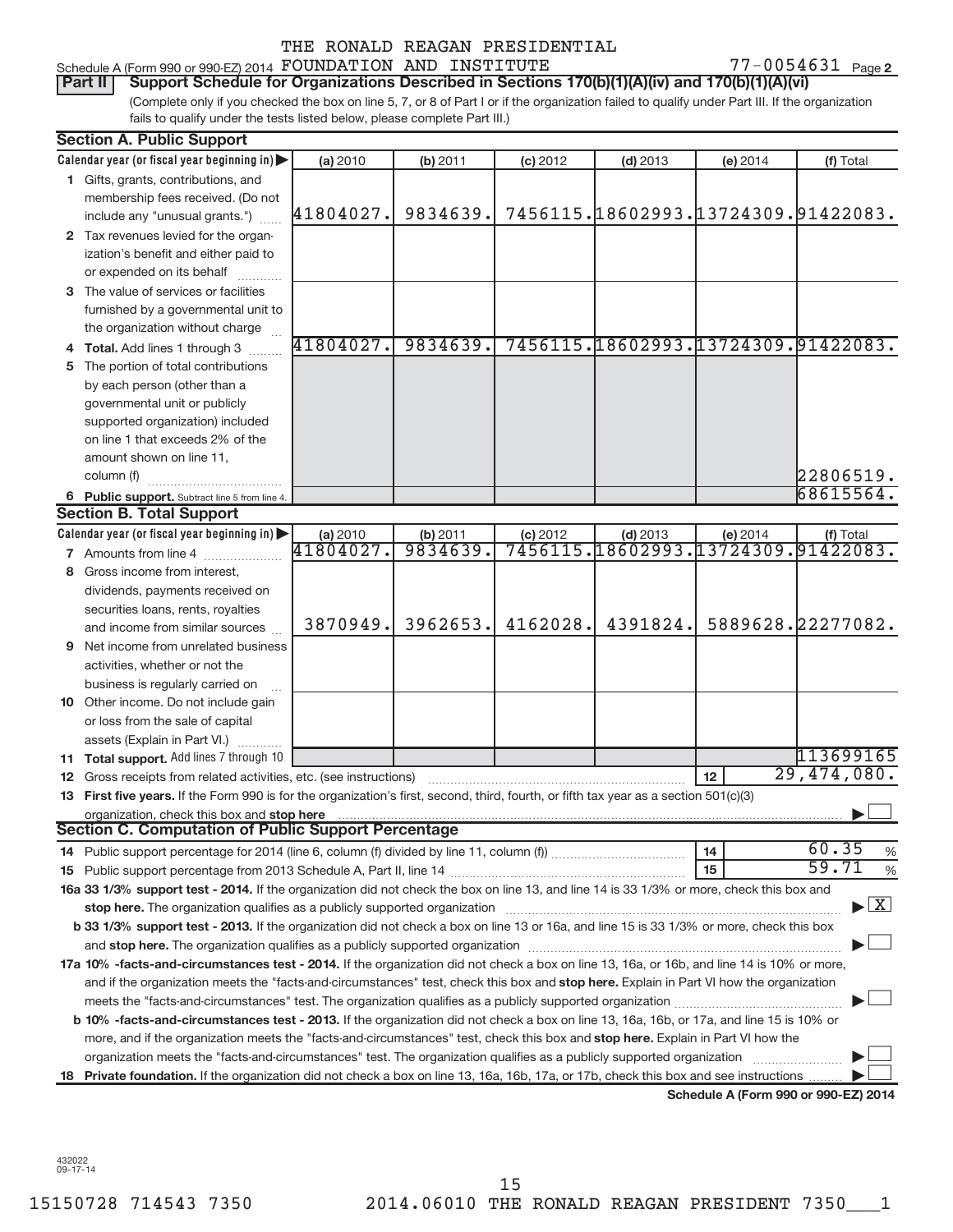| Schedule A (Form 990 or 990-EZ) 2014 FOUNDATION AND INSTITUTE |  |  |  |  |  |            | 7-0054631 | Page 2 |
|---------------------------------------------------------------|--|--|--|--|--|------------|-----------|--------|
| -----                                                         |  |  |  |  |  | $\sqrt{2}$ |           |        |

(Complete only if you checked the box on line 5, 7, or 8 of Part I or if the organization failed to qualify under Part III. If the organization fails to qualify under the tests listed below, please complete Part III.) Part II | Support Schedule for Organizations Described in Sections 170(b)(1)(A)(iv) and 170(b)(1)(A)(vi)

| <b>Section A. Public Support</b>                                                                                                                                                                                               |           |          |            |            |          |                                      |
|--------------------------------------------------------------------------------------------------------------------------------------------------------------------------------------------------------------------------------|-----------|----------|------------|------------|----------|--------------------------------------|
| Calendar year (or fiscal year beginning in)                                                                                                                                                                                    | (a) 2010  | (b) 2011 | $(c)$ 2012 | $(d)$ 2013 | (e) 2014 | (f) Total                            |
| 1 Gifts, grants, contributions, and                                                                                                                                                                                            |           |          |            |            |          |                                      |
| membership fees received. (Do not                                                                                                                                                                                              |           |          |            |            |          |                                      |
| include any "unusual grants.")                                                                                                                                                                                                 | 41804027. | 9834639. |            |            |          | 7456115.18602993.13724309.91422083.  |
| 2 Tax revenues levied for the organ-                                                                                                                                                                                           |           |          |            |            |          |                                      |
| ization's benefit and either paid to                                                                                                                                                                                           |           |          |            |            |          |                                      |
| or expended on its behalf                                                                                                                                                                                                      |           |          |            |            |          |                                      |
| 3 The value of services or facilities                                                                                                                                                                                          |           |          |            |            |          |                                      |
| furnished by a governmental unit to                                                                                                                                                                                            |           |          |            |            |          |                                      |
| the organization without charge                                                                                                                                                                                                |           |          |            |            |          |                                      |
| 4 Total. Add lines 1 through 3                                                                                                                                                                                                 | 41804027. | 9834639. |            |            |          | 7456115.18602993.13724309.91422083.  |
| 5 The portion of total contributions                                                                                                                                                                                           |           |          |            |            |          |                                      |
| by each person (other than a                                                                                                                                                                                                   |           |          |            |            |          |                                      |
| governmental unit or publicly                                                                                                                                                                                                  |           |          |            |            |          |                                      |
| supported organization) included                                                                                                                                                                                               |           |          |            |            |          |                                      |
| on line 1 that exceeds 2% of the                                                                                                                                                                                               |           |          |            |            |          |                                      |
| amount shown on line 11,                                                                                                                                                                                                       |           |          |            |            |          |                                      |
| column (f)                                                                                                                                                                                                                     |           |          |            |            |          | 22806519.                            |
| 6 Public support. Subtract line 5 from line 4.                                                                                                                                                                                 |           |          |            |            |          | 68615564.                            |
| <b>Section B. Total Support</b>                                                                                                                                                                                                |           |          |            |            |          |                                      |
| Calendar year (or fiscal year beginning in)                                                                                                                                                                                    | (a) 2010  | (b) 2011 | $(c)$ 2012 | $(d)$ 2013 | (e) 2014 | (f) Total                            |
| <b>7</b> Amounts from line 4                                                                                                                                                                                                   | 41804027. | 9834639. |            |            |          | 7456115.18602993.13724309.91422083.  |
| 8 Gross income from interest,                                                                                                                                                                                                  |           |          |            |            |          |                                      |
| dividends, payments received on                                                                                                                                                                                                |           |          |            |            |          |                                      |
| securities loans, rents, royalties                                                                                                                                                                                             |           |          |            |            |          |                                      |
| and income from similar sources                                                                                                                                                                                                | 3870949.  | 3962653. | 4162028.   | 4391824.   |          | 5889628.22277082.                    |
| <b>9</b> Net income from unrelated business                                                                                                                                                                                    |           |          |            |            |          |                                      |
| activities, whether or not the                                                                                                                                                                                                 |           |          |            |            |          |                                      |
| business is regularly carried on                                                                                                                                                                                               |           |          |            |            |          |                                      |
| 10 Other income. Do not include gain                                                                                                                                                                                           |           |          |            |            |          |                                      |
| or loss from the sale of capital                                                                                                                                                                                               |           |          |            |            |          |                                      |
| assets (Explain in Part VI.)                                                                                                                                                                                                   |           |          |            |            |          |                                      |
| 11 Total support. Add lines 7 through 10                                                                                                                                                                                       |           |          |            |            |          | 113699165                            |
| <b>12</b> Gross receipts from related activities, etc. (see instructions)                                                                                                                                                      |           |          |            |            | 12       | $\overline{29,474,080}$ .            |
| 13 First five years. If the Form 990 is for the organization's first, second, third, fourth, or fifth tax year as a section 501(c)(3)                                                                                          |           |          |            |            |          |                                      |
| organization, check this box and stop here                                                                                                                                                                                     |           |          |            |            |          |                                      |
| <b>Section C. Computation of Public Support Percentage</b>                                                                                                                                                                     |           |          |            |            |          |                                      |
|                                                                                                                                                                                                                                |           |          |            |            | 14       | 60.35<br>%                           |
|                                                                                                                                                                                                                                |           |          |            |            | 15       | 59.71<br>%                           |
| 16a 33 1/3% support test - 2014. If the organization did not check the box on line 13, and line 14 is 33 1/3% or more, check this box and                                                                                      |           |          |            |            |          |                                      |
| stop here. The organization qualifies as a publicly supported organization manufaction manufacture or the organization manufacture or the organization manufacture or the organization manufacture or the state of the state o |           |          |            |            |          | $\blacktriangleright$ $\mathbf{X}$   |
| b 33 1/3% support test - 2013. If the organization did not check a box on line 13 or 16a, and line 15 is 33 1/3% or more, check this box                                                                                       |           |          |            |            |          |                                      |
|                                                                                                                                                                                                                                |           |          |            |            |          |                                      |
| 17a 10% -facts-and-circumstances test - 2014. If the organization did not check a box on line 13, 16a, or 16b, and line 14 is 10% or more,                                                                                     |           |          |            |            |          |                                      |
| and if the organization meets the "facts-and-circumstances" test, check this box and stop here. Explain in Part VI how the organization                                                                                        |           |          |            |            |          |                                      |
|                                                                                                                                                                                                                                |           |          |            |            |          |                                      |
| b 10% -facts-and-circumstances test - 2013. If the organization did not check a box on line 13, 16a, 16b, or 17a, and line 15 is 10% or                                                                                        |           |          |            |            |          |                                      |
| more, and if the organization meets the "facts-and-circumstances" test, check this box and <b>stop here.</b> Explain in Part VI how the                                                                                        |           |          |            |            |          |                                      |
| organization meets the "facts-and-circumstances" test. The organization qualifies as a publicly supported organization                                                                                                         |           |          |            |            |          |                                      |
| 18 Private foundation. If the organization did not check a box on line 13, 16a, 16b, 17a, or 17b, check this box and see instructions                                                                                          |           |          |            |            |          |                                      |
|                                                                                                                                                                                                                                |           |          |            |            |          | Schedule A (Form 990 or 990-EZ) 2014 |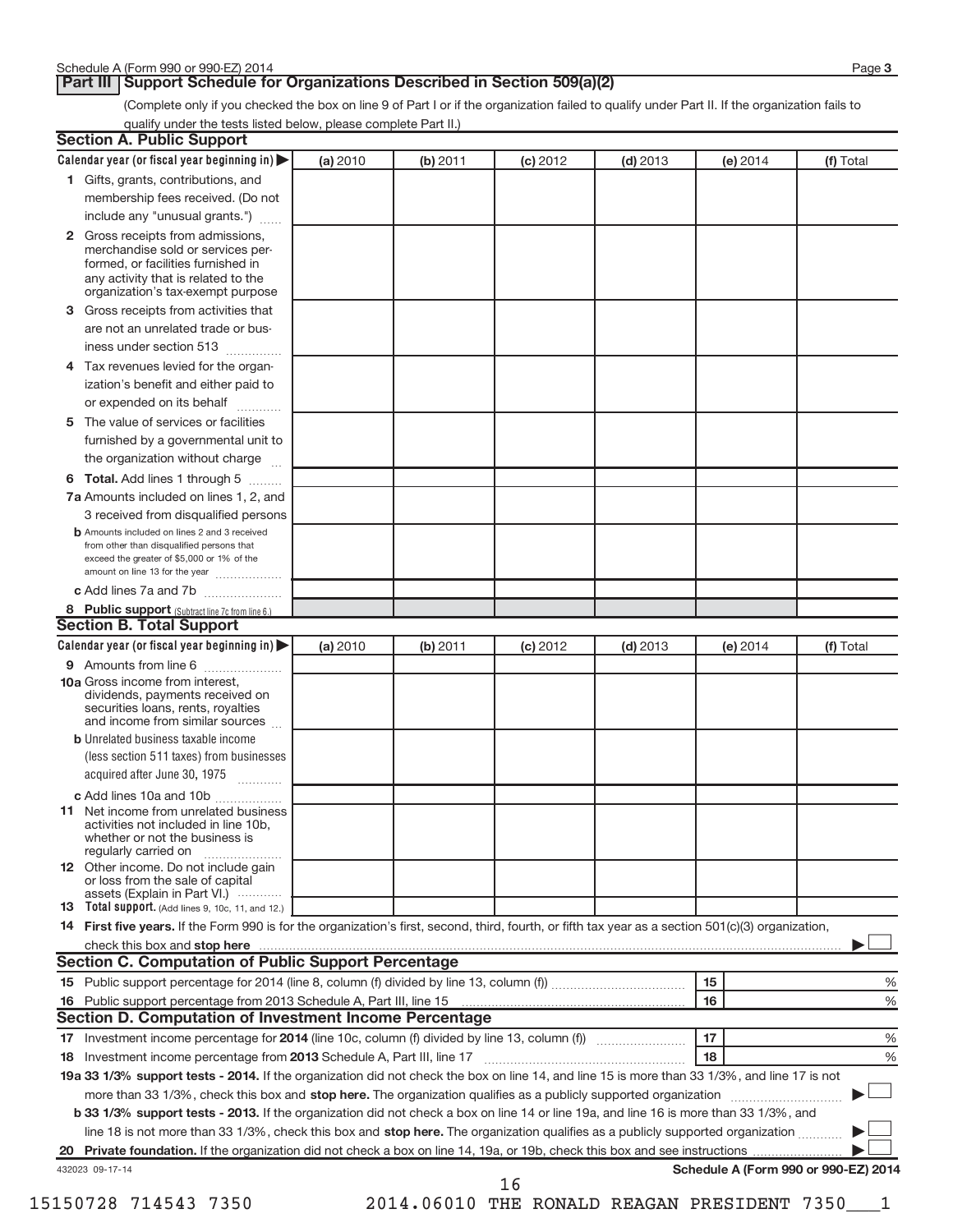#### **Part III | Support Schedule for Organizations Described in Section 509(a)(2)**

(Complete only if you checked the box on line 9 of Part I or if the organization failed to qualify under Part II. If the organization fails to qualify under the tests listed below, please complete Part II.)

|    | Calendar year (or fiscal year beginning in)                                                                                                         | (a) 2010 | (b) 2011 | $(c)$ 2012 | $(d)$ 2013 |    | (e) 2014 | (f) Total                            |
|----|-----------------------------------------------------------------------------------------------------------------------------------------------------|----------|----------|------------|------------|----|----------|--------------------------------------|
|    | 1 Gifts, grants, contributions, and                                                                                                                 |          |          |            |            |    |          |                                      |
|    | membership fees received. (Do not                                                                                                                   |          |          |            |            |    |          |                                      |
|    | include any "unusual grants.")                                                                                                                      |          |          |            |            |    |          |                                      |
|    | 2 Gross receipts from admissions,                                                                                                                   |          |          |            |            |    |          |                                      |
|    | merchandise sold or services per-                                                                                                                   |          |          |            |            |    |          |                                      |
|    | formed, or facilities furnished in<br>any activity that is related to the                                                                           |          |          |            |            |    |          |                                      |
|    | organization's tax-exempt purpose                                                                                                                   |          |          |            |            |    |          |                                      |
| 3  | Gross receipts from activities that                                                                                                                 |          |          |            |            |    |          |                                      |
|    | are not an unrelated trade or bus-                                                                                                                  |          |          |            |            |    |          |                                      |
|    | iness under section 513                                                                                                                             |          |          |            |            |    |          |                                      |
| 4  | Tax revenues levied for the organ-                                                                                                                  |          |          |            |            |    |          |                                      |
|    | ization's benefit and either paid to                                                                                                                |          |          |            |            |    |          |                                      |
|    | or expended on its behalf                                                                                                                           |          |          |            |            |    |          |                                      |
| 5  | The value of services or facilities                                                                                                                 |          |          |            |            |    |          |                                      |
|    | furnished by a governmental unit to                                                                                                                 |          |          |            |            |    |          |                                      |
|    | the organization without charge                                                                                                                     |          |          |            |            |    |          |                                      |
| 6  | Total. Add lines 1 through 5                                                                                                                        |          |          |            |            |    |          |                                      |
|    | 7a Amounts included on lines 1, 2, and                                                                                                              |          |          |            |            |    |          |                                      |
|    | 3 received from disqualified persons                                                                                                                |          |          |            |            |    |          |                                      |
|    | <b>b</b> Amounts included on lines 2 and 3 received                                                                                                 |          |          |            |            |    |          |                                      |
|    | from other than disqualified persons that<br>exceed the greater of \$5,000 or 1% of the                                                             |          |          |            |            |    |          |                                      |
|    | amount on line 13 for the year                                                                                                                      |          |          |            |            |    |          |                                      |
|    | c Add lines 7a and 7b                                                                                                                               |          |          |            |            |    |          |                                      |
|    | 8 Public support (Subtract line 7c from line 6.)                                                                                                    |          |          |            |            |    |          |                                      |
|    | <b>Section B. Total Support</b>                                                                                                                     |          |          |            |            |    |          |                                      |
|    | Calendar year (or fiscal year beginning in)                                                                                                         | (a) 2010 | (b) 2011 | $(c)$ 2012 | $(d)$ 2013 |    | (e) 2014 | (f) Total                            |
|    | 9 Amounts from line 6                                                                                                                               |          |          |            |            |    |          |                                      |
|    | <b>10a</b> Gross income from interest,                                                                                                              |          |          |            |            |    |          |                                      |
|    | dividends, payments received on<br>securities loans, rents, royalties                                                                               |          |          |            |            |    |          |                                      |
|    | and income from similar sources                                                                                                                     |          |          |            |            |    |          |                                      |
|    | <b>b</b> Unrelated business taxable income                                                                                                          |          |          |            |            |    |          |                                      |
|    | (less section 511 taxes) from businesses                                                                                                            |          |          |            |            |    |          |                                      |
|    | acquired after June 30, 1975                                                                                                                        |          |          |            |            |    |          |                                      |
|    | c Add lines 10a and 10b                                                                                                                             |          |          |            |            |    |          |                                      |
|    | <b>11</b> Net income from unrelated business                                                                                                        |          |          |            |            |    |          |                                      |
|    | activities not included in line 10b.                                                                                                                |          |          |            |            |    |          |                                      |
|    | whether or not the business is<br>regularly carried on                                                                                              |          |          |            |            |    |          |                                      |
|    | 12 Other income. Do not include gain                                                                                                                |          |          |            |            |    |          |                                      |
|    | or loss from the sale of capital<br>assets (Explain in Part VI.)                                                                                    |          |          |            |            |    |          |                                      |
|    | 13 Total support. (Add lines 9, 10c, 11, and 12.)                                                                                                   |          |          |            |            |    |          |                                      |
|    | 14 First five years. If the Form 990 is for the organization's first, second, third, fourth, or fifth tax year as a section 501(c)(3) organization, |          |          |            |            |    |          |                                      |
|    |                                                                                                                                                     |          |          |            |            |    |          |                                      |
|    | <b>Section C. Computation of Public Support Percentage</b>                                                                                          |          |          |            |            |    |          |                                      |
|    |                                                                                                                                                     |          |          |            |            | 15 |          |                                      |
|    |                                                                                                                                                     |          |          |            |            | 16 |          |                                      |
|    |                                                                                                                                                     |          |          |            |            |    |          |                                      |
|    | Section D. Computation of Investment Income Percentage                                                                                              |          |          |            |            | 17 |          |                                      |
|    |                                                                                                                                                     |          |          |            |            |    |          |                                      |
|    |                                                                                                                                                     |          |          |            |            | 18 |          |                                      |
|    |                                                                                                                                                     |          |          |            |            |    |          |                                      |
|    | 19a 33 1/3% support tests - 2014. If the organization did not check the box on line 14, and line 15 is more than 33 1/3%, and line 17 is not        |          |          |            |            |    |          |                                      |
|    | more than 33 1/3%, check this box and stop here. The organization qualifies as a publicly supported organization <i>manameromany con-</i>           |          |          |            |            |    |          |                                      |
|    | b 33 1/3% support tests - 2013. If the organization did not check a box on line 14 or line 19a, and line 16 is more than 33 1/3%, and               |          |          |            |            |    |          |                                      |
|    | line 18 is not more than 33 1/3%, check this box and stop here. The organization qualifies as a publicly supported organization                     |          |          |            |            |    |          |                                      |
| 18 |                                                                                                                                                     |          |          |            |            |    |          |                                      |
|    | 432023 09-17-14                                                                                                                                     |          |          | 16         |            |    |          | Schedule A (Form 990 or 990-EZ) 2014 |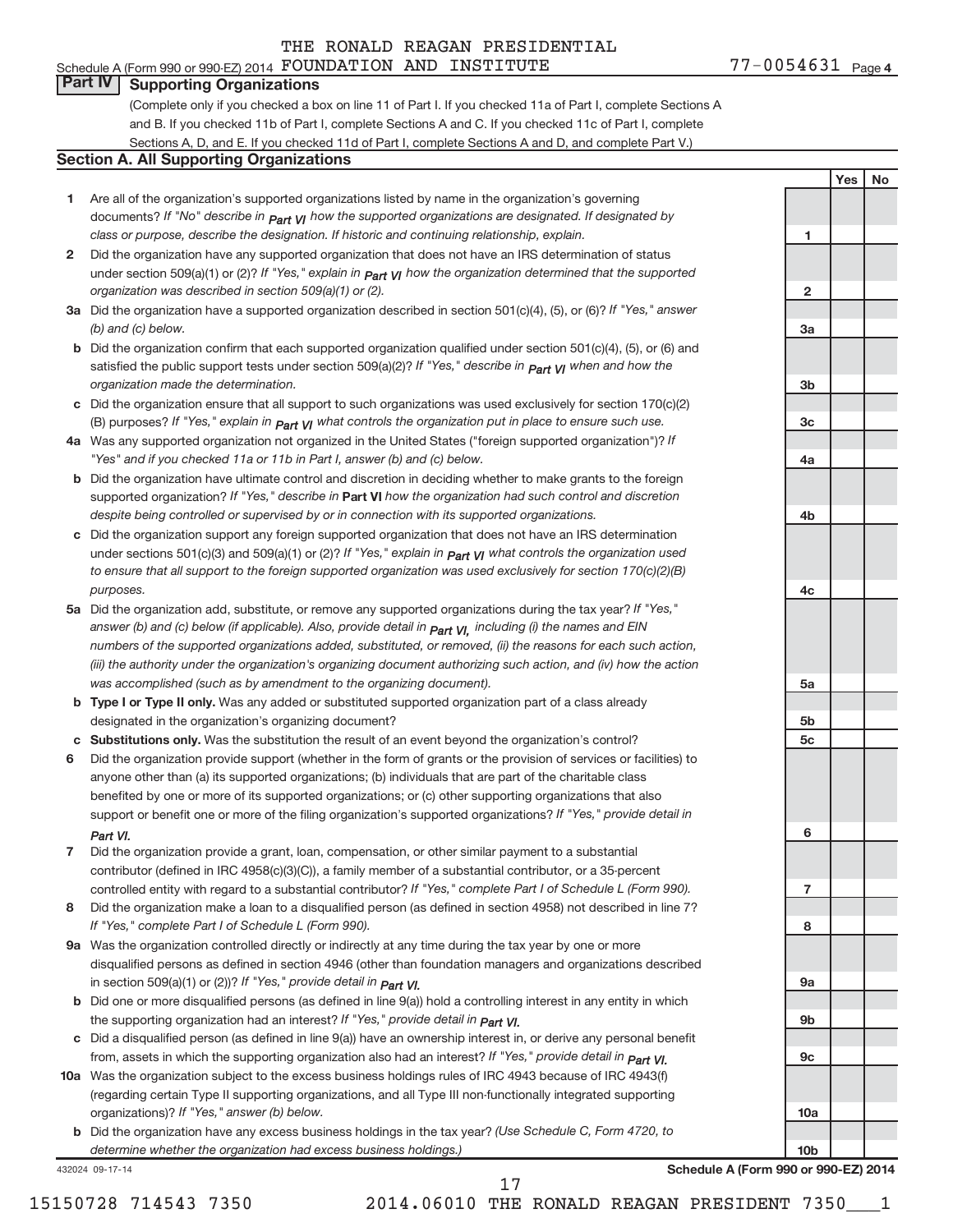## **Part IV Supporting Organizations**

(Complete only if you checked a box on line 11 of Part I. If you checked 11a of Part I, complete Sections A and B. If you checked 11b of Part I, complete Sections A and C. If you checked 11c of Part I, complete Sections A, D, and E. If you checked 11d of Part I, complete Sections A and D, and complete Part V.)

#### **Section A. All Supporting Organizations**

- **1** Are all of the organization's supported organizations listed by name in the organization's governing documents? If "No" describe in  $_{\mathsf{Part}}$   $_{\mathsf{V}}$  how the supported organizations are designated. If designated by *class or purpose, describe the designation. If historic and continuing relationship, explain.*
- **2** Did the organization have any supported organization that does not have an IRS determination of status under section 509(a)(1) or (2)? If "Yes," explain in  $_{\sf Part}$   $_{\sf VI}$  how the organization determined that the supported *organization was described in section 509(a)(1) or (2).*
- **3a** Did the organization have a supported organization described in section 501(c)(4), (5), or (6)? If "Yes," answer *(b) and (c) below.*
- **b** Did the organization confirm that each supported organization qualified under section 501(c)(4), (5), or (6) and satisfied the public support tests under section 509(a)(2)? If "Yes," describe in  $_{\rm Part}$   $_{\rm VI}$  when and how the *organization made the determination.*
- **c** Did the organization ensure that all support to such organizations was used exclusively for section 170(c)(2) (B) purposes? If "Yes," explain in  $_{\mathsf{Part}}$   $_{\mathsf{V}}$  what controls the organization put in place to ensure such use.
- **4 a** *If* Was any supported organization not organized in the United States ("foreign supported organization")? *"Yes" and if you checked 11a or 11b in Part I, answer (b) and (c) below.*
- **b** Did the organization have ultimate control and discretion in deciding whether to make grants to the foreign supported organization? If "Yes," describe in Part VI how the organization had such control and discretion *despite being controlled or supervised by or in connection with its supported organizations.*
- **c** Did the organization support any foreign supported organization that does not have an IRS determination under sections 501(c)(3) and 509(a)(1) or (2)? If "Yes," ex*plain in*  $_{\sf Part}$  *v*J what controls the organization used *to ensure that all support to the foreign supported organization was used exclusively for section 170(c)(2)(B) purposes.*
- **5a** Did the organization add, substitute, or remove any supported organizations during the tax year? If "Yes," answer (b) and (c) below (if applicable). Also, provide detail in  $_{\mathsf{Part}}$   $_{\mathsf{V{\mathsf{I}}}}$ , including (i) the names and EIN *numbers of the supported organizations added, substituted, or removed, (ii) the reasons for each such action, (iii) the authority under the organization's organizing document authorizing such action, and (iv) how the action was accomplished (such as by amendment to the organizing document).*
- **b** Type I or Type II only. Was any added or substituted supported organization part of a class already designated in the organization's organizing document?
- **c Substitutions only.**  Was the substitution the result of an event beyond the organization's control?
- **6** Did the organization provide support (whether in the form of grants or the provision of services or facilities) to support or benefit one or more of the filing organization's supported organizations? If "Yes," provide detail in anyone other than (a) its supported organizations; (b) individuals that are part of the charitable class benefited by one or more of its supported organizations; or (c) other supporting organizations that also *Part VI.*
- **7** Did the organization provide a grant, loan, compensation, or other similar payment to a substantial controlled entity with regard to a substantial contributor? If "Yes," complete Part I of Schedule L (Form 990). contributor (defined in IRC 4958(c)(3)(C)), a family member of a substantial contributor, or a 35-percent
- **8** Did the organization make a loan to a disqualified person (as defined in section 4958) not described in line 7? *If "Yes," complete Part I of Schedule L (Form 990).*
- **9 a** Was the organization controlled directly or indirectly at any time during the tax year by one or more *If "Yes," provide detail in*  in section 509(a)(1) or (2))? *Part VI.* disqualified persons as defined in section 4946 (other than foundation managers and organizations described
- **b** Did one or more disqualified persons (as defined in line 9(a)) hold a controlling interest in any entity in which the supporting organization had an interest? If "Yes," *provide detail in Part VI.*
- **c** Did a disqualified person (as defined in line 9(a)) have an ownership interest in, or derive any personal benefit from, assets in which the supporting organization also had an interest? If "Yes," *provide detail in Part VI.*
- **10 a** Was the organization subject to the excess business holdings rules of IRC 4943 because of IRC 4943(f) organizations)? If "Yes," answer (b) below. (regarding certain Type II supporting organizations, and all Type III non-functionally integrated supporting
	- **b** Did the organization have any excess business holdings in the tax year? (Use Schedule C, Form 4720, to *determine whether the organization had excess business holdings.)*

432024 09-17-14

| 5a              |                           |                                                               |
|-----------------|---------------------------|---------------------------------------------------------------|
|                 |                           |                                                               |
| 5b              |                           |                                                               |
|                 |                           |                                                               |
|                 |                           |                                                               |
|                 |                           |                                                               |
|                 |                           |                                                               |
|                 |                           |                                                               |
|                 |                           |                                                               |
|                 |                           |                                                               |
| 7               |                           |                                                               |
|                 |                           |                                                               |
| 8               |                           |                                                               |
|                 |                           |                                                               |
|                 |                           |                                                               |
|                 |                           |                                                               |
|                 |                           |                                                               |
|                 |                           |                                                               |
|                 |                           |                                                               |
|                 |                           |                                                               |
|                 |                           |                                                               |
| 10a             |                           |                                                               |
|                 |                           |                                                               |
| 10 <sub>b</sub> |                           |                                                               |
|                 |                           |                                                               |
|                 |                           |                                                               |
|                 |                           |                                                               |
|                 | 5c<br>6<br>9a<br>9b<br>9c | lule A (Form 990 or 990-E <mark>Z)</mark> 2<br>RESIDENT 7350_ |

**1**

**2**

**3a**

**3b**

**3c**

**4a**

**4b**

**4c**

**Yes No**

**Schedule A (Form 990 or 990-EZ) 2014**

15150728 714543 7350 2014.06010 THE RONALD REAGAN PRESIDENT 7350\_\_\_1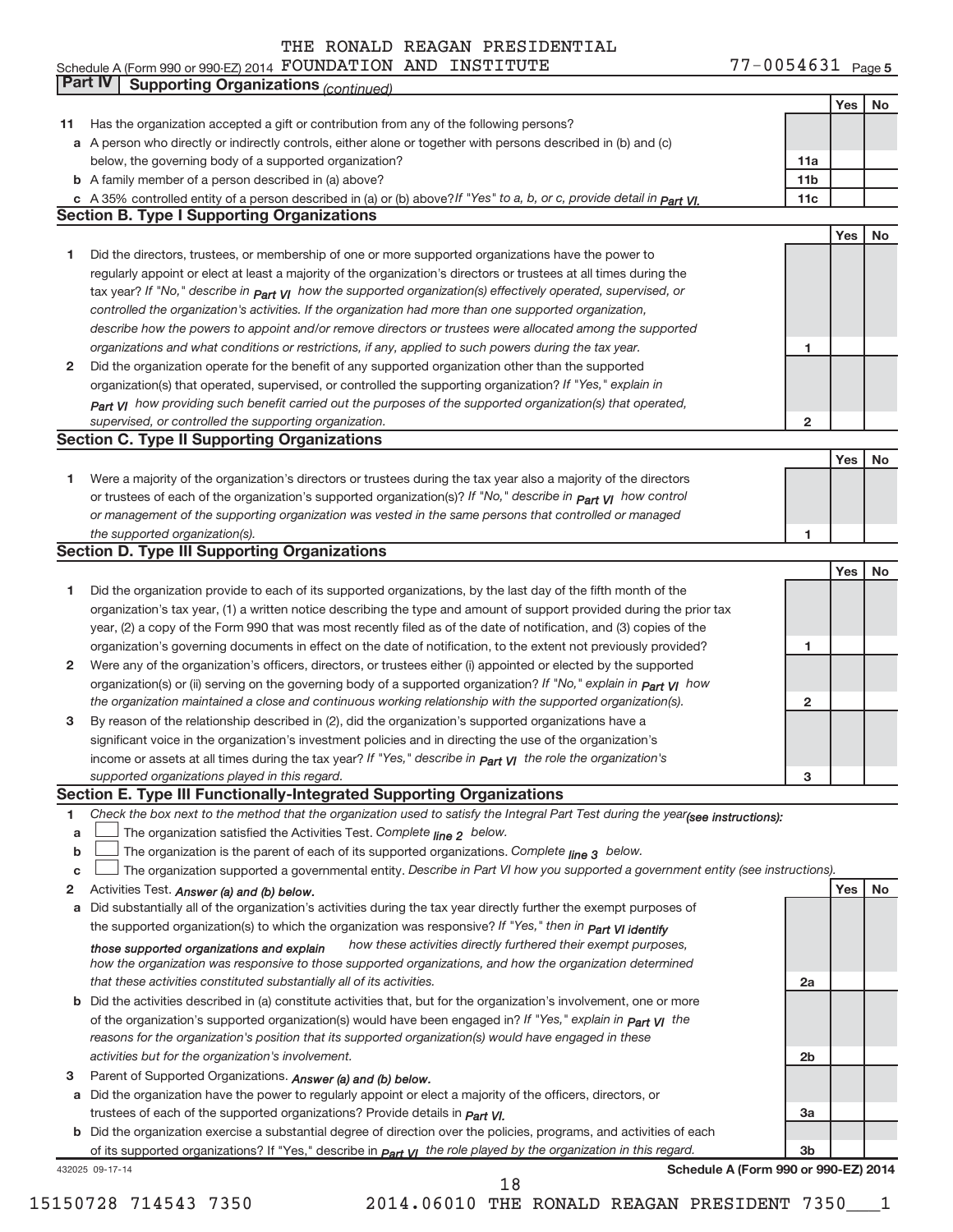#### Schedule A (Form 990 or 990-EZ) 2014 POUNDATION AND INSTITUTE FOR MELLING THE MANUSCHILL Page FOUNDATION AND INSTITUTE 77-0054631

77-0054631 Page 5

|    | Part IV<br><b>Supporting Organizations (continued)</b>                                                                                                 |                 |     |    |
|----|--------------------------------------------------------------------------------------------------------------------------------------------------------|-----------------|-----|----|
|    |                                                                                                                                                        |                 | Yes | No |
| 11 | Has the organization accepted a gift or contribution from any of the following persons?                                                                |                 |     |    |
|    | a A person who directly or indirectly controls, either alone or together with persons described in (b) and (c)                                         |                 |     |    |
|    | below, the governing body of a supported organization?                                                                                                 | 11a             |     |    |
|    | <b>b</b> A family member of a person described in (a) above?                                                                                           | 11 <sub>b</sub> |     |    |
|    | c A 35% controlled entity of a person described in (a) or (b) above? If "Yes" to a, b, or c, provide detail in Part VI.                                | 11c             |     |    |
|    | <b>Section B. Type I Supporting Organizations</b>                                                                                                      |                 |     |    |
|    |                                                                                                                                                        |                 | Yes | No |
| 1  | Did the directors, trustees, or membership of one or more supported organizations have the power to                                                    |                 |     |    |
|    | regularly appoint or elect at least a majority of the organization's directors or trustees at all times during the                                     |                 |     |    |
|    |                                                                                                                                                        |                 |     |    |
|    | tax year? If "No," describe in $P_{art}$ $V_I$ how the supported organization(s) effectively operated, supervised, or                                  |                 |     |    |
|    | controlled the organization's activities. If the organization had more than one supported organization,                                                |                 |     |    |
|    | describe how the powers to appoint and/or remove directors or trustees were allocated among the supported                                              |                 |     |    |
|    | organizations and what conditions or restrictions, if any, applied to such powers during the tax year.                                                 | 1               |     |    |
| 2  | Did the organization operate for the benefit of any supported organization other than the supported                                                    |                 |     |    |
|    | organization(s) that operated, supervised, or controlled the supporting organization? If "Yes," explain in                                             |                 |     |    |
|    | Part VI how providing such benefit carried out the purposes of the supported organization(s) that operated,                                            |                 |     |    |
|    | supervised, or controlled the supporting organization.                                                                                                 | $\mathbf{2}$    |     |    |
|    | <b>Section C. Type II Supporting Organizations</b>                                                                                                     |                 |     |    |
|    |                                                                                                                                                        |                 | Yes | No |
| 1  | Were a majority of the organization's directors or trustees during the tax year also a majority of the directors                                       |                 |     |    |
|    | or trustees of each of the organization's supported organization(s)? If "No," describe in <b>Part VI</b> how control                                   |                 |     |    |
|    | or management of the supporting organization was vested in the same persons that controlled or managed                                                 |                 |     |    |
|    | the supported organization(s).                                                                                                                         | 1               |     |    |
|    | <b>Section D. Type III Supporting Organizations</b>                                                                                                    |                 |     |    |
|    |                                                                                                                                                        |                 | Yes | No |
| 1  | Did the organization provide to each of its supported organizations, by the last day of the fifth month of the                                         |                 |     |    |
|    | organization's tax year, (1) a written notice describing the type and amount of support provided during the prior tax                                  |                 |     |    |
|    | year, (2) a copy of the Form 990 that was most recently filed as of the date of notification, and (3) copies of the                                    |                 |     |    |
|    | organization's governing documents in effect on the date of notification, to the extent not previously provided?                                       | 1               |     |    |
| 2  | Were any of the organization's officers, directors, or trustees either (i) appointed or elected by the supported                                       |                 |     |    |
|    | organization(s) or (ii) serving on the governing body of a supported organization? If "No," explain in part VI how                                     |                 |     |    |
|    | the organization maintained a close and continuous working relationship with the supported organization(s).                                            | $\mathbf{2}$    |     |    |
| 3  | By reason of the relationship described in (2), did the organization's supported organizations have a                                                  |                 |     |    |
|    | significant voice in the organization's investment policies and in directing the use of the organization's                                             |                 |     |    |
|    | income or assets at all times during the tax year? If "Yes," describe in $P_{\text{art } VI}$ the role the organization's                              |                 |     |    |
|    | supported organizations played in this regard.                                                                                                         | з               |     |    |
|    | Section E. Type III Functionally-Integrated Supporting Organizations                                                                                   |                 |     |    |
| 1  | Check the box next to the method that the organization used to satisfy the Integral Part Test during the year(see instructions):                       |                 |     |    |
| a  | The organization satisfied the Activities Test. Complete line 2 below.                                                                                 |                 |     |    |
| b  | The organization is the parent of each of its supported organizations. Complete line 3 below.                                                          |                 |     |    |
| c  | The organization supported a governmental entity. Describe in Part VI how you supported a government entity (see instructions).                        |                 |     |    |
| 2  | Activities Test. Answer (a) and (b) below.                                                                                                             |                 | Yes | No |
| а  | Did substantially all of the organization's activities during the tax year directly further the exempt purposes of                                     |                 |     |    |
|    | the supported organization(s) to which the organization was responsive? If "Yes," then in Part VI identify                                             |                 |     |    |
|    | how these activities directly furthered their exempt purposes,                                                                                         |                 |     |    |
|    | those supported organizations and explain<br>how the organization was responsive to those supported organizations, and how the organization determined |                 |     |    |
|    | that these activities constituted substantially all of its activities.                                                                                 | 2a              |     |    |
|    | b Did the activities described in (a) constitute activities that, but for the organization's involvement, one or more                                  |                 |     |    |
|    | of the organization's supported organization(s) would have been engaged in? If "Yes," explain in <b>Part VI</b> the                                    |                 |     |    |
|    |                                                                                                                                                        |                 |     |    |
|    | reasons for the organization's position that its supported organization(s) would have engaged in these                                                 |                 |     |    |
|    | activities but for the organization's involvement.                                                                                                     | 2b              |     |    |
| 3  | Parent of Supported Organizations. Answer (a) and (b) below.                                                                                           |                 |     |    |
| a  | Did the organization have the power to regularly appoint or elect a majority of the officers, directors, or                                            |                 |     |    |
|    | trustees of each of the supported organizations? Provide details in <i>Part VI.</i>                                                                    | За              |     |    |
|    | <b>b</b> Did the organization exercise a substantial degree of direction over the policies, programs, and activities of each                           |                 |     |    |
|    | of its supported organizations? If "Yes," describe in $P_{\text{art}}$ VI the role played by the organization in this regard.                          | 3b              |     |    |
|    | Schedule A (Form 990 or 990-EZ) 2014<br>432025 09-17-14<br>18                                                                                          |                 |     |    |
|    |                                                                                                                                                        |                 |     |    |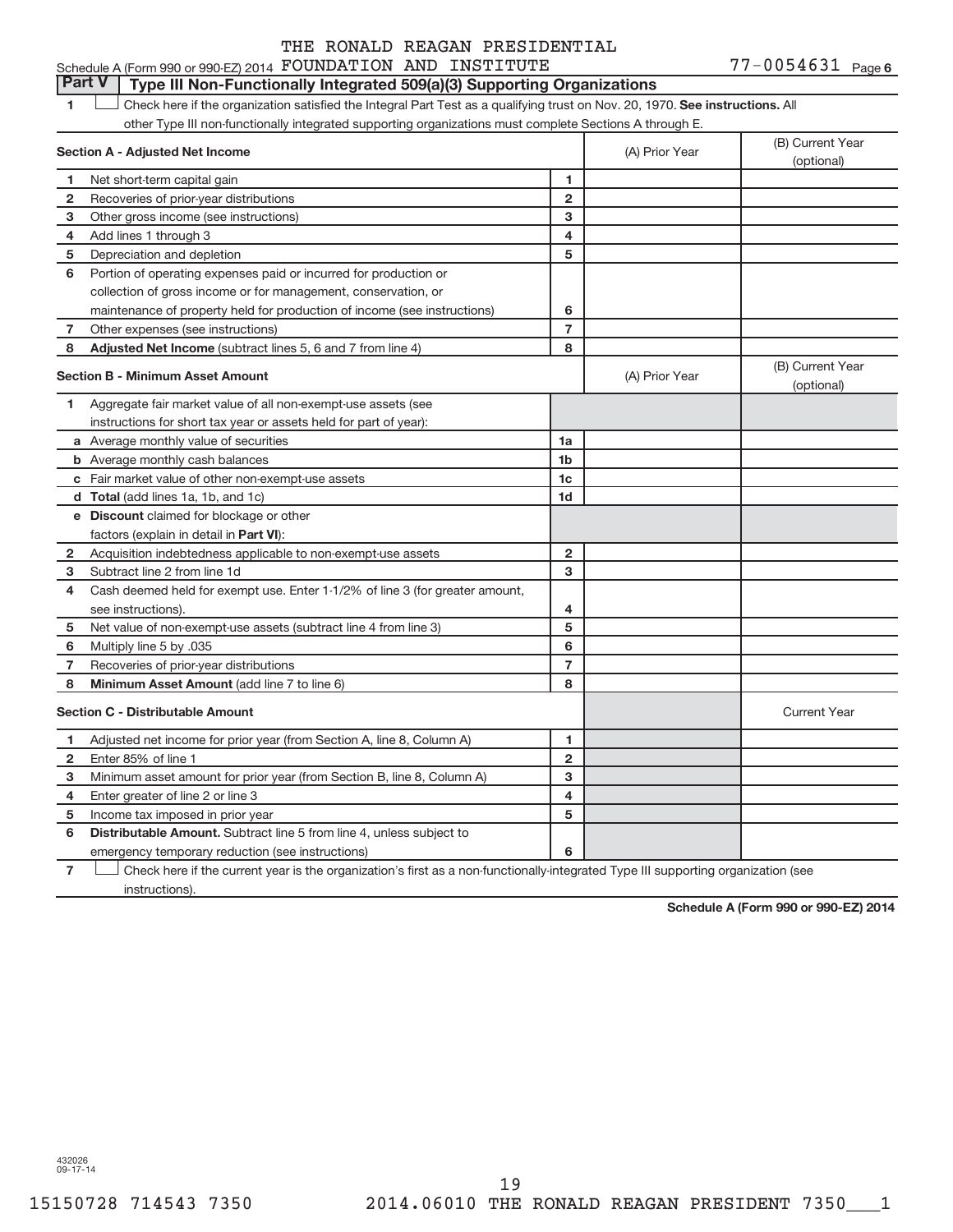## **Part V Type III Non-Functionally Integrated 509(a)(3) Supporting Organizations**

1 **Letter here if the organization satisfied the Integral Part Test as a qualifying trust on Nov. 20, 1970. See instructions. All** other Type III non-functionally integrated supporting organizations must complete Sections A through E.

|              | Section A - Adjusted Net Income                                              |                | (A) Prior Year | (B) Current Year<br>(optional) |
|--------------|------------------------------------------------------------------------------|----------------|----------------|--------------------------------|
| 1            | Net short-term capital gain                                                  | 1              |                |                                |
| $\mathbf{2}$ | Recoveries of prior-year distributions                                       | $\overline{2}$ |                |                                |
| 3            | Other gross income (see instructions)                                        | 3              |                |                                |
| 4            | Add lines 1 through 3                                                        | 4              |                |                                |
| 5            | Depreciation and depletion                                                   | 5              |                |                                |
| 6            | Portion of operating expenses paid or incurred for production or             |                |                |                                |
|              | collection of gross income or for management, conservation, or               |                |                |                                |
|              | maintenance of property held for production of income (see instructions)     | 6              |                |                                |
| 7            | Other expenses (see instructions)                                            | $\overline{7}$ |                |                                |
| 8            | Adjusted Net Income (subtract lines 5, 6 and 7 from line 4)                  | 8              |                |                                |
|              | <b>Section B - Minimum Asset Amount</b>                                      |                | (A) Prior Year | (B) Current Year<br>(optional) |
| 1            | Aggregate fair market value of all non-exempt-use assets (see                |                |                |                                |
|              | instructions for short tax year or assets held for part of year):            |                |                |                                |
|              | a Average monthly value of securities                                        | 1a             |                |                                |
|              | <b>b</b> Average monthly cash balances                                       | 1 <sub>b</sub> |                |                                |
|              | c Fair market value of other non-exempt-use assets                           | 1 <sub>c</sub> |                |                                |
|              | d Total (add lines 1a, 1b, and 1c)                                           | 1d             |                |                                |
|              | e Discount claimed for blockage or other                                     |                |                |                                |
|              | factors (explain in detail in <b>Part VI</b> ):                              |                |                |                                |
| $\mathbf{2}$ | Acquisition indebtedness applicable to non-exempt-use assets                 | $\mathbf{2}$   |                |                                |
| з            | Subtract line 2 from line 1d                                                 | 3              |                |                                |
| 4            | Cash deemed held for exempt use. Enter 1-1/2% of line 3 (for greater amount, |                |                |                                |
|              | see instructions).                                                           | 4              |                |                                |
| 5            | Net value of non-exempt-use assets (subtract line 4 from line 3)             | 5              |                |                                |
| 6            | Multiply line 5 by .035                                                      | 6              |                |                                |
| 7            | Recoveries of prior-year distributions                                       | $\overline{7}$ |                |                                |
| 8            | Minimum Asset Amount (add line 7 to line 6)                                  | 8              |                |                                |
|              | <b>Section C - Distributable Amount</b>                                      |                |                | <b>Current Year</b>            |
| 1            | Adjusted net income for prior year (from Section A, line 8, Column A)        | 1              |                |                                |
| $\mathbf{2}$ | Enter 85% of line 1                                                          | $\mathbf{2}$   |                |                                |
| 3            | Minimum asset amount for prior year (from Section B, line 8, Column A)       | 3              |                |                                |
| 4            | Enter greater of line 2 or line 3                                            | 4              |                |                                |
| 5            | Income tax imposed in prior year                                             | 5              |                |                                |
| 6            | Distributable Amount. Subtract line 5 from line 4, unless subject to         |                |                |                                |
|              | emergency temporary reduction (see instructions)                             | 6              |                |                                |
|              |                                                                              |                |                |                                |

**7** Check here if the current year is the organization's first as a non-functionally-integrated Type III supporting organization (see instructions).

**Schedule A (Form 990 or 990-EZ) 2014**

432026 09-17-14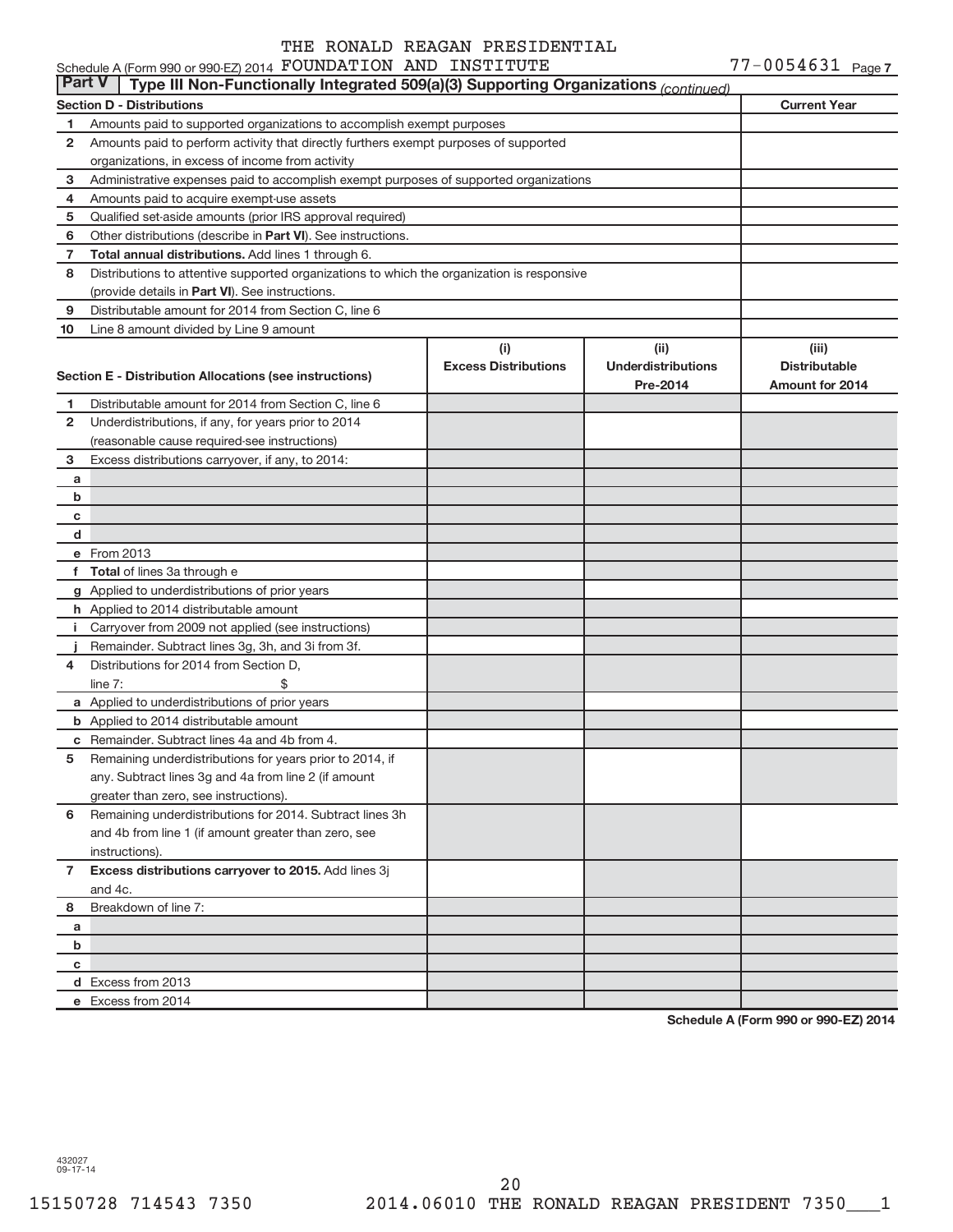#### **Section D - Distributions Current Year 1 2 3 4 5 6 7 8 9 10** Other distributions (describe in Part VI). See instructions. **Total annual distributions.** Add lines 1 through 6. (provide details in Part VI). See instructions. **(i) Excess Distributions (ii) Underdistributions Pre-2014 (iii) Distributable Access Breation E - Distribution Allocations (see instructions)**<br>Pre-2014 Amount for 2014 **1 2 3 4 5 6** Remaining underdistributions for 2014. Subtract lines 3h **7 8** Breakdown of line 7: **a b c d e** From 2013 **f Total**  of lines 3a through e **g** Applied to underdistributions of prior years **h** Applied to 2014 distributable amount **i** Carryover from 2009 not applied (see instructions) **j a** Applied to underdistributions of prior years **b** Applied to 2014 distributable amount **c** Remainder. Subtract lines 4a and 4b from 4. **Excess distributions carryover to 2015.**  Add lines 3j **a b c d** Excess from 2013 **e** Excess from 2014 Schedule A (Form 990 or 990-EZ) 2014  ${\tt FOUNDATION}$   ${\tt AND}$   ${\tt INSTITUTE}$   ${\tt 77-0054631}$   ${\tt Page}$ Amounts paid to supported organizations to accomplish exempt purposes Amounts paid to perform activity that directly furthers exempt purposes of supported organizations, in excess of income from activity Administrative expenses paid to accomplish exempt purposes of supported organizations Amounts paid to acquire exempt-use assets Qualified set-aside amounts (prior IRS approval required) Distributions to attentive supported organizations to which the organization is responsive Distributable amount for 2014 from Section C, line 6 Line 8 amount divided by Line 9 amount Distributable amount for 2014 from Section C, line 6 Underdistributions, if any, for years prior to 2014 (reasonable cause required-see instructions) Excess distributions carryover, if any, to 2014: Remainder. Subtract lines 3g, 3h, and 3i from 3f. Distributions for 2014 from Section D,  $line 7:$   $\$ Remaining underdistributions for years prior to 2014, if any. Subtract lines 3g and 4a from line 2 (if amount greater than zero, see instructions). and 4b from line 1 (if amount greater than zero, see instructions). and 4c. **Part V Type III Non-Functionally Integrated 509(a)(3) Supporting Organizations** *(continued)*

**Schedule A (Form 990 or 990-EZ) 2014**

432027 09-17-14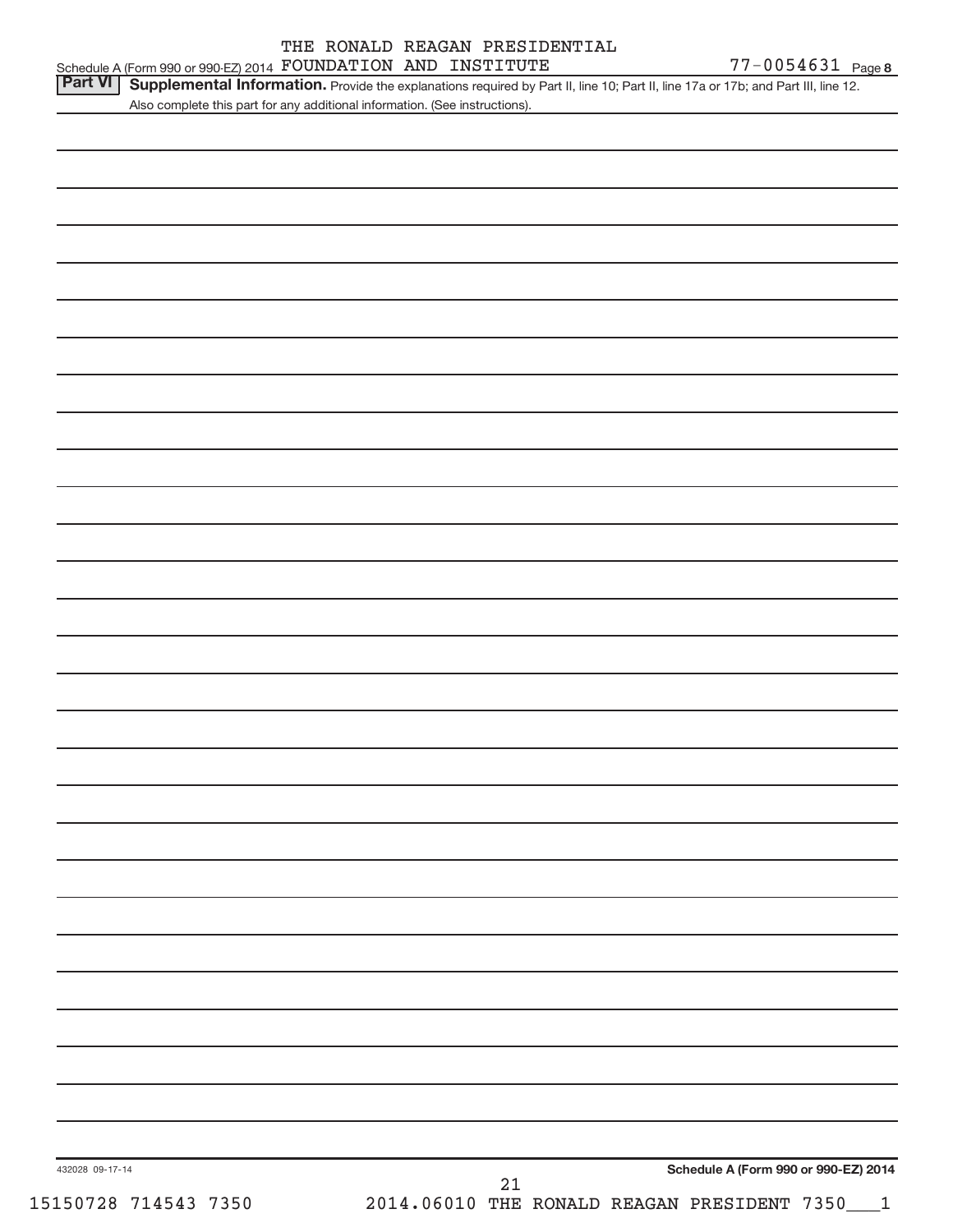|                        |  | THE RONALD REAGAN PRESIDENTIAL |
|------------------------|--|--------------------------------|
| ROUNDATON AND TNOTTTUR |  |                                |

432028 09-17-14 **Schedule A (Form 990 or 990-EZ) 2014** Schedule A (Form 990 or 990-EZ) 2014  ${\bf FOUNDATION}$   ${\bf AND}$   ${\bf INSTITUTE}$   ${\bf 77-0054631}$   ${\bf Page}$ Part VI | Supplemental Information. Provide the explanations required by Part II, line 10; Part II, line 17a or 17b; and Part III, line 12. Also complete this part for any additional information. (See instructions). 15150728 714543 7350 2014.06010 THE RONALD REAGAN PRESIDENT 7350\_\_\_1 21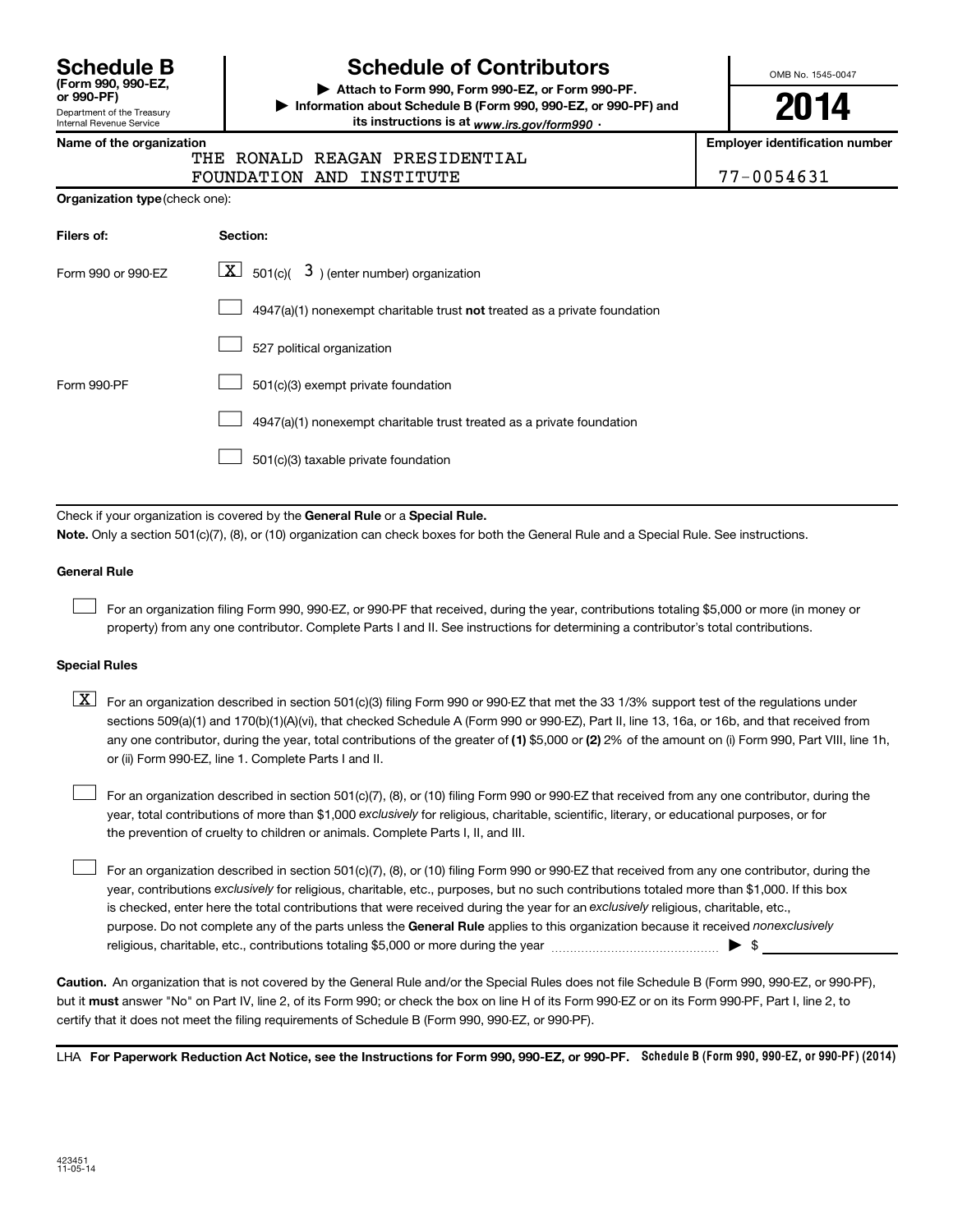| <b>Schedule B</b>                |
|----------------------------------|
| (Form 990, 990-EZ,<br>or 990-PF) |
| Donortmont of the Treasury       |

## Department of the Treasury Internal Revenue Service

# **Schedule of Contributors**

**or 990-PF) | Attach to Form 990, Form 990-EZ, or Form 990-PF. | Information about Schedule B (Form 990, 990-EZ, or 990-PF) and** its instructions is at <sub>www.irs.gov/form990  $\cdot$ </sub>

OMB No. 1545-0047

**2014**

**Name of the organization Employer identification number**

#### THE RONALD REAGAN PRESIDENTIAL FOUNDATION AND INSTITUTE

|  | 77-0054631 |
|--|------------|

| Filers of:         | Section:                                                                  |
|--------------------|---------------------------------------------------------------------------|
| Form 990 or 990-EZ | $\boxed{\textbf{X}}$ 501(c)( 3) (enter number) organization               |
|                    | 4947(a)(1) nonexempt charitable trust not treated as a private foundation |
|                    | 527 political organization                                                |
| Form 990-PF        | 501(c)(3) exempt private foundation                                       |
|                    | 4947(a)(1) nonexempt charitable trust treated as a private foundation     |
|                    | 501(c)(3) taxable private foundation                                      |

Check if your organization is covered by the General Rule or a Special Rule.

**Note.**  Only a section 501(c)(7), (8), or (10) organization can check boxes for both the General Rule and a Special Rule. See instructions.

#### **General Rule**

 $\Box$ 

For an organization filing Form 990, 990-EZ, or 990-PF that received, during the year, contributions totaling \$5,000 or more (in money or property) from any one contributor. Complete Parts I and II. See instructions for determining a contributor's total contributions.

#### **Special Rules**

any one contributor, during the year, total contributions of the greater of **(1)** \$5,000 or **(2)** 2% of the amount on (i) Form 990, Part VIII, line 1h,  $\boxed{\text{X}}$  For an organization described in section 501(c)(3) filing Form 990 or 990-EZ that met the 33 1/3% support test of the regulations under sections 509(a)(1) and 170(b)(1)(A)(vi), that checked Schedule A (Form 990 or 990-EZ), Part II, line 13, 16a, or 16b, and that received from or (ii) Form 990-EZ, line 1. Complete Parts I and II.

year, total contributions of more than \$1,000 *exclusively* for religious, charitable, scientific, literary, or educational purposes, or for For an organization described in section 501(c)(7), (8), or (10) filing Form 990 or 990-EZ that received from any one contributor, during the the prevention of cruelty to children or animals. Complete Parts I, II, and III.  $\Box$ 

purpose. Do not complete any of the parts unless the General Rule applies to this organization because it received nonexclusively year, contributions exclusively for religious, charitable, etc., purposes, but no such contributions totaled more than \$1,000. If this box is checked, enter here the total contributions that were received during the year for an exclusively religious, charitable, etc., For an organization described in section 501(c)(7), (8), or (10) filing Form 990 or 990-EZ that received from any one contributor, during the religious, charitable, etc., contributions totaling \$5,000 or more during the year  $\ldots$  $\ldots$  $\ldots$  $\ldots$  $\ldots$  $\ldots$  $\Box$ 

**Caution.** An organization that is not covered by the General Rule and/or the Special Rules does not file Schedule B (Form 990, 990-EZ, or 990-PF),  **must** but it answer "No" on Part IV, line 2, of its Form 990; or check the box on line H of its Form 990-EZ or on its Form 990-PF, Part I, line 2, to certify that it does not meet the filing requirements of Schedule B (Form 990, 990-EZ, or 990-PF).

LHA For Paperwork Reduction Act Notice, see the Instructions for Form 990, 990-EZ, or 990-PF. Schedule B (Form 990, 990-EZ, or 990-PF) (2014)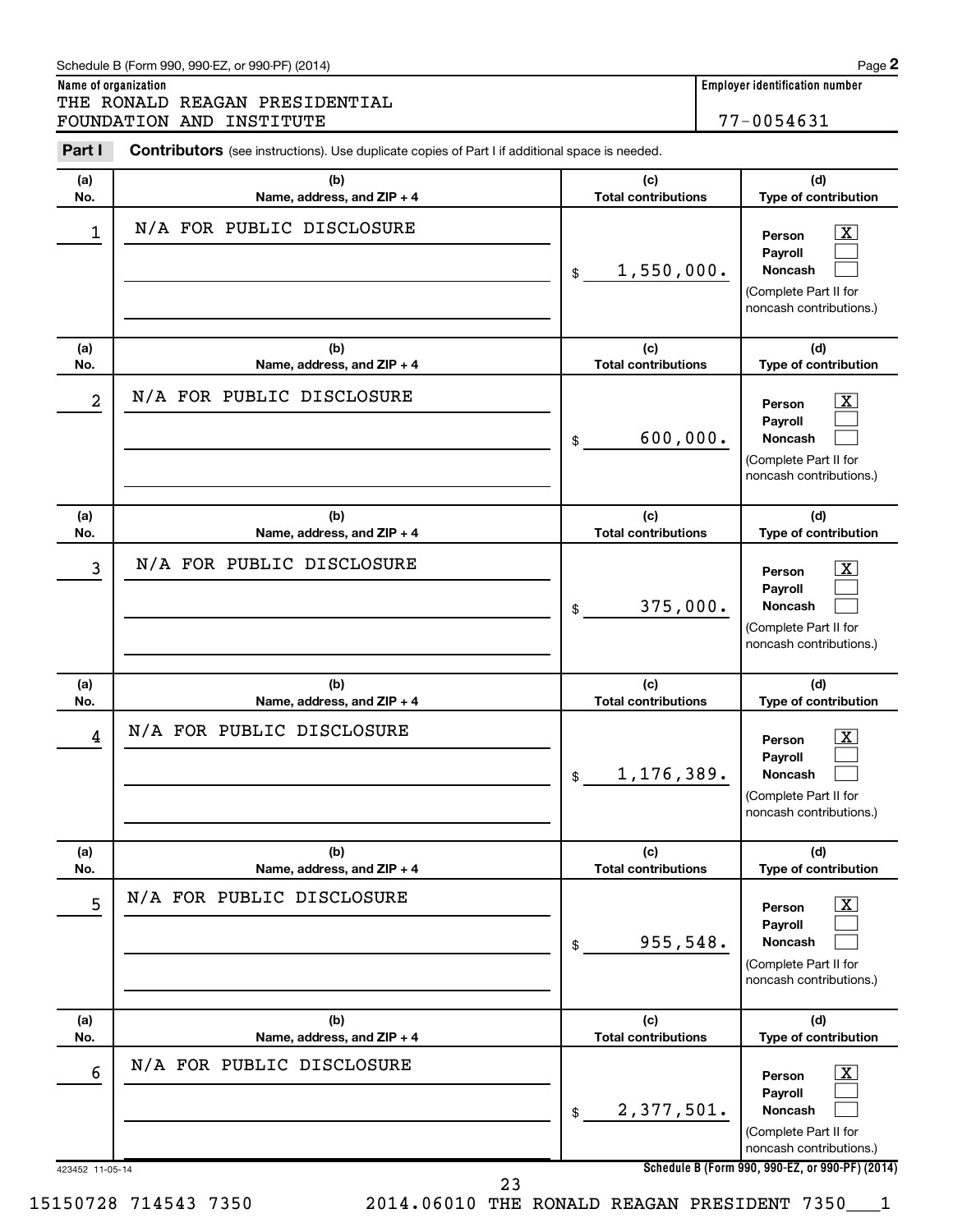| Part I     | Contributors (see instructions). Use duplicate copies of Part I if additional space is needed. |                                   |                                                                                                                    |
|------------|------------------------------------------------------------------------------------------------|-----------------------------------|--------------------------------------------------------------------------------------------------------------------|
| (a)<br>No. | (b)<br>Name, address, and ZIP + 4                                                              | (c)<br><b>Total contributions</b> | (d)<br><b>Type of contribution</b>                                                                                 |
| 1          | N/A FOR PUBLIC DISCLOSURE                                                                      | 1,550,000.<br>\$                  | $\overline{\text{X}}$<br>Person<br><b>Payroll</b><br>Noncash<br>(Complete Part II for<br>noncash contributions.)   |
| (a)<br>No. | (b)<br>Name, address, and ZIP + 4                                                              | (c)<br><b>Total contributions</b> | (d)<br>Type of contribution                                                                                        |
| 2          | N/A FOR PUBLIC DISCLOSURE                                                                      | 600,000.<br>\$                    | $\overline{\mathbf{X}}$<br>Person<br>Payroll<br><b>Noncash</b><br>(Complete Part II for<br>noncash contributions.) |
| (a)<br>No. | (b)<br>Name, address, and ZIP + 4                                                              | (c)<br><b>Total contributions</b> | (d)<br><b>Type of contribution</b>                                                                                 |
| 3          | N/A FOR PUBLIC DISCLOSURE                                                                      | 375,000.<br>\$                    | $\overline{\text{X}}$<br>Person<br>Payroll<br><b>Noncash</b><br>(Complete Part II for<br>noncash contributions.)   |
| (a)<br>No. | (b)<br>Name, address, and ZIP + 4                                                              | (c)<br><b>Total contributions</b> | (d)<br>Type of contribution                                                                                        |
| 4          | N/A FOR PUBLIC DISCLOSURE                                                                      | 1,176,389.<br>\$                  | $\overline{\text{X}}$<br>Person<br>Payroll<br><b>Noncash</b><br>(Complete Part II for<br>noncash contributions.)   |
| (a)<br>No. | (b)<br>Name, address, and ZIP + 4                                                              | (c)<br><b>Total contributions</b> | (d)<br>Type of contribution                                                                                        |
| 5          | N/A FOR PUBLIC DISCLOSURE                                                                      | 955,548.<br>\$                    | $\overline{\mathbf{X}}$<br>Person<br>Payroll<br>Noncash<br>(Complete Part II for<br>noncash contributions.)        |
| (a)<br>No. | (b)<br>Name, address, and ZIP + 4                                                              | (c)<br><b>Total contributions</b> | (d)<br>Type of contribution                                                                                        |
| 6          | N/A FOR PUBLIC DISCLOSURE                                                                      | 2,377,501.<br>\$                  | $\overline{\mathbf{X}}$<br>Person<br>Payroll<br>Noncash<br>(Complete Part II for<br>noncash contributions.)        |

Schedule B (Form 990, 990-EZ, or 990-PF) (2014)

**Name of organization Employer identification number**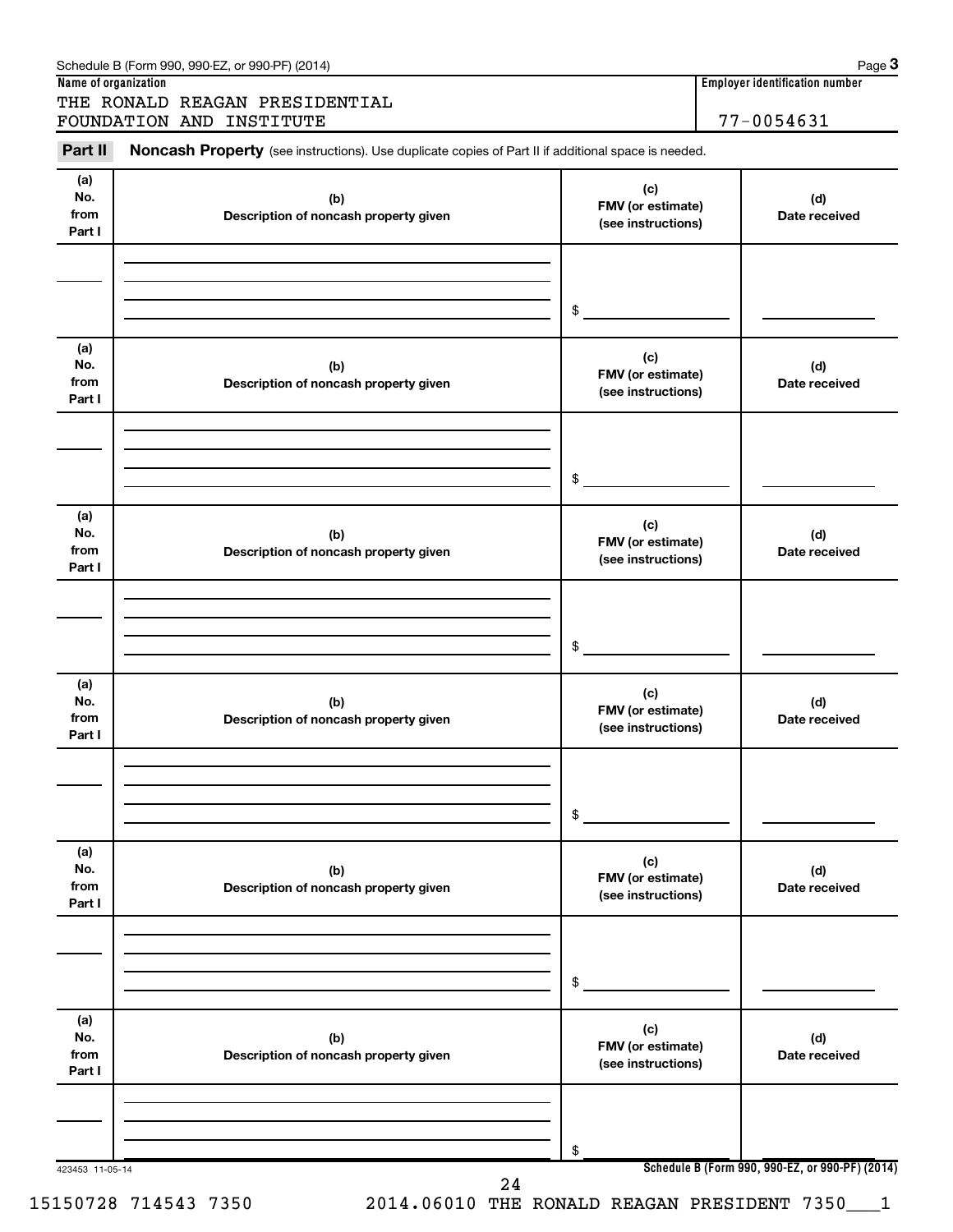| Part II                      | Noncash Property (see instructions). Use duplicate copies of Part II if additional space is needed. |                                                |                      |
|------------------------------|-----------------------------------------------------------------------------------------------------|------------------------------------------------|----------------------|
| (a)<br>No.<br>from<br>Part I | (b)<br>Description of noncash property given                                                        | (c)<br>FMV (or estimate)<br>(see instructions) | (d)<br>Date received |
|                              |                                                                                                     | \$                                             |                      |
| (a)<br>No.<br>from<br>Part I | (b)<br>Description of noncash property given                                                        | (c)<br>FMV (or estimate)<br>(see instructions) | (d)<br>Date received |
|                              |                                                                                                     | \$                                             |                      |
| (a)<br>No.<br>from<br>Part I | (b)<br>Description of noncash property given                                                        | (c)<br>FMV (or estimate)<br>(see instructions) | (d)<br>Date received |
|                              |                                                                                                     | \$                                             |                      |
| (a)<br>No.<br>from<br>Part I | (b)<br>Description of noncash property given                                                        | (c)<br>FMV (or estimate)<br>(see instructions) | (d)<br>Date received |
|                              |                                                                                                     | \$                                             |                      |
| (a)<br>No.<br>from<br>Part I | (b)<br>Description of noncash property given                                                        | (c)<br>FMV (or estimate)<br>(see instructions) | (d)<br>Date received |
|                              |                                                                                                     | \$                                             |                      |
| (a)<br>No.<br>from<br>Part I | (b)<br>Description of noncash property given                                                        | (c)<br>FMV (or estimate)<br>(see instructions) | (d)<br>Date received |
|                              |                                                                                                     | \$                                             |                      |

15150728 714543 7350 2014.06010 THE RONALD REAGAN PRESIDENT 7350\_\_\_1

**Name of organization Employer identification number**

Schedule B (Form 990, 990-EZ, or 990-PF) (2014)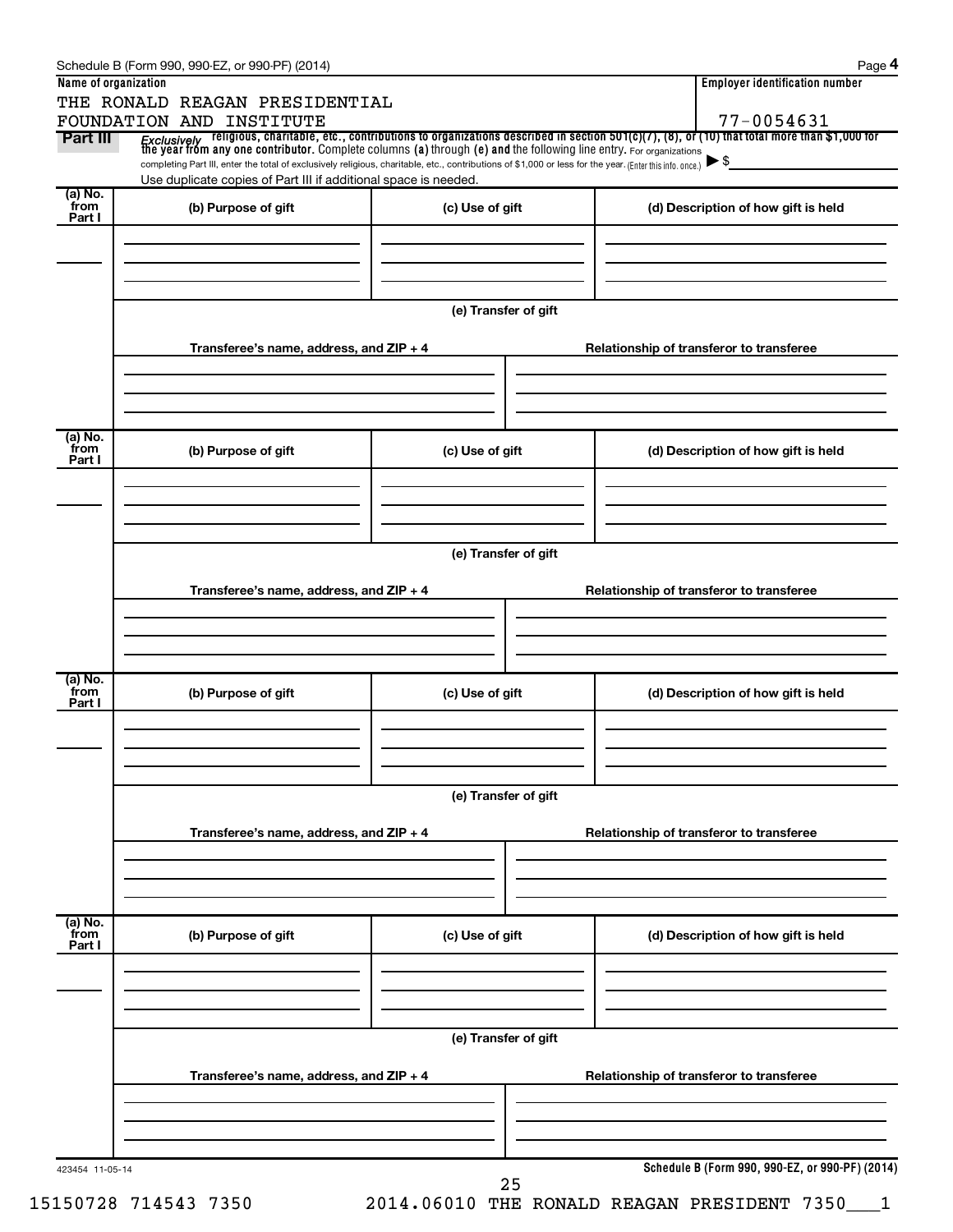| Name of organization      | THE RONALD REAGAN PRESIDENTIAL                                                                                                                                                                                              |                      | <b>Employer identification number</b>                                                                                                                                                                                                   |  |
|---------------------------|-----------------------------------------------------------------------------------------------------------------------------------------------------------------------------------------------------------------------------|----------------------|-----------------------------------------------------------------------------------------------------------------------------------------------------------------------------------------------------------------------------------------|--|
|                           | FOUNDATION AND INSTITUTE                                                                                                                                                                                                    |                      | 77-0054631                                                                                                                                                                                                                              |  |
| Part III                  |                                                                                                                                                                                                                             |                      | <i>Exclusively</i> religious, charitable, etc., contributions to organizations described in section 501(c)(7), (8), or (10) that total more than \$1,000 for<br>the year from any one contributor. Complete columns (a) through (e) and |  |
|                           | completing Part III, enter the total of exclusively religious, charitable, etc., contributions of \$1,000 or less for the year. (Enter this info. once.)<br>Use duplicate copies of Part III if additional space is needed. |                      | $\blacktriangleright$ \$                                                                                                                                                                                                                |  |
| (a) No.<br>`from          |                                                                                                                                                                                                                             |                      |                                                                                                                                                                                                                                         |  |
| Part I                    | (b) Purpose of gift                                                                                                                                                                                                         | (c) Use of gift      | (d) Description of how gift is held                                                                                                                                                                                                     |  |
|                           |                                                                                                                                                                                                                             |                      |                                                                                                                                                                                                                                         |  |
|                           |                                                                                                                                                                                                                             |                      |                                                                                                                                                                                                                                         |  |
|                           |                                                                                                                                                                                                                             |                      |                                                                                                                                                                                                                                         |  |
|                           |                                                                                                                                                                                                                             | (e) Transfer of gift |                                                                                                                                                                                                                                         |  |
|                           | Transferee's name, address, and ZIP + 4                                                                                                                                                                                     |                      | Relationship of transferor to transferee                                                                                                                                                                                                |  |
|                           |                                                                                                                                                                                                                             |                      |                                                                                                                                                                                                                                         |  |
|                           |                                                                                                                                                                                                                             |                      |                                                                                                                                                                                                                                         |  |
| (a) No.                   |                                                                                                                                                                                                                             |                      |                                                                                                                                                                                                                                         |  |
| `from<br>Part I           | (b) Purpose of gift                                                                                                                                                                                                         | (c) Use of gift      | (d) Description of how gift is held                                                                                                                                                                                                     |  |
|                           |                                                                                                                                                                                                                             |                      |                                                                                                                                                                                                                                         |  |
|                           |                                                                                                                                                                                                                             |                      |                                                                                                                                                                                                                                         |  |
|                           |                                                                                                                                                                                                                             | (e) Transfer of gift |                                                                                                                                                                                                                                         |  |
|                           |                                                                                                                                                                                                                             |                      |                                                                                                                                                                                                                                         |  |
|                           | Transferee's name, address, and ZIP + 4                                                                                                                                                                                     |                      | Relationship of transferor to transferee                                                                                                                                                                                                |  |
|                           |                                                                                                                                                                                                                             |                      |                                                                                                                                                                                                                                         |  |
|                           |                                                                                                                                                                                                                             |                      |                                                                                                                                                                                                                                         |  |
| (a) No.<br>from           | (b) Purpose of gift                                                                                                                                                                                                         | (c) Use of gift      | (d) Description of how gift is held                                                                                                                                                                                                     |  |
| Part I                    |                                                                                                                                                                                                                             |                      |                                                                                                                                                                                                                                         |  |
|                           |                                                                                                                                                                                                                             |                      |                                                                                                                                                                                                                                         |  |
|                           |                                                                                                                                                                                                                             |                      |                                                                                                                                                                                                                                         |  |
|                           |                                                                                                                                                                                                                             | (e) Transfer of gift |                                                                                                                                                                                                                                         |  |
|                           | Transferee's name, address, and ZIP + 4                                                                                                                                                                                     |                      | Relationship of transferor to transferee                                                                                                                                                                                                |  |
|                           |                                                                                                                                                                                                                             |                      |                                                                                                                                                                                                                                         |  |
|                           |                                                                                                                                                                                                                             |                      |                                                                                                                                                                                                                                         |  |
|                           |                                                                                                                                                                                                                             |                      |                                                                                                                                                                                                                                         |  |
| (a) No.<br>from<br>Part I | (b) Purpose of gift                                                                                                                                                                                                         | (c) Use of gift      | (d) Description of how gift is held                                                                                                                                                                                                     |  |
|                           |                                                                                                                                                                                                                             |                      |                                                                                                                                                                                                                                         |  |
|                           |                                                                                                                                                                                                                             |                      |                                                                                                                                                                                                                                         |  |
|                           |                                                                                                                                                                                                                             |                      |                                                                                                                                                                                                                                         |  |
|                           |                                                                                                                                                                                                                             | (e) Transfer of gift |                                                                                                                                                                                                                                         |  |
|                           | Transferee's name, address, and ZIP + 4                                                                                                                                                                                     |                      | Relationship of transferor to transferee                                                                                                                                                                                                |  |
|                           |                                                                                                                                                                                                                             |                      |                                                                                                                                                                                                                                         |  |
|                           |                                                                                                                                                                                                                             |                      |                                                                                                                                                                                                                                         |  |
|                           |                                                                                                                                                                                                                             |                      |                                                                                                                                                                                                                                         |  |
| 423454 11-05-14           |                                                                                                                                                                                                                             |                      | Schedule B (Form 990, 990-EZ, or 990-PF) (2014)                                                                                                                                                                                         |  |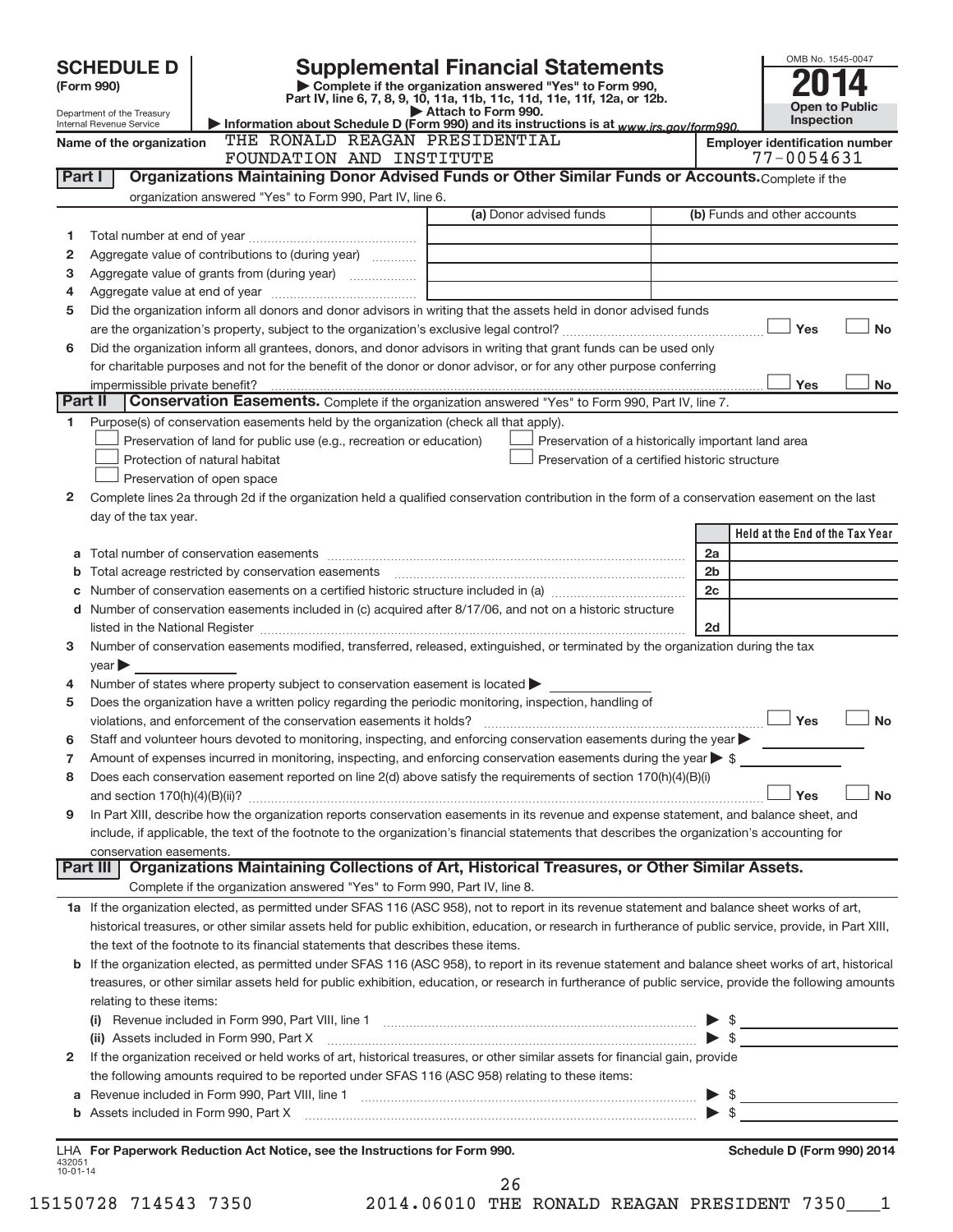| (Form 990)                     |                                                           | Complete if the organization answered "Yes" to Form 990,<br>Part IV, line 6, 7, 8, 9, 10, 11a, 11b, 11c, 11d, 11e, 11f, 12a, or 12b.                                     | <b>Supplemental Financial Statements</b>                                                                             |                |                                                     |
|--------------------------------|-----------------------------------------------------------|--------------------------------------------------------------------------------------------------------------------------------------------------------------------------|----------------------------------------------------------------------------------------------------------------------|----------------|-----------------------------------------------------|
| Department of the Treasury     |                                                           | Attach to Form 990.                                                                                                                                                      |                                                                                                                      |                | <b>Open to Public</b><br>Inspection                 |
| Internal Revenue Service       |                                                           | Information about Schedule D (Form 990) and its instructions is at www.irs.gov/form990.<br>THE RONALD REAGAN PRESIDENTIAL                                                |                                                                                                                      |                |                                                     |
| Name of the organization       |                                                           | FOUNDATION AND INSTITUTE                                                                                                                                                 |                                                                                                                      |                | <b>Employer identification number</b><br>77-0054631 |
| Part I                         |                                                           | Organizations Maintaining Donor Advised Funds or Other Similar Funds or Accounts. Complete if the                                                                        |                                                                                                                      |                |                                                     |
|                                | organization answered "Yes" to Form 990, Part IV, line 6. |                                                                                                                                                                          |                                                                                                                      |                |                                                     |
|                                |                                                           |                                                                                                                                                                          | (a) Donor advised funds                                                                                              |                | (b) Funds and other accounts                        |
| 1                              |                                                           |                                                                                                                                                                          |                                                                                                                      |                |                                                     |
| 2                              | Aggregate value of contributions to (during year)         |                                                                                                                                                                          |                                                                                                                      |                |                                                     |
| з                              |                                                           |                                                                                                                                                                          | <u> 1989 - Johann John Stein, markin fan it ferstjer fan de ferstjer fan it ferstjer fan it ferstjer fan it fers</u> |                |                                                     |
| 4                              |                                                           |                                                                                                                                                                          |                                                                                                                      |                |                                                     |
| 5                              |                                                           | Did the organization inform all donors and donor advisors in writing that the assets held in donor advised funds                                                         |                                                                                                                      |                |                                                     |
|                                |                                                           |                                                                                                                                                                          |                                                                                                                      |                | Yes                                                 |
| 6                              |                                                           | Did the organization inform all grantees, donors, and donor advisors in writing that grant funds can be used only                                                        |                                                                                                                      |                |                                                     |
|                                |                                                           | for charitable purposes and not for the benefit of the donor or donor advisor, or for any other purpose conferring                                                       |                                                                                                                      |                |                                                     |
| impermissible private benefit? |                                                           |                                                                                                                                                                          |                                                                                                                      |                | Yes                                                 |
| Part II                        |                                                           | <b>Conservation Easements.</b> Complete if the organization answered "Yes" to Form 990, Part IV, line 7.                                                                 |                                                                                                                      |                |                                                     |
| 1                              |                                                           | Purpose(s) of conservation easements held by the organization (check all that apply).                                                                                    |                                                                                                                      |                |                                                     |
|                                |                                                           | Preservation of land for public use (e.g., recreation or education)                                                                                                      | Preservation of a historically important land area                                                                   |                |                                                     |
|                                | Protection of natural habitat                             |                                                                                                                                                                          | Preservation of a certified historic structure                                                                       |                |                                                     |
|                                | Preservation of open space                                |                                                                                                                                                                          |                                                                                                                      |                |                                                     |
| 2                              |                                                           | Complete lines 2a through 2d if the organization held a qualified conservation contribution in the form of a conservation easement on the last                           |                                                                                                                      |                |                                                     |
| day of the tax year.           |                                                           |                                                                                                                                                                          |                                                                                                                      |                |                                                     |
|                                |                                                           |                                                                                                                                                                          |                                                                                                                      |                | Held at the End of the Tax Year                     |
| а                              |                                                           |                                                                                                                                                                          |                                                                                                                      | 2a             |                                                     |
| b                              |                                                           |                                                                                                                                                                          |                                                                                                                      | 2 <sub>b</sub> |                                                     |
| С                              |                                                           |                                                                                                                                                                          |                                                                                                                      | 2c             |                                                     |
| d                              |                                                           | Number of conservation easements included in (c) acquired after 8/17/06, and not on a historic structure                                                                 |                                                                                                                      |                |                                                     |
|                                |                                                           |                                                                                                                                                                          |                                                                                                                      | 2d             |                                                     |
| 3                              |                                                           | Number of conservation easements modified, transferred, released, extinguished, or terminated by the organization during the tax                                         |                                                                                                                      |                |                                                     |
| $year \triangleright$          |                                                           |                                                                                                                                                                          |                                                                                                                      |                |                                                     |
| 4                              |                                                           | Number of states where property subject to conservation easement is located                                                                                              |                                                                                                                      |                |                                                     |
| 5                              |                                                           | Does the organization have a written policy regarding the periodic monitoring, inspection, handling of                                                                   |                                                                                                                      |                |                                                     |
|                                |                                                           |                                                                                                                                                                          |                                                                                                                      |                | Yes                                                 |
|                                |                                                           | Staff and volunteer hours devoted to monitoring, inspecting, and enforcing conservation easements during the year                                                        |                                                                                                                      |                |                                                     |
| 7                              |                                                           | Amount of expenses incurred in monitoring, inspecting, and enforcing conservation easements during the year $\triangleright$ \$                                          |                                                                                                                      |                |                                                     |
| 8                              |                                                           | Does each conservation easement reported on line 2(d) above satisfy the requirements of section 170(h)(4)(B)(i)                                                          |                                                                                                                      |                |                                                     |
|                                |                                                           |                                                                                                                                                                          |                                                                                                                      |                | Yes                                                 |
| 9                              |                                                           | In Part XIII, describe how the organization reports conservation easements in its revenue and expense statement, and balance sheet, and                                  |                                                                                                                      |                |                                                     |
|                                |                                                           | include, if applicable, the text of the footnote to the organization's financial statements that describes the organization's accounting for                             |                                                                                                                      |                |                                                     |
| conservation easements.        |                                                           |                                                                                                                                                                          |                                                                                                                      |                |                                                     |
|                                |                                                           | Part III   Organizations Maintaining Collections of Art, Historical Treasures, or Other Similar Assets.                                                                  |                                                                                                                      |                |                                                     |
|                                |                                                           | Complete if the organization answered "Yes" to Form 990, Part IV, line 8.                                                                                                |                                                                                                                      |                |                                                     |
|                                |                                                           | 1a If the organization elected, as permitted under SFAS 116 (ASC 958), not to report in its revenue statement and balance sheet works of art,                            |                                                                                                                      |                |                                                     |
|                                |                                                           | historical treasures, or other similar assets held for public exhibition, education, or research in furtherance of public service, provide, in Part XIII,                |                                                                                                                      |                |                                                     |
|                                |                                                           | the text of the footnote to its financial statements that describes these items.                                                                                         |                                                                                                                      |                |                                                     |
|                                |                                                           | b If the organization elected, as permitted under SFAS 116 (ASC 958), to report in its revenue statement and balance sheet works of art, historical                      |                                                                                                                      |                |                                                     |
|                                |                                                           | treasures, or other similar assets held for public exhibition, education, or research in furtherance of public service, provide the following amounts                    |                                                                                                                      |                |                                                     |
| relating to these items:       |                                                           |                                                                                                                                                                          |                                                                                                                      |                |                                                     |
|                                |                                                           | (i) Revenue included in Form 990, Part VIII, line 1 $\ldots$ $\ldots$ $\ldots$ $\ldots$ $\ldots$ $\ldots$ $\ldots$ $\ldots$ $\ldots$ $\ldots$ $\ldots$ $\ldots$ $\ldots$ |                                                                                                                      |                |                                                     |
|                                |                                                           |                                                                                                                                                                          |                                                                                                                      |                |                                                     |
| 2                              |                                                           | If the organization received or held works of art, historical treasures, or other similar assets for financial gain, provide                                             |                                                                                                                      |                |                                                     |
|                                |                                                           | the following amounts required to be reported under SFAS 116 (ASC 958) relating to these items:                                                                          |                                                                                                                      |                |                                                     |
| а                              |                                                           |                                                                                                                                                                          |                                                                                                                      |                |                                                     |
|                                |                                                           |                                                                                                                                                                          |                                                                                                                      |                |                                                     |
|                                |                                                           | LHA For Paperwork Reduction Act Notice, see the Instructions for Form 990.                                                                                               |                                                                                                                      |                | Schedule D (Form 990) 2014                          |
|                                |                                                           |                                                                                                                                                                          |                                                                                                                      |                |                                                     |
| 432051<br>$10 - 01 - 14$       |                                                           |                                                                                                                                                                          |                                                                                                                      |                |                                                     |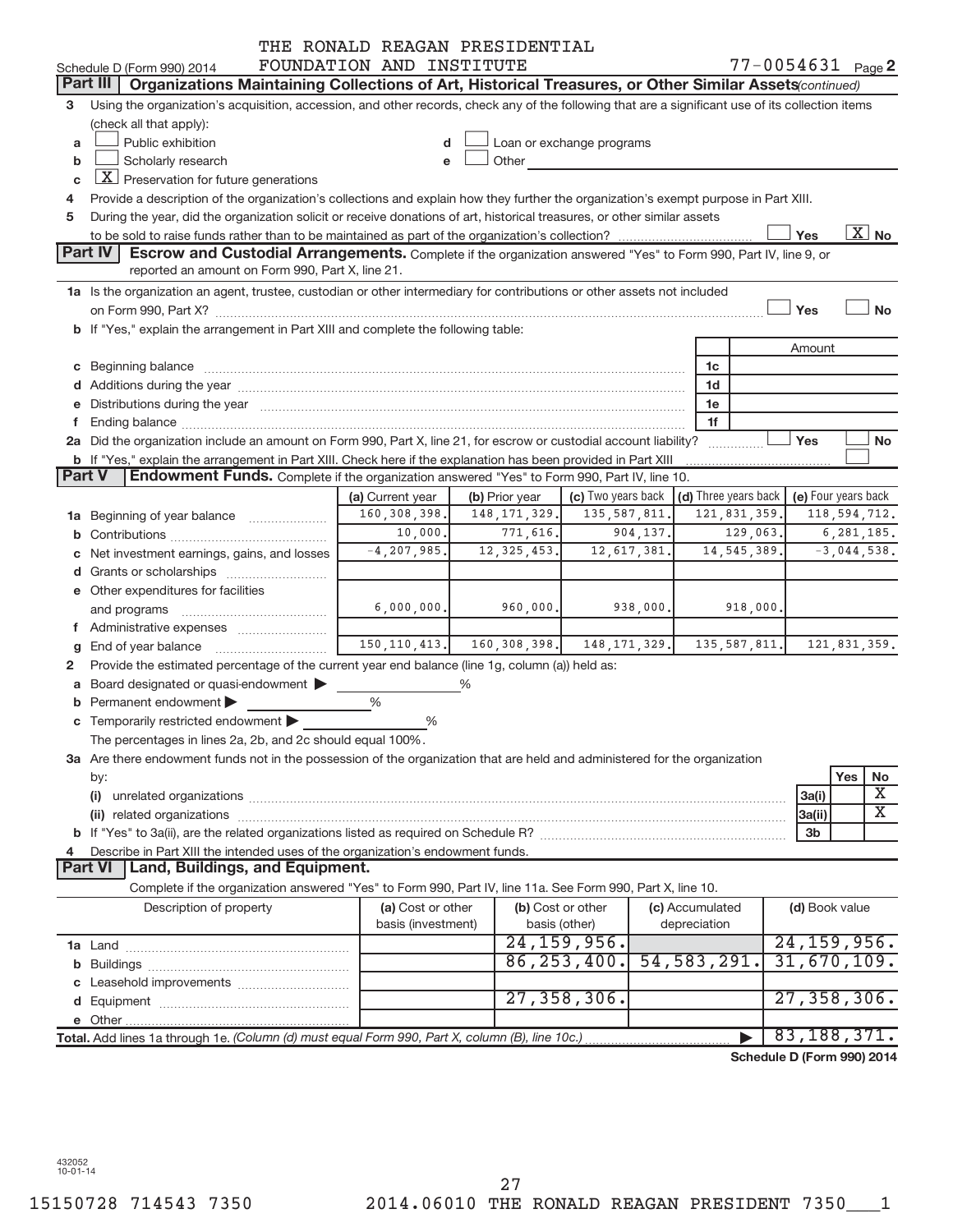|        |                                                                                                                                                                                                                                | THE RONALD REAGAN PRESIDENTIAL          |                                                  |                                                                                                                                                                                                                                |              |                      |          |                |                       |  |  |  |
|--------|--------------------------------------------------------------------------------------------------------------------------------------------------------------------------------------------------------------------------------|-----------------------------------------|--------------------------------------------------|--------------------------------------------------------------------------------------------------------------------------------------------------------------------------------------------------------------------------------|--------------|----------------------|----------|----------------|-----------------------|--|--|--|
|        | Schedule D (Form 990) 2014                                                                                                                                                                                                     | FOUNDATION AND INSTITUTE                |                                                  |                                                                                                                                                                                                                                |              |                      |          |                | $77 - 0054631$ Page 2 |  |  |  |
|        | Part III<br>Organizations Maintaining Collections of Art, Historical Treasures, or Other Similar Assets (continued)                                                                                                            |                                         |                                                  |                                                                                                                                                                                                                                |              |                      |          |                |                       |  |  |  |
| 3      | Using the organization's acquisition, accession, and other records, check any of the following that are a significant use of its collection items                                                                              |                                         |                                                  |                                                                                                                                                                                                                                |              |                      |          |                |                       |  |  |  |
|        | (check all that apply):                                                                                                                                                                                                        |                                         |                                                  |                                                                                                                                                                                                                                |              |                      |          |                |                       |  |  |  |
| a      | Public exhibition                                                                                                                                                                                                              | d                                       |                                                  | Loan or exchange programs                                                                                                                                                                                                      |              |                      |          |                |                       |  |  |  |
| b      | Scholarly research                                                                                                                                                                                                             | e                                       |                                                  | Other and the control of the control of the control of the control of the control of the control of the control of the control of the control of the control of the control of the control of the control of the control of th |              |                      |          |                |                       |  |  |  |
| c      | $ \underline{X} $ Preservation for future generations                                                                                                                                                                          |                                         |                                                  |                                                                                                                                                                                                                                |              |                      |          |                |                       |  |  |  |
| 4      | Provide a description of the organization's collections and explain how they further the organization's exempt purpose in Part XIII.                                                                                           |                                         |                                                  |                                                                                                                                                                                                                                |              |                      |          |                |                       |  |  |  |
| 5      | During the year, did the organization solicit or receive donations of art, historical treasures, or other similar assets                                                                                                       |                                         |                                                  |                                                                                                                                                                                                                                |              |                      |          |                |                       |  |  |  |
|        |                                                                                                                                                                                                                                |                                         |                                                  |                                                                                                                                                                                                                                |              |                      |          | Yes            | $\overline{X}$ No     |  |  |  |
|        | <b>Part IV</b><br><b>Escrow and Custodial Arrangements.</b> Complete if the organization answered "Yes" to Form 990, Part IV, line 9, or                                                                                       |                                         |                                                  |                                                                                                                                                                                                                                |              |                      |          |                |                       |  |  |  |
|        | reported an amount on Form 990, Part X, line 21.                                                                                                                                                                               |                                         |                                                  |                                                                                                                                                                                                                                |              |                      |          |                |                       |  |  |  |
|        | 1a Is the organization an agent, trustee, custodian or other intermediary for contributions or other assets not included                                                                                                       |                                         |                                                  |                                                                                                                                                                                                                                |              |                      |          |                |                       |  |  |  |
|        |                                                                                                                                                                                                                                |                                         |                                                  |                                                                                                                                                                                                                                |              |                      |          | Yes            | <b>No</b>             |  |  |  |
|        | b If "Yes," explain the arrangement in Part XIII and complete the following table:                                                                                                                                             |                                         |                                                  |                                                                                                                                                                                                                                |              |                      |          |                |                       |  |  |  |
|        |                                                                                                                                                                                                                                |                                         |                                                  |                                                                                                                                                                                                                                |              |                      |          | Amount         |                       |  |  |  |
|        |                                                                                                                                                                                                                                |                                         |                                                  |                                                                                                                                                                                                                                |              | 1c                   |          |                |                       |  |  |  |
|        | d Additions during the year manufactured and an account of the year manufactured and account of the year manufactured and account of the year manufactured and account of the year manufactured and account of the year manufa |                                         |                                                  |                                                                                                                                                                                                                                |              | 1d                   |          |                |                       |  |  |  |
|        | e Distributions during the year manufactured and continuum and contract to the year manufactured and contract to the year manufactured and contract to the year manufactured and contract to the year manufactured and contrac |                                         |                                                  |                                                                                                                                                                                                                                |              | 1e                   |          |                |                       |  |  |  |
| f.     |                                                                                                                                                                                                                                |                                         |                                                  |                                                                                                                                                                                                                                |              | 1f                   |          |                |                       |  |  |  |
|        | 2a Did the organization include an amount on Form 990, Part X, line 21, for escrow or custodial account liability?                                                                                                             |                                         |                                                  |                                                                                                                                                                                                                                |              | .                    |          | Yes            | No                    |  |  |  |
|        | <b>b</b> If "Yes," explain the arrangement in Part XIII. Check here if the explanation has been provided in Part XIII                                                                                                          |                                         |                                                  |                                                                                                                                                                                                                                |              |                      |          |                |                       |  |  |  |
| Part V | Endowment Funds. Complete if the organization answered "Yes" to Form 990, Part IV, line 10.                                                                                                                                    |                                         |                                                  |                                                                                                                                                                                                                                |              |                      |          |                |                       |  |  |  |
|        |                                                                                                                                                                                                                                | (a) Current year                        | (b) Prior year                                   | (c) Two years back                                                                                                                                                                                                             |              | (d) Three years back |          |                | (e) Four years back   |  |  |  |
|        | 1a Beginning of year balance                                                                                                                                                                                                   | 160, 308, 398.                          | 148, 171, 329.                                   | 135, 587, 811                                                                                                                                                                                                                  |              | 121,831,359.         |          |                | 118, 594, 712.        |  |  |  |
|        |                                                                                                                                                                                                                                | 10,000.                                 | 771,616.                                         | 904,137.                                                                                                                                                                                                                       |              |                      | 129,063. |                | 6,281,185.            |  |  |  |
|        | c Net investment earnings, gains, and losses                                                                                                                                                                                   | $-4, 207, 985.$                         | 12, 325, 453.                                    | 12,617,381.                                                                                                                                                                                                                    |              | 14, 545, 389.        |          |                | $-3,044,538.$         |  |  |  |
|        |                                                                                                                                                                                                                                |                                         |                                                  |                                                                                                                                                                                                                                |              |                      |          |                |                       |  |  |  |
|        | e Other expenditures for facilities                                                                                                                                                                                            |                                         |                                                  |                                                                                                                                                                                                                                |              |                      |          |                |                       |  |  |  |
|        | and programs                                                                                                                                                                                                                   | 6,000,000.                              | 960,000.                                         | 938,000.                                                                                                                                                                                                                       |              |                      | 918,000. |                |                       |  |  |  |
|        | f Administrative expenses                                                                                                                                                                                                      |                                         |                                                  |                                                                                                                                                                                                                                |              |                      |          |                |                       |  |  |  |
| g      |                                                                                                                                                                                                                                |                                         | 150, 110, 413.   160, 308, 398.   148, 171, 329. |                                                                                                                                                                                                                                |              | 135,587,811.         |          |                | 121,831,359.          |  |  |  |
| 2      | Provide the estimated percentage of the current year end balance (line 1g, column (a)) held as:                                                                                                                                |                                         |                                                  |                                                                                                                                                                                                                                |              |                      |          |                |                       |  |  |  |
|        | a Board designated or quasi-endowment >                                                                                                                                                                                        |                                         | ℅                                                |                                                                                                                                                                                                                                |              |                      |          |                |                       |  |  |  |
| b      | Permanent endowment                                                                                                                                                                                                            | %                                       |                                                  |                                                                                                                                                                                                                                |              |                      |          |                |                       |  |  |  |
|        | c Temporarily restricted endowment                                                                                                                                                                                             | %                                       |                                                  |                                                                                                                                                                                                                                |              |                      |          |                |                       |  |  |  |
|        | The percentages in lines 2a, 2b, and 2c should equal 100%.                                                                                                                                                                     |                                         |                                                  |                                                                                                                                                                                                                                |              |                      |          |                |                       |  |  |  |
|        | 3a Are there endowment funds not in the possession of the organization that are held and administered for the organization                                                                                                     |                                         |                                                  |                                                                                                                                                                                                                                |              |                      |          |                |                       |  |  |  |
|        | by:                                                                                                                                                                                                                            |                                         |                                                  |                                                                                                                                                                                                                                |              |                      |          |                | Yes<br>No             |  |  |  |
|        | (i)                                                                                                                                                                                                                            |                                         |                                                  |                                                                                                                                                                                                                                |              |                      |          | 3a(i)          | Χ                     |  |  |  |
|        |                                                                                                                                                                                                                                |                                         |                                                  |                                                                                                                                                                                                                                |              |                      |          | 3a(ii)         | $\overline{\text{X}}$ |  |  |  |
|        |                                                                                                                                                                                                                                |                                         |                                                  |                                                                                                                                                                                                                                |              |                      |          | 3 <sub>b</sub> |                       |  |  |  |
| 4      | Describe in Part XIII the intended uses of the organization's endowment funds.                                                                                                                                                 |                                         |                                                  |                                                                                                                                                                                                                                |              |                      |          |                |                       |  |  |  |
|        | Part VI   Land, Buildings, and Equipment.                                                                                                                                                                                      |                                         |                                                  |                                                                                                                                                                                                                                |              |                      |          |                |                       |  |  |  |
|        | Complete if the organization answered "Yes" to Form 990, Part IV, line 11a. See Form 990, Part X, line 10.                                                                                                                     |                                         |                                                  |                                                                                                                                                                                                                                |              |                      |          |                |                       |  |  |  |
|        | Description of property                                                                                                                                                                                                        | (a) Cost or other<br>basis (investment) |                                                  | (b) Cost or other<br>basis (other)                                                                                                                                                                                             | depreciation | (c) Accumulated      |          | (d) Book value |                       |  |  |  |
|        |                                                                                                                                                                                                                                |                                         |                                                  | 24, 159, 956.                                                                                                                                                                                                                  |              |                      |          |                | 24, 159, 956.         |  |  |  |
|        |                                                                                                                                                                                                                                |                                         |                                                  | 86, 253, 400.                                                                                                                                                                                                                  |              | 54, 583, 291.        |          | 31,670,109.    |                       |  |  |  |
|        |                                                                                                                                                                                                                                |                                         |                                                  |                                                                                                                                                                                                                                |              |                      |          |                |                       |  |  |  |
|        |                                                                                                                                                                                                                                |                                         |                                                  | 27, 358, 306.                                                                                                                                                                                                                  |              |                      |          | 27, 358, 306.  |                       |  |  |  |
|        |                                                                                                                                                                                                                                |                                         |                                                  |                                                                                                                                                                                                                                |              |                      |          |                |                       |  |  |  |
|        |                                                                                                                                                                                                                                |                                         |                                                  |                                                                                                                                                                                                                                |              |                      |          | 83, 188, 371.  |                       |  |  |  |
|        | Total. Add lines 1a through 1e. (Column (d) must equal Form 990, Part X, column (B), line 10c.)                                                                                                                                |                                         |                                                  |                                                                                                                                                                                                                                |              |                      |          |                |                       |  |  |  |

**Schedule D (Form 990) 2014**

432052 10-01-14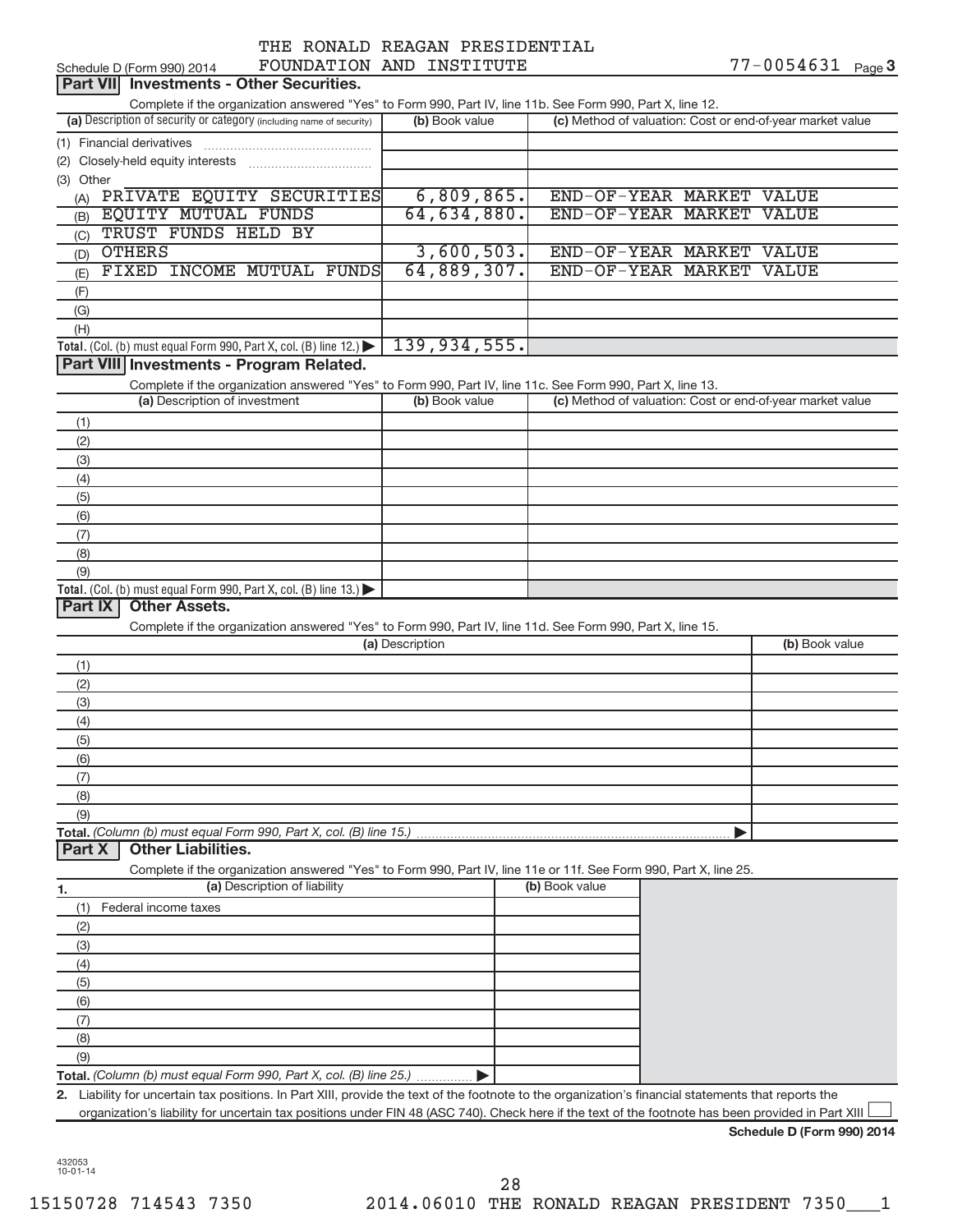|                                 | THE RONALD REAGAN PRESIDENTIAL |
|---------------------------------|--------------------------------|
| <b>DAILLERTAL SID THORTHING</b> |                                |

| FOUNDATION AND INSTITUTE<br>Schedule D (Form 990) 2014                                                                                               |                 |                |                                                           |  | 77-0054631     | Page 3 |
|------------------------------------------------------------------------------------------------------------------------------------------------------|-----------------|----------------|-----------------------------------------------------------|--|----------------|--------|
| <b>Investments - Other Securities.</b><br><b>Part VIII</b>                                                                                           |                 |                |                                                           |  |                |        |
| Complete if the organization answered "Yes" to Form 990, Part IV, line 11b. See Form 990, Part X, line 12.                                           |                 |                |                                                           |  |                |        |
| (a) Description of security or category (including name of security)                                                                                 |                 | (b) Book value | (c) Method of valuation: Cost or end-of-year market value |  |                |        |
| (1) Financial derivatives                                                                                                                            |                 |                |                                                           |  |                |        |
|                                                                                                                                                      |                 |                |                                                           |  |                |        |
| (3) Other                                                                                                                                            |                 |                |                                                           |  |                |        |
| (A) PRIVATE EQUITY SECURITIES                                                                                                                        |                 | 6,809,865.     | END-OF-YEAR MARKET VALUE                                  |  |                |        |
| <b>EQUITY MUTUAL FUNDS</b><br>(B)                                                                                                                    |                 | 64,634,880.    | END-OF-YEAR MARKET VALUE                                  |  |                |        |
| TRUST FUNDS HELD BY<br>(C)                                                                                                                           |                 |                |                                                           |  |                |        |
| <b>OTHERS</b><br>(D)                                                                                                                                 |                 | 3,600,503.     | END-OF-YEAR MARKET VALUE                                  |  |                |        |
| FIXED INCOME MUTUAL FUNDS<br>(E)                                                                                                                     |                 | 64,889,307.    | END-OF-YEAR MARKET VALUE                                  |  |                |        |
| (F)                                                                                                                                                  |                 |                |                                                           |  |                |        |
| (G)                                                                                                                                                  |                 |                |                                                           |  |                |        |
| (H)                                                                                                                                                  |                 |                |                                                           |  |                |        |
| Total. (Col. (b) must equal Form 990, Part X, col. (B) line 12.)                                                                                     |                 | 139, 934, 555. |                                                           |  |                |        |
| Part VIII Investments - Program Related.                                                                                                             |                 |                |                                                           |  |                |        |
|                                                                                                                                                      |                 |                |                                                           |  |                |        |
| Complete if the organization answered "Yes" to Form 990, Part IV, line 11c. See Form 990, Part X, line 13.                                           |                 |                |                                                           |  |                |        |
| (a) Description of investment                                                                                                                        |                 | (b) Book value | (c) Method of valuation: Cost or end-of-year market value |  |                |        |
| (1)                                                                                                                                                  |                 |                |                                                           |  |                |        |
| (2)                                                                                                                                                  |                 |                |                                                           |  |                |        |
| (3)                                                                                                                                                  |                 |                |                                                           |  |                |        |
| (4)                                                                                                                                                  |                 |                |                                                           |  |                |        |
| (5)                                                                                                                                                  |                 |                |                                                           |  |                |        |
| (6)                                                                                                                                                  |                 |                |                                                           |  |                |        |
| (7)                                                                                                                                                  |                 |                |                                                           |  |                |        |
| (8)                                                                                                                                                  |                 |                |                                                           |  |                |        |
|                                                                                                                                                      |                 |                |                                                           |  |                |        |
| (9)                                                                                                                                                  |                 |                |                                                           |  |                |        |
| Total. (Col. (b) must equal Form 990, Part X, col. (B) line 13.)                                                                                     |                 |                |                                                           |  |                |        |
| Part IX<br><b>Other Assets.</b>                                                                                                                      |                 |                |                                                           |  |                |        |
| Complete if the organization answered "Yes" to Form 990, Part IV, line 11d. See Form 990, Part X, line 15.                                           |                 |                |                                                           |  |                |        |
|                                                                                                                                                      | (a) Description |                |                                                           |  | (b) Book value |        |
|                                                                                                                                                      |                 |                |                                                           |  |                |        |
| (1)                                                                                                                                                  |                 |                |                                                           |  |                |        |
| (2)                                                                                                                                                  |                 |                |                                                           |  |                |        |
| (3)                                                                                                                                                  |                 |                |                                                           |  |                |        |
| (4)                                                                                                                                                  |                 |                |                                                           |  |                |        |
| (5)                                                                                                                                                  |                 |                |                                                           |  |                |        |
| (6)                                                                                                                                                  |                 |                |                                                           |  |                |        |
| (7)                                                                                                                                                  |                 |                |                                                           |  |                |        |
| (8)                                                                                                                                                  |                 |                |                                                           |  |                |        |
| (9)                                                                                                                                                  |                 |                |                                                           |  |                |        |
| Total. (Column (b) must equal Form 990, Part X, col. (B) line 15.)                                                                                   |                 |                |                                                           |  |                |        |
| <b>Other Liabilities.</b><br>Part X                                                                                                                  |                 |                |                                                           |  |                |        |
| Complete if the organization answered "Yes" to Form 990, Part IV, line 11e or 11f. See Form 990, Part X, line 25.                                    |                 |                |                                                           |  |                |        |
| (a) Description of liability<br>1.                                                                                                                   |                 |                | (b) Book value                                            |  |                |        |
| Federal income taxes<br>(1)                                                                                                                          |                 |                |                                                           |  |                |        |
| (2)                                                                                                                                                  |                 |                |                                                           |  |                |        |
| (3)                                                                                                                                                  |                 |                |                                                           |  |                |        |
| (4)                                                                                                                                                  |                 |                |                                                           |  |                |        |
| (5)                                                                                                                                                  |                 |                |                                                           |  |                |        |
| (6)                                                                                                                                                  |                 |                |                                                           |  |                |        |
| (7)                                                                                                                                                  |                 |                |                                                           |  |                |        |
| (8)                                                                                                                                                  |                 |                |                                                           |  |                |        |
| (9)                                                                                                                                                  |                 |                |                                                           |  |                |        |
| Total. (Column (b) must equal Form 990, Part X, col. (B) line 25.)                                                                                   |                 |                |                                                           |  |                |        |
| 2. Liability for uncertain tax positions. In Part XIII, provide the text of the footnote to the organization's financial statements that reports the |                 |                |                                                           |  |                |        |

**Schedule D (Form 990) 2014**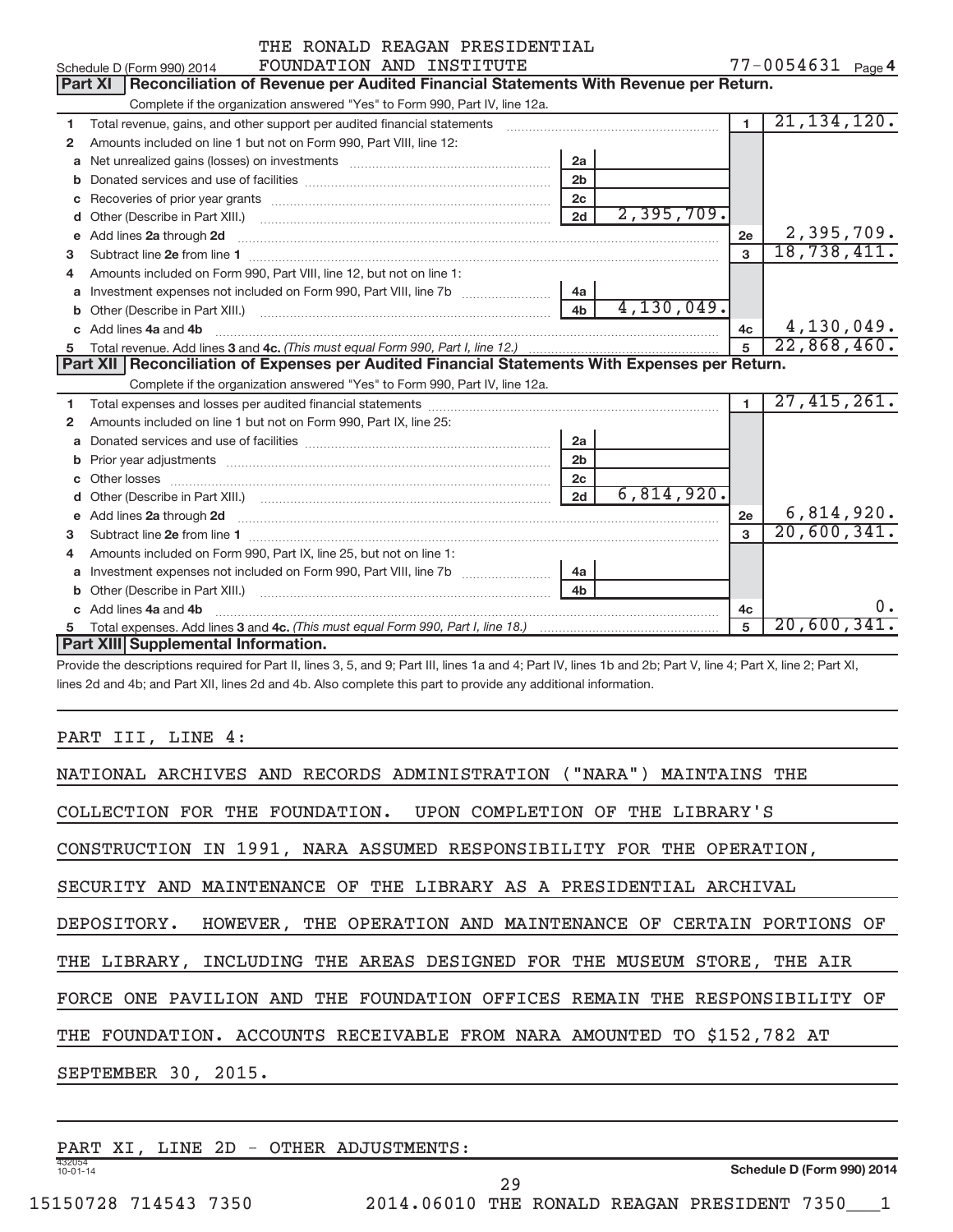|              | THE RONALD REAGAN PRESIDENTIAL                                                                                                                                                                                                 |                |                   |                |               |  |
|--------------|--------------------------------------------------------------------------------------------------------------------------------------------------------------------------------------------------------------------------------|----------------|-------------------|----------------|---------------|--|
|              | FOUNDATION AND INSTITUTE<br>Schedule D (Form 990) 2014                                                                                                                                                                         |                | 77-0054631 Page 4 |                |               |  |
|              | Reconciliation of Revenue per Audited Financial Statements With Revenue per Return.<br><b>Part XI</b>                                                                                                                          |                |                   |                |               |  |
|              | Complete if the organization answered "Yes" to Form 990, Part IV, line 12a.                                                                                                                                                    |                |                   |                |               |  |
| 1            | Total revenue, gains, and other support per audited financial statements [11] [11] Total revenue, gains, and other support per audited financial statements                                                                    |                |                   | $\overline{1}$ | 21, 134, 120. |  |
| 2            | Amounts included on line 1 but not on Form 990, Part VIII, line 12:                                                                                                                                                            |                |                   |                |               |  |
| a            | Net unrealized gains (losses) on investments [111] [12] matter contracts and a local metal of the university of                                                                                                                | 2a             |                   |                |               |  |
|              |                                                                                                                                                                                                                                | 2 <sub>b</sub> |                   |                |               |  |
| c            |                                                                                                                                                                                                                                | 2 <sub>c</sub> |                   |                |               |  |
|              |                                                                                                                                                                                                                                | 2d             | 2,395,709.        |                |               |  |
| е            | Add lines 2a through 2d                                                                                                                                                                                                        |                |                   | 2e             | 2,395,709.    |  |
| 3            |                                                                                                                                                                                                                                |                |                   | 3              | 18,738,411.   |  |
| 4            | Amounts included on Form 990, Part VIII, line 12, but not on line 1:                                                                                                                                                           |                |                   |                |               |  |
|              | a Investment expenses not included on Form 990, Part VIII, line 7b [11, 11, 11, 11]                                                                                                                                            | 4a             |                   |                |               |  |
|              |                                                                                                                                                                                                                                | 4 <sub>h</sub> | 4, 130, 049.      |                |               |  |
|              | c Add lines 4a and 4b                                                                                                                                                                                                          |                |                   | 4c             | 4,130,049.    |  |
| 5            |                                                                                                                                                                                                                                |                |                   |                | 22,868,460.   |  |
|              | Part XII   Reconciliation of Expenses per Audited Financial Statements With Expenses per Return.                                                                                                                               |                |                   |                |               |  |
|              | Complete if the organization answered "Yes" to Form 990, Part IV, line 12a.                                                                                                                                                    |                |                   |                |               |  |
| 1            |                                                                                                                                                                                                                                |                |                   | $\blacksquare$ | 27,415,261.   |  |
| 2            | Amounts included on line 1 but not on Form 990, Part IX, line 25:                                                                                                                                                              |                |                   |                |               |  |
| a            | Donated services and use of facilities [111] matter contracts and use of facilities [11] matter contracts and use of facilities [11] matter contracts and use of facilities [11] matter contracts and the Donated Services and | 2a             |                   |                |               |  |
| b            |                                                                                                                                                                                                                                | 2 <sub>b</sub> |                   |                |               |  |
| c.           |                                                                                                                                                                                                                                | 2c             |                   |                |               |  |
|              |                                                                                                                                                                                                                                | 2d             | 6,814,920.        |                |               |  |
| $\mathbf{e}$ | Add lines 2a through 2d <b>contained a contained a contained a contained a</b> contained a contained a contact the set                                                                                                         |                |                   | 2e             | 6,814,920.    |  |
| 3            |                                                                                                                                                                                                                                |                |                   | $\mathbf{R}$   | 20,600,341.   |  |
| 4            | Amounts included on Form 990, Part IX, line 25, but not on line 1:                                                                                                                                                             |                |                   |                |               |  |
|              | a Investment expenses not included on Form 990, Part VIII, line 7b [11, 11, 11, 11]                                                                                                                                            | 4a             |                   |                |               |  |
| b            |                                                                                                                                                                                                                                | 4 <sub>b</sub> |                   |                |               |  |
|              | c Add lines 4a and 4b                                                                                                                                                                                                          |                |                   | 4c             |               |  |
| 5            |                                                                                                                                                                                                                                |                |                   | 5              | 20,600,341.   |  |
|              | Part XIII Supplemental Information.                                                                                                                                                                                            |                |                   |                |               |  |

Provide the descriptions required for Part II, lines 3, 5, and 9; Part III, lines 1a and 4; Part IV, lines 1b and 2b; Part V, line 4; Part X, line 2; Part XI, lines 2d and 4b; and Part XII, lines 2d and 4b. Also complete this part to provide any additional information.

#### PART III, LINE 4:

| NATIONAL ARCHIVES AND RECORDS ADMINISTRATION ("NARA") MAINTAINS THE        |
|----------------------------------------------------------------------------|
| COLLECTION FOR THE FOUNDATION. UPON COMPLETION OF THE LIBRARY'S            |
| CONSTRUCTION IN 1991, NARA ASSUMED RESPONSIBILITY FOR THE OPERATION,       |
| SECURITY AND MAINTENANCE OF THE LIBRARY AS A PRESIDENTIAL ARCHIVAL         |
| DEPOSITORY. HOWEVER, THE OPERATION AND MAINTENANCE OF CERTAIN PORTIONS OF  |
| THE LIBRARY, INCLUDING THE AREAS DESIGNED FOR THE MUSEUM STORE, THE AIR    |
| FORCE ONE PAVILION AND THE FOUNDATION OFFICES REMAIN THE RESPONSIBILITY OF |
| THE FOUNDATION. ACCOUNTS RECEIVABLE FROM NARA AMOUNTED TO \$152,782 AT     |
| SEPTEMBER 30, 2015.                                                        |
|                                                                            |

| PART XI                  |  |  | LINE 2D - OTHER ADJUSTMENTS:                |    |  |                            |  |
|--------------------------|--|--|---------------------------------------------|----|--|----------------------------|--|
| 432054<br>$10 - 01 - 14$ |  |  |                                             |    |  | Schedule D (Form 990) 2014 |  |
|                          |  |  |                                             | 29 |  |                            |  |
| 15150728 714543 7350     |  |  | 2014.06010 THE RONALD REAGAN PRESIDENT 7350 |    |  |                            |  |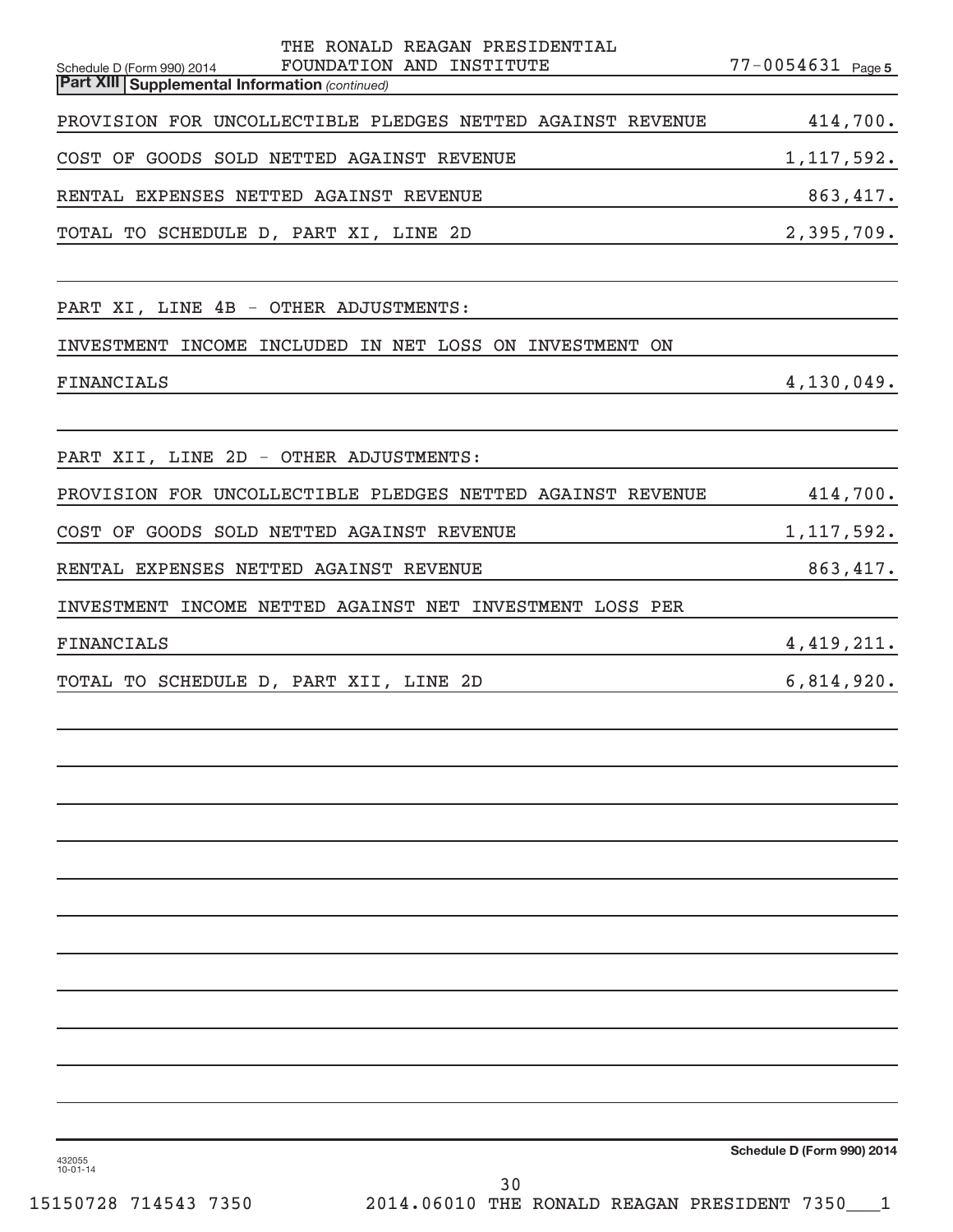| THE RONALD REAGAN PRESIDENTIAL<br>FOUNDATION AND INSTITUTE<br>Schedule D (Form 990) 2014<br><b>Part XIII Supplemental Information (continued)</b> | $77 - 0054631$ Page 5 |
|---------------------------------------------------------------------------------------------------------------------------------------------------|-----------------------|
| PROVISION FOR UNCOLLECTIBLE PLEDGES NETTED AGAINST REVENUE                                                                                        | 414,700.              |
| COST OF GOODS SOLD NETTED AGAINST REVENUE                                                                                                         | 1, 117, 592.          |
| RENTAL EXPENSES NETTED AGAINST REVENUE                                                                                                            | 863,417.              |
| TOTAL TO SCHEDULE D, PART XI, LINE 2D                                                                                                             | 2,395,709.            |
| PART XI, LINE 4B - OTHER ADJUSTMENTS:                                                                                                             |                       |
| INVESTMENT INCOME INCLUDED IN NET LOSS ON INVESTMENT ON                                                                                           |                       |
| <b>FINANCIALS</b>                                                                                                                                 | 4,130,049.            |
| PART XII, LINE 2D - OTHER ADJUSTMENTS:                                                                                                            |                       |
| PROVISION FOR UNCOLLECTIBLE PLEDGES NETTED AGAINST REVENUE                                                                                        | 414,700.              |
| COST OF GOODS SOLD NETTED AGAINST REVENUE                                                                                                         | 1, 117, 592.          |
| RENTAL EXPENSES NETTED AGAINST REVENUE                                                                                                            | 863, 417.             |
| INVESTMENT INCOME NETTED AGAINST NET INVESTMENT LOSS PER                                                                                          |                       |
| <b>FINANCIALS</b>                                                                                                                                 | 4, 419, 211.          |
| TOTAL TO SCHEDULE D, PART XII, LINE 2D                                                                                                            | 6,814,920.            |
|                                                                                                                                                   |                       |
|                                                                                                                                                   |                       |
|                                                                                                                                                   |                       |
|                                                                                                                                                   |                       |
|                                                                                                                                                   |                       |
|                                                                                                                                                   |                       |
|                                                                                                                                                   |                       |
|                                                                                                                                                   |                       |

**Schedule D (Form 990) 2014**

432055 10-01-14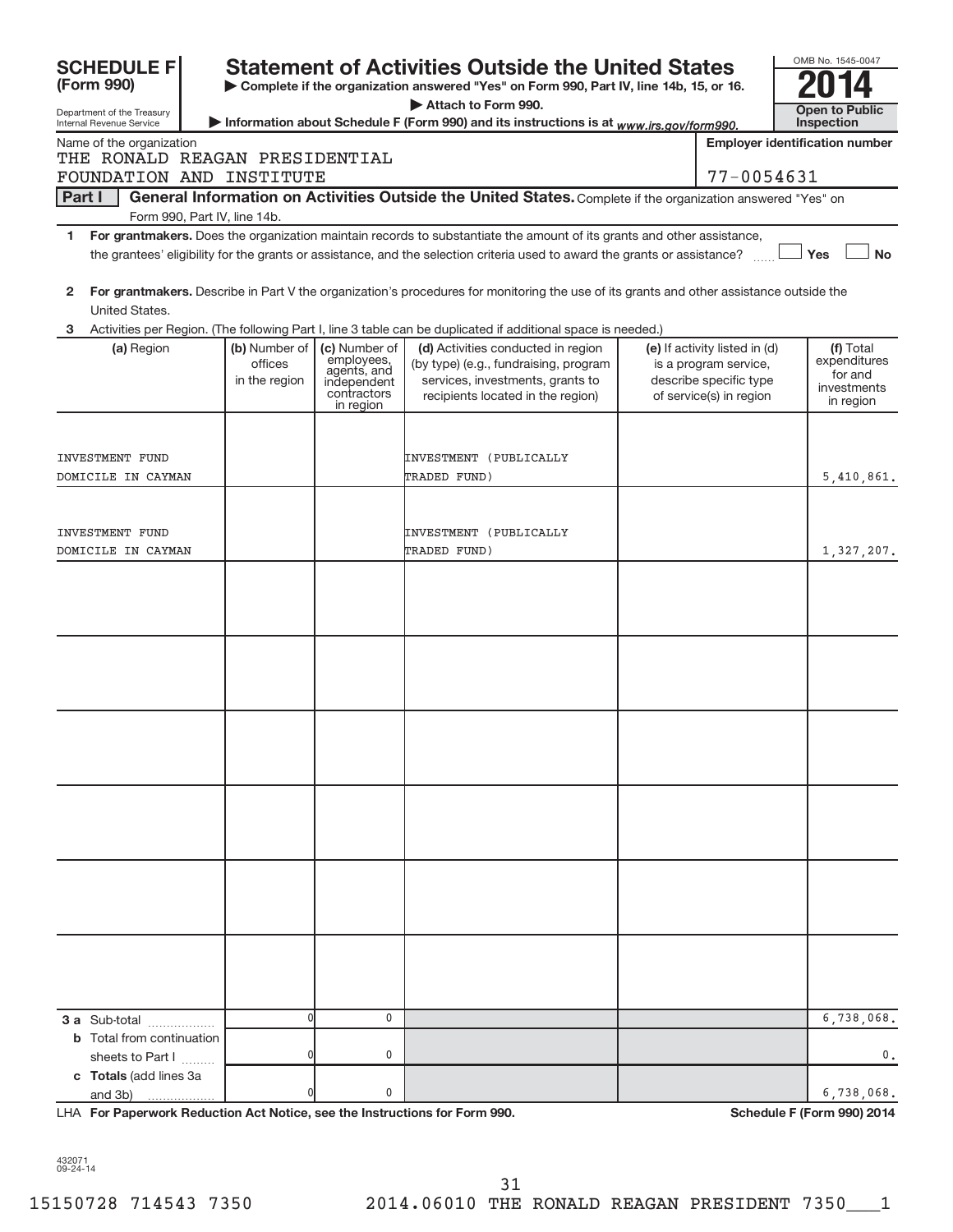|               | <b>SCHEDULE FI</b>                                     |                                           |                                                                                       | <b>Statement of Activities Outside the United States</b>                                                                                             |                                                                                                             |            | OMB No. 1545-0047                                                |
|---------------|--------------------------------------------------------|-------------------------------------------|---------------------------------------------------------------------------------------|------------------------------------------------------------------------------------------------------------------------------------------------------|-------------------------------------------------------------------------------------------------------------|------------|------------------------------------------------------------------|
|               | (Form 990)                                             |                                           |                                                                                       | Complete if the organization answered "Yes" on Form 990, Part IV, line 14b, 15, or 16.                                                               |                                                                                                             |            |                                                                  |
|               | Department of the Treasury<br>Internal Revenue Service |                                           |                                                                                       | Attach to Form 990.<br>Information about Schedule F (Form 990) and its instructions is at www.irs.gov/form990.                                       |                                                                                                             | Inspection | <b>Open to Public</b>                                            |
|               | Name of the organization                               |                                           |                                                                                       |                                                                                                                                                      | <b>Employer identification number</b>                                                                       |            |                                                                  |
|               | THE RONALD REAGAN PRESIDENTIAL                         |                                           |                                                                                       |                                                                                                                                                      |                                                                                                             |            |                                                                  |
|               | FOUNDATION AND INSTITUTE                               |                                           |                                                                                       |                                                                                                                                                      | 77-0054631                                                                                                  |            |                                                                  |
| <b>Part I</b> | Form 990, Part IV, line 14b.                           |                                           |                                                                                       | General Information on Activities Outside the United States. Complete if the organization answered "Yes" on                                          |                                                                                                             |            |                                                                  |
| 1.            |                                                        |                                           |                                                                                       | For grantmakers. Does the organization maintain records to substantiate the amount of its grants and other assistance,                               |                                                                                                             |            |                                                                  |
|               |                                                        |                                           |                                                                                       | the grantees' eligibility for the grants or assistance, and the selection criteria used to award the grants or assistance?                           |                                                                                                             | Yes        | <b>No</b>                                                        |
| 2             | United States.                                         |                                           |                                                                                       | For grantmakers. Describe in Part V the organization's procedures for monitoring the use of its grants and other assistance outside the              |                                                                                                             |            |                                                                  |
| 3             |                                                        |                                           |                                                                                       | Activities per Region. (The following Part I, line 3 table can be duplicated if additional space is needed.)                                         |                                                                                                             |            |                                                                  |
|               | (a) Region                                             | (b) Number of<br>offices<br>in the region | (c) Number of<br>employees,<br>agents, and<br>independent<br>contractors<br>in region | (d) Activities conducted in region<br>(by type) (e.g., fundraising, program<br>services, investments, grants to<br>recipients located in the region) | (e) If activity listed in (d)<br>is a program service,<br>describe specific type<br>of service(s) in region |            | (f) Total<br>expenditures<br>for and<br>investments<br>in region |
|               |                                                        |                                           |                                                                                       |                                                                                                                                                      |                                                                                                             |            |                                                                  |
|               | INVESTMENT FUND                                        |                                           |                                                                                       | INVESTMENT (PUBLICALLY                                                                                                                               |                                                                                                             |            |                                                                  |
|               | DOMICILE IN CAYMAN                                     |                                           |                                                                                       | TRADED FUND)                                                                                                                                         |                                                                                                             |            | 5,410,861.                                                       |
|               |                                                        |                                           |                                                                                       |                                                                                                                                                      |                                                                                                             |            |                                                                  |
|               | INVESTMENT FUND                                        |                                           |                                                                                       | INVESTMENT (PUBLICALLY                                                                                                                               |                                                                                                             |            |                                                                  |
|               | DOMICILE IN CAYMAN                                     |                                           |                                                                                       | TRADED FUND)                                                                                                                                         |                                                                                                             |            | 1,327,207.                                                       |
|               |                                                        |                                           |                                                                                       |                                                                                                                                                      |                                                                                                             |            |                                                                  |
|               |                                                        |                                           |                                                                                       |                                                                                                                                                      |                                                                                                             |            |                                                                  |
|               |                                                        |                                           |                                                                                       |                                                                                                                                                      |                                                                                                             |            |                                                                  |
|               |                                                        |                                           |                                                                                       |                                                                                                                                                      |                                                                                                             |            |                                                                  |
|               |                                                        |                                           |                                                                                       |                                                                                                                                                      |                                                                                                             |            |                                                                  |
|               |                                                        |                                           |                                                                                       |                                                                                                                                                      |                                                                                                             |            |                                                                  |
|               |                                                        |                                           |                                                                                       |                                                                                                                                                      |                                                                                                             |            |                                                                  |
|               |                                                        |                                           |                                                                                       |                                                                                                                                                      |                                                                                                             |            |                                                                  |
|               |                                                        |                                           |                                                                                       |                                                                                                                                                      |                                                                                                             |            |                                                                  |
|               |                                                        |                                           |                                                                                       |                                                                                                                                                      |                                                                                                             |            |                                                                  |
|               |                                                        |                                           |                                                                                       |                                                                                                                                                      |                                                                                                             |            |                                                                  |
|               |                                                        |                                           |                                                                                       |                                                                                                                                                      |                                                                                                             |            |                                                                  |
|               |                                                        |                                           |                                                                                       |                                                                                                                                                      |                                                                                                             |            |                                                                  |
|               |                                                        |                                           |                                                                                       |                                                                                                                                                      |                                                                                                             |            |                                                                  |
|               |                                                        |                                           |                                                                                       |                                                                                                                                                      |                                                                                                             |            |                                                                  |
|               |                                                        |                                           |                                                                                       |                                                                                                                                                      |                                                                                                             |            |                                                                  |
|               |                                                        |                                           |                                                                                       |                                                                                                                                                      |                                                                                                             |            |                                                                  |
|               |                                                        |                                           |                                                                                       |                                                                                                                                                      |                                                                                                             |            |                                                                  |
|               |                                                        |                                           |                                                                                       |                                                                                                                                                      |                                                                                                             |            |                                                                  |
|               |                                                        |                                           |                                                                                       |                                                                                                                                                      |                                                                                                             |            |                                                                  |
|               | 3 a Sub-total                                          | 0                                         | 0                                                                                     |                                                                                                                                                      |                                                                                                             |            | 6,738,068.                                                       |
|               | <b>b</b> Total from continuation                       |                                           |                                                                                       |                                                                                                                                                      |                                                                                                             |            |                                                                  |
|               | sheets to Part I<br>c Totals (add lines 3a             |                                           | 0                                                                                     |                                                                                                                                                      |                                                                                                             |            | 0.                                                               |
|               | and 3b)                                                |                                           | 0                                                                                     |                                                                                                                                                      |                                                                                                             |            | 6,738,068.                                                       |

LHA For Paperwork Reduction Act Notice, see the Instructions for Form 990. Shand the Schedule F (Form 990) 2014

432071 09-24-14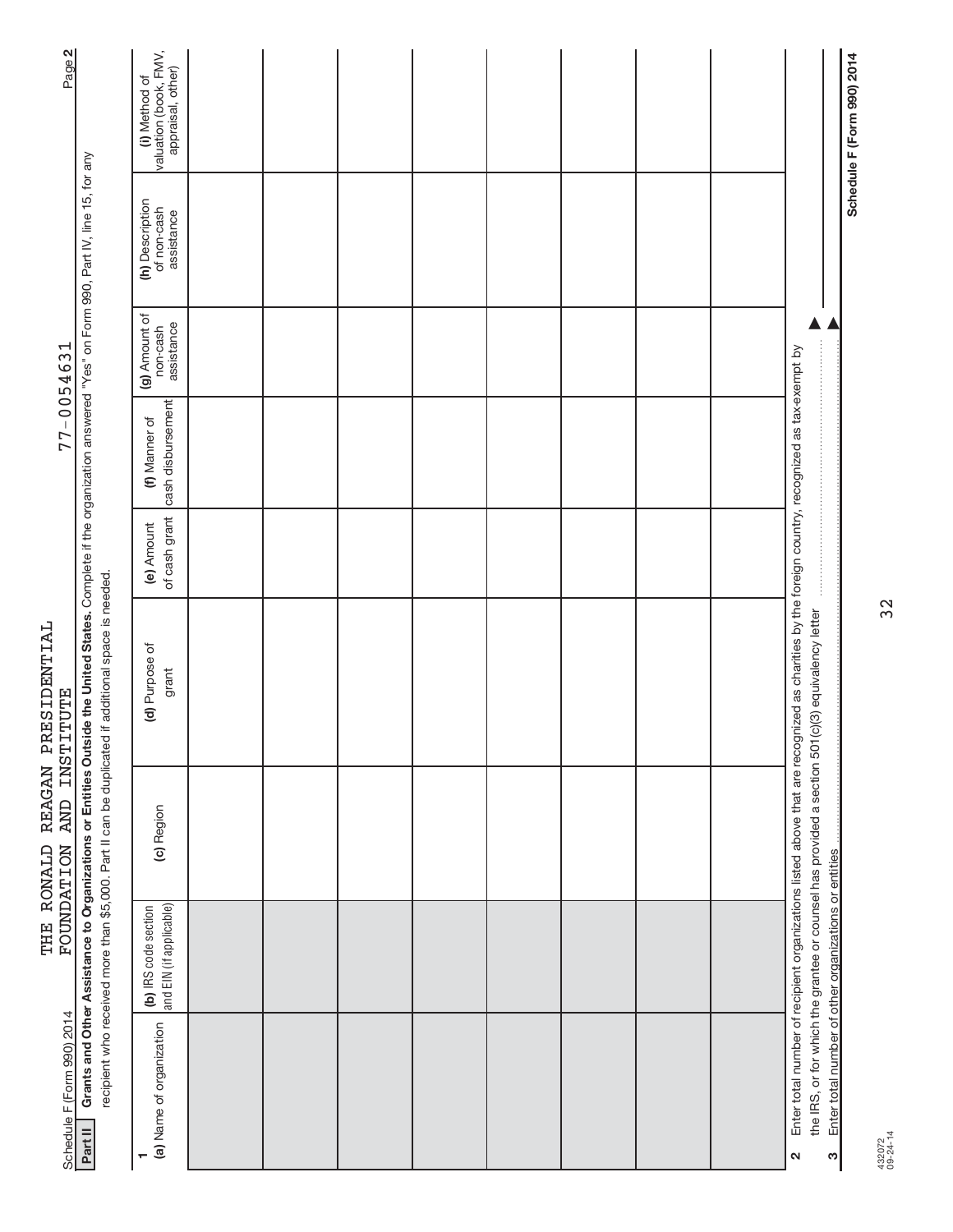| Page 2                                  |                                                                                                                                                                                                          | valuation (book, FMV,<br>appraisal, other)<br>(i) Method of |  |  |  |  |                                                                                                                                                                                                                                                     | Schedule F (Form 990) 2014                                 |
|-----------------------------------------|----------------------------------------------------------------------------------------------------------------------------------------------------------------------------------------------------------|-------------------------------------------------------------|--|--|--|--|-----------------------------------------------------------------------------------------------------------------------------------------------------------------------------------------------------------------------------------------------------|------------------------------------------------------------|
|                                         |                                                                                                                                                                                                          | (h) Description<br>of non-cash<br>assistance                |  |  |  |  |                                                                                                                                                                                                                                                     |                                                            |
|                                         |                                                                                                                                                                                                          | (g) Amount of<br>non-cash<br>assistance                     |  |  |  |  |                                                                                                                                                                                                                                                     |                                                            |
| 77-0054631                              |                                                                                                                                                                                                          | cash disbursement<br>(f) Manner of                          |  |  |  |  |                                                                                                                                                                                                                                                     |                                                            |
|                                         |                                                                                                                                                                                                          | of cash grant<br>(e) Amount                                 |  |  |  |  |                                                                                                                                                                                                                                                     |                                                            |
| REAGAN PRESIDENTIAL<br><b>INSTITUTE</b> | Grants and Other Assistance to Organizations or Entities Outside the United States. Complete if the organization answered "Yes" on Form 990, Part IV, line 15, for any<br>if additional space is needed. | (d) Purpose of<br>grant                                     |  |  |  |  | Enter total number of recipient organizations listed above that are recognized as charities by the foreign country, recognized as tax-exempt by<br>the IRS, or for which the grantee or counsel has provided a section 501(c)(3) equivalency letter |                                                            |
| <b>AND</b>                              | recipient who received more than \$5,000. Part II can be duplicated                                                                                                                                      | (c) Region                                                  |  |  |  |  |                                                                                                                                                                                                                                                     |                                                            |
| THE RONALD<br><b>FOUNDATION</b>         |                                                                                                                                                                                                          | and EIN (if applicable)<br>(b) IRS code section             |  |  |  |  |                                                                                                                                                                                                                                                     |                                                            |
| Schedule F (Form 990) 2014              | Part II                                                                                                                                                                                                  | (a) Name of organization                                    |  |  |  |  | N                                                                                                                                                                                                                                                   | Enter total number of other organizations or entities<br>ო |

432072 09-24-14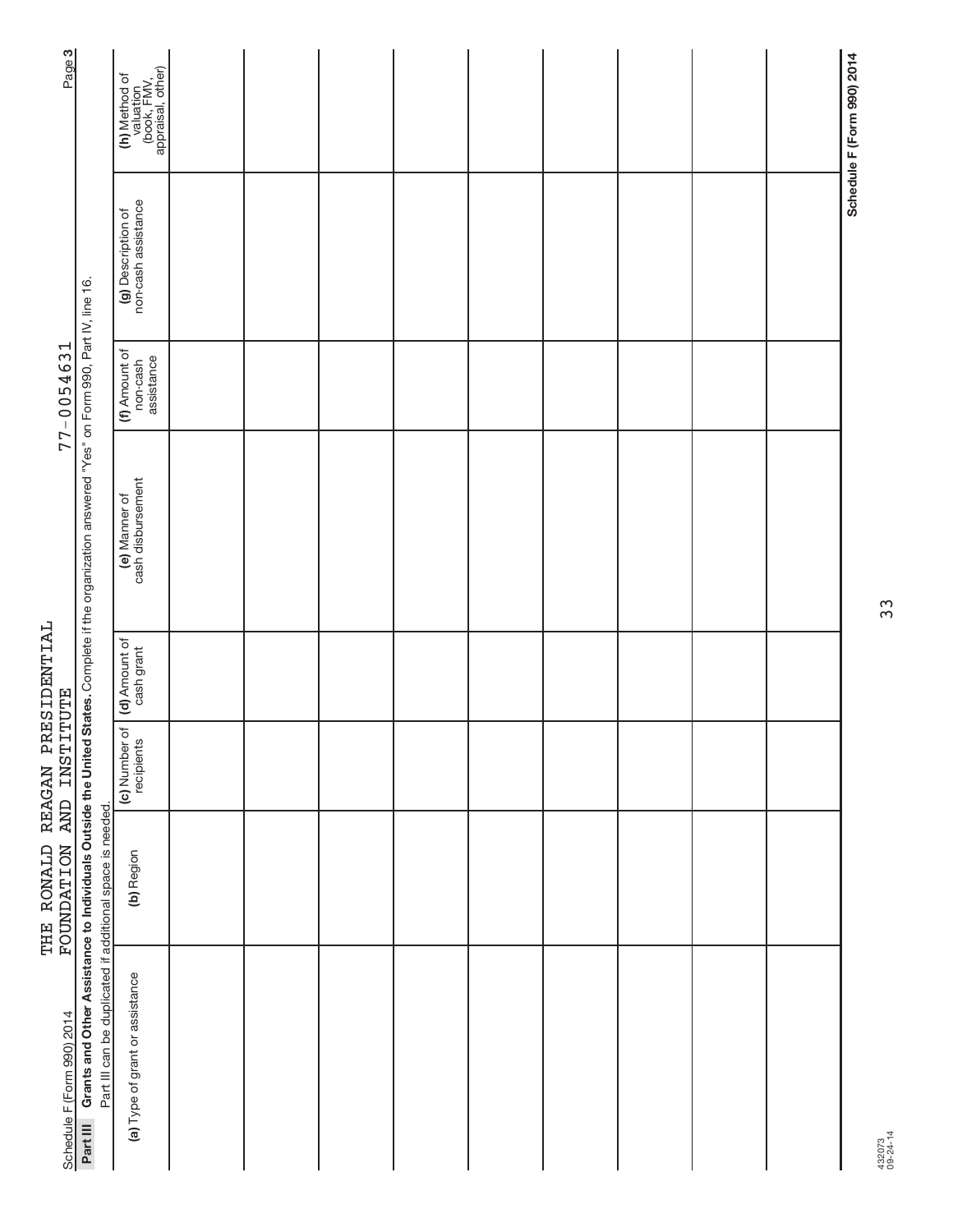| Page <sub>3</sub>          |                                                                                                                                        | (h) Method of<br>valuation<br>(book, FMV,<br>appraisal, other) |  |  |  |  | Schedule F (Form 990) 2014 |
|----------------------------|----------------------------------------------------------------------------------------------------------------------------------------|----------------------------------------------------------------|--|--|--|--|----------------------------|
|                            |                                                                                                                                        | non-cash assistance<br>(g) Description of                      |  |  |  |  |                            |
| $77 - 0054631$             |                                                                                                                                        | (f) Amount of<br>non-cash<br>assistance                        |  |  |  |  |                            |
|                            | States. Complete if the organization answered "Yes" on Form 990, Part IV, line 16.                                                     | (e) Manner of<br>cash disbursement                             |  |  |  |  |                            |
|                            |                                                                                                                                        | (d) Amount of                                                  |  |  |  |  |                            |
|                            |                                                                                                                                        | (c) Number of<br>recipients                                    |  |  |  |  |                            |
| FOUNDATION AND INSTITUTE   |                                                                                                                                        | (b) Region                                                     |  |  |  |  |                            |
| Schedule F (Form 990) 2014 | Grants and Other Assistance to Individuals Outside the United<br>Part III can be duplicated if additional space is needed.<br>Part III | (a) Type of grant or assistance                                |  |  |  |  |                            |

THE RONALD REAGAN PRESIDENTIAL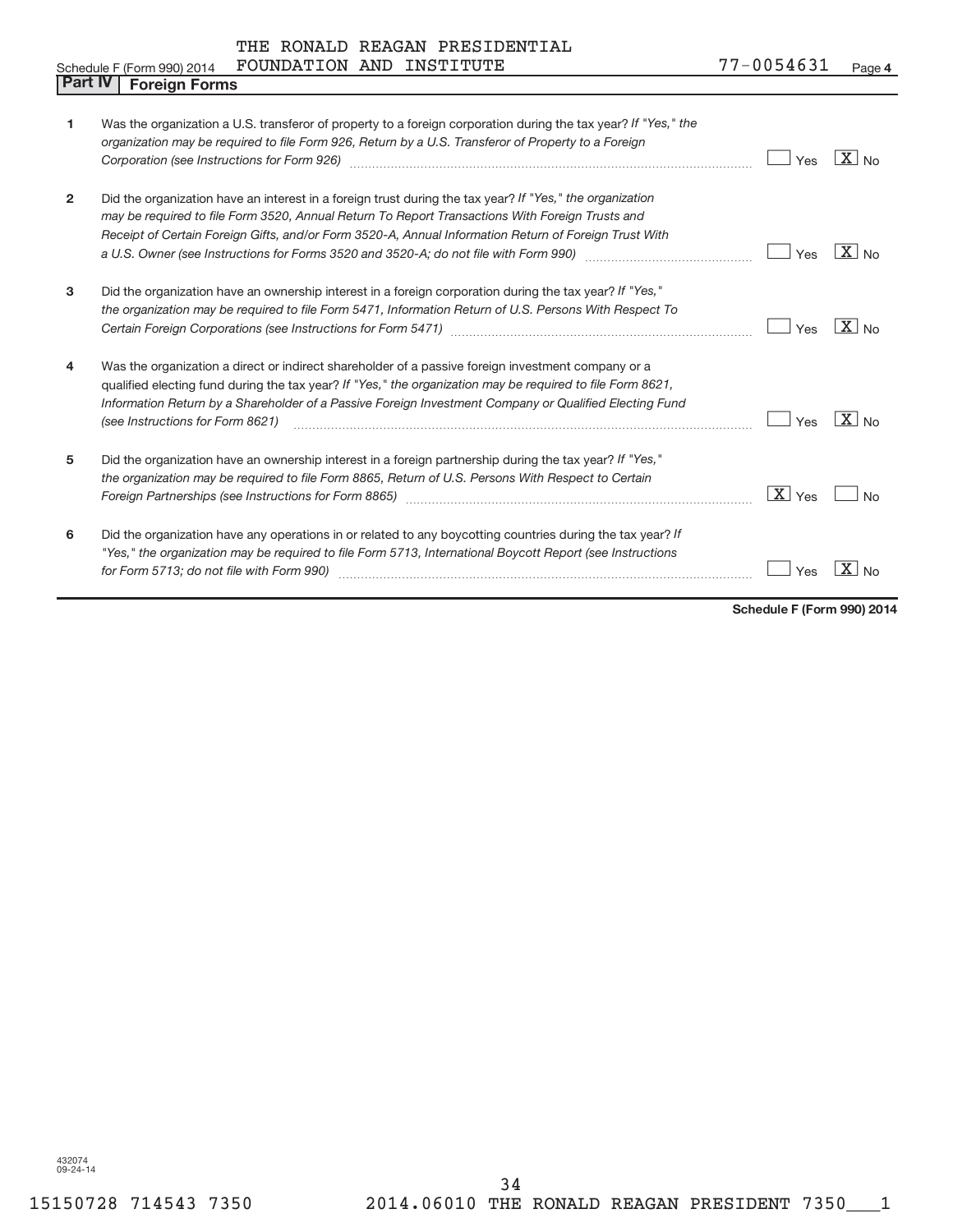|  |  |  | THE RONALD REAGAN PRESIDENTIAL |
|--|--|--|--------------------------------|
|--|--|--|--------------------------------|

|                | FOUNDATION AND<br>INSTITUTE<br>Schedule F (Form 990) 2014                                                                                                                                                                                                                                                                                                                                                                                | 77-0054631         | Page 4                    |
|----------------|------------------------------------------------------------------------------------------------------------------------------------------------------------------------------------------------------------------------------------------------------------------------------------------------------------------------------------------------------------------------------------------------------------------------------------------|--------------------|---------------------------|
| <b>Part IV</b> | <b>Foreign Forms</b>                                                                                                                                                                                                                                                                                                                                                                                                                     |                    |                           |
| 1              | Was the organization a U.S. transferor of property to a foreign corporation during the tax year? If "Yes," the<br>organization may be required to file Form 926, Return by a U.S. Transferor of Property to a Foreign<br>Corporation (see Instructions for Form 926) [11] manufacture material manufacture in the state in the corporation (see Instructions for Form 926)                                                               | Yes                | $X_{N0}$                  |
| 2              | Did the organization have an interest in a foreign trust during the tax year? If "Yes," the organization<br>may be required to file Form 3520, Annual Return To Report Transactions With Foreign Trusts and<br>Receipt of Certain Foreign Gifts, and/or Form 3520-A, Annual Information Return of Foreign Trust With<br>a U.S. Owner (see Instructions for Forms 3520 and 3520-A; do not file with Form 990) manual content of the summa | Yes                | $ X _{\sf No}$            |
| 3              | Did the organization have an ownership interest in a foreign corporation during the tax year? If "Yes,"<br>the organization may be required to file Form 5471, Information Return of U.S. Persons With Respect To                                                                                                                                                                                                                        | Yes                | $\mid X \mid$ No          |
| 4              | Was the organization a direct or indirect shareholder of a passive foreign investment company or a<br>qualified electing fund during the tax year? If "Yes," the organization may be required to file Form 8621,<br>Information Return by a Shareholder of a Passive Foreign Investment Company or Qualified Electing Fund<br>(see Instructions for Form 8621)                                                                           | Yes                | $X _{\text{No}}$          |
| 5              | Did the organization have an ownership interest in a foreign partnership during the tax year? If "Yes,"<br>the organization may be required to file Form 8865, Return of U.S. Persons With Respect to Certain<br>Foreign Partnerships (see Instructions for Form 8865)                                                                                                                                                                   | $\overline{X}$ Yes | No                        |
| 6              | Did the organization have any operations in or related to any boycotting countries during the tax year? If<br>"Yes," the organization may be required to file Form 5713, International Boycott Report (see Instructions<br>for Form 5713; do not file with Form 990)                                                                                                                                                                     | Yes                | $\mathbf{X}$<br><b>No</b> |

**Schedule F (Form 990) 2014**

432074 09-24-14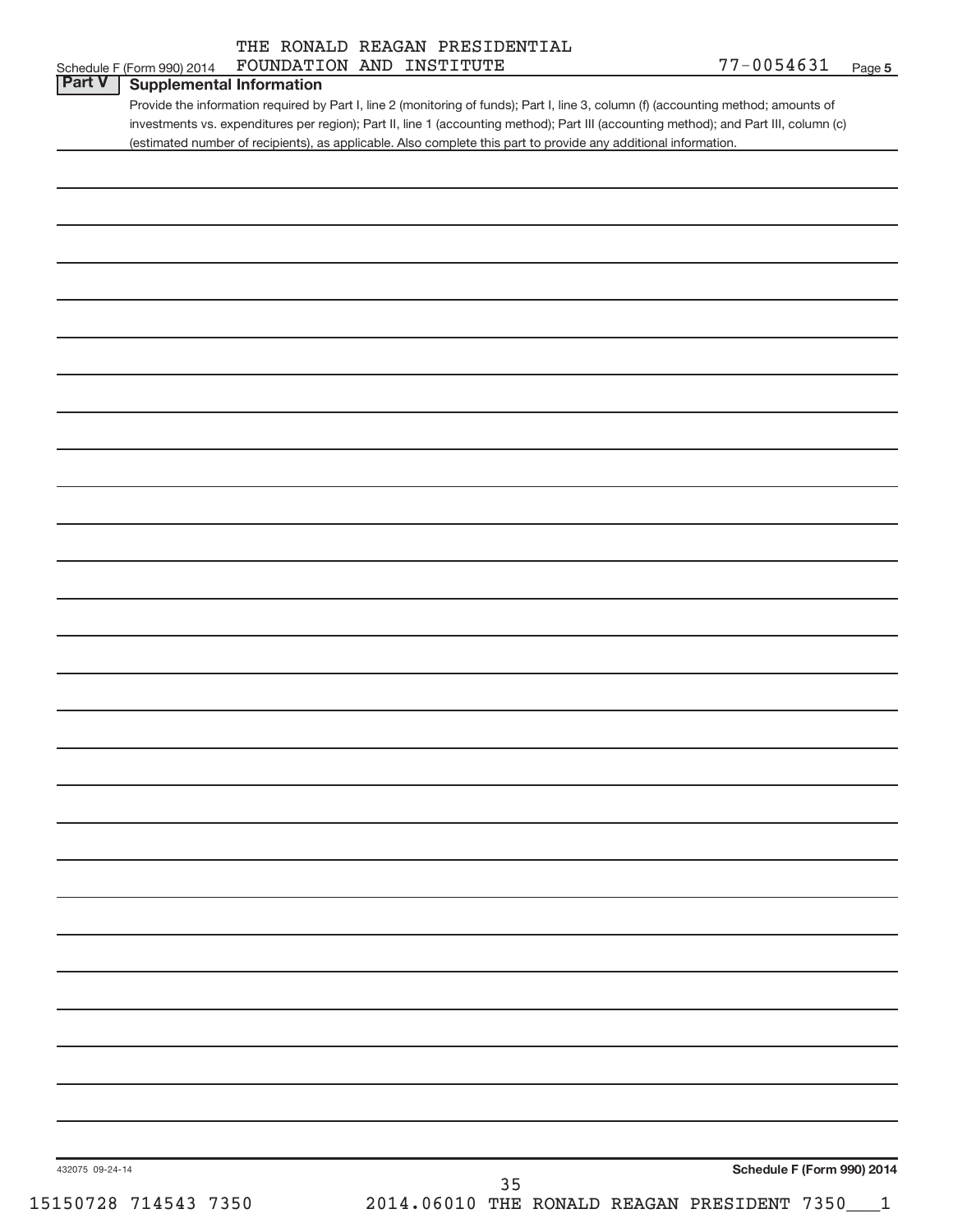|  | THE RONALD REAGAN PRESIDENTIAL |
|--|--------------------------------|
|  |                                |

| FOUNDATION AND INSTITUTE                                                                                                              | 77-0054631<br>Page 5                                                                                                                                                                                                                                         |
|---------------------------------------------------------------------------------------------------------------------------------------|--------------------------------------------------------------------------------------------------------------------------------------------------------------------------------------------------------------------------------------------------------------|
| <b>Supplemental Information</b>                                                                                                       |                                                                                                                                                                                                                                                              |
| investments vs. expenditures per region); Part II, line 1 (accounting method); Part III (accounting method); and Part III, column (c) |                                                                                                                                                                                                                                                              |
|                                                                                                                                       |                                                                                                                                                                                                                                                              |
|                                                                                                                                       |                                                                                                                                                                                                                                                              |
|                                                                                                                                       |                                                                                                                                                                                                                                                              |
|                                                                                                                                       |                                                                                                                                                                                                                                                              |
|                                                                                                                                       |                                                                                                                                                                                                                                                              |
|                                                                                                                                       |                                                                                                                                                                                                                                                              |
|                                                                                                                                       |                                                                                                                                                                                                                                                              |
|                                                                                                                                       |                                                                                                                                                                                                                                                              |
|                                                                                                                                       |                                                                                                                                                                                                                                                              |
|                                                                                                                                       |                                                                                                                                                                                                                                                              |
|                                                                                                                                       |                                                                                                                                                                                                                                                              |
|                                                                                                                                       |                                                                                                                                                                                                                                                              |
|                                                                                                                                       |                                                                                                                                                                                                                                                              |
|                                                                                                                                       |                                                                                                                                                                                                                                                              |
|                                                                                                                                       |                                                                                                                                                                                                                                                              |
|                                                                                                                                       |                                                                                                                                                                                                                                                              |
|                                                                                                                                       |                                                                                                                                                                                                                                                              |
|                                                                                                                                       |                                                                                                                                                                                                                                                              |
|                                                                                                                                       |                                                                                                                                                                                                                                                              |
|                                                                                                                                       |                                                                                                                                                                                                                                                              |
|                                                                                                                                       |                                                                                                                                                                                                                                                              |
|                                                                                                                                       |                                                                                                                                                                                                                                                              |
|                                                                                                                                       |                                                                                                                                                                                                                                                              |
|                                                                                                                                       |                                                                                                                                                                                                                                                              |
|                                                                                                                                       |                                                                                                                                                                                                                                                              |
|                                                                                                                                       |                                                                                                                                                                                                                                                              |
|                                                                                                                                       |                                                                                                                                                                                                                                                              |
|                                                                                                                                       |                                                                                                                                                                                                                                                              |
|                                                                                                                                       |                                                                                                                                                                                                                                                              |
|                                                                                                                                       |                                                                                                                                                                                                                                                              |
|                                                                                                                                       |                                                                                                                                                                                                                                                              |
|                                                                                                                                       | Schedule F (Form 990) 2014                                                                                                                                                                                                                                   |
| 2014.06010 THE RONALD REAGAN PRESIDENT 7350___1                                                                                       |                                                                                                                                                                                                                                                              |
|                                                                                                                                       | Provide the information required by Part I, line 2 (monitoring of funds); Part I, line 3, column (f) (accounting method; amounts of<br>(estimated number of recipients), as applicable. Also complete this part to provide any additional information.<br>35 |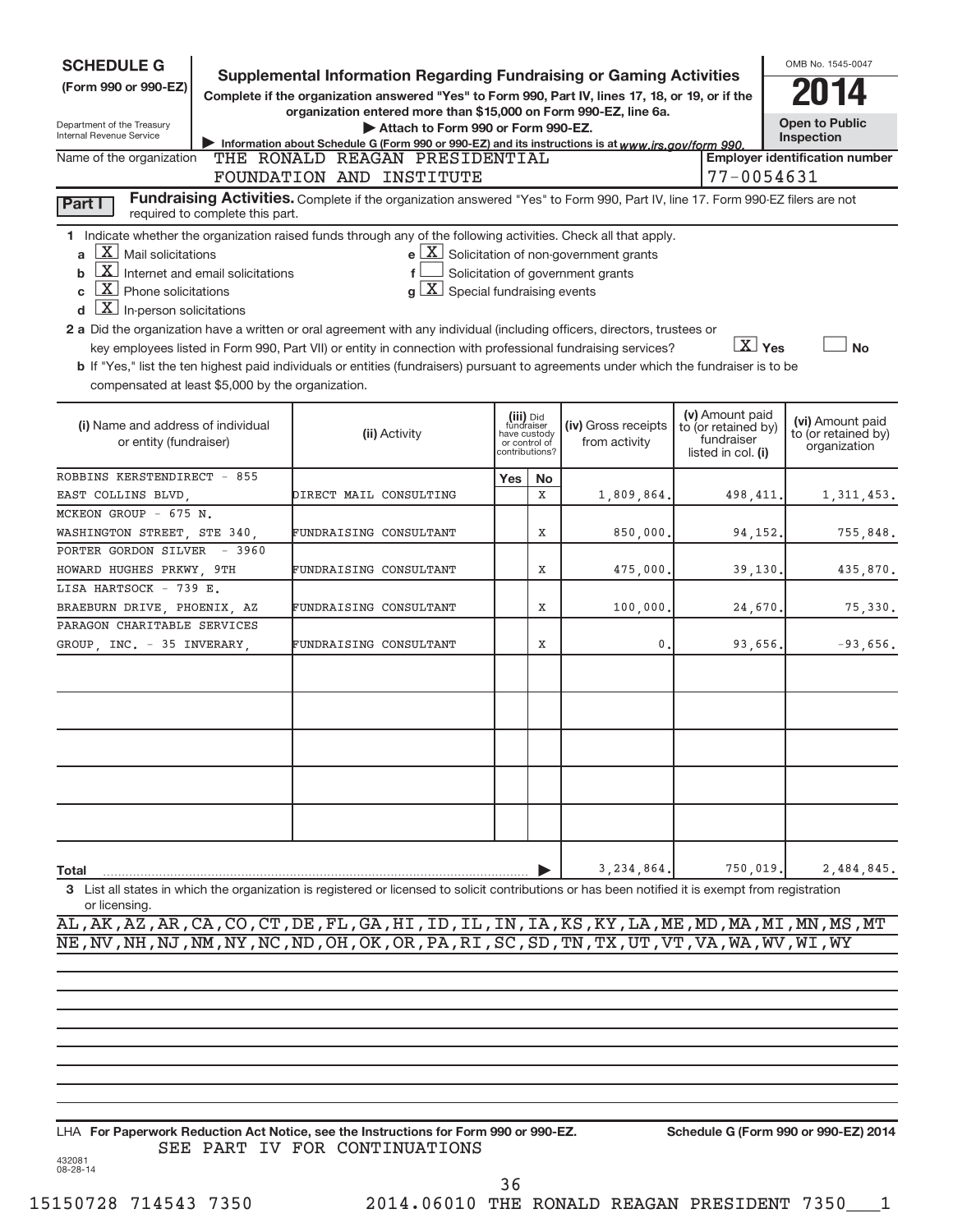| <b>SCHEDULE G</b>                                                                                                                                                                                                              | Supplemental Information Regarding Fundraising or Gaming Activities                                                                                                                                                                                                                                                                                                                                                                                                                                                                           |                                                                            |    |                                                                                                   |                                                                            | OMB No. 1545-0047                                       |
|--------------------------------------------------------------------------------------------------------------------------------------------------------------------------------------------------------------------------------|-----------------------------------------------------------------------------------------------------------------------------------------------------------------------------------------------------------------------------------------------------------------------------------------------------------------------------------------------------------------------------------------------------------------------------------------------------------------------------------------------------------------------------------------------|----------------------------------------------------------------------------|----|---------------------------------------------------------------------------------------------------|----------------------------------------------------------------------------|---------------------------------------------------------|
| (Form 990 or 990-EZ)                                                                                                                                                                                                           | Complete if the organization answered "Yes" to Form 990, Part IV, lines 17, 18, or 19, or if the                                                                                                                                                                                                                                                                                                                                                                                                                                              |                                                                            |    |                                                                                                   |                                                                            |                                                         |
| Department of the Treasury<br>Internal Revenue Service                                                                                                                                                                         | organization entered more than \$15,000 on Form 990-EZ, line 6a.<br>Attach to Form 990 or Form 990-EZ.<br>Information about Schedule G (Form 990 or 990-EZ) and its instructions is at www.irs.gov/form 990.                                                                                                                                                                                                                                                                                                                                  |                                                                            |    |                                                                                                   |                                                                            | <b>Open to Public</b><br>Inspection                     |
| Name of the organization                                                                                                                                                                                                       | THE RONALD REAGAN PRESIDENTIAL                                                                                                                                                                                                                                                                                                                                                                                                                                                                                                                |                                                                            |    |                                                                                                   |                                                                            | <b>Employer identification number</b>                   |
|                                                                                                                                                                                                                                | FOUNDATION AND INSTITUTE                                                                                                                                                                                                                                                                                                                                                                                                                                                                                                                      |                                                                            |    |                                                                                                   | 77-0054631                                                                 |                                                         |
| Part I<br>required to complete this part.                                                                                                                                                                                      | Fundraising Activities. Complete if the organization answered "Yes" to Form 990, Part IV, line 17. Form 990-EZ filers are not                                                                                                                                                                                                                                                                                                                                                                                                                 |                                                                            |    |                                                                                                   |                                                                            |                                                         |
| $X$ Mail solicitations<br>a<br>$\mathbf{X}$ Internet and email solicitations<br>b<br>$X$ Phone solicitations<br>C<br>$\overline{\mathbf{X}}$ In-person solicitations<br>d<br>compensated at least \$5,000 by the organization. | 1 Indicate whether the organization raised funds through any of the following activities. Check all that apply.<br>$g\mid X$ Special fundraising events<br>2 a Did the organization have a written or oral agreement with any individual (including officers, directors, trustees or<br>key employees listed in Form 990, Part VII) or entity in connection with professional fundraising services?<br>b If "Yes," list the ten highest paid individuals or entities (fundraisers) pursuant to agreements under which the fundraiser is to be |                                                                            |    | $e$ $\boxed{\text{X}}$ Solicitation of non-government grants<br>Solicitation of government grants | $X$ Yes                                                                    | <b>No</b>                                               |
| (i) Name and address of individual<br>or entity (fundraiser)                                                                                                                                                                   | (ii) Activity                                                                                                                                                                                                                                                                                                                                                                                                                                                                                                                                 | (iii) Did<br>fundraiser<br>have custody<br>or control of<br>contributions? |    | (iv) Gross receipts<br>from activity                                                              | (v) Amount paid<br>to (or retained by)<br>fundraiser<br>listed in col. (i) | (vi) Amount paid<br>to (or retained by)<br>organization |
| ROBBINS KERSTENDIRECT - 855                                                                                                                                                                                                    |                                                                                                                                                                                                                                                                                                                                                                                                                                                                                                                                               | Yes                                                                        | No |                                                                                                   |                                                                            |                                                         |
| EAST COLLINS BLVD,                                                                                                                                                                                                             | DIRECT MAIL CONSULTING                                                                                                                                                                                                                                                                                                                                                                                                                                                                                                                        | X                                                                          |    | 1,809,864.                                                                                        | 498, 411.                                                                  | 1,311,453.                                              |
| MCKEON GROUP - 675 N.                                                                                                                                                                                                          | FUNDRAISING CONSULTANT                                                                                                                                                                                                                                                                                                                                                                                                                                                                                                                        | X                                                                          |    |                                                                                                   | 94,152.                                                                    | 755,848.                                                |
| WASHINGTON STREET, STE 340,<br>PORTER GORDON SILVER - 3960                                                                                                                                                                     |                                                                                                                                                                                                                                                                                                                                                                                                                                                                                                                                               |                                                                            |    | 850,000.                                                                                          |                                                                            |                                                         |
| HOWARD HUGHES PRKWY, 9TH                                                                                                                                                                                                       | FUNDRAISING CONSULTANT                                                                                                                                                                                                                                                                                                                                                                                                                                                                                                                        | Χ                                                                          |    | 475,000.                                                                                          | 39,130                                                                     | 435,870.                                                |
| LISA HARTSOCK - 739 E.                                                                                                                                                                                                         |                                                                                                                                                                                                                                                                                                                                                                                                                                                                                                                                               |                                                                            |    |                                                                                                   |                                                                            |                                                         |
| BRAEBURN DRIVE, PHOENIX, AZ                                                                                                                                                                                                    | FUNDRAISING CONSULTANT                                                                                                                                                                                                                                                                                                                                                                                                                                                                                                                        | Χ                                                                          |    | 100,000.                                                                                          | 24,670                                                                     | 75,330.                                                 |
| PARAGON CHARITABLE SERVICES<br>GROUP, INC. - 35 INVERARY,                                                                                                                                                                      | FUNDRAISING CONSULTANT                                                                                                                                                                                                                                                                                                                                                                                                                                                                                                                        | Χ                                                                          |    | 0.                                                                                                | 93,656.                                                                    | $-93,656.$                                              |
|                                                                                                                                                                                                                                |                                                                                                                                                                                                                                                                                                                                                                                                                                                                                                                                               |                                                                            |    |                                                                                                   |                                                                            |                                                         |
|                                                                                                                                                                                                                                |                                                                                                                                                                                                                                                                                                                                                                                                                                                                                                                                               |                                                                            |    |                                                                                                   |                                                                            |                                                         |
| Total                                                                                                                                                                                                                          |                                                                                                                                                                                                                                                                                                                                                                                                                                                                                                                                               |                                                                            | Þ  | 3, 234, 864.                                                                                      | 750,019                                                                    | 2,484,845.                                              |
| or licensing.                                                                                                                                                                                                                  | 3 List all states in which the organization is registered or licensed to solicit contributions or has been notified it is exempt from registration                                                                                                                                                                                                                                                                                                                                                                                            |                                                                            |    |                                                                                                   |                                                                            |                                                         |

AL,AK,AZ,AR,CA,CO,CT,DE,FL,GA,HI,ID,IL,IN,IA,KS,KY,LA,ME,MD,MA,MI,MN,MS,MT NE,NV,NH,NJ,NM,NY,NC,ND,OH,OK,OR,PA,RI,SC,SD,TN,TX,UT,VT,VA,WA,WV,WI,WY

432081 08-28-14 LHA For Paperwork Reduction Act Notice, see the Instructions for Form 990 or 990-EZ. Schedule G (Form 990 or 990-EZ) 2014 SEE PART IV FOR CONTINUATIONS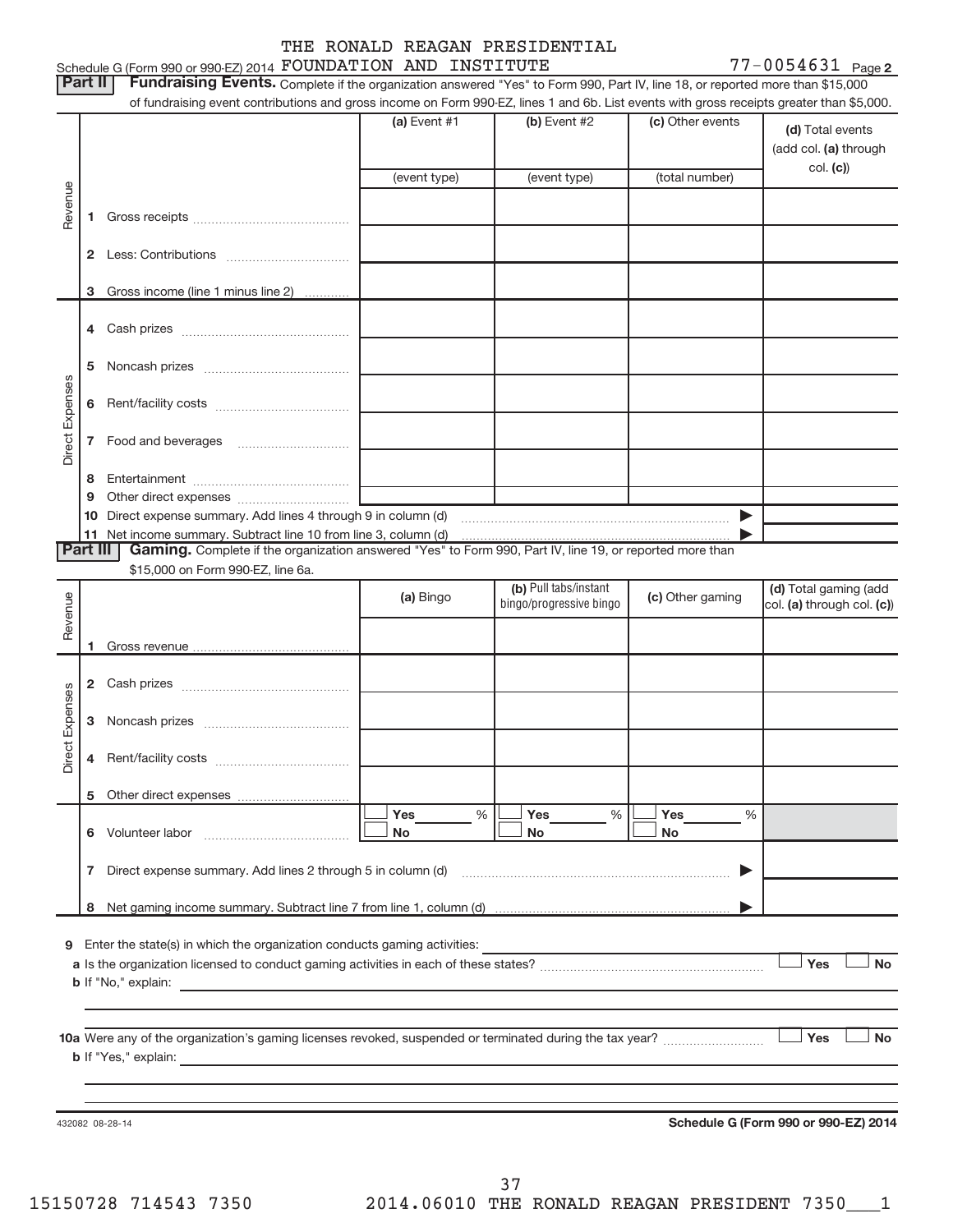#### Schedule G (Form 990 or 990-EZ) 2014  ${\tt FOUNDATION}$   ${\tt AND}$   ${\tt INSTITUTE}$   ${\tt 77-0054631}$   ${\tt Page}$ THE RONALD REAGAN PRESIDENTIAL

77-0054631 Page 2

|                        | Part II  | Fundraising Events. Complete if the organization answered "Yes" to Form 990, Part IV, line 18, or reported more than \$15,000                                                                                                  |                |                         |                  |                                      |
|------------------------|----------|--------------------------------------------------------------------------------------------------------------------------------------------------------------------------------------------------------------------------------|----------------|-------------------------|------------------|--------------------------------------|
|                        |          | of fundraising event contributions and gross income on Form 990-EZ, lines 1 and 6b. List events with gross receipts greater than \$5,000.                                                                                      | (a) Event $#1$ | (b) Event #2            | (c) Other events |                                      |
|                        |          |                                                                                                                                                                                                                                |                |                         |                  | (d) Total events                     |
|                        |          |                                                                                                                                                                                                                                |                |                         |                  | (add col. (a) through                |
|                        |          |                                                                                                                                                                                                                                | (event type)   | (event type)            | (total number)   | col. (c)                             |
| Revenue                |          |                                                                                                                                                                                                                                |                |                         |                  |                                      |
|                        | 1        |                                                                                                                                                                                                                                |                |                         |                  |                                      |
|                        |          |                                                                                                                                                                                                                                |                |                         |                  |                                      |
|                        | 2        |                                                                                                                                                                                                                                |                |                         |                  |                                      |
|                        |          |                                                                                                                                                                                                                                |                |                         |                  |                                      |
|                        | з        | Gross income (line 1 minus line 2)                                                                                                                                                                                             |                |                         |                  |                                      |
|                        |          |                                                                                                                                                                                                                                |                |                         |                  |                                      |
|                        | 4        |                                                                                                                                                                                                                                |                |                         |                  |                                      |
|                        | 5        |                                                                                                                                                                                                                                |                |                         |                  |                                      |
|                        |          |                                                                                                                                                                                                                                |                |                         |                  |                                      |
|                        | 6        |                                                                                                                                                                                                                                |                |                         |                  |                                      |
| Direct Expenses        |          |                                                                                                                                                                                                                                |                |                         |                  |                                      |
|                        | 7        |                                                                                                                                                                                                                                |                |                         |                  |                                      |
|                        |          |                                                                                                                                                                                                                                |                |                         |                  |                                      |
|                        | 8        |                                                                                                                                                                                                                                |                |                         |                  |                                      |
|                        | 9        |                                                                                                                                                                                                                                |                |                         |                  |                                      |
|                        | 10<br>11 |                                                                                                                                                                                                                                |                |                         |                  |                                      |
|                        | Part III | Gaming. Complete if the organization answered "Yes" to Form 990, Part IV, line 19, or reported more than                                                                                                                       |                |                         |                  |                                      |
|                        |          | \$15,000 on Form 990-EZ, line 6a.                                                                                                                                                                                              |                |                         |                  |                                      |
|                        |          |                                                                                                                                                                                                                                |                | (b) Pull tabs/instant   |                  | (d) Total gaming (add                |
| Revenue                |          |                                                                                                                                                                                                                                | (a) Bingo      | bingo/progressive bingo | (c) Other gaming | col. (a) through col. (c))           |
|                        |          |                                                                                                                                                                                                                                |                |                         |                  |                                      |
|                        | 1        |                                                                                                                                                                                                                                |                |                         |                  |                                      |
|                        |          |                                                                                                                                                                                                                                |                |                         |                  |                                      |
|                        | 2        | Cash prizes [11] Cash prizes [11] Cash prizes [11] Cash prizes [11] Casar Division [11] Division Casar Division [11] Division Casar Division [11] Division Casar Division [11] Division Division [11] Division Division Divisi |                |                         |                  |                                      |
|                        | 3        |                                                                                                                                                                                                                                |                |                         |                  |                                      |
| <b>Direct Expenses</b> |          |                                                                                                                                                                                                                                |                |                         |                  |                                      |
|                        | 4        |                                                                                                                                                                                                                                |                |                         |                  |                                      |
|                        |          |                                                                                                                                                                                                                                |                |                         |                  |                                      |
|                        | 5        |                                                                                                                                                                                                                                |                |                         |                  |                                      |
|                        |          |                                                                                                                                                                                                                                | Yes<br>%       | Yes<br>%                | Yes<br>%         |                                      |
|                        |          | 6 Volunteer labor                                                                                                                                                                                                              | No             | No                      | No.              |                                      |
|                        |          |                                                                                                                                                                                                                                |                |                         |                  |                                      |
|                        |          | 7 Direct expense summary. Add lines 2 through 5 in column (d) [11] Direct expense summary. Add lines 2 through 5 in column (d)                                                                                                 |                |                         | ▶                |                                      |
|                        |          |                                                                                                                                                                                                                                |                |                         |                  |                                      |
|                        | 8        |                                                                                                                                                                                                                                |                |                         |                  |                                      |
|                        |          | 9 Enter the state(s) in which the organization conducts gaming activities:                                                                                                                                                     |                |                         |                  |                                      |
|                        |          |                                                                                                                                                                                                                                |                |                         |                  | Yes<br><b>No</b>                     |
|                        |          |                                                                                                                                                                                                                                |                |                         |                  |                                      |
|                        |          |                                                                                                                                                                                                                                |                |                         |                  |                                      |
|                        |          |                                                                                                                                                                                                                                |                |                         |                  |                                      |
|                        |          |                                                                                                                                                                                                                                |                |                         |                  | <b>No</b><br>Yes                     |
|                        |          | <b>b</b> If "Yes," explain:<br>and the control of the control of the control of the control of the control of the control of the control of the                                                                                |                |                         |                  |                                      |
|                        |          |                                                                                                                                                                                                                                |                |                         |                  |                                      |
|                        |          |                                                                                                                                                                                                                                |                |                         |                  |                                      |
|                        |          | 432082 08-28-14                                                                                                                                                                                                                |                |                         |                  | Schedule G (Form 990 or 990-EZ) 2014 |
|                        |          |                                                                                                                                                                                                                                |                |                         |                  |                                      |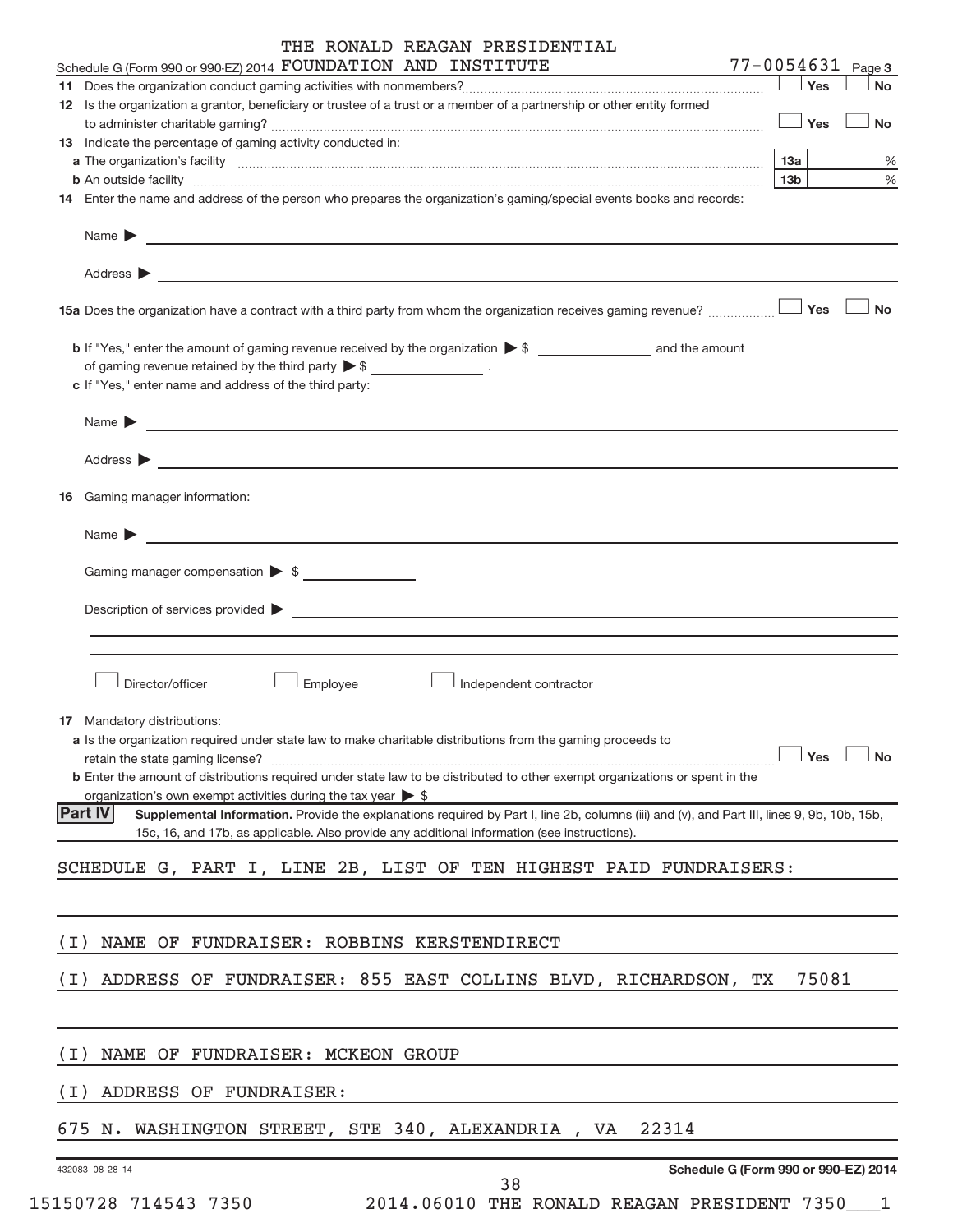| THE RONALD REAGAN PRESIDENTIAL |  |  |  |  |
|--------------------------------|--|--|--|--|
|--------------------------------|--|--|--|--|

|                 | Schedule G (Form 990 or 990-EZ) 2014 FOUNDATION AND INSTITUTE                                                                                                                                                                               | $77 - 0054631$ Page 3                |
|-----------------|---------------------------------------------------------------------------------------------------------------------------------------------------------------------------------------------------------------------------------------------|--------------------------------------|
|                 |                                                                                                                                                                                                                                             | Yes<br><b>No</b>                     |
|                 | 12 Is the organization a grantor, beneficiary or trustee of a trust or a member of a partnership or other entity formed                                                                                                                     | Yes<br><b>No</b>                     |
|                 | 13 Indicate the percentage of gaming activity conducted in:                                                                                                                                                                                 |                                      |
|                 |                                                                                                                                                                                                                                             | %<br>13а                             |
|                 | <b>b</b> An outside facility <i>www.communicality www.communicality.communicality www.communicality www.communicality.com</i>                                                                                                               | 13 <sub>b</sub><br>%                 |
|                 | 14 Enter the name and address of the person who prepares the organization's gaming/special events books and records:                                                                                                                        |                                      |
|                 | Name $\triangleright$ $\square$                                                                                                                                                                                                             |                                      |
|                 |                                                                                                                                                                                                                                             |                                      |
|                 | 15a Does the organization have a contract with a third party from whom the organization receives gaming revenue?                                                                                                                            | Yes<br><b>No</b>                     |
|                 |                                                                                                                                                                                                                                             |                                      |
|                 | of gaming revenue retained by the third party $\triangleright$ \$ _________________.                                                                                                                                                        |                                      |
|                 | c If "Yes," enter name and address of the third party:                                                                                                                                                                                      |                                      |
|                 | Name $\blacktriangleright$ $\blacksquare$                                                                                                                                                                                                   |                                      |
|                 |                                                                                                                                                                                                                                             |                                      |
|                 | <b>16</b> Gaming manager information:                                                                                                                                                                                                       |                                      |
|                 |                                                                                                                                                                                                                                             |                                      |
|                 | Gaming manager compensation > \$                                                                                                                                                                                                            |                                      |
|                 | Description of services provided <b>Description of services</b> provided <b>Description</b> of services provided <b>Description</b>                                                                                                         |                                      |
|                 |                                                                                                                                                                                                                                             |                                      |
|                 |                                                                                                                                                                                                                                             |                                      |
|                 | Employee<br>Director/officer<br>Independent contractor                                                                                                                                                                                      |                                      |
|                 | <b>17</b> Mandatory distributions:                                                                                                                                                                                                          |                                      |
|                 | <b>a</b> Is the organization required under state law to make charitable distributions from the gaming proceeds to                                                                                                                          | $\Box$ Yes $\Box$ No                 |
|                 | <b>b</b> Enter the amount of distributions required under state law to be distributed to other exempt organizations or spent in the                                                                                                         |                                      |
|                 | organization's own exempt activities during the tax year $\triangleright$ \$                                                                                                                                                                |                                      |
| <b>Part IV</b>  | Supplemental Information. Provide the explanations required by Part I, line 2b, columns (iii) and (v), and Part III, lines 9, 9b, 10b, 15b,<br>15c, 16, and 17b, as applicable. Also provide any additional information (see instructions). |                                      |
|                 |                                                                                                                                                                                                                                             |                                      |
|                 | SCHEDULE G, PART I, LINE 2B, LIST OF TEN HIGHEST PAID FUNDRAISERS:                                                                                                                                                                          |                                      |
|                 |                                                                                                                                                                                                                                             |                                      |
| ( I )           | NAME OF FUNDRAISER: ROBBINS KERSTENDIRECT                                                                                                                                                                                                   |                                      |
| ( I )           | ADDRESS OF FUNDRAISER: 855 EAST COLLINS BLVD, RICHARDSON, TX                                                                                                                                                                                | 75081                                |
|                 |                                                                                                                                                                                                                                             |                                      |
| ( I )           | NAME OF FUNDRAISER: MCKEON GROUP                                                                                                                                                                                                            |                                      |
| ( I )           | ADDRESS OF FUNDRAISER:                                                                                                                                                                                                                      |                                      |
|                 |                                                                                                                                                                                                                                             |                                      |
|                 | 675 N. WASHINGTON STREET, STE 340, ALEXANDRIA , VA<br>22314                                                                                                                                                                                 |                                      |
| 432083 08-28-14 | າ ດ                                                                                                                                                                                                                                         | Schedule G (Form 990 or 990-EZ) 2014 |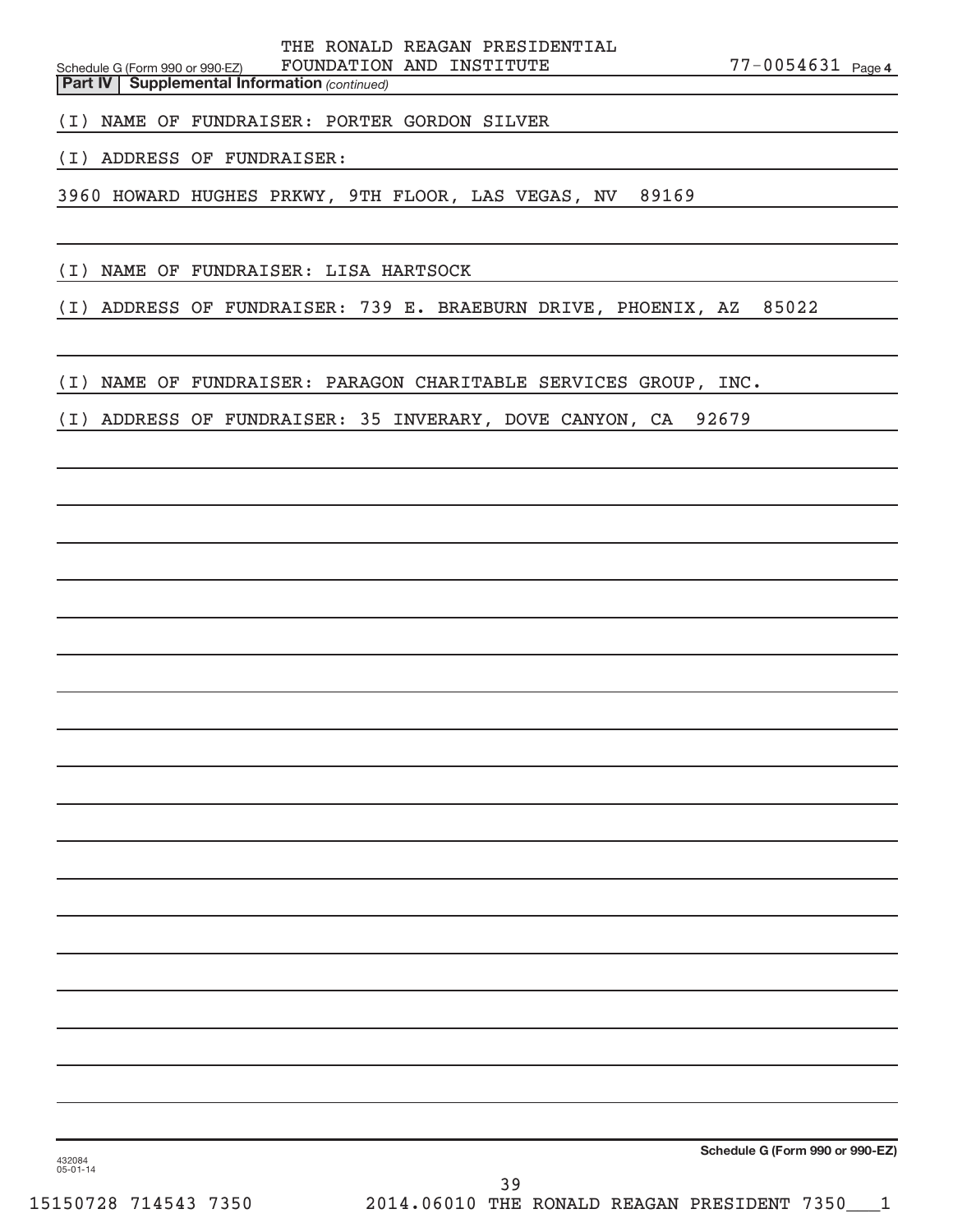Schedule G (Form 990 or 990-EZ) FOUNDATION AND INSTITUTE  $77-0054631$   $_{\rm Page}$ THE RONALD REAGAN PRESIDENTIAL

77-0054631 Page 4

**Part IV** | Supplemental Information (continued)

(I) NAME OF FUNDRAISER: PORTER GORDON SILVER

(I) ADDRESS OF FUNDRAISER:

3960 HOWARD HUGHES PRKWY, 9TH FLOOR, LAS VEGAS, NV 89169

(I) NAME OF FUNDRAISER: LISA HARTSOCK

(I) ADDRESS OF FUNDRAISER: 739 E. BRAEBURN DRIVE, PHOENIX, AZ 85022

(I) NAME OF FUNDRAISER: PARAGON CHARITABLE SERVICES GROUP, INC.

(I) ADDRESS OF FUNDRAISER: 35 INVERARY, DOVE CANYON, CA 92679

**Schedule G (Form 990 or 990-EZ)**

432084 05-01-14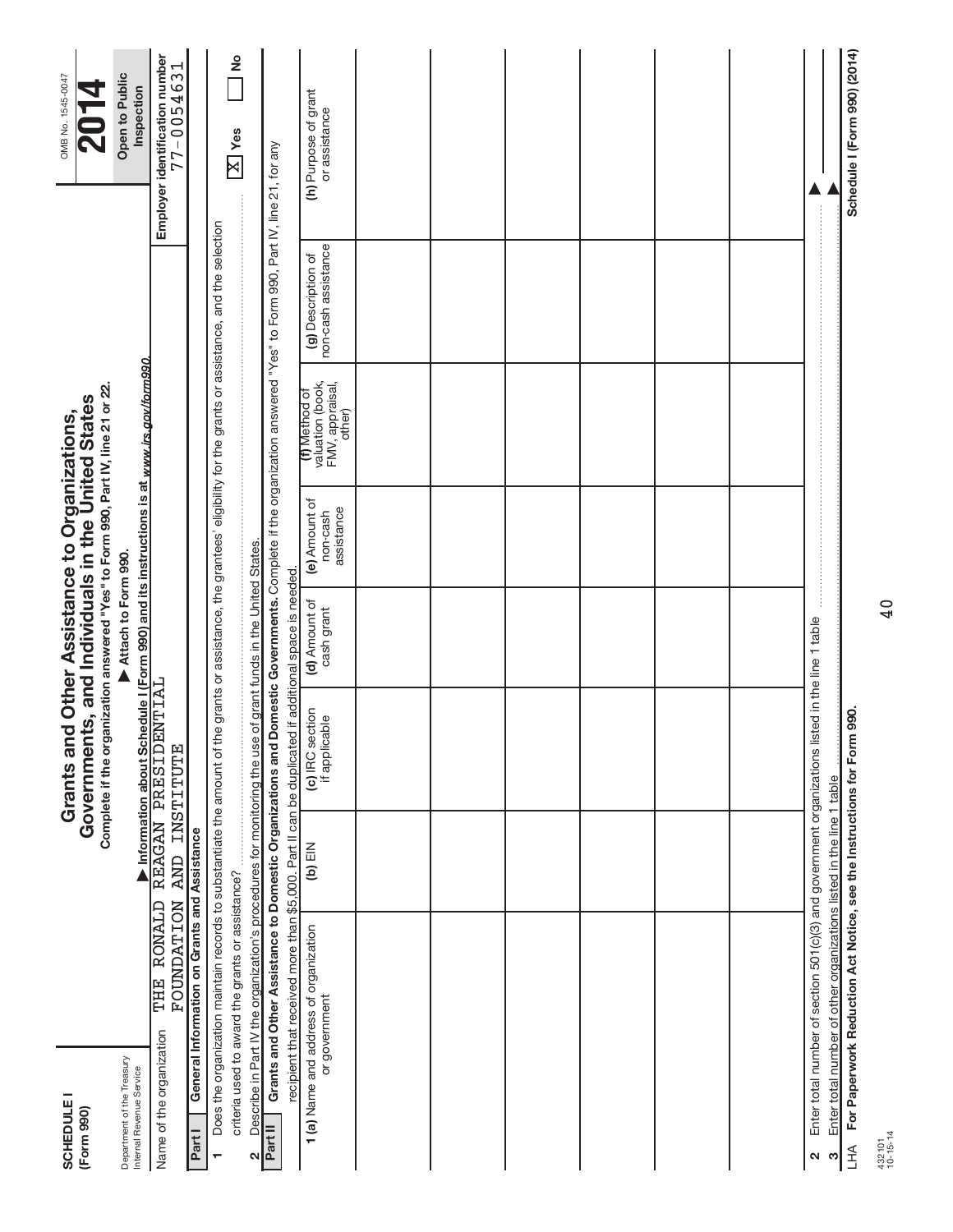| <b>SCHEDULE I</b><br>(Form 990)                        |                                                                                                                                                                          |               | Complete if the organization answered "Yes" to Form 990, Part IV, line 21 or 22.<br>Grants and Other Assistance to Organizations,<br>Government |                                                              | ts, and Individuals in the United States |                                                                |                                           | OMB No. 1545-0047                                |
|--------------------------------------------------------|--------------------------------------------------------------------------------------------------------------------------------------------------------------------------|---------------|-------------------------------------------------------------------------------------------------------------------------------------------------|--------------------------------------------------------------|------------------------------------------|----------------------------------------------------------------|-------------------------------------------|--------------------------------------------------|
| Department of the Treasury<br>Internal Revenue Service |                                                                                                                                                                          |               | Information about Schedule I (Form 990) and its instructions is at www.irs.gov/form990                                                          | Attach to Form 990.                                          |                                          |                                                                |                                           | Open to Public<br>Inspection                     |
| Name of the organization                               | THE RONALD REAGAN PRESIDENTIAL<br><b>FOUNDATION</b>                                                                                                                      | AND INSTITUTE |                                                                                                                                                 |                                                              |                                          |                                                                |                                           | Employer identification number<br>$77 - 0054631$ |
| Part I                                                 | General Information on Grants and Assistance                                                                                                                             |               |                                                                                                                                                 |                                                              |                                          |                                                                |                                           |                                                  |
| ÷                                                      | Does the organization maintain records to substantiate the amount of the grants or assistance, the grantees' eligibility for the grants or assistance, and the selection |               |                                                                                                                                                 |                                                              |                                          |                                                                |                                           |                                                  |
|                                                        | criteria used to award the grants or assistance?                                                                                                                         |               |                                                                                                                                                 |                                                              |                                          |                                                                |                                           | $\frac{6}{5}$<br>$\boxed{\text{X}}$ Yes          |
| ٧                                                      | Describe in Part IV the organization's procedures for monitoring the use                                                                                                 |               |                                                                                                                                                 | of grant funds in the United States.                         |                                          |                                                                |                                           |                                                  |
| Part II                                                | Grants and Other Assistance to Domestic Organizations and Domestic Governments. Complete if the organization answered "Yes" to Form 990, Part IV, line 21, for any       |               |                                                                                                                                                 |                                                              |                                          |                                                                |                                           |                                                  |
|                                                        | recipient that received more than \$5,000. Part II can be duplicated<br>1(a) Name and address of organization<br>or government                                           | $(b)$ EIN     | (c) IRC section<br>if applicable                                                                                                                | if additional space is needed<br>(d) Amount of<br>cash grant | (e) Amount of<br>assistance<br>non-cash  | valuation (book,<br>FMV, appraisal,<br>(f) Method of<br>other) | non-cash assistance<br>(g) Description of | (h) Purpose of grant<br>or assistance            |
|                                                        |                                                                                                                                                                          |               |                                                                                                                                                 |                                                              |                                          |                                                                |                                           |                                                  |
|                                                        |                                                                                                                                                                          |               |                                                                                                                                                 |                                                              |                                          |                                                                |                                           |                                                  |
|                                                        |                                                                                                                                                                          |               |                                                                                                                                                 |                                                              |                                          |                                                                |                                           |                                                  |
|                                                        |                                                                                                                                                                          |               |                                                                                                                                                 |                                                              |                                          |                                                                |                                           |                                                  |
|                                                        |                                                                                                                                                                          |               |                                                                                                                                                 |                                                              |                                          |                                                                |                                           |                                                  |
|                                                        |                                                                                                                                                                          |               |                                                                                                                                                 |                                                              |                                          |                                                                |                                           |                                                  |
| 2                                                      | Enter total number of section 501(c)(3) and government organizations list                                                                                                |               |                                                                                                                                                 | ted in the line 1 table                                      |                                          |                                                                |                                           |                                                  |
| S                                                      | Enter total number of other organizations listed in the line 1 table                                                                                                     |               |                                                                                                                                                 |                                                              |                                          |                                                                |                                           |                                                  |
| LHA                                                    | For Paperwork Reduction Act Notice, see the Instructions for Form                                                                                                        |               | 990.                                                                                                                                            |                                                              |                                          |                                                                |                                           | Schedule I (Form 990) (2014)                     |

40

432101 10-15-14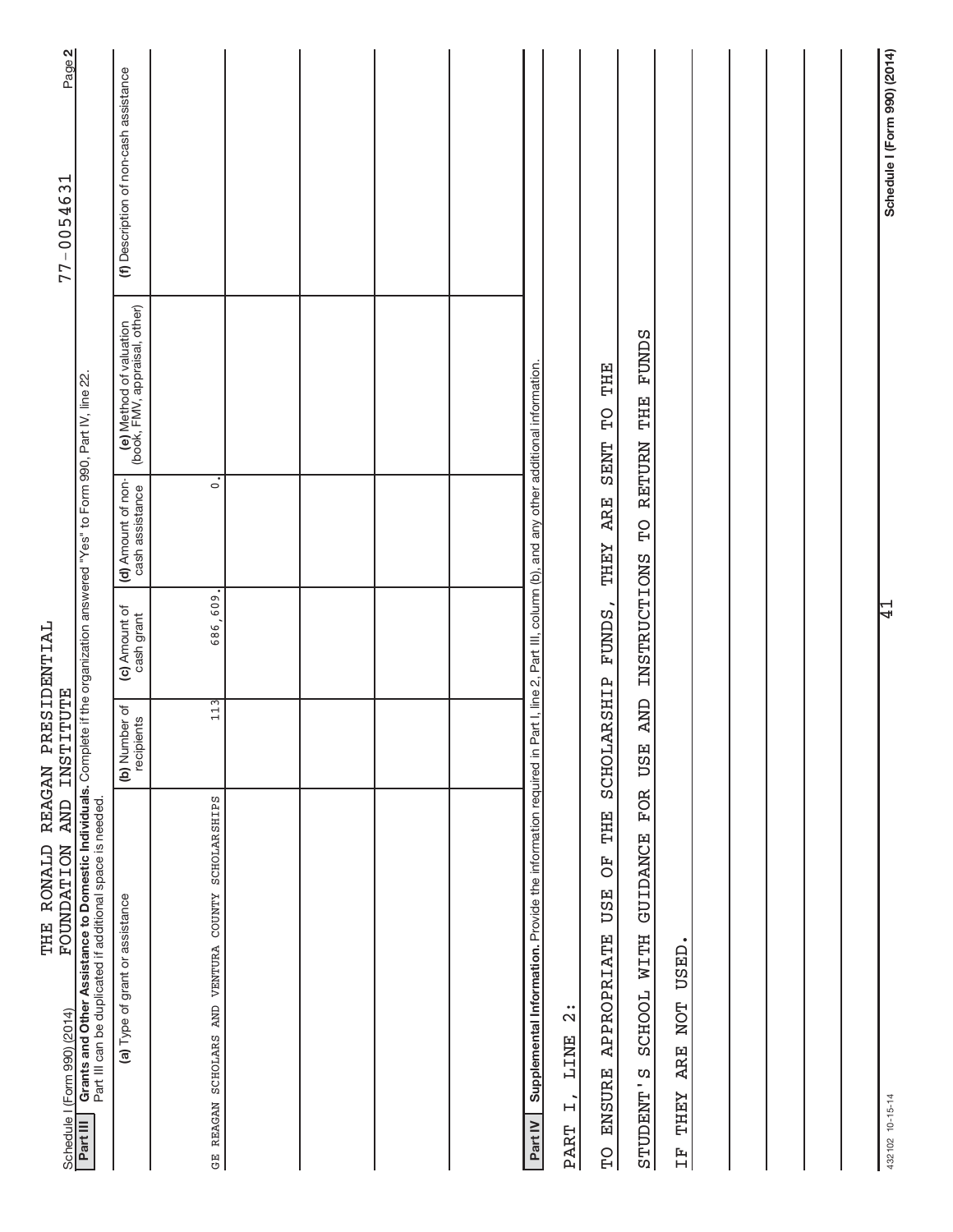| FOUNDATION AND<br>Schedule I (Form 990) (2014)                                                                                                                                                           | <b>INSTITUTE</b>            |                             |                                       |                                                          | Page 2<br>$77 - 0054631$               |
|----------------------------------------------------------------------------------------------------------------------------------------------------------------------------------------------------------|-----------------------------|-----------------------------|---------------------------------------|----------------------------------------------------------|----------------------------------------|
| Grants and Other Assistance to Domestic Individuals. Complete if the organization answered "Yes" to Form 990, Part IV, line 22.<br>Part III can be duplicated if additional space is needed.<br>Part III |                             |                             |                                       |                                                          |                                        |
| (a) Type of grant or assistance                                                                                                                                                                          | (b) Number of<br>recipients | (c) Amount of<br>cash grant | (d) Amount of non-<br>cash assistance | (e) Method of valuation<br>(book, FMV, appraisal, other) | (f) Description of non-cash assistance |
| GE REAGAN SCHOLARS AND VENTURA COUNTY SCHOLARSHIPS                                                                                                                                                       | 113                         | 686,609                     | $\ddot{\circ}$                        |                                                          |                                        |
|                                                                                                                                                                                                          |                             |                             |                                       |                                                          |                                        |
|                                                                                                                                                                                                          |                             |                             |                                       |                                                          |                                        |
|                                                                                                                                                                                                          |                             |                             |                                       |                                                          |                                        |
|                                                                                                                                                                                                          |                             |                             |                                       |                                                          |                                        |
| Supplemental Information. Provide the information required in Part I, line 2, Part III, column (b), and any other additional information.<br>Part IV                                                     |                             |                             |                                       |                                                          |                                        |
| $\frac{1}{2}$<br><b>TINE</b><br>$\overline{L}$<br><b>PART</b>                                                                                                                                            |                             |                             |                                       |                                                          |                                        |
| THE<br>F <sub>O</sub><br><b>USE</b><br>APPROPRIATE<br><b>ENSURE</b><br>$\overline{C}$                                                                                                                    | SCHOLARSHIP                 | <b>FUNDS</b>                | <b>ARE</b><br><b>LHHY</b>             | THE<br>$\overline{C}$<br><b>SENT</b>                     |                                        |
| FOR<br><b>GUIDANCE</b><br>SCHOOL WITH<br>STUDENT'S                                                                                                                                                       | <b>CINA</b><br><b>USE</b>   |                             | INSTRUCTIONS TO RETURN THE            | <b>FUNDS</b>                                             |                                        |
| USED.<br><b>NOT</b><br><b>ARE</b><br><b>LHEY</b><br>$\overline{H}$                                                                                                                                       |                             |                             |                                       |                                                          |                                        |
|                                                                                                                                                                                                          |                             |                             |                                       |                                                          |                                        |
|                                                                                                                                                                                                          |                             |                             |                                       |                                                          |                                        |
|                                                                                                                                                                                                          |                             |                             |                                       |                                                          |                                        |
|                                                                                                                                                                                                          |                             |                             |                                       |                                                          |                                        |
|                                                                                                                                                                                                          |                             | $\frac{1}{4}$               |                                       |                                                          |                                        |
| 432102 10-15-14                                                                                                                                                                                          |                             |                             |                                       |                                                          | Schedule I (Form 990) (2014)           |

THE RONALD REAGAN PRESIDENTIAL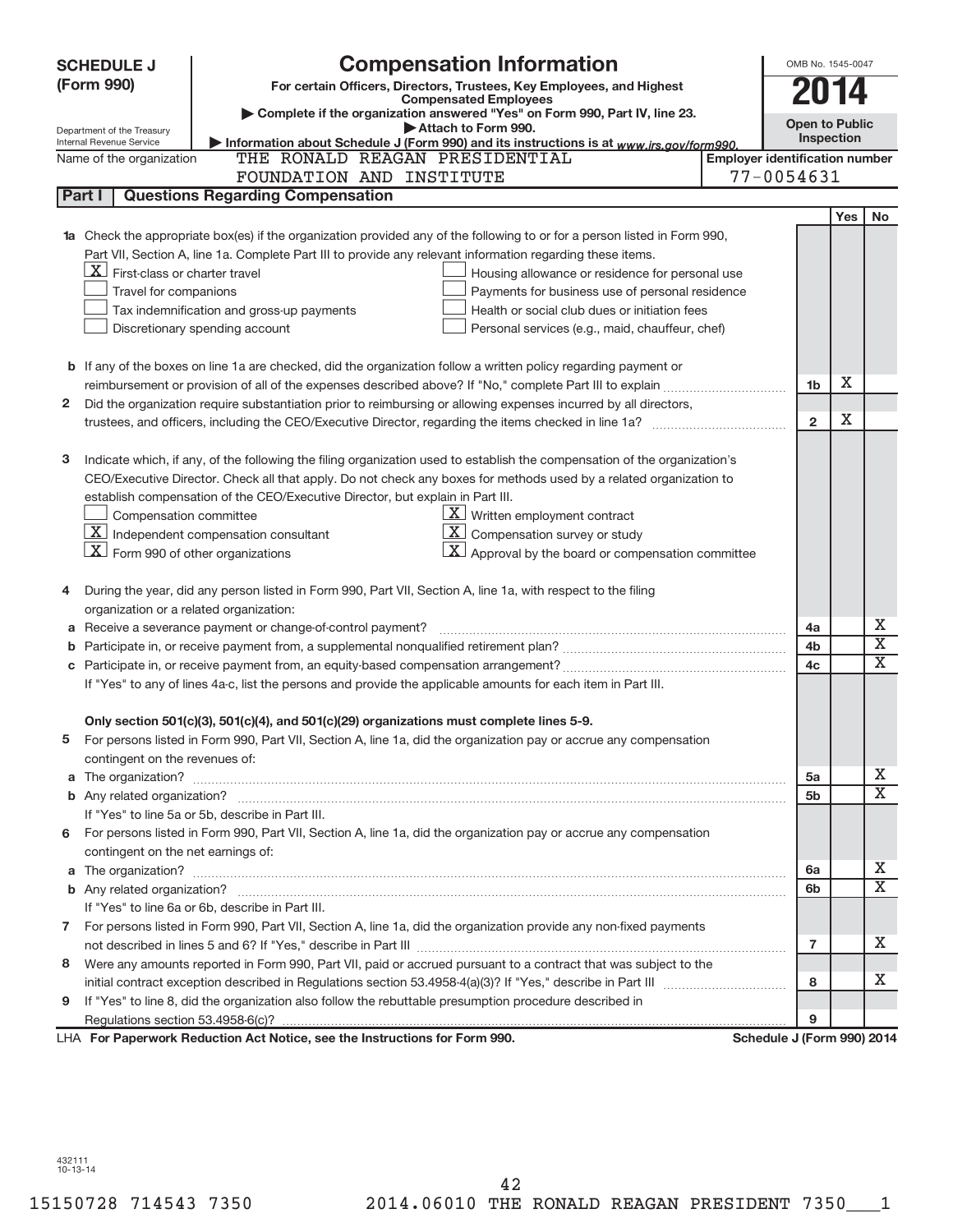| <b>Compensation Information</b><br><b>SCHEDULE J</b><br>(Form 990)<br>For certain Officers, Directors, Trustees, Key Employees, and Highest<br>2014<br><b>Compensated Employees</b><br>Complete if the organization answered "Yes" on Form 990, Part IV, line 23.<br><b>Open to Public</b><br>Attach to Form 990.<br>Department of the Treasury<br>Inspection<br>Information about Schedule J (Form 990) and its instructions is at www.irs.gov/form990.<br>Internal Revenue Service<br>THE RONALD REAGAN PRESIDENTIAL<br><b>Employer identification number</b><br>Name of the organization<br>77-0054631<br>FOUNDATION AND INSTITUTE<br><b>Questions Regarding Compensation</b><br>Part I<br><b>Yes</b><br>Check the appropriate box(es) if the organization provided any of the following to or for a person listed in Form 990, | <b>No</b>               |
|------------------------------------------------------------------------------------------------------------------------------------------------------------------------------------------------------------------------------------------------------------------------------------------------------------------------------------------------------------------------------------------------------------------------------------------------------------------------------------------------------------------------------------------------------------------------------------------------------------------------------------------------------------------------------------------------------------------------------------------------------------------------------------------------------------------------------------|-------------------------|
|                                                                                                                                                                                                                                                                                                                                                                                                                                                                                                                                                                                                                                                                                                                                                                                                                                    |                         |
|                                                                                                                                                                                                                                                                                                                                                                                                                                                                                                                                                                                                                                                                                                                                                                                                                                    |                         |
|                                                                                                                                                                                                                                                                                                                                                                                                                                                                                                                                                                                                                                                                                                                                                                                                                                    |                         |
|                                                                                                                                                                                                                                                                                                                                                                                                                                                                                                                                                                                                                                                                                                                                                                                                                                    |                         |
|                                                                                                                                                                                                                                                                                                                                                                                                                                                                                                                                                                                                                                                                                                                                                                                                                                    |                         |
|                                                                                                                                                                                                                                                                                                                                                                                                                                                                                                                                                                                                                                                                                                                                                                                                                                    |                         |
|                                                                                                                                                                                                                                                                                                                                                                                                                                                                                                                                                                                                                                                                                                                                                                                                                                    |                         |
|                                                                                                                                                                                                                                                                                                                                                                                                                                                                                                                                                                                                                                                                                                                                                                                                                                    |                         |
|                                                                                                                                                                                                                                                                                                                                                                                                                                                                                                                                                                                                                                                                                                                                                                                                                                    |                         |
| Part VII, Section A, line 1a. Complete Part III to provide any relevant information regarding these items.                                                                                                                                                                                                                                                                                                                                                                                                                                                                                                                                                                                                                                                                                                                         |                         |
| $X$ First-class or charter travel<br>Housing allowance or residence for personal use                                                                                                                                                                                                                                                                                                                                                                                                                                                                                                                                                                                                                                                                                                                                               |                         |
| Travel for companions<br>Payments for business use of personal residence                                                                                                                                                                                                                                                                                                                                                                                                                                                                                                                                                                                                                                                                                                                                                           |                         |
| Tax indemnification and gross-up payments<br>Health or social club dues or initiation fees                                                                                                                                                                                                                                                                                                                                                                                                                                                                                                                                                                                                                                                                                                                                         |                         |
| Discretionary spending account<br>Personal services (e.g., maid, chauffeur, chef)                                                                                                                                                                                                                                                                                                                                                                                                                                                                                                                                                                                                                                                                                                                                                  |                         |
|                                                                                                                                                                                                                                                                                                                                                                                                                                                                                                                                                                                                                                                                                                                                                                                                                                    |                         |
| <b>b</b> If any of the boxes on line 1a are checked, did the organization follow a written policy regarding payment or                                                                                                                                                                                                                                                                                                                                                                                                                                                                                                                                                                                                                                                                                                             |                         |
| х<br>1b                                                                                                                                                                                                                                                                                                                                                                                                                                                                                                                                                                                                                                                                                                                                                                                                                            |                         |
| Did the organization require substantiation prior to reimbursing or allowing expenses incurred by all directors,<br>2                                                                                                                                                                                                                                                                                                                                                                                                                                                                                                                                                                                                                                                                                                              |                         |
| X<br>$\overline{2}$<br>trustees, and officers, including the CEO/Executive Director, regarding the items checked in line 1a?                                                                                                                                                                                                                                                                                                                                                                                                                                                                                                                                                                                                                                                                                                       |                         |
|                                                                                                                                                                                                                                                                                                                                                                                                                                                                                                                                                                                                                                                                                                                                                                                                                                    |                         |
| Indicate which, if any, of the following the filing organization used to establish the compensation of the organization's<br>з                                                                                                                                                                                                                                                                                                                                                                                                                                                                                                                                                                                                                                                                                                     |                         |
| CEO/Executive Director. Check all that apply. Do not check any boxes for methods used by a related organization to                                                                                                                                                                                                                                                                                                                                                                                                                                                                                                                                                                                                                                                                                                                 |                         |
| establish compensation of the CEO/Executive Director, but explain in Part III.                                                                                                                                                                                                                                                                                                                                                                                                                                                                                                                                                                                                                                                                                                                                                     |                         |
| $\underline{\mathbf{X}}$ Written employment contract<br>Compensation committee                                                                                                                                                                                                                                                                                                                                                                                                                                                                                                                                                                                                                                                                                                                                                     |                         |
| $ \mathbf{X} $ Independent compensation consultant<br>$ \mathbf{X} $ Compensation survey or study                                                                                                                                                                                                                                                                                                                                                                                                                                                                                                                                                                                                                                                                                                                                  |                         |
| $ \mathbf{X} $ Form 990 of other organizations<br>$\lfloor x \rfloor$ Approval by the board or compensation committee                                                                                                                                                                                                                                                                                                                                                                                                                                                                                                                                                                                                                                                                                                              |                         |
|                                                                                                                                                                                                                                                                                                                                                                                                                                                                                                                                                                                                                                                                                                                                                                                                                                    |                         |
| During the year, did any person listed in Form 990, Part VII, Section A, line 1a, with respect to the filing                                                                                                                                                                                                                                                                                                                                                                                                                                                                                                                                                                                                                                                                                                                       |                         |
| organization or a related organization:                                                                                                                                                                                                                                                                                                                                                                                                                                                                                                                                                                                                                                                                                                                                                                                            |                         |
| Receive a severance payment or change-of-control payment?<br>4a<br>а                                                                                                                                                                                                                                                                                                                                                                                                                                                                                                                                                                                                                                                                                                                                                               | Х                       |
| 4b                                                                                                                                                                                                                                                                                                                                                                                                                                                                                                                                                                                                                                                                                                                                                                                                                                 | $\overline{\mathbf{X}}$ |
| Participate in, or receive payment from, an equity-based compensation arrangement?<br>4 <sub>c</sub>                                                                                                                                                                                                                                                                                                                                                                                                                                                                                                                                                                                                                                                                                                                               | X                       |
| If "Yes" to any of lines 4a-c, list the persons and provide the applicable amounts for each item in Part III.                                                                                                                                                                                                                                                                                                                                                                                                                                                                                                                                                                                                                                                                                                                      |                         |
|                                                                                                                                                                                                                                                                                                                                                                                                                                                                                                                                                                                                                                                                                                                                                                                                                                    |                         |
| Only section 501(c)(3), 501(c)(4), and 501(c)(29) organizations must complete lines 5-9.                                                                                                                                                                                                                                                                                                                                                                                                                                                                                                                                                                                                                                                                                                                                           |                         |
| For persons listed in Form 990, Part VII, Section A, line 1a, did the organization pay or accrue any compensation<br>5                                                                                                                                                                                                                                                                                                                                                                                                                                                                                                                                                                                                                                                                                                             |                         |
| contingent on the revenues of:                                                                                                                                                                                                                                                                                                                                                                                                                                                                                                                                                                                                                                                                                                                                                                                                     |                         |
| The organization? <b>With the contract of the contract of the contract of the contract of the contract of the contract of the contract of the contract of the contract of the contract of the contract of the contract of the co</b><br>5a<br>a                                                                                                                                                                                                                                                                                                                                                                                                                                                                                                                                                                                    | x                       |
| 5 <sub>b</sub>                                                                                                                                                                                                                                                                                                                                                                                                                                                                                                                                                                                                                                                                                                                                                                                                                     | X                       |
| If "Yes" to line 5a or 5b, describe in Part III.                                                                                                                                                                                                                                                                                                                                                                                                                                                                                                                                                                                                                                                                                                                                                                                   |                         |
| 6 For persons listed in Form 990, Part VII, Section A, line 1a, did the organization pay or accrue any compensation                                                                                                                                                                                                                                                                                                                                                                                                                                                                                                                                                                                                                                                                                                                |                         |
| contingent on the net earnings of:                                                                                                                                                                                                                                                                                                                                                                                                                                                                                                                                                                                                                                                                                                                                                                                                 |                         |
| a<br>6а                                                                                                                                                                                                                                                                                                                                                                                                                                                                                                                                                                                                                                                                                                                                                                                                                            | x<br>X                  |
| 6b                                                                                                                                                                                                                                                                                                                                                                                                                                                                                                                                                                                                                                                                                                                                                                                                                                 |                         |
| If "Yes" to line 6a or 6b, describe in Part III.                                                                                                                                                                                                                                                                                                                                                                                                                                                                                                                                                                                                                                                                                                                                                                                   |                         |
| 7 For persons listed in Form 990, Part VII, Section A, line 1a, did the organization provide any non-fixed payments                                                                                                                                                                                                                                                                                                                                                                                                                                                                                                                                                                                                                                                                                                                | x                       |
| $\overline{7}$                                                                                                                                                                                                                                                                                                                                                                                                                                                                                                                                                                                                                                                                                                                                                                                                                     |                         |
| Were any amounts reported in Form 990, Part VII, paid or accrued pursuant to a contract that was subject to the<br>8                                                                                                                                                                                                                                                                                                                                                                                                                                                                                                                                                                                                                                                                                                               | x                       |
| 8                                                                                                                                                                                                                                                                                                                                                                                                                                                                                                                                                                                                                                                                                                                                                                                                                                  |                         |
| If "Yes" to line 8, did the organization also follow the rebuttable presumption procedure described in<br>9<br>9                                                                                                                                                                                                                                                                                                                                                                                                                                                                                                                                                                                                                                                                                                                   |                         |
| LHA For Paperwork Reduction Act Notice, see the Instructions for Form 990.<br>Schedule J (Form 990) 2014                                                                                                                                                                                                                                                                                                                                                                                                                                                                                                                                                                                                                                                                                                                           |                         |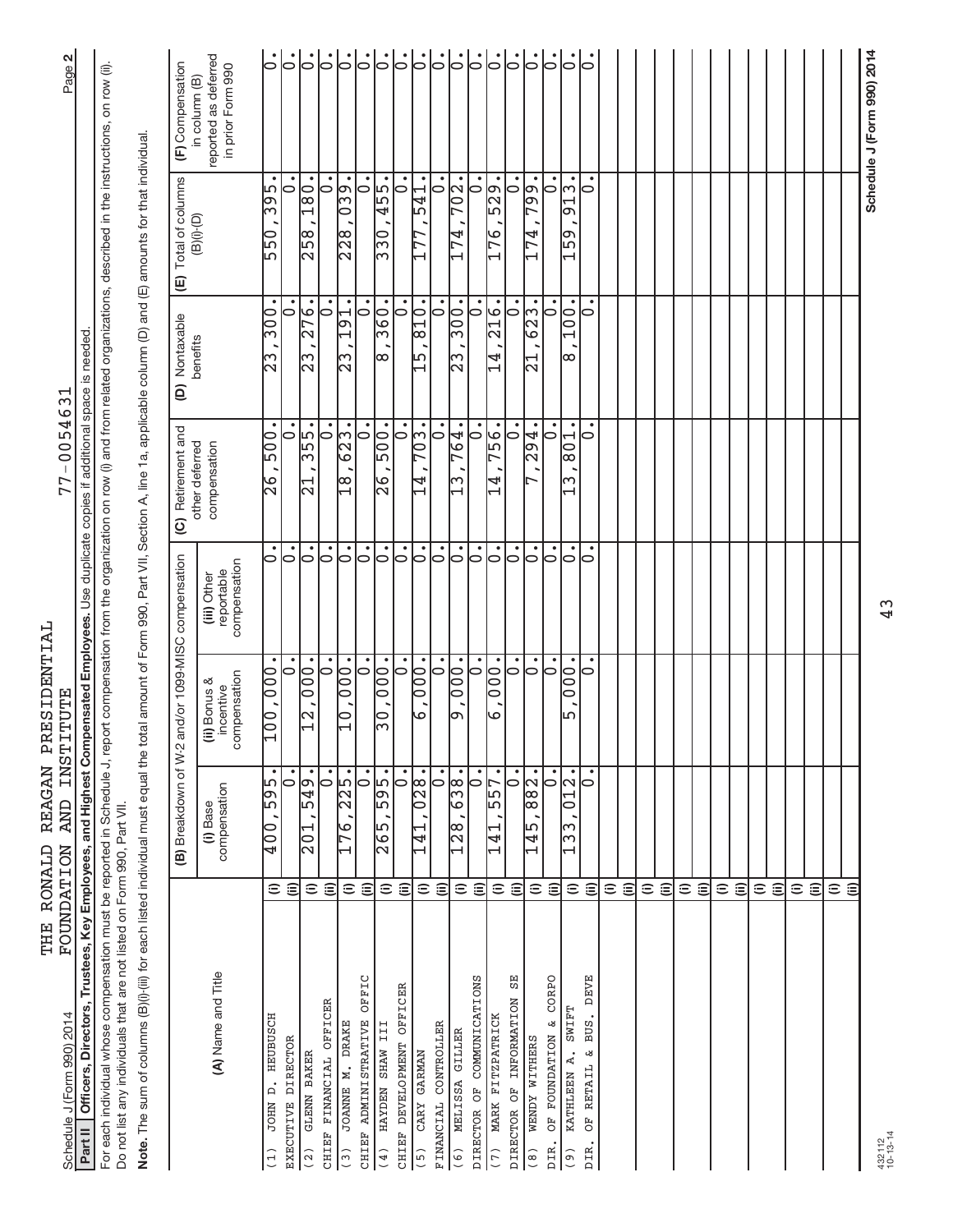| Schedule J (Form 990) 2014                                                                                                                                                                                                                                                       |                    | <b>TNST</b><br>FOUNDATION AND                                    | <b>ITUTE</b>                              |                                                  | $77 - 005463$                                                                                                     | ↽                                                      |                                                     | N<br>Page <sup>1</sup>                                     |
|----------------------------------------------------------------------------------------------------------------------------------------------------------------------------------------------------------------------------------------------------------------------------------|--------------------|------------------------------------------------------------------|-------------------------------------------|--------------------------------------------------|-------------------------------------------------------------------------------------------------------------------|--------------------------------------------------------|-----------------------------------------------------|------------------------------------------------------------|
| Officers, Directors, Trustees, Key Employees, and Highest Compensated Employees. Use duplicate copies if additional<br>Part II                                                                                                                                                   |                    |                                                                  |                                           |                                                  |                                                                                                                   | is needed<br>space                                     |                                                     |                                                            |
| For each individual whose compensation must be reported in Schedule J, report compensation from the organization on row (i) and from related organizations, described in the instructions, on row (ii)<br>Do not list any individuals that are not listed on Form 990, Part VII. |                    |                                                                  |                                           |                                                  |                                                                                                                   |                                                        |                                                     |                                                            |
| Note. The sum of columns (B)(i)-(iii) for each listed individual must equal the t                                                                                                                                                                                                |                    |                                                                  |                                           |                                                  | otal amount of Form 990, Part VII, Section A, line 1a, applicable column (D) and (E) amounts for that individual. |                                                        |                                                     |                                                            |
|                                                                                                                                                                                                                                                                                  |                    | (B) Breakdown of W-2                                             |                                           | and/or 1099-MISC compensation                    | (C) Retirement and                                                                                                | Nontaxable<br>$\widehat{e}$                            | Total of columns<br>(B)(i)-(D)<br>⊕                 | (F) Compensation                                           |
| (A) Name and Title                                                                                                                                                                                                                                                               |                    | compensation<br>(i) Base                                         | compensation<br>(ii) Bonus &<br>incentive | compensation<br>reportable<br>(iii) Other        | other deferred<br>compensation                                                                                    | benefits                                               |                                                     | reported as deferred<br>in prior Form 990<br>in column (B) |
| D. HEUBUSCH<br>DIRECTOR<br><b>JOHN</b><br><b>EXECUTIVE</b><br>(1)                                                                                                                                                                                                                | $\widehat{=}$      | $\mathbf{C}$<br>50p<br>$\frac{1}{2}0$                            | $\mathbf{C}$<br>100,000                   | $\dot{\circ}$<br>$\circ$                         | $\bullet$<br>$\frac{00}{5}$<br>0<br>$\frac{9}{2}$                                                                 | $\overline{300}$<br>っ<br>ω<br>$\overline{\mathcal{C}}$ | $\bullet$<br>$\frac{1}{3}95$<br>0<br>$\frac{1}{50}$ | $  \cdot \rangle$<br>ြ                                     |
| GLENN BAKER<br>(2)                                                                                                                                                                                                                                                               | ε<br>$\widehat{=}$ | .67<br>ഹ<br>201                                                  | $\overline{000}$<br>$\frac{2}{1}$         | $  \mathbf{S}$                                   | 355.<br>$\overline{21}$                                                                                           | $\overline{76}$ .<br>2<br>$\frac{2}{3}$                | 180.<br>$\overline{258}$                            | $  \dot{\circ}$                                            |
| CHIEF FINANCIAL OFFICER                                                                                                                                                                                                                                                          | $\widehat{\equiv}$ | $\overline{\cdot}$                                               | $\overline{\cdot}$                        | $\overline{\mathsf{S}}$                          | $\bullet$<br>$\circ$                                                                                              | $\dot{\circ}$                                          | $\bullet$<br>$\overline{\bullet}$                   | $ \dot{\circ} $                                            |
| <b>DRAKE</b><br>JOANNE M.<br>(3)                                                                                                                                                                                                                                                 | $\widehat{=}$      | 225.<br>$\overline{76}$                                          | $\overline{000}$ .<br>$\frac{0}{1}$       | $\dot{\circ}$                                    | $\bullet$<br>$\frac{2}{3}$<br>$\frac{8}{11}$                                                                      | $\bullet$<br>$\frac{191}{2}$<br>ကြ                     | $\sqrt{9}$<br>$\frac{8}{23}$                        | ြ                                                          |
| OFFIC<br>CHIEF ADMINISTRATIVE                                                                                                                                                                                                                                                    | $\widehat{\equiv}$ | 0                                                                | o                                         | $  \mathbf{S}$                                   | 10                                                                                                                | $\overline{\bullet}$                                   | 10                                                  | $\dot{5}$                                                  |
| HAYDEN SHAW III<br>(4)                                                                                                                                                                                                                                                           | $\widehat{=}$      | 595.<br>$\overline{265}$                                         | $\overline{1000}$<br>$\overline{5}$       | $\overline{\bullet}$                             | $\overline{500}$ .<br>তি<br>য                                                                                     | 360.<br>l∞                                             | $\overline{455}$ .<br>$\frac{1}{3}$                 | <br> -                                                     |
| CHIEF DEVELOPMENT OFFICER                                                                                                                                                                                                                                                        | $\widehat{=}$      | $\circ$                                                          | $\frac{1}{\circ}$                         | $\dot{\circ}$                                    | $\bullet$<br>$\circ$                                                                                              | $\bullet$<br>$\circ$                                   | $\bullet$<br>0                                      | $\mathbin{\mathop{\rule{.05pt}{0.5pt}}\nolimits^{s}}$      |
| CARY GARMAN<br>(5)                                                                                                                                                                                                                                                               | $\widehat{=}$      | $\frac{1}{28}$<br>$\circ$<br>141                                 | $\frac{1}{000}$<br>صا                     | ြ                                                | $\overline{703}$ .<br>$\overline{14}$                                                                             | $\frac{10}{10}$<br>ഥ                                   | 541                                                 | ွ.                                                         |
| CONTROLLER<br><b>FINANCIAL</b>                                                                                                                                                                                                                                                   | $\widehat{\equiv}$ | $\overline{\cdot}$                                               | $\overline{\phantom{0}}$                  | $\overline{\bullet}$                             | $\bullet$<br>$\circ$                                                                                              | $\overline{\circ}$                                     | $\dot{\circ}$                                       | $\dot{\circ}$                                              |
| MELISSA GILLER<br>(6)                                                                                                                                                                                                                                                            | $\widehat{=}$      | 638.<br>$\overline{\overset{8}{\sim}}$                           | $\overline{000}$ .<br>lص                  | $\dot{\circ}$                                    | $\overline{6}$<br>⊳<br>ω                                                                                          | $\bullet$<br>$\frac{1}{300}$<br>$\overline{23}$        | $\overline{702}$<br>4<br>$\overline{ }$             | $  \dot{\circ}$                                            |
| COMMUNICATIONS<br>DIRECTOR OF                                                                                                                                                                                                                                                    | $\widehat{\equiv}$ | 10                                                               | 0                                         | $\mathbin{\mathop{\rule{0pt}{0pt}}\nolimits^{}}$ | $\bullet$<br>10                                                                                                   | $\bullet$<br>10                                        | 10                                                  | $\overline{\vphantom{a}}$                                  |
| MARK FITZPATRICK<br>(7)                                                                                                                                                                                                                                                          | $\widehat{=}$      | $\bullet$<br>57<br>5<br>$\mathbf{1}$<br>$\overline{\phantom{0}}$ | $\overline{10}$<br>0<br>৩                 | $\overline{\bullet}$                             | 756.<br>4<br>$\overline{\phantom{0}}$                                                                             | 216.<br>4<br>$\overline{\phantom{0}}$                  | 529.<br>76<br>$\overline{\phantom{0}}$              | $\circ$                                                    |
| ЯS<br>INFORMATION<br>DIRECTOR OF                                                                                                                                                                                                                                                 | $\widehat{\equiv}$ | $\circ$                                                          | $\dot{\circ}$                             | $\dot{\circ}$                                    | $\circ$                                                                                                           | ٠<br>$\circ$                                           | 0                                                   | $\mathsf{L}$                                               |
| WENDY WITHERS<br>$\left( \begin{array}{c} 8 \end{array} \right)$                                                                                                                                                                                                                 | $\widehat{=}$      | $\overline{\overset{8}{\circ}}$<br>∣∞<br>ഥ<br>$\overline{14}$    | $\dot{\circ}$                             | $\dot{\circ}$                                    | $\bullet$<br>294                                                                                                  | 623.<br>⊣<br>N                                         | $-66.$<br>74                                        | $\overline{\vphantom{h}}$                                  |
| CORPO<br>ى<br>OF FOUNDATION<br>DIR.                                                                                                                                                                                                                                              | $\widehat{\equiv}$ | $\bullet$<br>⊃                                                   | $\overline{0}$                            | $\circ$                                          | $\bullet$<br>0                                                                                                    | $\bullet$<br>っ                                         | $\bullet$<br>0                                      | 0                                                          |
| <b>SWIFT</b><br>KATHLEEN A.<br>$\begin{pmatrix} 0 \\ 0 \end{pmatrix}$                                                                                                                                                                                                            | $\widehat{=}$      | $\overline{12}$ .<br>$\circ$<br>ო<br>$\omega$                    | $000$ .<br>Ь٦                             | $\circ$                                          | $\frac{100}{8}$<br>ω                                                                                              | 100<br>$\infty$                                        | ∣ന<br>$\frac{1}{9}$<br>$\frac{59}{5}$               | $\circ$                                                    |
| <b>DEVE</b><br>BUS.<br>ىغ<br>RETAIL<br>ð<br><b>DIR</b>                                                                                                                                                                                                                           | $\widehat{\equiv}$ | 0                                                                | 0                                         | 0                                                | $\bullet$<br>0                                                                                                    | 0                                                      | $\circ$                                             | 0                                                          |
|                                                                                                                                                                                                                                                                                  | $\widehat{=}$      |                                                                  |                                           |                                                  |                                                                                                                   |                                                        |                                                     |                                                            |
|                                                                                                                                                                                                                                                                                  | $\widehat{=}$      |                                                                  |                                           |                                                  |                                                                                                                   |                                                        |                                                     |                                                            |
|                                                                                                                                                                                                                                                                                  | $\widehat{=}$      |                                                                  |                                           |                                                  |                                                                                                                   |                                                        |                                                     |                                                            |
|                                                                                                                                                                                                                                                                                  | $\widehat{=}$      |                                                                  |                                           |                                                  |                                                                                                                   |                                                        |                                                     |                                                            |
|                                                                                                                                                                                                                                                                                  | $\widehat{=}$      |                                                                  |                                           |                                                  |                                                                                                                   |                                                        |                                                     |                                                            |
|                                                                                                                                                                                                                                                                                  | $\widehat{\equiv}$ |                                                                  |                                           |                                                  |                                                                                                                   |                                                        |                                                     |                                                            |
|                                                                                                                                                                                                                                                                                  | $\widehat{=}$      |                                                                  |                                           |                                                  |                                                                                                                   |                                                        |                                                     |                                                            |
|                                                                                                                                                                                                                                                                                  | $\widehat{\equiv}$ |                                                                  |                                           |                                                  |                                                                                                                   |                                                        |                                                     |                                                            |
|                                                                                                                                                                                                                                                                                  | $\widehat{=}$      |                                                                  |                                           |                                                  |                                                                                                                   |                                                        |                                                     |                                                            |
|                                                                                                                                                                                                                                                                                  | $\widehat{\equiv}$ |                                                                  |                                           |                                                  |                                                                                                                   |                                                        |                                                     |                                                            |
|                                                                                                                                                                                                                                                                                  | $\widehat{=}$      |                                                                  |                                           |                                                  |                                                                                                                   |                                                        |                                                     |                                                            |
|                                                                                                                                                                                                                                                                                  | $\widehat{\equiv}$ |                                                                  |                                           |                                                  |                                                                                                                   |                                                        |                                                     |                                                            |
|                                                                                                                                                                                                                                                                                  | $\widehat{=}$      |                                                                  |                                           |                                                  |                                                                                                                   |                                                        |                                                     |                                                            |
|                                                                                                                                                                                                                                                                                  | $\widehat{\equiv}$ |                                                                  |                                           |                                                  |                                                                                                                   |                                                        |                                                     |                                                            |
| 432112<br>10-13-14                                                                                                                                                                                                                                                               |                    |                                                                  |                                           | 43                                               |                                                                                                                   |                                                        |                                                     | Schedule J (Form 990) 2014                                 |

FOUNDATION AND INSTITUTE 77-0054631 THE RONALD REAGAN PRESIDENTIAL<br>FOUNDATION AND INSTITUTE THE RONALD REAGAN PRESIDENTIAL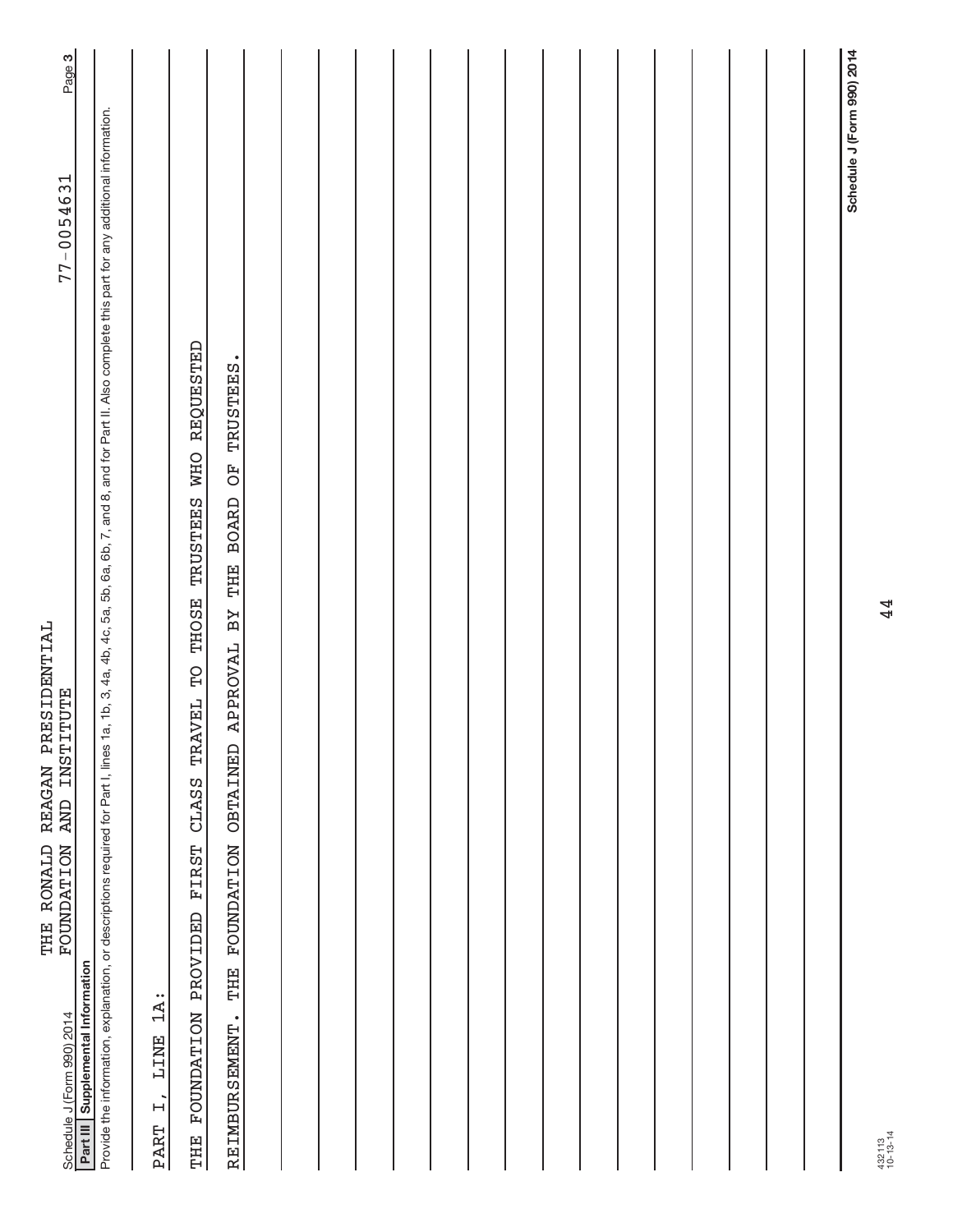| <b>INSTITUTE</b><br><b>AND</b><br><b>FOUNDATION</b><br>Schedule J (Form 990) 2014                                                                                                                                                                   | $77 - 0054631$             | Page 3 |
|-----------------------------------------------------------------------------------------------------------------------------------------------------------------------------------------------------------------------------------------------------|----------------------------|--------|
| Provide the information, explanation, or descriptions required for Part I, lines 1a, 1b, 3, 4a, 4b, 4a, 5b, 5a, 5b, 6a, 5b, 7, and 8, and for Part II. Also complete this part for any additional information.<br>Part III Supplemental Information |                            |        |
| $1A$ :<br>LINE<br>$\overline{H}$<br><b>PART</b>                                                                                                                                                                                                     |                            |        |
| TRAVEL TO THOSE TRUSTEES WHO REQUESTED<br>CLASS<br><b>FIRST</b><br>PROVIDED<br><b>FOUNDATION</b><br>THE                                                                                                                                             |                            |        |
| APPROVAL BY THE BOARD OF TRUSTEES.<br>FOUNDATION OBTAINED<br>THE<br>REIMBURSEMENT.                                                                                                                                                                  |                            |        |
|                                                                                                                                                                                                                                                     |                            |        |
|                                                                                                                                                                                                                                                     |                            |        |
|                                                                                                                                                                                                                                                     |                            |        |
|                                                                                                                                                                                                                                                     |                            |        |
|                                                                                                                                                                                                                                                     |                            |        |
|                                                                                                                                                                                                                                                     |                            |        |
|                                                                                                                                                                                                                                                     |                            |        |
|                                                                                                                                                                                                                                                     |                            |        |
|                                                                                                                                                                                                                                                     |                            |        |
|                                                                                                                                                                                                                                                     |                            |        |
|                                                                                                                                                                                                                                                     |                            |        |
|                                                                                                                                                                                                                                                     |                            |        |
|                                                                                                                                                                                                                                                     |                            |        |
|                                                                                                                                                                                                                                                     |                            |        |
|                                                                                                                                                                                                                                                     |                            |        |
|                                                                                                                                                                                                                                                     |                            |        |
|                                                                                                                                                                                                                                                     | Schedule J (Form 990) 2014 |        |

THE RONALD REAGAN PRESIDENTIAL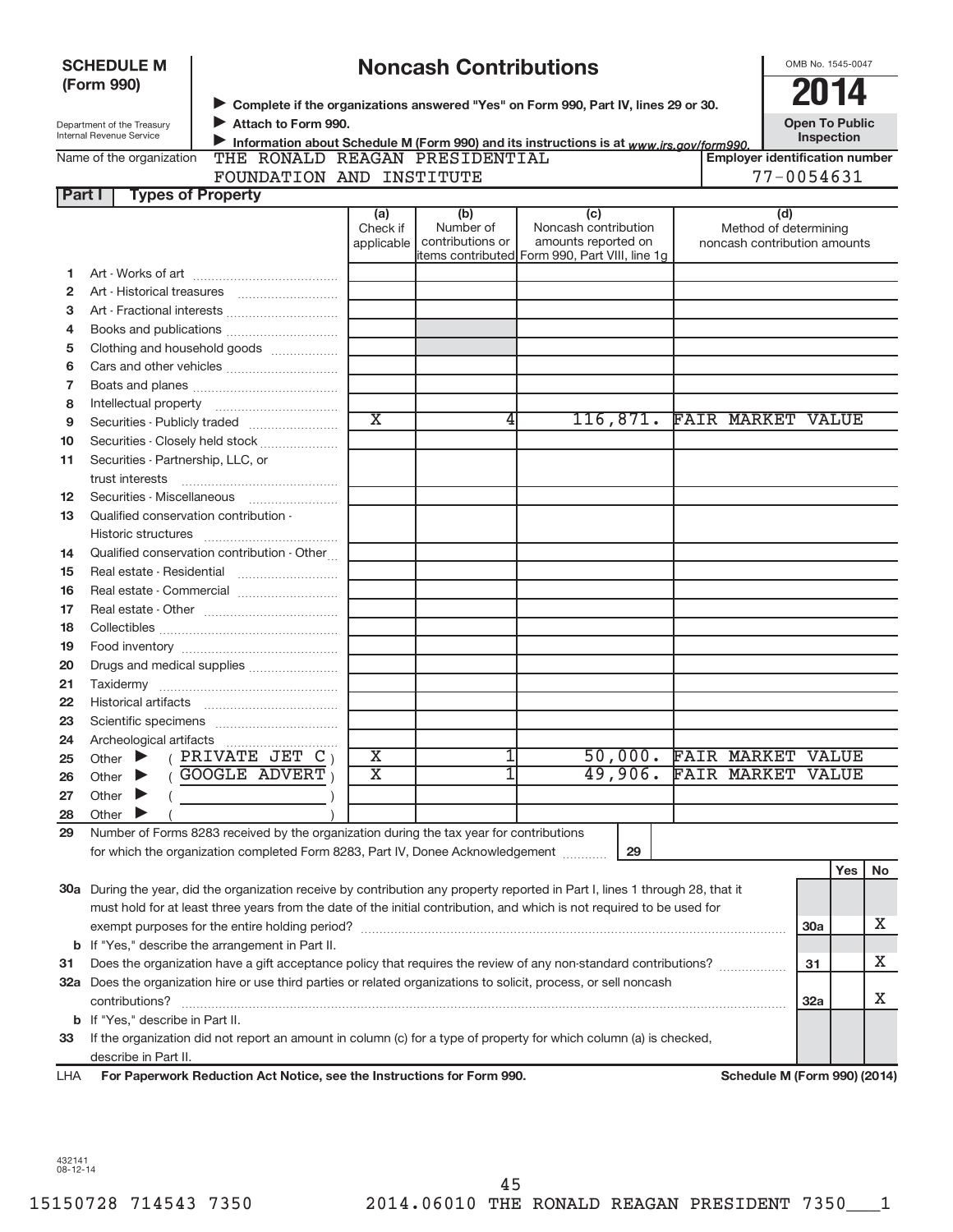|                | <b>SCHEDULE M</b>                                      |                                                                                                                                |                             | <b>Noncash Contributions</b>  |                                                |    |                                                       | OMB No. 1545-0047                   |       |    |
|----------------|--------------------------------------------------------|--------------------------------------------------------------------------------------------------------------------------------|-----------------------------|-------------------------------|------------------------------------------------|----|-------------------------------------------------------|-------------------------------------|-------|----|
|                | (Form 990)                                             |                                                                                                                                |                             |                               |                                                |    |                                                       |                                     |       |    |
|                |                                                        | Complete if the organizations answered "Yes" on Form 990, Part IV, lines 29 or 30.                                             |                             |                               |                                                |    |                                                       |                                     |       |    |
|                | Department of the Treasury<br>Internal Revenue Service | Attach to Form 990.<br>Information about Schedule M (Form 990) and its instructions is at www.irs.gov/form990.                 |                             |                               |                                                |    |                                                       | <b>Open To Public</b><br>Inspection |       |    |
|                | Name of the organization                               | THE RONALD REAGAN PRESIDENTIAL                                                                                                 |                             |                               |                                                |    | <b>Employer identification number</b>                 |                                     |       |    |
|                |                                                        | FOUNDATION AND INSTITUTE                                                                                                       |                             |                               |                                                |    |                                                       | 77-0054631                          |       |    |
| Part I         | <b>Types of Property</b>                               |                                                                                                                                |                             |                               |                                                |    |                                                       |                                     |       |    |
|                |                                                        |                                                                                                                                | (a)                         | (b)                           | (c)                                            |    | (d)                                                   |                                     |       |    |
|                |                                                        |                                                                                                                                | Check if<br>applicable      | Number of<br>contributions or | Noncash contribution<br>amounts reported on    |    | Method of determining<br>noncash contribution amounts |                                     |       |    |
|                |                                                        |                                                                                                                                |                             |                               | items contributed Form 990, Part VIII, line 1g |    |                                                       |                                     |       |    |
| 1              |                                                        |                                                                                                                                |                             |                               |                                                |    |                                                       |                                     |       |    |
| $\overline{2}$ |                                                        |                                                                                                                                |                             |                               |                                                |    |                                                       |                                     |       |    |
| 3              |                                                        |                                                                                                                                |                             |                               |                                                |    |                                                       |                                     |       |    |
| 4              |                                                        |                                                                                                                                |                             |                               |                                                |    |                                                       |                                     |       |    |
| 5              |                                                        | Clothing and household goods                                                                                                   |                             |                               |                                                |    |                                                       |                                     |       |    |
| 6              |                                                        |                                                                                                                                |                             |                               |                                                |    |                                                       |                                     |       |    |
| 7              |                                                        |                                                                                                                                |                             |                               |                                                |    |                                                       |                                     |       |    |
| 8              |                                                        |                                                                                                                                | $\overline{\textnormal{x}}$ | 4                             | 116,871.                                       |    | <b>FAIR MARKET VALUE</b>                              |                                     |       |    |
| 9              |                                                        |                                                                                                                                |                             |                               |                                                |    |                                                       |                                     |       |    |
| 10             |                                                        | Securities - Closely held stock                                                                                                |                             |                               |                                                |    |                                                       |                                     |       |    |
| 11             | Securities - Partnership, LLC, or                      |                                                                                                                                |                             |                               |                                                |    |                                                       |                                     |       |    |
| 12             | trust interests                                        |                                                                                                                                |                             |                               |                                                |    |                                                       |                                     |       |    |
| 13             | Qualified conservation contribution -                  |                                                                                                                                |                             |                               |                                                |    |                                                       |                                     |       |    |
|                |                                                        |                                                                                                                                |                             |                               |                                                |    |                                                       |                                     |       |    |
| 14             |                                                        | Qualified conservation contribution - Other                                                                                    |                             |                               |                                                |    |                                                       |                                     |       |    |
| 15             |                                                        |                                                                                                                                |                             |                               |                                                |    |                                                       |                                     |       |    |
| 16             |                                                        |                                                                                                                                |                             |                               |                                                |    |                                                       |                                     |       |    |
| 17             |                                                        |                                                                                                                                |                             |                               |                                                |    |                                                       |                                     |       |    |
| 18             |                                                        |                                                                                                                                |                             |                               |                                                |    |                                                       |                                     |       |    |
| 19             |                                                        |                                                                                                                                |                             |                               |                                                |    |                                                       |                                     |       |    |
| 20             |                                                        | Drugs and medical supplies                                                                                                     |                             |                               |                                                |    |                                                       |                                     |       |    |
| 21             |                                                        |                                                                                                                                |                             |                               |                                                |    |                                                       |                                     |       |    |
| 22             |                                                        |                                                                                                                                |                             |                               |                                                |    |                                                       |                                     |       |    |
| 23             |                                                        |                                                                                                                                |                             |                               |                                                |    |                                                       |                                     |       |    |
| 24             |                                                        |                                                                                                                                |                             |                               |                                                |    |                                                       |                                     |       |    |
| 25             | Other                                                  | PRIVATE JET $C_1$                                                                                                              | Х                           | 1                             | 50,000.                                        |    | <b>FAIR MARKET VALUE</b>                              |                                     |       |    |
| 26             | Other                                                  | <b>GOOGLE ADVERT</b>                                                                                                           | $\overline{\text{x}}$       | 1                             | 49,906.                                        |    | <b>FAIR MARKET</b>                                    |                                     | VALUE |    |
| 27             | Other                                                  |                                                                                                                                |                             |                               |                                                |    |                                                       |                                     |       |    |
| 28             | Other                                                  |                                                                                                                                |                             |                               |                                                |    |                                                       |                                     |       |    |
| 29             |                                                        | Number of Forms 8283 received by the organization during the tax year for contributions                                        |                             |                               |                                                |    |                                                       |                                     |       |    |
|                |                                                        | for which the organization completed Form 8283, Part IV, Donee Acknowledgement                                                 |                             |                               |                                                | 29 |                                                       |                                     |       |    |
|                |                                                        |                                                                                                                                |                             |                               |                                                |    |                                                       |                                     | Yes   | No |
|                |                                                        | 30a During the year, did the organization receive by contribution any property reported in Part I, lines 1 through 28, that it |                             |                               |                                                |    |                                                       |                                     |       |    |
|                |                                                        | must hold for at least three years from the date of the initial contribution, and which is not required to be used for         |                             |                               |                                                |    |                                                       |                                     |       |    |
|                |                                                        |                                                                                                                                |                             |                               |                                                |    |                                                       | 30a                                 |       | х  |
|                |                                                        | <b>b</b> If "Yes," describe the arrangement in Part II.                                                                        |                             |                               |                                                |    |                                                       |                                     |       |    |
| 31             |                                                        | Does the organization have a gift acceptance policy that requires the review of any non-standard contributions?                |                             |                               |                                                |    |                                                       | 31                                  |       | х  |
|                |                                                        | 32a Does the organization hire or use third parties or related organizations to solicit, process, or sell noncash              |                             |                               |                                                |    |                                                       |                                     |       |    |
|                | contributions?                                         |                                                                                                                                |                             |                               |                                                |    |                                                       | 32a                                 |       | х  |
|                | <b>b</b> If "Yes," describe in Part II.                |                                                                                                                                |                             |                               |                                                |    |                                                       |                                     |       |    |
| 33             |                                                        | If the organization did not report an amount in column (c) for a type of property for which column (a) is checked,             |                             |                               |                                                |    |                                                       |                                     |       |    |
|                | describe in Part II.                                   |                                                                                                                                |                             |                               |                                                |    |                                                       |                                     |       |    |
| LHA            |                                                        | For Paperwork Reduction Act Notice, see the Instructions for Form 990.                                                         |                             |                               |                                                |    | <b>Schedule M (Form 990) (2014)</b>                   |                                     |       |    |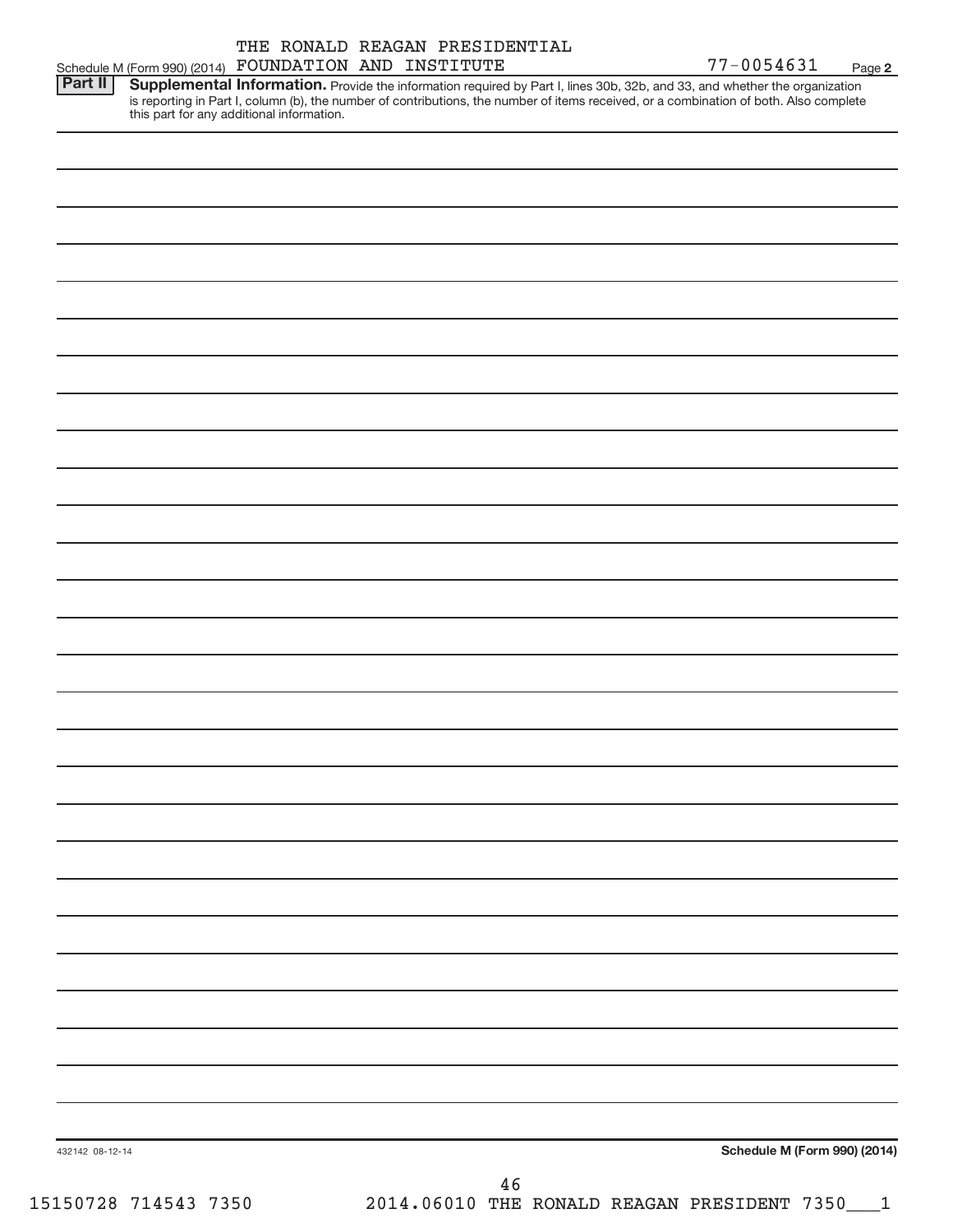| THE RONALD REAGAN PRESIDENTIAL                                                                                                                                                                                                                                                                                               |            |        |
|------------------------------------------------------------------------------------------------------------------------------------------------------------------------------------------------------------------------------------------------------------------------------------------------------------------------------|------------|--------|
| FOUNDATION AND INSTITUTE<br>Schedule M (Form 990) (2014)                                                                                                                                                                                                                                                                     | 77-0054631 | Page 2 |
| Part II<br>Supplemental Information. Provide the information required by Part I, lines 30b, 32b, and 33, and whether the organization<br>is reporting in Part I, column (b), the number of contributions, the number of items received, or a combination of both. Also complete<br>this part for any additional information. |            |        |
|                                                                                                                                                                                                                                                                                                                              |            |        |
|                                                                                                                                                                                                                                                                                                                              |            |        |
|                                                                                                                                                                                                                                                                                                                              |            |        |

**Schedule M (Form 990) (2014)**

432142 08-12-14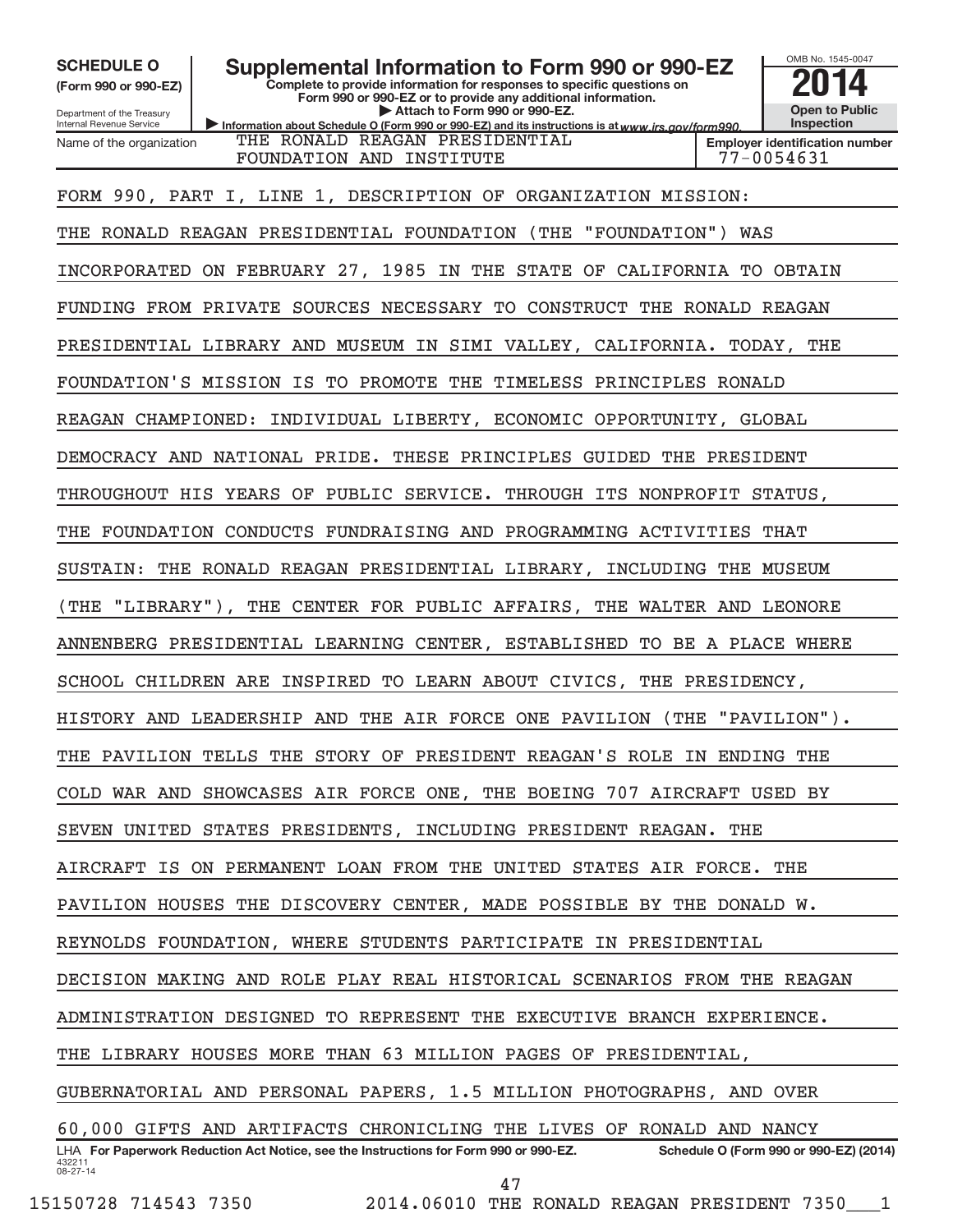Department of the Treasury **(Form 990 or 990-EZ)**

Internal Revenue Service

SCHEDULE O **Supplemental Information to Form 990 or 990-EZ 2014** 

Information about Schedule O (Form 990 or 990-EZ) and its instructions is at www.irs.gov/form990. **Complete to provide information for responses to specific questions on Form 990 or 990-EZ or to provide any additional information. | Attach to Form 990 or 990-EZ.**



OMB No. 1545-0047

THE RONALD REAGAN PRESIDENTIAL

432211 08-27-14 LHA For Paperwork Reduction Act Notice, see the Instructions for Form 990 or 990-EZ. Schedule O (Form 990 or 990-EZ) (2014) Name of the organization FOUNDATION AND INSTITUTE FOUNDATION AND THE THE RESERVE RESERVE THE RESERVE RESERVE THE RESERVE THE RESERVE TH FORM 990, PART I, LINE 1, DESCRIPTION OF ORGANIZATION MISSION: THE RONALD REAGAN PRESIDENTIAL FOUNDATION (THE "FOUNDATION") WAS INCORPORATED ON FEBRUARY 27, 1985 IN THE STATE OF CALIFORNIA TO OBTAIN FUNDING FROM PRIVATE SOURCES NECESSARY TO CONSTRUCT THE RONALD REAGAN PRESIDENTIAL LIBRARY AND MUSEUM IN SIMI VALLEY, CALIFORNIA. TODAY, THE FOUNDATION'S MISSION IS TO PROMOTE THE TIMELESS PRINCIPLES RONALD REAGAN CHAMPIONED: INDIVIDUAL LIBERTY, ECONOMIC OPPORTUNITY, GLOBAL DEMOCRACY AND NATIONAL PRIDE. THESE PRINCIPLES GUIDED THE PRESIDENT THROUGHOUT HIS YEARS OF PUBLIC SERVICE. THROUGH ITS NONPROFIT STATUS, THE FOUNDATION CONDUCTS FUNDRAISING AND PROGRAMMING ACTIVITIES THAT SUSTAIN: THE RONALD REAGAN PRESIDENTIAL LIBRARY, INCLUDING THE MUSEUM (THE "LIBRARY"), THE CENTER FOR PUBLIC AFFAIRS, THE WALTER AND LEONORE ANNENBERG PRESIDENTIAL LEARNING CENTER, ESTABLISHED TO BE A PLACE WHERE SCHOOL CHILDREN ARE INSPIRED TO LEARN ABOUT CIVICS, THE PRESIDENCY, HISTORY AND LEADERSHIP AND THE AIR FORCE ONE PAVILION (THE "PAVILION"). THE PAVILION TELLS THE STORY OF PRESIDENT REAGAN'S ROLE IN ENDING THE COLD WAR AND SHOWCASES AIR FORCE ONE, THE BOEING 707 AIRCRAFT USED BY SEVEN UNITED STATES PRESIDENTS, INCLUDING PRESIDENT REAGAN. THE AIRCRAFT IS ON PERMANENT LOAN FROM THE UNITED STATES AIR FORCE. THE PAVILION HOUSES THE DISCOVERY CENTER, MADE POSSIBLE BY THE DONALD W. REYNOLDS FOUNDATION, WHERE STUDENTS PARTICIPATE IN PRESIDENTIAL DECISION MAKING AND ROLE PLAY REAL HISTORICAL SCENARIOS FROM THE REAGAN ADMINISTRATION DESIGNED TO REPRESENT THE EXECUTIVE BRANCH EXPERIENCE. THE LIBRARY HOUSES MORE THAN 63 MILLION PAGES OF PRESIDENTIAL, GUBERNATORIAL AND PERSONAL PAPERS, 1.5 MILLION PHOTOGRAPHS, AND OVER 60,000 GIFTS AND ARTIFACTS CHRONICLING THE LIVES OF RONALD AND NANCY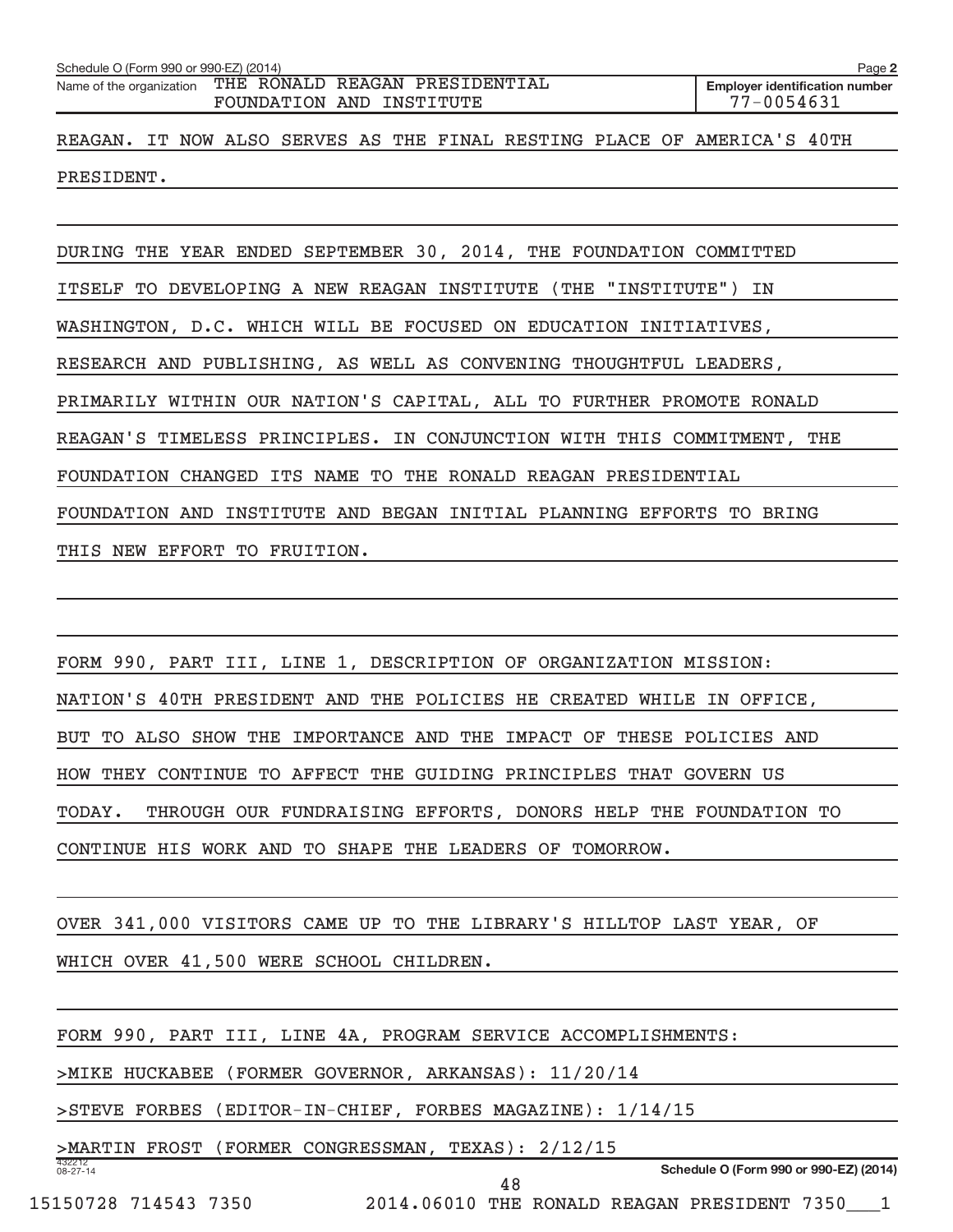| Schedule O (Form 990 or 990-EZ) (2014)                                              | Page 2                                              |
|-------------------------------------------------------------------------------------|-----------------------------------------------------|
| Name of the organization THE RONALD REAGAN PRESIDENTIAL<br>FOUNDATION AND INSTITUTE | <b>Employer identification number</b><br>77-0054631 |
| REAGAN. IT NOW ALSO SERVES AS THE FINAL RESTING PLACE OF AMERICA'S 40TH             |                                                     |
| PRESIDENT.                                                                          |                                                     |

DURING THE YEAR ENDED SEPTEMBER 30, 2014, THE FOUNDATION COMMITTED ITSELF TO DEVELOPING A NEW REAGAN INSTITUTE (THE "INSTITUTE") IN WASHINGTON, D.C. WHICH WILL BE FOCUSED ON EDUCATION INITIATIVES, RESEARCH AND PUBLISHING, AS WELL AS CONVENING THOUGHTFUL LEADERS, PRIMARILY WITHIN OUR NATION'S CAPITAL, ALL TO FURTHER PROMOTE RONALD REAGAN'S TIMELESS PRINCIPLES. IN CONJUNCTION WITH THIS COMMITMENT, THE FOUNDATION CHANGED ITS NAME TO THE RONALD REAGAN PRESIDENTIAL FOUNDATION AND INSTITUTE AND BEGAN INITIAL PLANNING EFFORTS TO BRING THIS NEW EFFORT TO FRUITION.

FORM 990, PART III, LINE 1, DESCRIPTION OF ORGANIZATION MISSION: NATION'S 40TH PRESIDENT AND THE POLICIES HE CREATED WHILE IN OFFICE, BUT TO ALSO SHOW THE IMPORTANCE AND THE IMPACT OF THESE POLICIES AND HOW THEY CONTINUE TO AFFECT THE GUIDING PRINCIPLES THAT GOVERN US TODAY. THROUGH OUR FUNDRAISING EFFORTS, DONORS HELP THE FOUNDATION TO CONTINUE HIS WORK AND TO SHAPE THE LEADERS OF TOMORROW.

OVER 341,000 VISITORS CAME UP TO THE LIBRARY'S HILLTOP LAST YEAR, OF WHICH OVER 41,500 WERE SCHOOL CHILDREN.

FORM 990, PART III, LINE 4A, PROGRAM SERVICE ACCOMPLISHMENTS:

> MIKE HUCKABEE (FORMER GOVERNOR, ARKANSAS): 11/20/14

> STEVE FORBES (EDITOR-IN-CHIEF, FORBES MAGAZINE): 1/14/15

> MARTIN FROST (FORMER CONGRESSMAN, TEXAS): 2/12/15

**Schedule O (Form 990 or 990-EZ) (2014)**

15150728 714543 7350 2014.06010 THE RONALD REAGAN PRESIDENT 7350\_\_\_1

432212 08-27-14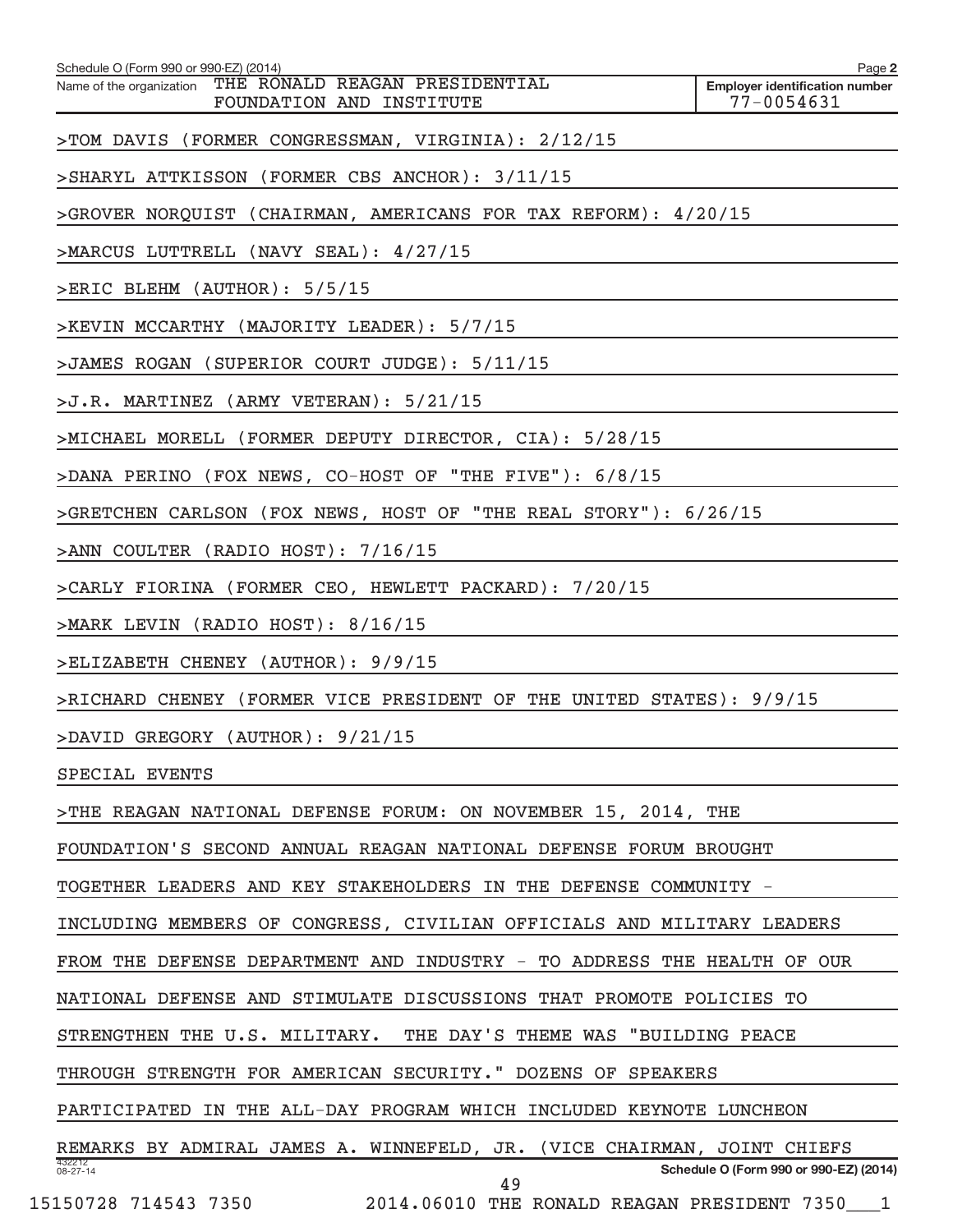| Schedule O (Form 990 or 990-EZ) (2014)                                                               | Page 2                                              |
|------------------------------------------------------------------------------------------------------|-----------------------------------------------------|
| Name of the organization THE RONALD REAGAN PRESIDENTIAL<br>FOUNDATION AND INSTITUTE                  | <b>Employer identification number</b><br>77-0054631 |
| >TOM DAVIS (FORMER CONGRESSMAN, VIRGINIA): 2/12/15                                                   |                                                     |
| >SHARYL ATTKISSON (FORMER CBS ANCHOR): 3/11/15                                                       |                                                     |
| >GROVER NORQUIST (CHAIRMAN, AMERICANS FOR TAX REFORM): 4/20/15                                       |                                                     |
| >MARCUS LUTTRELL (NAVY SEAL): 4/27/15                                                                |                                                     |
| >ERIC BLEHM (AUTHOR): 5/5/15                                                                         |                                                     |
| >KEVIN MCCARTHY (MAJORITY LEADER): 5/7/15                                                            |                                                     |
| >JAMES ROGAN (SUPERIOR COURT JUDGE): 5/11/15                                                         |                                                     |
| >J.R. MARTINEZ (ARMY VETERAN): 5/21/15                                                               |                                                     |
| >MICHAEL MORELL (FORMER DEPUTY DIRECTOR, CIA): 5/28/15                                               |                                                     |
| >DANA PERINO (FOX NEWS, CO-HOST OF "THE FIVE"): 6/8/15                                               |                                                     |
| >GRETCHEN CARLSON (FOX NEWS, HOST OF "THE REAL STORY"): 6/26/15                                      |                                                     |
| >ANN COULTER (RADIO HOST): 7/16/15                                                                   |                                                     |
| >CARLY FIORINA (FORMER CEO, HEWLETT PACKARD): 7/20/15                                                |                                                     |
| >MARK LEVIN (RADIO HOST): 8/16/15                                                                    |                                                     |
| >ELIZABETH CHENEY (AUTHOR): 9/9/15                                                                   |                                                     |
| >RICHARD CHENEY (FORMER VICE PRESIDENT OF THE UNITED STATES): 9/9/15                                 |                                                     |
| >DAVID GREGORY (AUTHOR): 9/21/15                                                                     |                                                     |
| SPECIAL EVENTS                                                                                       |                                                     |
| >THE REAGAN NATIONAL DEFENSE FORUM: ON NOVEMBER 15, 2014, THE                                        |                                                     |
| FOUNDATION'S SECOND ANNUAL REAGAN NATIONAL DEFENSE FORUM BROUGHT                                     |                                                     |
| TOGETHER LEADERS AND KEY STAKEHOLDERS IN THE DEFENSE COMMUNITY -                                     |                                                     |
| INCLUDING MEMBERS OF CONGRESS, CIVILIAN OFFICIALS AND MILITARY LEADERS                               |                                                     |
| FROM THE DEFENSE DEPARTMENT AND INDUSTRY - TO ADDRESS THE HEALTH OF OUR                              |                                                     |
| NATIONAL DEFENSE AND STIMULATE DISCUSSIONS THAT PROMOTE POLICIES TO                                  |                                                     |
| STRENGTHEN THE U.S. MILITARY. THE DAY'S THEME WAS "BUILDING PEACE                                    |                                                     |
| THROUGH STRENGTH FOR AMERICAN SECURITY." DOZENS OF SPEAKERS                                          |                                                     |
| PARTICIPATED IN THE ALL-DAY PROGRAM WHICH INCLUDED KEYNOTE LUNCHEON                                  |                                                     |
| REMARKS BY ADMIRAL JAMES A. WINNEFELD, JR. (VICE CHAIRMAN, JOINT CHIEFS<br>432212                    |                                                     |
| $08 - 27 - 14$<br>49<br>15150728 714543 7350           2014.06010 THE RONALD REAGAN PRESIDENT 7350 1 | Schedule O (Form 990 or 990-EZ) (2014)              |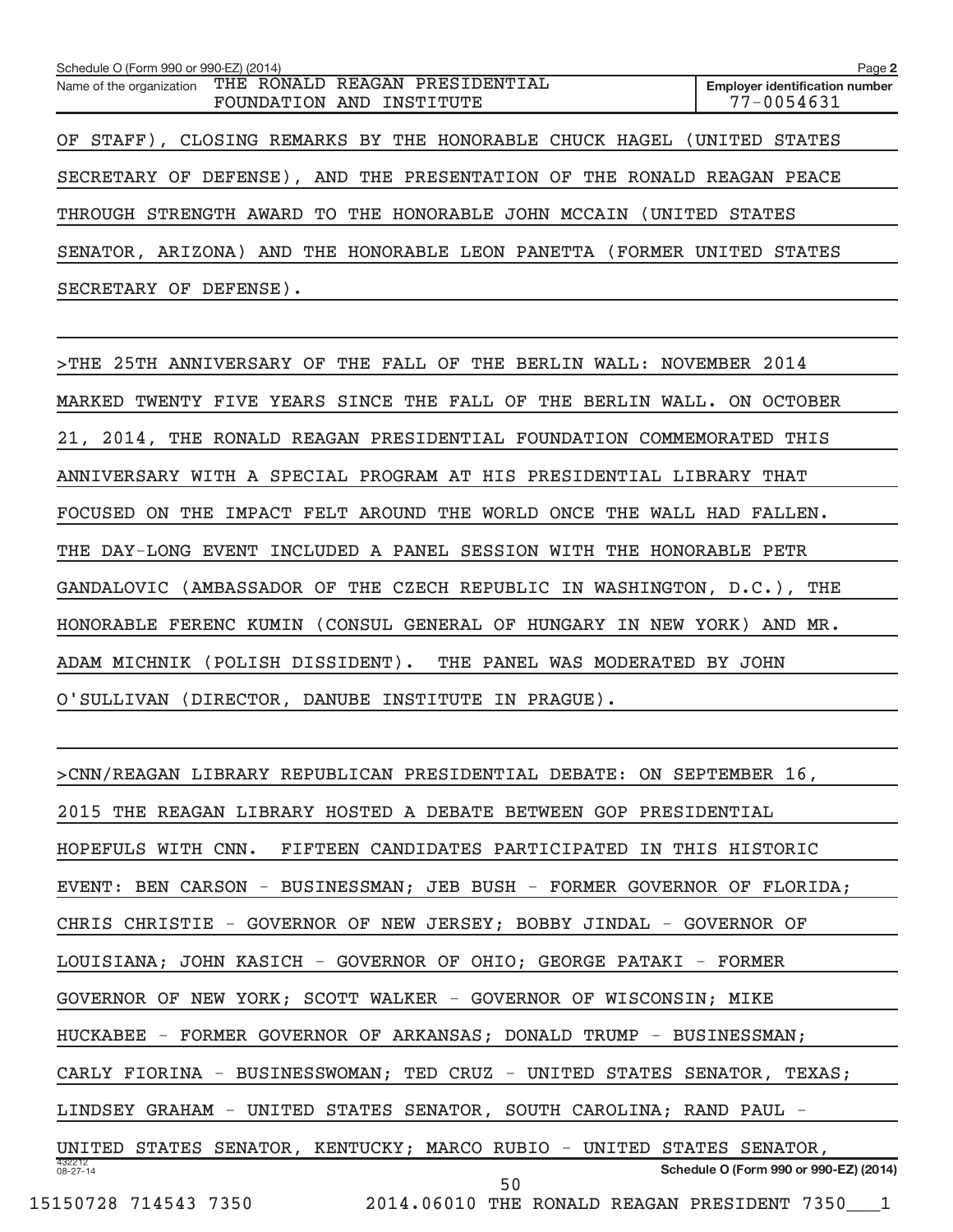| Schedule O (Form 990 or 990-EZ) (2014)                                              | Page 2                                                  |
|-------------------------------------------------------------------------------------|---------------------------------------------------------|
| Name of the organization THE RONALD REAGAN PRESIDENTIAL<br>FOUNDATION AND INSTITUTE | <b>Employer identification number</b><br>$77 - 0054631$ |
| OF STAFF), CLOSING REMARKS BY THE HONORABLE CHUCK HAGEL (UNITED STATES              |                                                         |
| SECRETARY OF DEFENSE), AND THE PRESENTATION OF THE RONALD REAGAN PEACE              |                                                         |
| THROUGH STRENGTH AWARD TO THE HONORABLE JOHN MCCAIN (UNITED STATES                  |                                                         |
| SENATOR, ARIZONA) AND THE HONORABLE LEON PANETTA (FORMER UNITED STATES              |                                                         |
| SECRETARY OF DEFENSE).                                                              |                                                         |

> THE 25TH ANNIVERSARY OF THE FALL OF THE BERLIN WALL: NOVEMBER 2014 MARKED TWENTY FIVE YEARS SINCE THE FALL OF THE BERLIN WALL. ON OCTOBER 21, 2014, THE RONALD REAGAN PRESIDENTIAL FOUNDATION COMMEMORATED THIS ANNIVERSARY WITH A SPECIAL PROGRAM AT HIS PRESIDENTIAL LIBRARY THAT FOCUSED ON THE IMPACT FELT AROUND THE WORLD ONCE THE WALL HAD FALLEN. THE DAY-LONG EVENT INCLUDED A PANEL SESSION WITH THE HONORABLE PETR GANDALOVIC (AMBASSADOR OF THE CZECH REPUBLIC IN WASHINGTON, D.C.), THE HONORABLE FERENC KUMIN (CONSUL GENERAL OF HUNGARY IN NEW YORK) AND MR. ADAM MICHNIK (POLISH DISSIDENT). THE PANEL WAS MODERATED BY JOHN O'SULLIVAN (DIRECTOR, DANUBE INSTITUTE IN PRAGUE).

432212 08-27-14 **Schedule O (Form 990 or 990-EZ) (2014)** > CNN/REAGAN LIBRARY REPUBLICAN PRESIDENTIAL DEBATE: ON SEPTEMBER 16, 2015 THE REAGAN LIBRARY HOSTED A DEBATE BETWEEN GOP PRESIDENTIAL HOPEFULS WITH CNN. FIFTEEN CANDIDATES PARTICIPATED IN THIS HISTORIC EVENT: BEN CARSON - BUSINESSMAN; JEB BUSH - FORMER GOVERNOR OF FLORIDA; CHRIS CHRISTIE - GOVERNOR OF NEW JERSEY; BOBBY JINDAL - GOVERNOR OF LOUISIANA; JOHN KASICH - GOVERNOR OF OHIO; GEORGE PATAKI - FORMER GOVERNOR OF NEW YORK; SCOTT WALKER - GOVERNOR OF WISCONSIN; MIKE HUCKABEE - FORMER GOVERNOR OF ARKANSAS; DONALD TRUMP - BUSINESSMAN; CARLY FIORINA - BUSINESSWOMAN; TED CRUZ - UNITED STATES SENATOR, TEXAS; LINDSEY GRAHAM - UNITED STATES SENATOR, SOUTH CAROLINA; RAND PAUL - UNITED STATES SENATOR, KENTUCKY; MARCO RUBIO - UNITED STATES SENATOR, 15150728 714543 7350 2014.06010 THE RONALD REAGAN PRESIDENT 7350\_\_\_1 50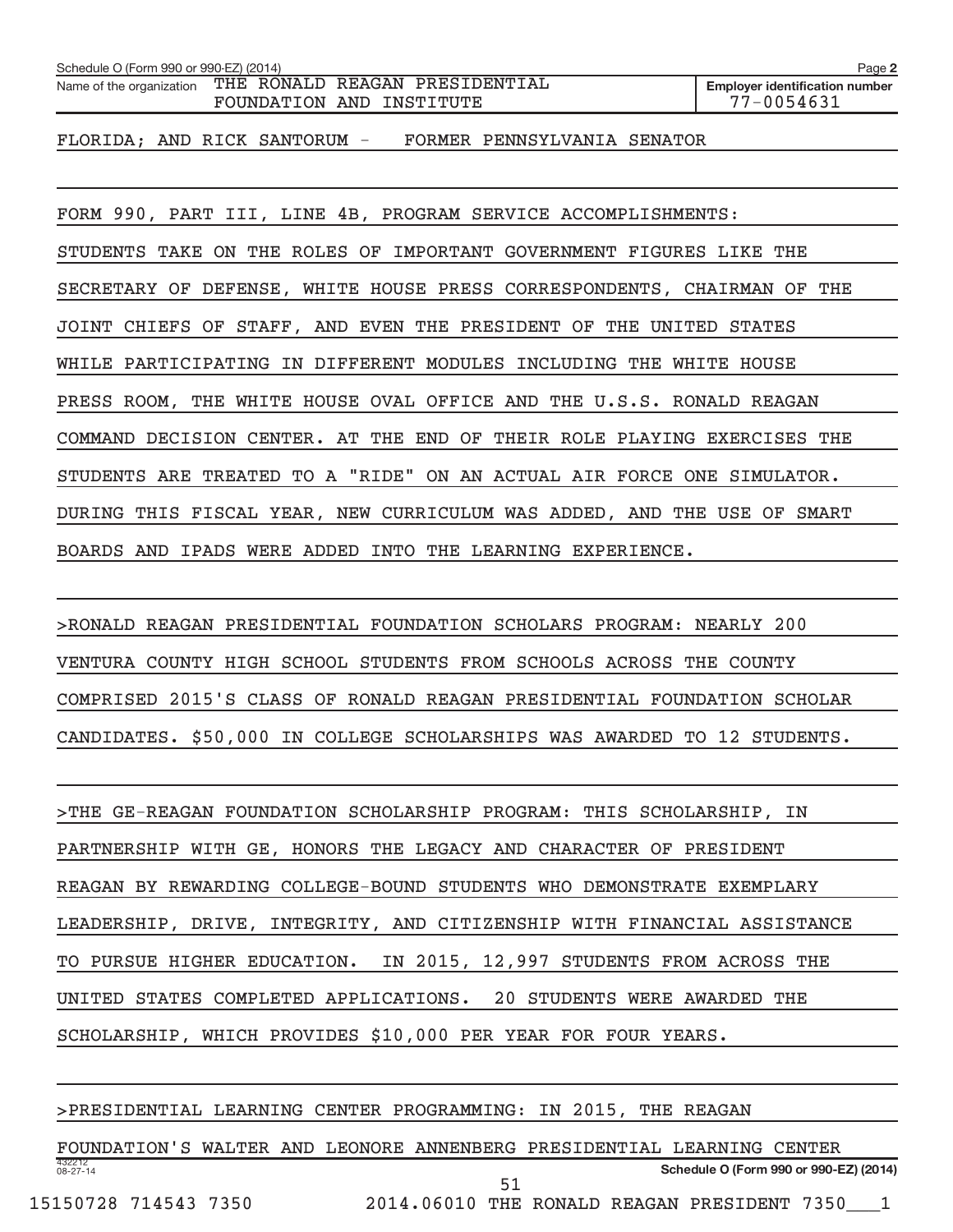| Schedule O (Form 990 or 990-EZ) (2014) |                                                            | Page 2                                                  |
|----------------------------------------|------------------------------------------------------------|---------------------------------------------------------|
| Name of the organization               | THE RONALD REAGAN PRESIDENTIAL<br>FOUNDATION AND INSTITUTE | <b>Employer identification number</b><br>$77 - 0054631$ |
|                                        |                                                            |                                                         |

FLORIDA; AND RICK SANTORUM - FORMER PENNSYLVANIA SENATOR

FORM 990, PART III, LINE 4B, PROGRAM SERVICE ACCOMPLISHMENTS: STUDENTS TAKE ON THE ROLES OF IMPORTANT GOVERNMENT FIGURES LIKE THE SECRETARY OF DEFENSE, WHITE HOUSE PRESS CORRESPONDENTS, CHAIRMAN OF THE JOINT CHIEFS OF STAFF, AND EVEN THE PRESIDENT OF THE UNITED STATES WHILE PARTICIPATING IN DIFFERENT MODULES INCLUDING THE WHITE HOUSE PRESS ROOM, THE WHITE HOUSE OVAL OFFICE AND THE U.S.S. RONALD REAGAN COMMAND DECISION CENTER. AT THE END OF THEIR ROLE PLAYING EXERCISES THE STUDENTS ARE TREATED TO A "RIDE" ON AN ACTUAL AIR FORCE ONE SIMULATOR. DURING THIS FISCAL YEAR, NEW CURRICULUM WAS ADDED, AND THE USE OF SMART BOARDS AND IPADS WERE ADDED INTO THE LEARNING EXPERIENCE.

> RONALD REAGAN PRESIDENTIAL FOUNDATION SCHOLARS PROGRAM: NEARLY 200 VENTURA COUNTY HIGH SCHOOL STUDENTS FROM SCHOOLS ACROSS THE COUNTY COMPRISED 2015'S CLASS OF RONALD REAGAN PRESIDENTIAL FOUNDATION SCHOLAR CANDIDATES. \$50,000 IN COLLEGE SCHOLARSHIPS WAS AWARDED TO 12 STUDENTS.

> THE GE-REAGAN FOUNDATION SCHOLARSHIP PROGRAM: THIS SCHOLARSHIP, IN PARTNERSHIP WITH GE, HONORS THE LEGACY AND CHARACTER OF PRESIDENT REAGAN BY REWARDING COLLEGE-BOUND STUDENTS WHO DEMONSTRATE EXEMPLARY LEADERSHIP, DRIVE, INTEGRITY, AND CITIZENSHIP WITH FINANCIAL ASSISTANCE TO PURSUE HIGHER EDUCATION. IN 2015, 12,997 STUDENTS FROM ACROSS THE UNITED STATES COMPLETED APPLICATIONS. 20 STUDENTS WERE AWARDED THE SCHOLARSHIP, WHICH PROVIDES \$10,000 PER YEAR FOR FOUR YEARS.

> PRESIDENTIAL LEARNING CENTER PROGRAMMING: IN 2015, THE REAGAN

432212 08-27-14 **Schedule O (Form 990 or 990-EZ) (2014)** FOUNDATION'S WALTER AND LEONORE ANNENBERG PRESIDENTIAL LEARNING CENTER 51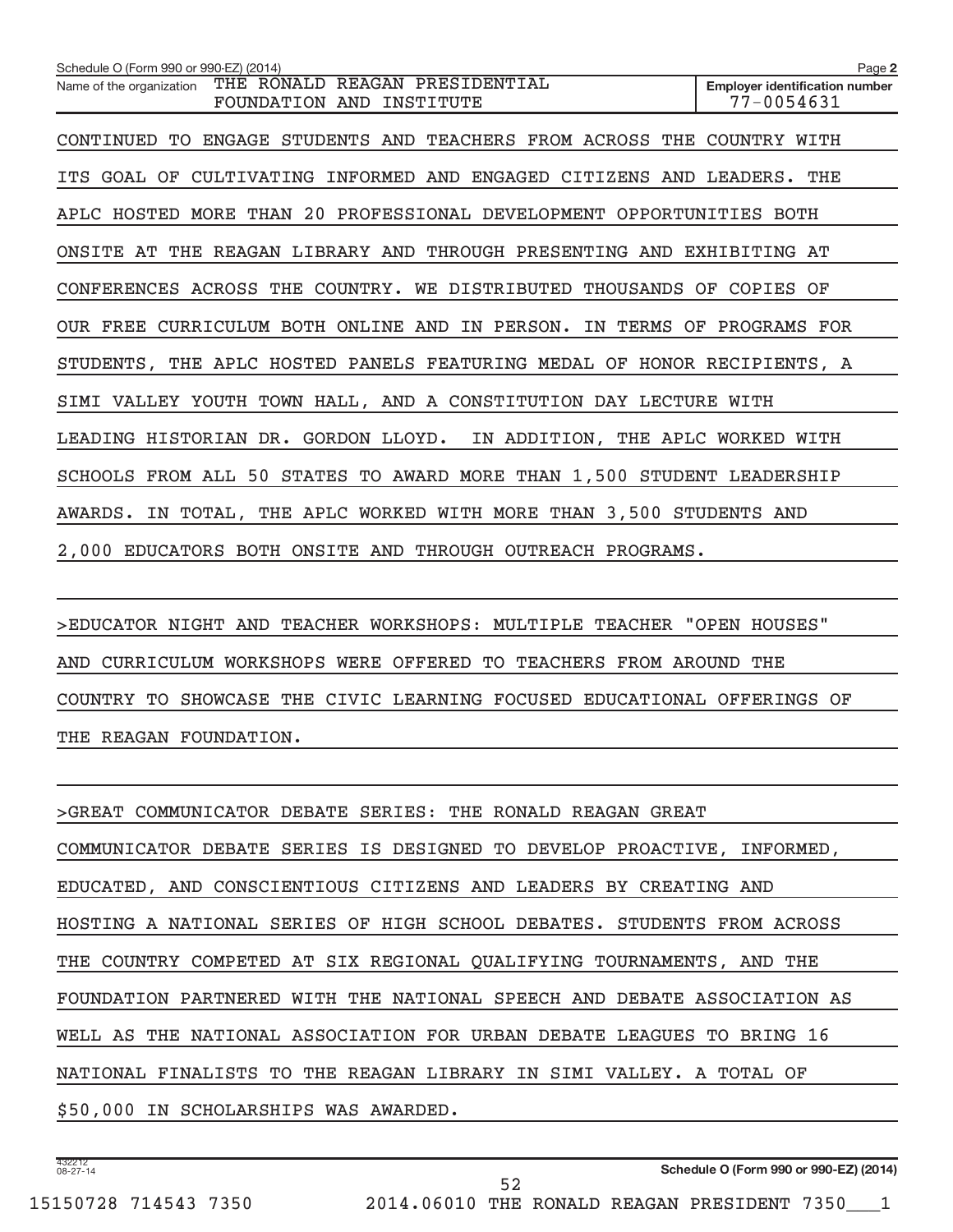**2 Employer identification number** Schedule O (Form 990 or 990-EZ) (2014) Name of the organization THE RONALD REAGAN PRESIDENTIAL FOUNDATION AND INSTITUTE 77-0054631 CONTINUED TO ENGAGE STUDENTS AND TEACHERS FROM ACROSS THE COUNTRY WITH ITS GOAL OF CULTIVATING INFORMED AND ENGAGED CITIZENS AND LEADERS. THE APLC HOSTED MORE THAN 20 PROFESSIONAL DEVELOPMENT OPPORTUNITIES BOTH ONSITE AT THE REAGAN LIBRARY AND THROUGH PRESENTING AND EXHIBITING AT CONFERENCES ACROSS THE COUNTRY. WE DISTRIBUTED THOUSANDS OF COPIES OF OUR FREE CURRICULUM BOTH ONLINE AND IN PERSON. IN TERMS OF PROGRAMS FOR STUDENTS, THE APLC HOSTED PANELS FEATURING MEDAL OF HONOR RECIPIENTS, A SIMI VALLEY YOUTH TOWN HALL, AND A CONSTITUTION DAY LECTURE WITH LEADING HISTORIAN DR. GORDON LLOYD. IN ADDITION, THE APLC WORKED WITH SCHOOLS FROM ALL 50 STATES TO AWARD MORE THAN 1,500 STUDENT LEADERSHIP AWARDS. IN TOTAL, THE APLC WORKED WITH MORE THAN 3,500 STUDENTS AND 2,000 EDUCATORS BOTH ONSITE AND THROUGH OUTREACH PROGRAMS.

> EDUCATOR NIGHT AND TEACHER WORKSHOPS: MULTIPLE TEACHER "OPEN HOUSES" AND CURRICULUM WORKSHOPS WERE OFFERED TO TEACHERS FROM AROUND THE COUNTRY TO SHOWCASE THE CIVIC LEARNING FOCUSED EDUCATIONAL OFFERINGS OF THE REAGAN FOUNDATION.

> GREAT COMMUNICATOR DEBATE SERIES: THE RONALD REAGAN GREAT COMMUNICATOR DEBATE SERIES IS DESIGNED TO DEVELOP PROACTIVE, INFORMED, EDUCATED, AND CONSCIENTIOUS CITIZENS AND LEADERS BY CREATING AND HOSTING A NATIONAL SERIES OF HIGH SCHOOL DEBATES. STUDENTS FROM ACROSS THE COUNTRY COMPETED AT SIX REGIONAL QUALIFYING TOURNAMENTS, AND THE FOUNDATION PARTNERED WITH THE NATIONAL SPEECH AND DEBATE ASSOCIATION AS WELL AS THE NATIONAL ASSOCIATION FOR URBAN DEBATE LEAGUES TO BRING 16 NATIONAL FINALISTS TO THE REAGAN LIBRARY IN SIMI VALLEY. A TOTAL OF \$50,000 IN SCHOLARSHIPS WAS AWARDED.

52

432212 08-27-14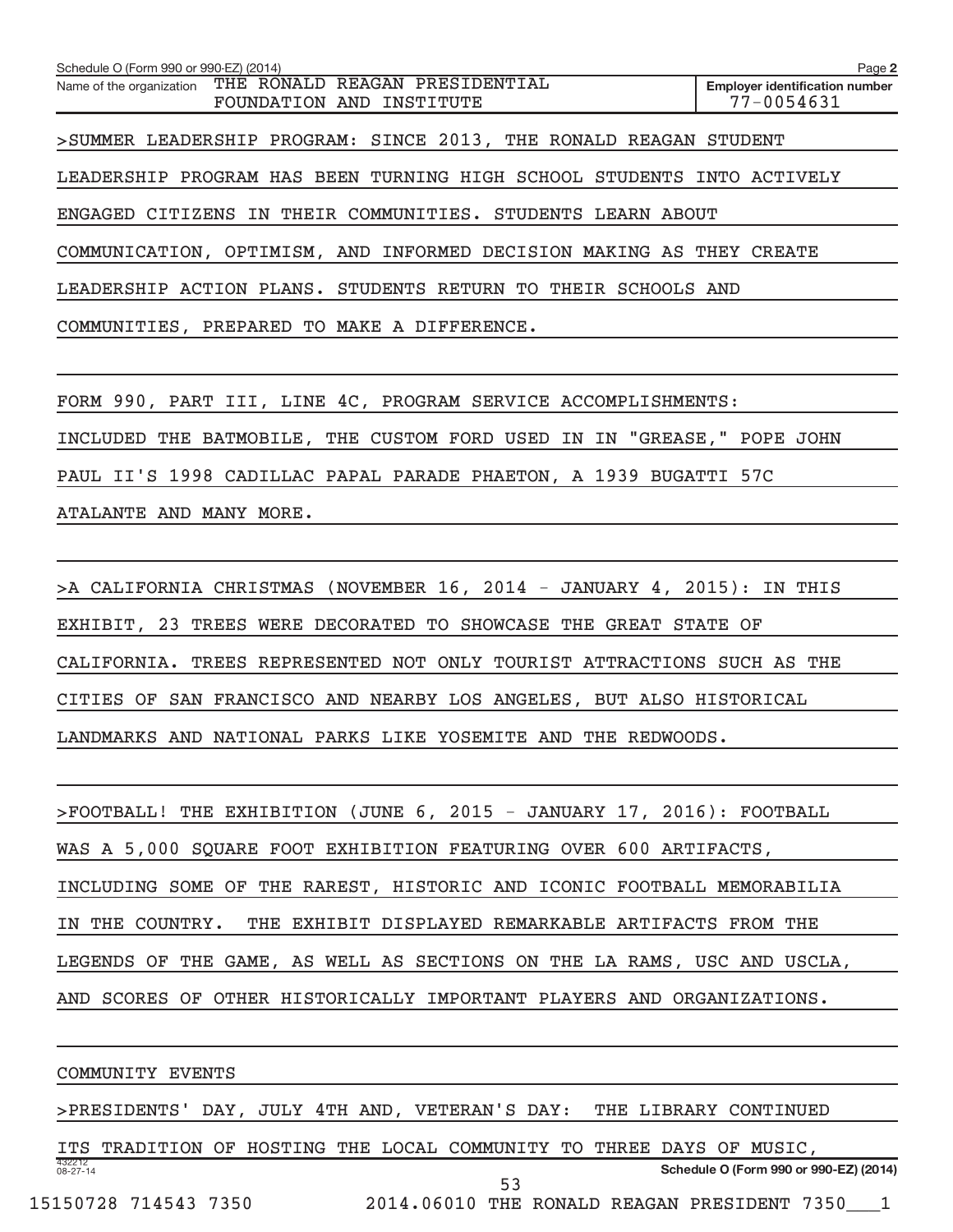**2 Employer identification number** Schedule O (Form 990 or 990-EZ) (2014) Name of the organization THE RONALD REAGAN PRESIDENTIAL FOUNDATION AND INSTITUTE  $\vert$  77-0054631 > SUMMER LEADERSHIP PROGRAM: SINCE 2013, THE RONALD REAGAN STUDENT LEADERSHIP PROGRAM HAS BEEN TURNING HIGH SCHOOL STUDENTS INTO ACTIVELY ENGAGED CITIZENS IN THEIR COMMUNITIES. STUDENTS LEARN ABOUT COMMUNICATION, OPTIMISM, AND INFORMED DECISION MAKING AS THEY CREATE LEADERSHIP ACTION PLANS. STUDENTS RETURN TO THEIR SCHOOLS AND COMMUNITIES, PREPARED TO MAKE A DIFFERENCE.

FORM 990, PART III, LINE 4C, PROGRAM SERVICE ACCOMPLISHMENTS: INCLUDED THE BATMOBILE, THE CUSTOM FORD USED IN IN "GREASE," POPE JOHN PAUL II'S 1998 CADILLAC PAPAL PARADE PHAETON, A 1939 BUGATTI 57C ATALANTE AND MANY MORE.

> A CALIFORNIA CHRISTMAS (NOVEMBER 16, 2014 - JANUARY 4, 2015): IN THIS EXHIBIT, 23 TREES WERE DECORATED TO SHOWCASE THE GREAT STATE OF CALIFORNIA. TREES REPRESENTED NOT ONLY TOURIST ATTRACTIONS SUCH AS THE CITIES OF SAN FRANCISCO AND NEARBY LOS ANGELES, BUT ALSO HISTORICAL LANDMARKS AND NATIONAL PARKS LIKE YOSEMITE AND THE REDWOODS.

> FOOTBALL! THE EXHIBITION (JUNE 6, 2015 - JANUARY 17, 2016): FOOTBALL WAS A 5,000 SQUARE FOOT EXHIBITION FEATURING OVER 600 ARTIFACTS, INCLUDING SOME OF THE RAREST, HISTORIC AND ICONIC FOOTBALL MEMORABILIA IN THE COUNTRY. THE EXHIBIT DISPLAYED REMARKABLE ARTIFACTS FROM THE LEGENDS OF THE GAME, AS WELL AS SECTIONS ON THE LA RAMS, USC AND USCLA, AND SCORES OF OTHER HISTORICALLY IMPORTANT PLAYERS AND ORGANIZATIONS.

COMMUNITY EVENTS

> PRESIDENTS' DAY, JULY 4TH AND, VETERAN'S DAY: THE LIBRARY CONTINUED

432212 08-27-14 **Schedule O (Form 990 or 990-EZ) (2014)** ITS TRADITION OF HOSTING THE LOCAL COMMUNITY TO THREE DAYS OF MUSIC, 53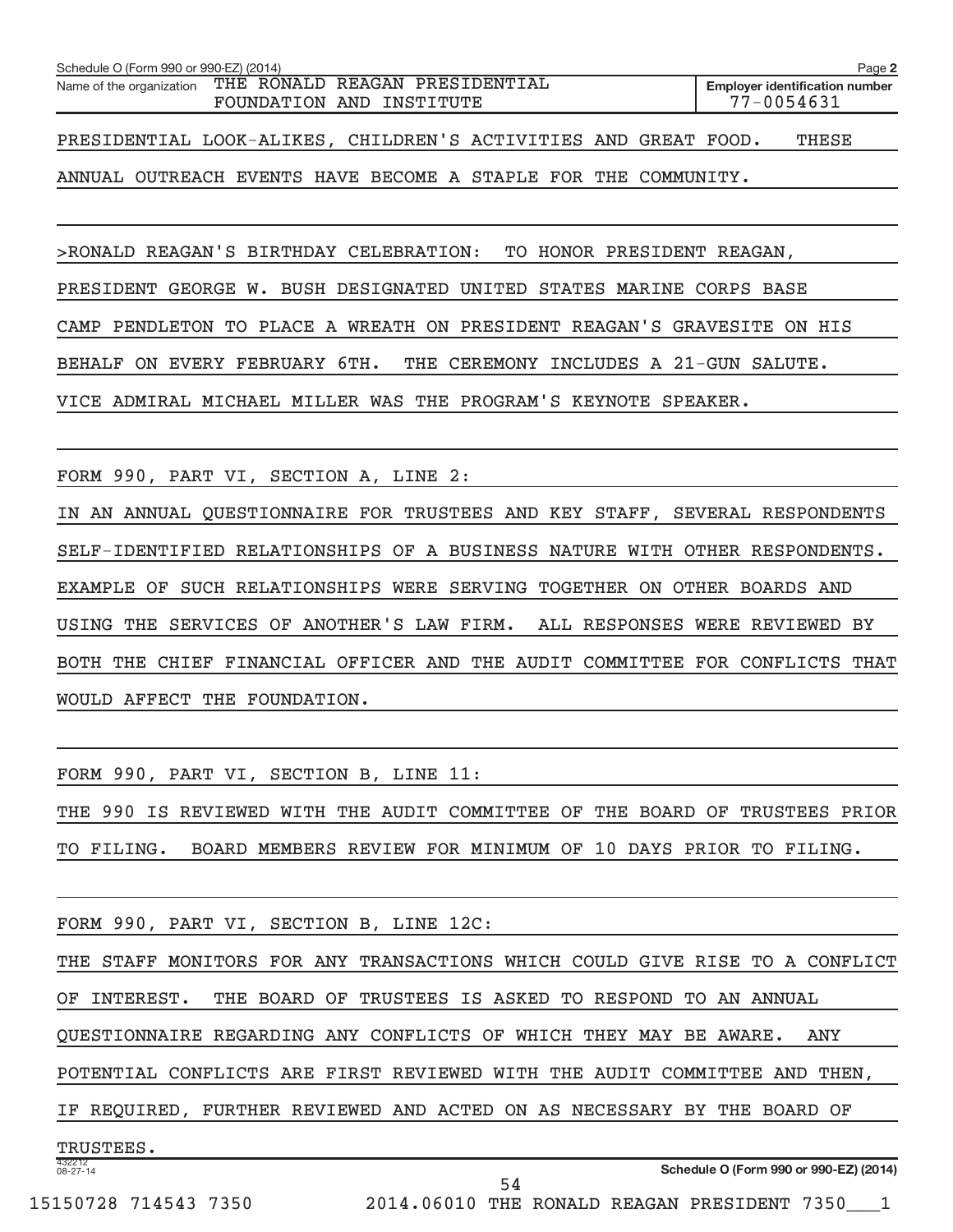| Schedule O (Form 990 or 990-EZ) (2014)                          |                                |                          |  | Page 2                                |
|-----------------------------------------------------------------|--------------------------------|--------------------------|--|---------------------------------------|
| Name of the organization                                        | THE RONALD REAGAN PRESIDENTIAL | FOUNDATION AND INSTITUTE |  | <b>Employer identification number</b> |
|                                                                 | 77-0054631                     |                          |  |                                       |
|                                                                 |                                |                          |  |                                       |
| PRESIDENTIAL LOOK-ALIKES, CHILDREN'S ACTIVITIES AND GREAT FOOD. |                                |                          |  | THESE                                 |
|                                                                 |                                |                          |  |                                       |

ANNUAL OUTREACH EVENTS HAVE BECOME A STAPLE FOR THE COMMUNITY.

> RONALD REAGAN'S BIRTHDAY CELEBRATION: TO HONOR PRESIDENT REAGAN,

PRESIDENT GEORGE W. BUSH DESIGNATED UNITED STATES MARINE CORPS BASE

CAMP PENDLETON TO PLACE A WREATH ON PRESIDENT REAGAN'S GRAVESITE ON HIS

BEHALF ON EVERY FEBRUARY 6TH. THE CEREMONY INCLUDES A 21-GUN SALUTE.

VICE ADMIRAL MICHAEL MILLER WAS THE PROGRAM'S KEYNOTE SPEAKER.

FORM 990, PART VI, SECTION A, LINE 2:

IN AN ANNUAL QUESTIONNAIRE FOR TRUSTEES AND KEY STAFF, SEVERAL RESPONDENTS SELF-IDENTIFIED RELATIONSHIPS OF A BUSINESS NATURE WITH OTHER RESPONDENTS. EXAMPLE OF SUCH RELATIONSHIPS WERE SERVING TOGETHER ON OTHER BOARDS AND USING THE SERVICES OF ANOTHER'S LAW FIRM. ALL RESPONSES WERE REVIEWED BY BOTH THE CHIEF FINANCIAL OFFICER AND THE AUDIT COMMITTEE FOR CONFLICTS THAT WOULD AFFECT THE FOUNDATION.

FORM 990, PART VI, SECTION B, LINE 11:

THE 990 IS REVIEWED WITH THE AUDIT COMMITTEE OF THE BOARD OF TRUSTEES PRIOR TO FILING. BOARD MEMBERS REVIEW FOR MINIMUM OF 10 DAYS PRIOR TO FILING.

432212 08-27-14 **Schedule O (Form 990 or 990-EZ) (2014)** FORM 990, PART VI, SECTION B, LINE 12C: THE STAFF MONITORS FOR ANY TRANSACTIONS WHICH COULD GIVE RISE TO A CONFLICT OF INTEREST. THE BOARD OF TRUSTEES IS ASKED TO RESPOND TO AN ANNUAL QUESTIONNAIRE REGARDING ANY CONFLICTS OF WHICH THEY MAY BE AWARE. ANY POTENTIAL CONFLICTS ARE FIRST REVIEWED WITH THE AUDIT COMMITTEE AND THEN, IF REQUIRED, FURTHER REVIEWED AND ACTED ON AS NECESSARY BY THE BOARD OF TRUSTEES.

54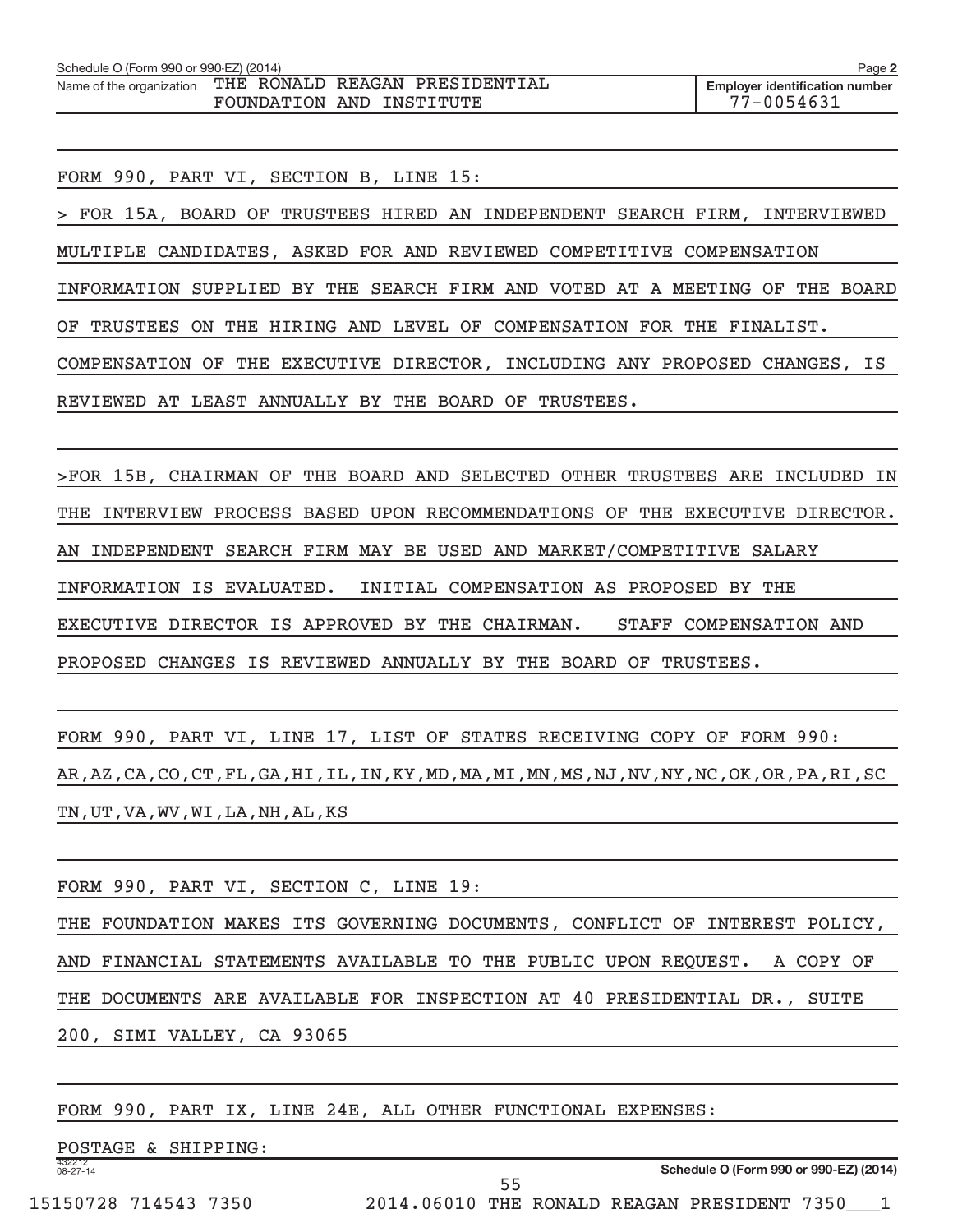| Schedule O (Form 990 or 990-EZ) (2014) |                                | Page 2                                |
|----------------------------------------|--------------------------------|---------------------------------------|
| Name of the organization               | THE RONALD REAGAN PRESIDENTIAL | <b>Emplover identification number</b> |
|                                        | FOUNDATION AND INSTITUTE       | 77-0054631                            |

FORM 990, PART VI, SECTION B, LINE 15:

> FOR 15A, BOARD OF TRUSTEES HIRED AN INDEPENDENT SEARCH FIRM, INTERVIEWED MULTIPLE CANDIDATES, ASKED FOR AND REVIEWED COMPETITIVE COMPENSATION INFORMATION SUPPLIED BY THE SEARCH FIRM AND VOTED AT A MEETING OF THE BOARD OF TRUSTEES ON THE HIRING AND LEVEL OF COMPENSATION FOR THE FINALIST. COMPENSATION OF THE EXECUTIVE DIRECTOR, INCLUDING ANY PROPOSED CHANGES, IS REVIEWED AT LEAST ANNUALLY BY THE BOARD OF TRUSTEES.

>FOR 15B, CHAIRMAN OF THE BOARD AND SELECTED OTHER TRUSTEES ARE INCLUDED IN THE INTERVIEW PROCESS BASED UPON RECOMMENDATIONS OF THE EXECUTIVE DIRECTOR. AN INDEPENDENT SEARCH FIRM MAY BE USED AND MARKET/COMPETITIVE SALARY INFORMATION IS EVALUATED. INITIAL COMPENSATION AS PROPOSED BY THE EXECUTIVE DIRECTOR IS APPROVED BY THE CHAIRMAN. STAFF COMPENSATION AND PROPOSED CHANGES IS REVIEWED ANNUALLY BY THE BOARD OF TRUSTEES.

FORM 990, PART VI, LINE 17, LIST OF STATES RECEIVING COPY OF FORM 990: AR,AZ,CA,CO,CT,FL,GA,HI,IL,IN,KY,MD,MA,MI,MN,MS,NJ,NV,NY,NC,OK,OR,PA,RI,SC TN,UT,VA,WV,WI,LA,NH,AL,KS

| FORM 990, PART VI, SECTION C, LINE 19:                                     |  |  |  |  |  |  |  |  |  |
|----------------------------------------------------------------------------|--|--|--|--|--|--|--|--|--|
| THE FOUNDATION MAKES ITS GOVERNING DOCUMENTS, CONFLICT OF INTEREST POLICY, |  |  |  |  |  |  |  |  |  |
| AND FINANCIAL STATEMENTS AVAILABLE TO THE PUBLIC UPON REQUEST. A COPY OF   |  |  |  |  |  |  |  |  |  |
| THE DOCUMENTS ARE AVAILABLE FOR INSPECTION AT 40 PRESIDENTIAL DR., SUITE   |  |  |  |  |  |  |  |  |  |
| 200, SIMI VALLEY, CA 93065                                                 |  |  |  |  |  |  |  |  |  |

55

FORM 990, PART IX, LINE 24E, ALL OTHER FUNCTIONAL EXPENSES:

432212 08-27-14 POSTAGE & SHIPPING: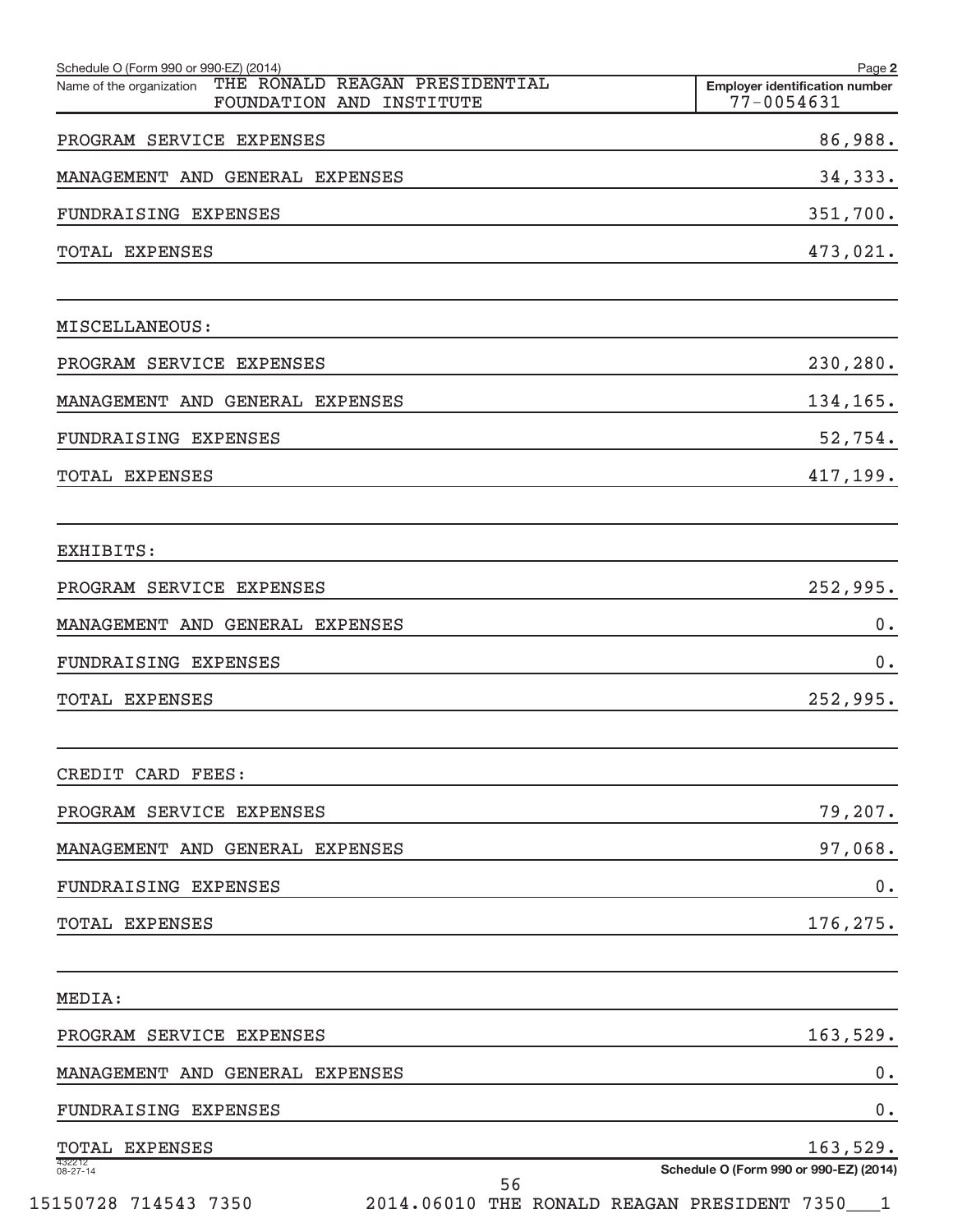| Schedule O (Form 990 or 990-EZ) (2014)<br>THE RONALD REAGAN PRESIDENTIAL<br>Name of the organization | Page 2<br><b>Emplover identification number</b> |
|------------------------------------------------------------------------------------------------------|-------------------------------------------------|
| FOUNDATION AND INSTITUTE                                                                             | 77-0054631                                      |
| PROGRAM SERVICE EXPENSES                                                                             | 86,988.                                         |
| MANAGEMENT AND GENERAL EXPENSES                                                                      | 34,333.                                         |
| <b>FUNDRAISING EXPENSES</b>                                                                          | 351,700.                                        |
| TOTAL EXPENSES                                                                                       | 473,021.                                        |
| MISCELLANEOUS:                                                                                       |                                                 |
| PROGRAM SERVICE EXPENSES                                                                             | 230,280.                                        |
| MANAGEMENT AND GENERAL EXPENSES                                                                      | 134,165.                                        |
| <b>FUNDRAISING EXPENSES</b>                                                                          | 52,754.                                         |
| TOTAL EXPENSES                                                                                       | 417,199.                                        |
| EXHIBITS:                                                                                            |                                                 |
| PROGRAM SERVICE EXPENSES                                                                             | 252,995.                                        |
| MANAGEMENT AND GENERAL EXPENSES                                                                      | 0.                                              |
| <b>FUNDRAISING EXPENSES</b>                                                                          | 0.                                              |
| <b>TOTAL EXPENSES</b>                                                                                | 252,995.                                        |
| CREDIT CARD FEES:                                                                                    |                                                 |
| PROGRAM SERVICE EXPENSES                                                                             | 79,207.                                         |
| MANAGEMENT AND GENERAL EXPENSES                                                                      | 97,068.                                         |
| FUNDRAISING EXPENSES                                                                                 | 0.                                              |
| TOTAL EXPENSES                                                                                       | 176,275.                                        |
| MEDIA:                                                                                               |                                                 |
| PROGRAM SERVICE EXPENSES                                                                             | 163,529.                                        |
| MANAGEMENT AND GENERAL EXPENSES                                                                      | 0.                                              |
| FUNDRAISING EXPENSES                                                                                 | 0.                                              |
| TOTAL EXPENSES                                                                                       | 163,529.                                        |
| 432212<br>08-27-14<br>56                                                                             | Schedule O (Form 990 or 990-EZ) (2014)          |
| 15150728 714543 7350                                                                                 | 2014.06010 THE RONALD REAGAN PRESIDENT 7350___1 |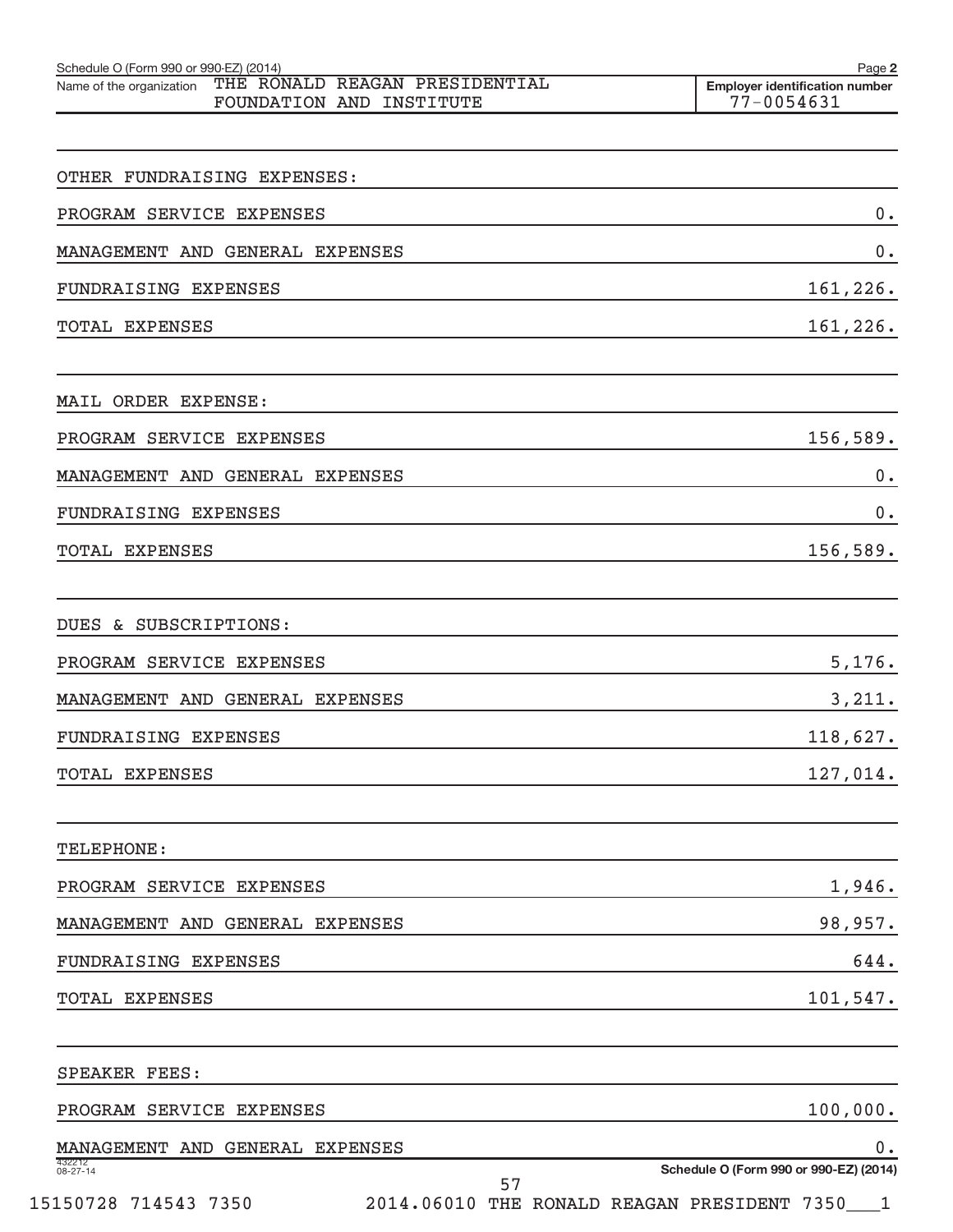| Schedule O (Form 990 or 990-EZ) (2014)<br>THE RONALD REAGAN PRESIDENTIAL<br>Name of the organization<br>FOUNDATION AND INSTITUTE | Page 2<br><b>Employer identification number</b><br>77-0054631                             |
|----------------------------------------------------------------------------------------------------------------------------------|-------------------------------------------------------------------------------------------|
|                                                                                                                                  |                                                                                           |
| OTHER FUNDRAISING EXPENSES:                                                                                                      |                                                                                           |
| PROGRAM SERVICE EXPENSES                                                                                                         | 0.                                                                                        |
| MANAGEMENT AND GENERAL EXPENSES                                                                                                  | 0.                                                                                        |
| <b>FUNDRAISING EXPENSES</b>                                                                                                      | 161,226.                                                                                  |
| TOTAL EXPENSES                                                                                                                   | 161,226.                                                                                  |
| MAIL ORDER EXPENSE:                                                                                                              |                                                                                           |
| PROGRAM SERVICE EXPENSES                                                                                                         | 156,589.                                                                                  |
| MANAGEMENT AND GENERAL EXPENSES                                                                                                  | 0.                                                                                        |
| <b>FUNDRAISING EXPENSES</b>                                                                                                      | 0.                                                                                        |
| TOTAL EXPENSES                                                                                                                   | 156,589.                                                                                  |
| DUES & SUBSCRIPTIONS:                                                                                                            |                                                                                           |
| PROGRAM SERVICE EXPENSES                                                                                                         | 5,176.                                                                                    |
| MANAGEMENT AND GENERAL EXPENSES                                                                                                  | 3,211.                                                                                    |
| FUNDRAISING EXPENSES                                                                                                             | 118,627.                                                                                  |
| <b>TOTAL EXPENSES</b>                                                                                                            | 127,014.                                                                                  |
| TELEPHONE:                                                                                                                       |                                                                                           |
| PROGRAM SERVICE EXPENSES                                                                                                         | 1,946.                                                                                    |
| MANAGEMENT AND GENERAL EXPENSES                                                                                                  | 98,957.                                                                                   |
| FUNDRAISING EXPENSES                                                                                                             | 644.                                                                                      |
| TOTAL EXPENSES                                                                                                                   | 101,547.                                                                                  |
| SPEAKER FEES:                                                                                                                    |                                                                                           |
| PROGRAM SERVICE EXPENSES                                                                                                         | 100,000.                                                                                  |
| MANAGEMENT AND GENERAL EXPENSES                                                                                                  | 0.                                                                                        |
| 432212<br>08-27-14<br>57<br>15150728 714543 7350                                                                                 | Schedule O (Form 990 or 990-EZ) (2014)<br>2014.06010 THE RONALD REAGAN PRESIDENT 7350___1 |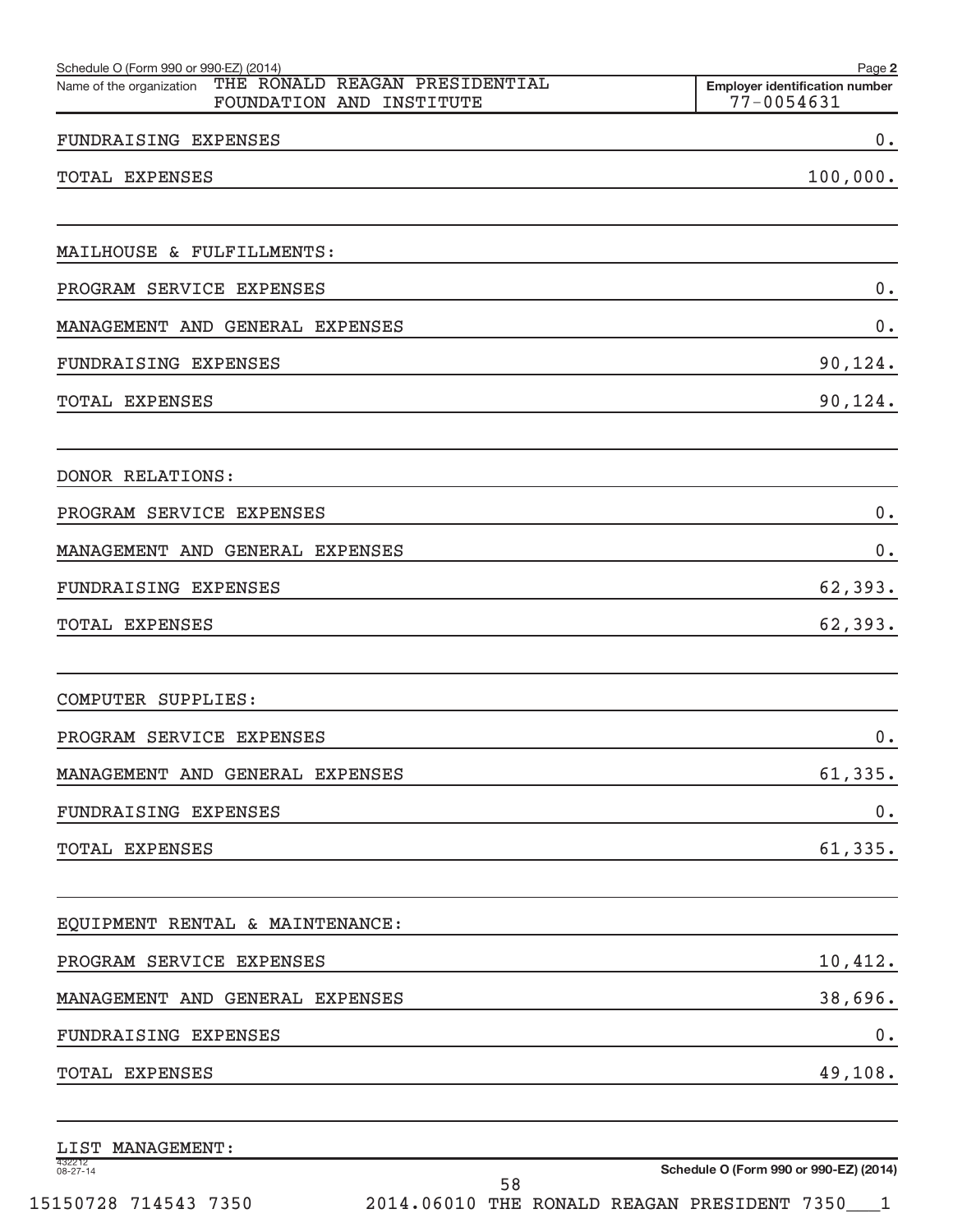| Schedule O (Form 990 or 990-EZ) (2014)                                                 | Page 2                                              |
|----------------------------------------------------------------------------------------|-----------------------------------------------------|
| THE RONALD REAGAN PRESIDENTIAL<br>Name of the organization<br>FOUNDATION AND INSTITUTE | <b>Employer identification number</b><br>77-0054631 |
| FUNDRAISING EXPENSES                                                                   | 0.                                                  |
| TOTAL EXPENSES                                                                         | 100,000.                                            |
|                                                                                        |                                                     |
| MAILHOUSE & FULFILLMENTS:                                                              |                                                     |
| PROGRAM SERVICE EXPENSES                                                               | $0\,$ .                                             |
| MANAGEMENT AND GENERAL EXPENSES                                                        | 0.                                                  |
| FUNDRAISING EXPENSES                                                                   | 90,124.                                             |
| TOTAL EXPENSES                                                                         | 90,124.                                             |
| DONOR RELATIONS:                                                                       |                                                     |
| PROGRAM SERVICE EXPENSES                                                               | 0.                                                  |
| MANAGEMENT AND GENERAL EXPENSES                                                        | 0.                                                  |
| FUNDRAISING EXPENSES                                                                   | 62,393.                                             |
| TOTAL EXPENSES                                                                         | 62,393.                                             |
| COMPUTER SUPPLIES:                                                                     |                                                     |
| PROGRAM SERVICE EXPENSES                                                               | 0.                                                  |
| MANAGEMENT AND GENERAL EXPENSES                                                        | 61,335.                                             |
| FUNDRAISING EXPENSES                                                                   | $0$ .                                               |
| TOTAL EXPENSES                                                                         | 61,335.                                             |
| EQUIPMENT RENTAL & MAINTENANCE:                                                        |                                                     |
| PROGRAM SERVICE EXPENSES                                                               | 10,412.                                             |
| MANAGEMENT AND GENERAL EXPENSES                                                        | 38,696.                                             |
| FUNDRAISING EXPENSES                                                                   | $0$ .                                               |
| TOTAL EXPENSES                                                                         | 49,108.                                             |
| LIST MANAGEMENT:                                                                       |                                                     |

| $\overline{\phantom{a}}$ |  |  |
|--------------------------|--|--|
| 08-27<br>$27 - 14$       |  |  |
|                          |  |  |

58

**Schedule O (Form 990 or 990-EZ) (2014)** 15150728 714543 7350 2014.06010 THE RONALD REAGAN PRESIDENT 7350\_\_\_1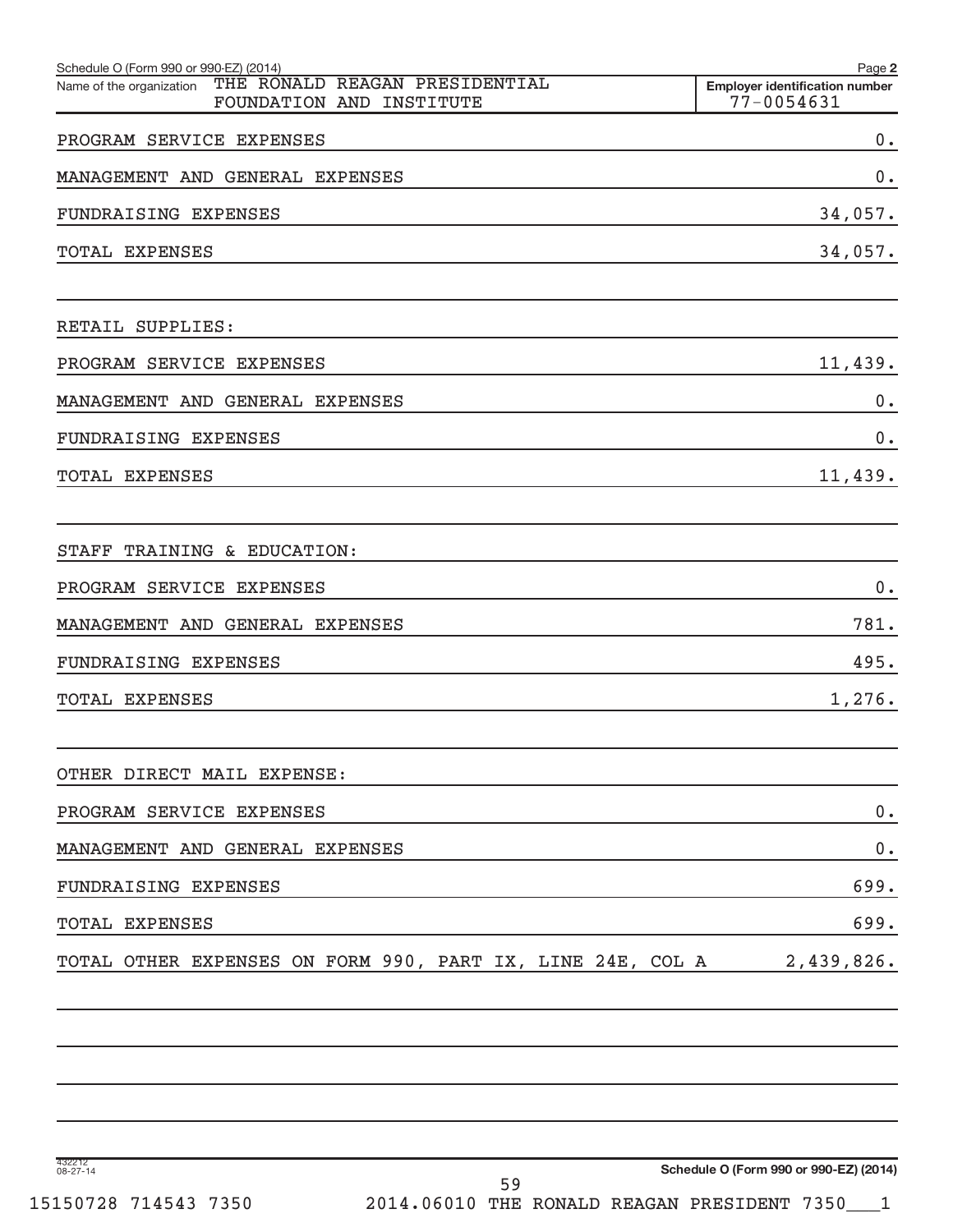| Schedule O (Form 990 or 990-EZ) (2014)<br>THE RONALD REAGAN PRESIDENTIAL<br>Name of the organization | Page 2<br><b>Employer identification number</b> |
|------------------------------------------------------------------------------------------------------|-------------------------------------------------|
| FOUNDATION AND INSTITUTE                                                                             | $77 - 0054631$                                  |
| PROGRAM SERVICE EXPENSES                                                                             | $0$ .                                           |
| MANAGEMENT AND GENERAL EXPENSES                                                                      | 0.                                              |
| FUNDRAISING EXPENSES                                                                                 | 34,057.                                         |
| TOTAL EXPENSES                                                                                       | 34,057.                                         |
| RETAIL SUPPLIES:                                                                                     |                                                 |
| PROGRAM SERVICE EXPENSES                                                                             | 11,439.                                         |
| MANAGEMENT AND GENERAL EXPENSES                                                                      | $0$ .                                           |
| FUNDRAISING EXPENSES                                                                                 | 0.                                              |
| <b>TOTAL EXPENSES</b>                                                                                | 11,439.                                         |
| STAFF TRAINING & EDUCATION:                                                                          |                                                 |
| PROGRAM SERVICE EXPENSES                                                                             | 0.                                              |
| MANAGEMENT AND GENERAL EXPENSES                                                                      | 781.                                            |
| FUNDRAISING EXPENSES                                                                                 | 495.                                            |
| <b>TOTAL EXPENSES</b>                                                                                | 1,276.                                          |
| OTHER DIRECT MAIL EXPENSE:                                                                           |                                                 |
| PROGRAM SERVICE EXPENSES                                                                             | 0.                                              |
| MANAGEMENT AND GENERAL EXPENSES                                                                      | 0.                                              |
| FUNDRAISING EXPENSES                                                                                 | 699.                                            |
| TOTAL EXPENSES                                                                                       | 699.                                            |
| TOTAL OTHER EXPENSES ON FORM 990, PART IX, LINE 24E, COL A                                           | 2,439,826.                                      |
|                                                                                                      |                                                 |

432212 08-27-14

**Schedule O (Form 990 or 990-EZ) (2014)**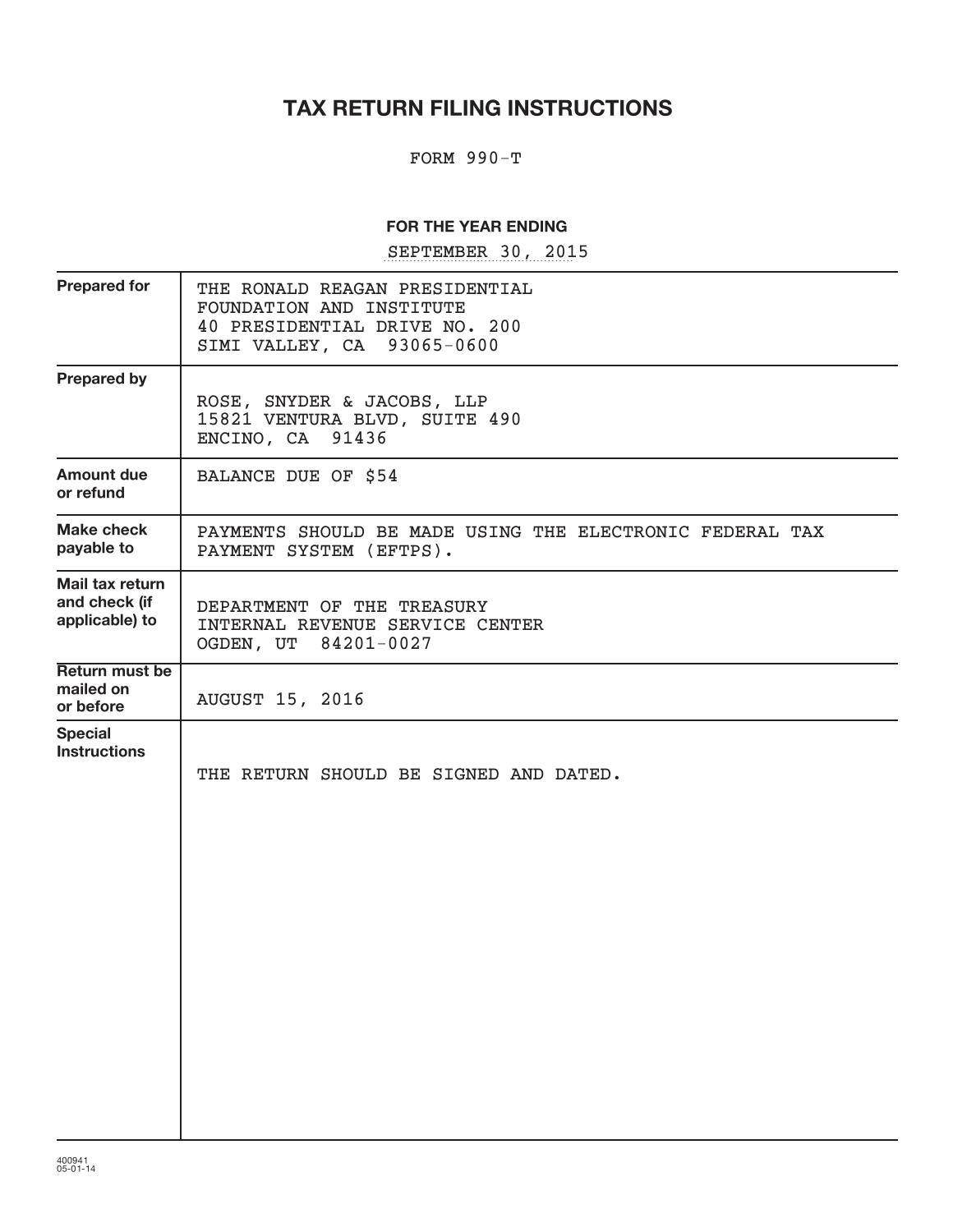# **TAX RETURN FILING INSTRUCTIONS**

#### FORM 990-T

#### **FOR THE YEAR ENDING**

SEPTEMBER 30, 2015

| <b>Prepared for</b>                                | THE RONALD REAGAN PRESIDENTIAL<br>FOUNDATION AND INSTITUTE<br>40 PRESIDENTIAL DRIVE NO. 200<br>SIMI VALLEY, CA 93065-0600 |
|----------------------------------------------------|---------------------------------------------------------------------------------------------------------------------------|
| <b>Prepared by</b>                                 | ROSE, SNYDER & JACOBS, LLP<br>15821 VENTURA BLVD, SUITE 490<br>ENCINO, CA 91436                                           |
| <b>Amount due</b><br>or refund                     | BALANCE DUE OF \$54                                                                                                       |
| Make check<br>payable to                           | PAYMENTS SHOULD BE MADE USING THE ELECTRONIC FEDERAL TAX<br>PAYMENT SYSTEM (EFTPS).                                       |
| Mail tax return<br>and check (if<br>applicable) to | DEPARTMENT OF THE TREASURY<br>INTERNAL REVENUE SERVICE CENTER<br>OGDEN, UT 84201-0027                                     |
| Return must be<br>mailed on<br>or before           | <b>AUGUST 15, 2016</b>                                                                                                    |
| <b>Special</b><br><b>Instructions</b>              | THE RETURN SHOULD BE SIGNED AND DATED.                                                                                    |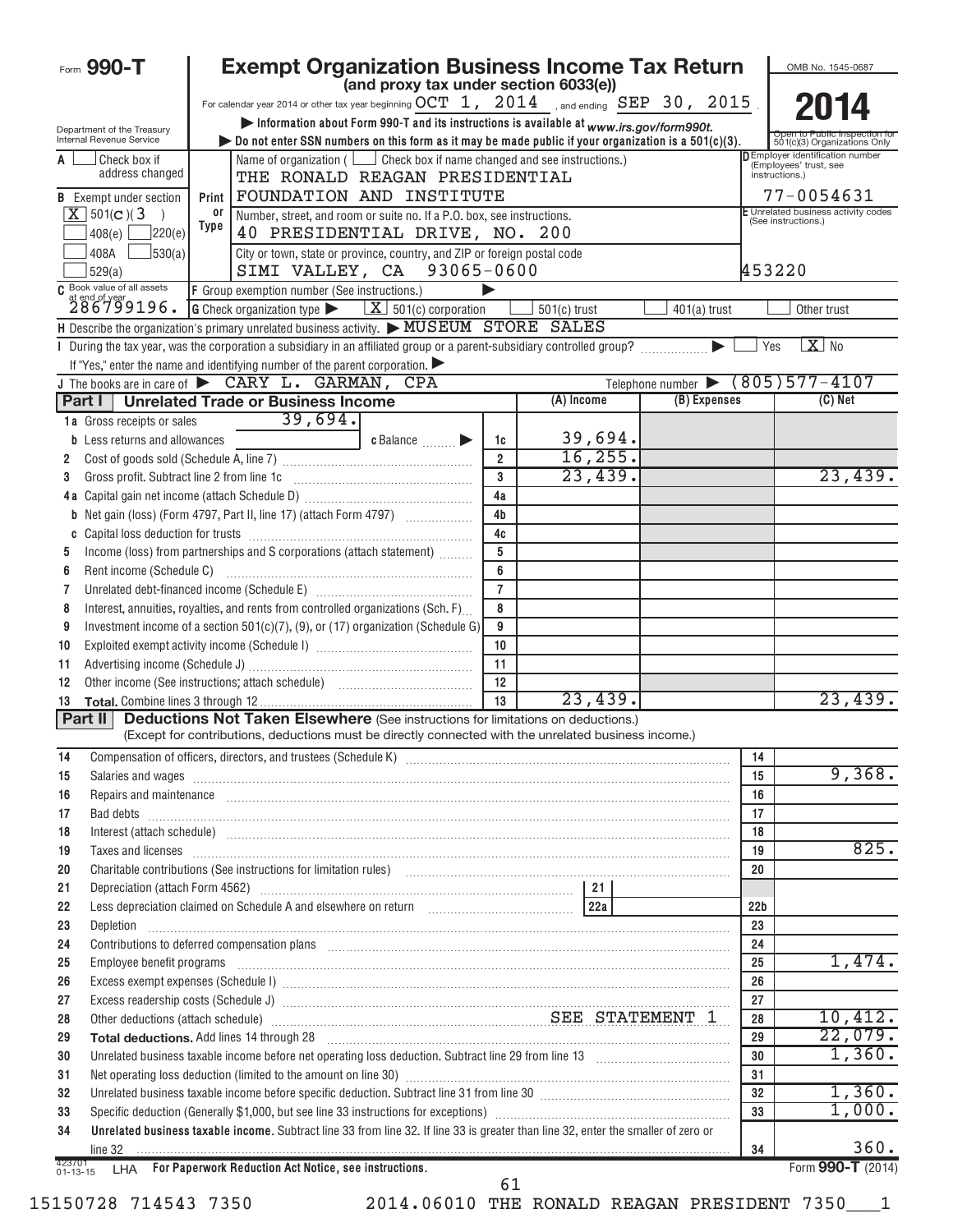| Form 990-T                                             | <b>Exempt Organization Business Income Tax Return</b>                                                                                                                                                                                   |                                                                                                                  |                     |                |                |                 | OMB No. 1545-0687                                                                  |
|--------------------------------------------------------|-----------------------------------------------------------------------------------------------------------------------------------------------------------------------------------------------------------------------------------------|------------------------------------------------------------------------------------------------------------------|---------------------|----------------|----------------|-----------------|------------------------------------------------------------------------------------|
|                                                        |                                                                                                                                                                                                                                         | (and proxy tax under section 6033(e))                                                                            |                     |                |                |                 |                                                                                    |
|                                                        | For calendar year 2014 or other tax year beginning $OCT\ 1$ , $2014\,$ and ending $SEP\ 30$ , $2015$ .                                                                                                                                  |                                                                                                                  |                     |                |                |                 |                                                                                    |
| Department of the Treasury<br>Internal Revenue Service | bo not enter SSN numbers on this form as it may be made public if your organization is a $501(c)(3)$ .                                                                                                                                  | Information about Form 990-T and its instructions is available at www.irs.gov/form990t.                          |                     |                |                |                 | Open to Public Inspection to<br>501(c)(3) Organizations Only                       |
| Check box if<br>A<br>address changed                   |                                                                                                                                                                                                                                         | Name of organization ( $\Box$ Check box if name changed and see instructions.)<br>THE RONALD REAGAN PRESIDENTIAL |                     |                |                |                 | <b>DEmployer identification number</b><br>(Employees' trust, see<br>instructions.) |
| <b>B</b> Exempt under section                          | Print                                                                                                                                                                                                                                   | FOUNDATION AND INSTITUTE                                                                                         |                     |                |                |                 | 77-0054631                                                                         |
| $X$ 501(c)(3                                           | 0ľ                                                                                                                                                                                                                                      | Number, street, and room or suite no. If a P.O. box, see instructions.                                           |                     |                |                |                 | E Unrelated business activity codes                                                |
| 220(e) <br>408(e)                                      | Type                                                                                                                                                                                                                                    | 40 PRESIDENTIAL DRIVE, NO. 200                                                                                   |                     |                |                |                 | (See instructions.)                                                                |
| $\frac{1}{3}30(a)$<br>408A                             |                                                                                                                                                                                                                                         | City or town, state or province, country, and ZIP or foreign postal code                                         |                     |                |                |                 |                                                                                    |
| 529(a)<br>C Book value of all assets                   |                                                                                                                                                                                                                                         | SIMI VALLEY, CA 93065-0600                                                                                       |                     |                |                | 453220          |                                                                                    |
| 286799196.                                             | F Group exemption number (See instructions.)<br><b>G</b> Check organization type $\blacktriangleright$ $\mathbf{X}$ 501(c) corporation                                                                                                  |                                                                                                                  |                     | $501(c)$ trust | $401(a)$ trust |                 | Other trust                                                                        |
|                                                        | H Describe the organization's primary unrelated business activity. MUSEUM STORE SALES                                                                                                                                                   |                                                                                                                  |                     |                |                |                 |                                                                                    |
|                                                        | During the tax year, was the corporation a subsidiary in an affiliated group or a parent-subsidiary controlled group?                                                                                                                   |                                                                                                                  |                     |                |                | Yes             | $X$ No                                                                             |
|                                                        | If "Yes," enter the name and identifying number of the parent corporation.                                                                                                                                                              |                                                                                                                  |                     |                |                |                 |                                                                                    |
|                                                        | J The books are in care of $\triangleright$ CARY L. GARMAN,                                                                                                                                                                             | <b>CPA</b>                                                                                                       |                     |                |                |                 | Telephone number (805) 577-4107                                                    |
| Part I                                                 | <b>Unrelated Trade or Business Income</b>                                                                                                                                                                                               |                                                                                                                  |                     | (A) Income     | (B) Expenses   |                 | $(C)$ Net                                                                          |
| 1a Gross receipts or sales                             | 39,694.                                                                                                                                                                                                                                 |                                                                                                                  |                     |                |                |                 |                                                                                    |
| <b>b</b> Less returns and allowances                   |                                                                                                                                                                                                                                         | c Balance <b>Division</b>                                                                                        | 1c                  | 39,694.        |                |                 |                                                                                    |
| 2                                                      |                                                                                                                                                                                                                                         |                                                                                                                  | $\overline{2}$      | 16, 255.       |                |                 |                                                                                    |
| 3                                                      | Gross profit. Subtract line 2 from line 1c [11] [11] [12] [12] [13] [14] [15] [15] [15] [15] [15] [15] [15] [1                                                                                                                          |                                                                                                                  | $\overline{3}$      | 23,439.        |                |                 | 23,439.                                                                            |
|                                                        |                                                                                                                                                                                                                                         |                                                                                                                  | 4a                  |                |                |                 |                                                                                    |
|                                                        |                                                                                                                                                                                                                                         |                                                                                                                  | 4 <sub>b</sub>      |                |                |                 |                                                                                    |
| C                                                      |                                                                                                                                                                                                                                         |                                                                                                                  | 4c                  |                |                |                 |                                                                                    |
| 5                                                      | Income (loss) from partnerships and S corporations (attach statement)                                                                                                                                                                   |                                                                                                                  | 5                   |                |                |                 |                                                                                    |
| Rent income (Schedule C)<br>6                          |                                                                                                                                                                                                                                         |                                                                                                                  | 6<br>$\overline{7}$ |                |                |                 |                                                                                    |
| 7                                                      |                                                                                                                                                                                                                                         |                                                                                                                  |                     |                |                |                 |                                                                                    |
| 8                                                      | Interest, annuities, royalties, and rents from controlled organizations (Sch. F)                                                                                                                                                        |                                                                                                                  | 8                   |                |                |                 |                                                                                    |
| 9                                                      | Investment income of a section $501(c)(7)$ , (9), or (17) organization (Schedule G)                                                                                                                                                     |                                                                                                                  | 9<br>10             |                |                |                 |                                                                                    |
| 10<br>11                                               |                                                                                                                                                                                                                                         |                                                                                                                  | 11                  |                |                |                 |                                                                                    |
| 12                                                     |                                                                                                                                                                                                                                         |                                                                                                                  | 12                  |                |                |                 |                                                                                    |
| 13                                                     |                                                                                                                                                                                                                                         |                                                                                                                  | $\overline{13}$     | 23,439.        |                |                 | 23,439.                                                                            |
| Part II                                                | <b>Deductions Not Taken Elsewhere (See instructions for limitations on deductions.)</b>                                                                                                                                                 |                                                                                                                  |                     |                |                |                 |                                                                                    |
|                                                        | (Except for contributions, deductions must be directly connected with the unrelated business income.)                                                                                                                                   |                                                                                                                  |                     |                |                |                 |                                                                                    |
| 14                                                     | Compensation of officers, directors, and trustees (Schedule K) [11] [2004] [2004] [2004] [2004] [2004] [2004] [3004] [3004] [3004] [3004] [3004] [3004] [3004] [3004] [3004] [3004] [3004] [3004] [3004] [3004] [3004] [3004]           |                                                                                                                  |                     |                |                | 14              |                                                                                    |
| 15                                                     | Salaries and wages <b>continuum contract and wages contract and wages contract and wages contract and wages contract and wages contract and wages contract and wages contract and wages contract and wages con</b>                      |                                                                                                                  |                     |                |                | 15              | 9,368.                                                                             |
| 16                                                     | Repairs and maintenance <i>maintenance</i> and contained a series and maintenance and maintenance and maintenance and maintenance and maintenance and maintenance and maintenance and maintenance and maintenance and maintenance a     |                                                                                                                  |                     |                |                | 16              |                                                                                    |
| 17                                                     |                                                                                                                                                                                                                                         |                                                                                                                  |                     |                |                | 17              |                                                                                    |
| 18                                                     | Interest (attach schedule) <i>machine and accordinational content and accordinational content and accordination</i> and accordination and accordination and accordination and accordination and accordination and accordination and     |                                                                                                                  |                     |                |                | 18              |                                                                                    |
| 19                                                     | Taxes and licenses <b>communications</b> and <b>licenses contract to the contract of the contract of the contract of the contract of the contract of the contract of the contract of the contract of the contract of the contract o</b> |                                                                                                                  |                     |                |                | 19              | 825.                                                                               |
| 20                                                     | Charitable contributions (See instructions for limitation rules) [11] manufacture in the contributions (See instructions for limitation rules) [11] manufacture in the contributions (See instructions for limitation rules) [          |                                                                                                                  |                     |                |                | 20              |                                                                                    |
| 21                                                     |                                                                                                                                                                                                                                         |                                                                                                                  |                     |                |                |                 |                                                                                    |
| 22                                                     | Less depreciation claimed on Schedule A and elsewhere on return [1994] [22a]                                                                                                                                                            |                                                                                                                  |                     |                |                | 22 <sub>b</sub> |                                                                                    |
| 23<br>Depletion                                        |                                                                                                                                                                                                                                         |                                                                                                                  |                     |                |                | 23              |                                                                                    |
| 24                                                     | Contributions to deferred compensation plans [11] manufactured contributions to deferred compensation plans [11] manufactured compensation plans [11] manufactured compensation plans [11] manufactured contributions to defer          |                                                                                                                  |                     |                |                | 24              | 1,474.                                                                             |
| 25                                                     | Employee benefit programs including the contract of the contract of the contract of the contract of the contract of the contract of the contract of the contract of the contract of the contract of the contract of the contra          |                                                                                                                  |                     |                |                | 25<br>26        |                                                                                    |
| 26<br>27                                               |                                                                                                                                                                                                                                         |                                                                                                                  |                     |                |                | 27              |                                                                                    |
| 28                                                     | Other deductions (attach schedule) Material Material Material SEE STATEMENT 1                                                                                                                                                           |                                                                                                                  |                     |                |                | 28              | 10,412.                                                                            |
| 29                                                     | Total deductions. Add lines 14 through 28 [11] matter contract the contract of the final deductions. Add lines 14 through 28                                                                                                            |                                                                                                                  |                     |                |                | 29              | 22,079.                                                                            |
| 30                                                     |                                                                                                                                                                                                                                         |                                                                                                                  |                     |                |                | 30              | 1,360.                                                                             |
| 31                                                     |                                                                                                                                                                                                                                         |                                                                                                                  |                     |                |                | 31              |                                                                                    |
| 32                                                     |                                                                                                                                                                                                                                         |                                                                                                                  |                     |                |                | 32              | 1,360.                                                                             |
| 33                                                     |                                                                                                                                                                                                                                         |                                                                                                                  |                     |                |                | 33              | 1,000.                                                                             |
| 34                                                     | Unrelated business taxable income. Subtract line 33 from line 32. If line 33 is greater than line 32, enter the smaller of zero or                                                                                                      |                                                                                                                  |                     |                |                |                 |                                                                                    |
| line 32                                                |                                                                                                                                                                                                                                         |                                                                                                                  |                     |                |                | 34              | 360.                                                                               |
| 423701<br>$01 - 13 - 15$                               | LHA For Paperwork Reduction Act Notice, see instructions.                                                                                                                                                                               |                                                                                                                  | 61                  |                |                |                 | Form 990-T (2014)                                                                  |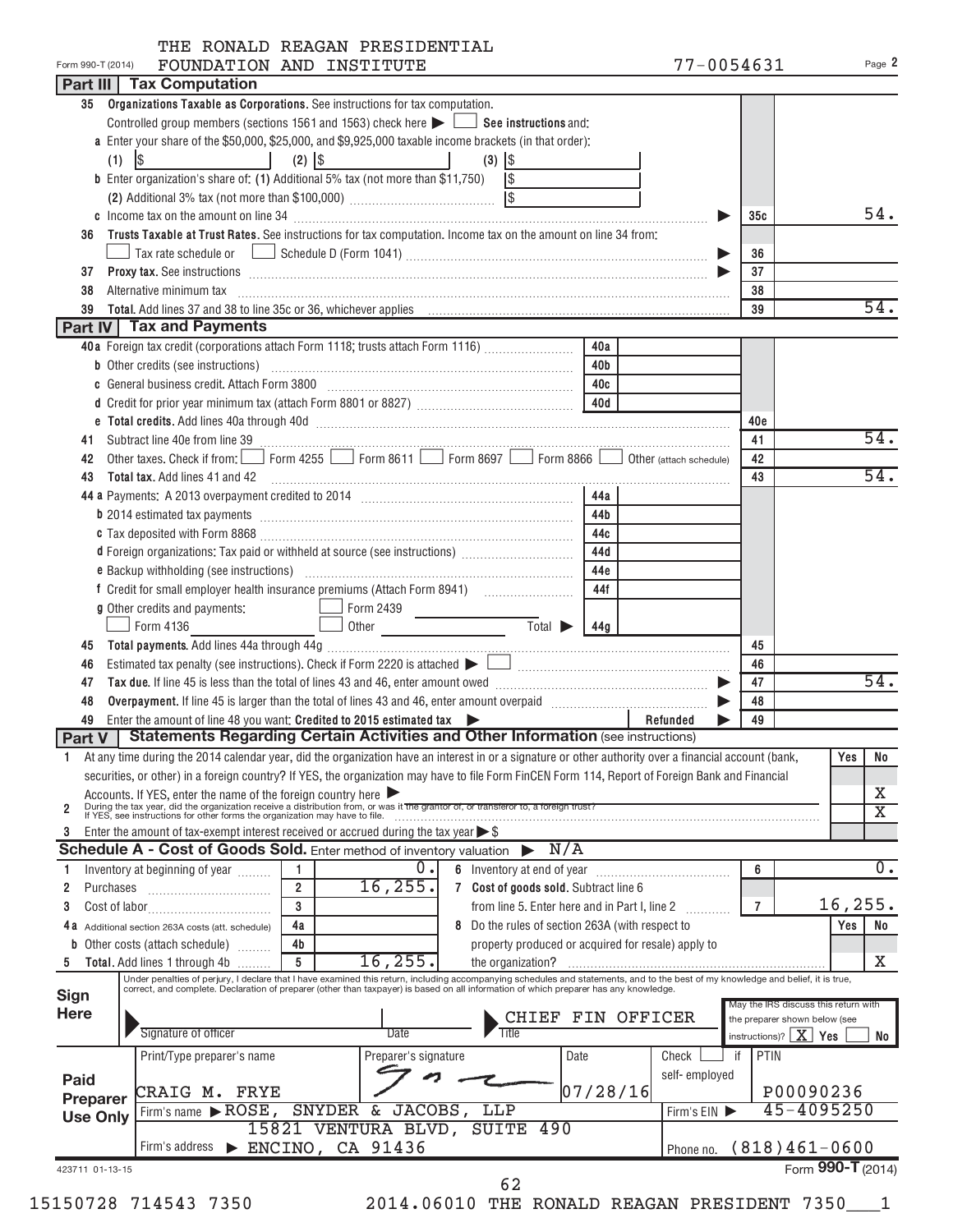|  |  | THE RONALD REAGAN PRESIDENTIAL |
|--|--|--------------------------------|
|  |  |                                |

| Form 990-T (2014) | FOUNDATION AND INSTITUTE                                                                                                                                                                                                               | 77-0054631    |                                  | Page 2                               |
|-------------------|----------------------------------------------------------------------------------------------------------------------------------------------------------------------------------------------------------------------------------------|---------------|----------------------------------|--------------------------------------|
|                   | <b>Part III   Tax Computation</b>                                                                                                                                                                                                      |               |                                  |                                      |
| 35                | Organizations Taxable as Corporations. See instructions for tax computation.                                                                                                                                                           |               |                                  |                                      |
|                   | Controlled group members (sections 1561 and 1563) check here $\blacktriangleright \Box$ See instructions and:                                                                                                                          |               |                                  |                                      |
|                   | a Enter your share of the \$50,000, \$25,000, and \$9,925,000 taxable income brackets (in that order):                                                                                                                                 |               |                                  |                                      |
|                   | $\frac{1}{2}$<br>$(2)$ $ $ \$<br><b>Contract Contract District</b><br>the contract of the contract of<br>(1)<br>$(3)$ $ $ \$                                                                                                           |               |                                  |                                      |
|                   | <b>b</b> Enter organization's share of: (1) Additional 5% tax (not more than \$11,750) $\sqrt{\$}$                                                                                                                                     |               |                                  |                                      |
|                   |                                                                                                                                                                                                                                        |               |                                  |                                      |
|                   |                                                                                                                                                                                                                                        |               | 35c                              | 54.                                  |
| 36                | Trusts Taxable at Trust Rates. See instructions for tax computation. Income tax on the amount on line 34 from:                                                                                                                         |               |                                  |                                      |
|                   | Tax rate schedule or $\Box$ Schedule D (Form 1041) …………………………………………………………………………………                                                                                                                                                     |               | 36                               |                                      |
| 37                |                                                                                                                                                                                                                                        |               | 37                               |                                      |
|                   | <b>Proxy tax.</b> See instructions <b>constructions b</b>                                                                                                                                                                              |               |                                  |                                      |
| 38                | Alternative minimum tax information and the contract of the contract of the contract of the contract of the contract of the contract of the contract of the contract of the contract of the contract of the contract of the co         |               | 38<br>39                         | 54.                                  |
| 39                | Part IV Tax and Payments                                                                                                                                                                                                               |               |                                  |                                      |
|                   | 40a                                                                                                                                                                                                                                    |               |                                  |                                      |
|                   | 40a Foreign tax credit (corporations attach Form 1118; trusts attach Form 1116)                                                                                                                                                        |               |                                  |                                      |
|                   | 40 <sub>b</sub>                                                                                                                                                                                                                        |               |                                  |                                      |
|                   | c General business credit. Attach Form 3800 [11] [11] Contract Contract Contract Contract Contract Contract Co<br>40c                                                                                                                  |               |                                  |                                      |
|                   | 40d                                                                                                                                                                                                                                    |               |                                  |                                      |
|                   |                                                                                                                                                                                                                                        |               | 40e                              |                                      |
| 41                |                                                                                                                                                                                                                                        |               | 41                               | 54.                                  |
| 42                | Other taxes. Check if from: Form 4255 Form 8611 Form 8697 Form 8866 Obther (attach schedule)                                                                                                                                           |               | 42                               |                                      |
| 43                | Total tax. Add lines 41 and 42                                                                                                                                                                                                         |               | 43                               | 54.                                  |
|                   | 44a                                                                                                                                                                                                                                    |               |                                  |                                      |
|                   | 44b                                                                                                                                                                                                                                    |               |                                  |                                      |
|                   | 44c                                                                                                                                                                                                                                    |               |                                  |                                      |
|                   | d Foreign organizations: Tax paid or withheld at source (see instructions)<br>44d                                                                                                                                                      |               |                                  |                                      |
|                   | e Backup withholding (see instructions) [11] manufacture materials and the Backup withholding (see instructions)<br>44e                                                                                                                |               |                                  |                                      |
|                   | 44f                                                                                                                                                                                                                                    |               |                                  |                                      |
|                   | g Other credits and payments:                                                                                                                                                                                                          |               |                                  |                                      |
|                   | Form 2439<br>Other Total b 44g<br>the control of the control of the<br>$\Box$ Form 4136                                                                                                                                                |               |                                  |                                      |
| 45                |                                                                                                                                                                                                                                        |               | 45                               |                                      |
| 46                |                                                                                                                                                                                                                                        |               | 46                               |                                      |
| 47                |                                                                                                                                                                                                                                        |               | 47                               | 54.                                  |
| 48                |                                                                                                                                                                                                                                        |               | 48                               |                                      |
| 49                | Enter the amount of line 48 you want: Credited to 2015 estimated tax                                                                                                                                                                   | Refunded      | 49                               |                                      |
|                   | Part V   Statements Regarding Certain Activities and Other Information (see instructions)                                                                                                                                              |               |                                  |                                      |
|                   | 1 At any time during the 2014 calendar year, did the organization have an interest in or a signature or other authority over a financial account (bank,                                                                                |               |                                  | Yes No                               |
|                   | securities, or other) in a foreign country? If YES, the organization may have to file Form FinCEN Form 114, Report of Foreign Bank and Financial                                                                                       |               |                                  |                                      |
|                   |                                                                                                                                                                                                                                        |               |                                  | х                                    |
| 2                 | Accounts. If YES, enter the name of the foreign country here<br>During the tax year, did the organization receive a distribution from, or was it the grantor of, or transferor to, a foreign trust?<br>If YES, see instructions for    |               |                                  | $\overline{\text{x}}$                |
| 3                 | Enter the amount of tax-exempt interest received or accrued during the tax year $\triangleright$ \$                                                                                                                                    |               |                                  |                                      |
|                   | Schedule A - Cost of Goods Sold. Enter method of inventory valuation<br>N/A                                                                                                                                                            |               |                                  |                                      |
|                   | 0.<br>Inventory at beginning of year                                                                                                                                                                                                   |               | 6                                | $\overline{0}$ .                     |
| 2<br>Purchases    | 16, 255.<br>$\overline{2}$<br>7 Cost of goods sold. Subtract line 6                                                                                                                                                                    |               |                                  |                                      |
| 3                 | 3<br>from line 5. Enter here and in Part I, line 2                                                                                                                                                                                     |               | $\overline{7}$                   | 16, 255.                             |
|                   | 4a                                                                                                                                                                                                                                     |               |                                  | No                                   |
| 4а                | 8 Do the rules of section 263A (with respect to<br>Additional section 263A costs (att. schedule)<br>4b                                                                                                                                 |               |                                  | Yes                                  |
| b                 | Other costs (attach schedule)<br>property produced or acquired for resale) apply to<br>$16$ , $255$ .<br>5                                                                                                                             |               |                                  | Χ                                    |
|                   | Total. Add lines 1 through 4b<br>the organization?<br>Under penalties of perjury, I declare that I have examined this return, including accompanying schedules and statements, and to the best of my knowledge and belief, it is true, |               |                                  |                                      |
| <b>Sign</b>       | correct, and complete. Declaration of preparer (other than taxpayer) is based on all information of which preparer has any knowledge.                                                                                                  |               |                                  |                                      |
| <b>Here</b>       |                                                                                                                                                                                                                                        |               |                                  | May the IRS discuss this return with |
|                   | FIN OFFICER<br><b>CHIEF</b><br>Signature of officer<br><b>Date</b>                                                                                                                                                                     |               | the preparer shown below (see    |                                      |
|                   |                                                                                                                                                                                                                                        |               | instructions)? $\mid X \mid$ Yes | No                                   |
|                   | Print/Type preparer's name<br>Preparer's signature<br>Date                                                                                                                                                                             | Check         | if<br><b>PTIN</b>                |                                      |
| Paid              |                                                                                                                                                                                                                                        | self-employed |                                  |                                      |
| Preparer          | 07/28/16 <br>CRAIG M. FRYE                                                                                                                                                                                                             |               |                                  | P00090236                            |
| <b>Use Only</b>   | SNYDER & JACOBS,<br>Firm's name ROSE,<br>LLP                                                                                                                                                                                           | Firm's EIN    |                                  | 45-4095250                           |
|                   | 15821 VENTURA BLVD,<br>SUITE 490                                                                                                                                                                                                       |               |                                  |                                      |
|                   | $\triangleright$ ENCINO, CA 91436<br>Firm's address                                                                                                                                                                                    | Phone no.     |                                  | $(818)461-0600$                      |
| 423711 01-13-15   |                                                                                                                                                                                                                                        |               |                                  | Form 990-T (2014)                    |
|                   | 62                                                                                                                                                                                                                                     |               |                                  |                                      |

| ×<br>۰. |
|---------|
|         |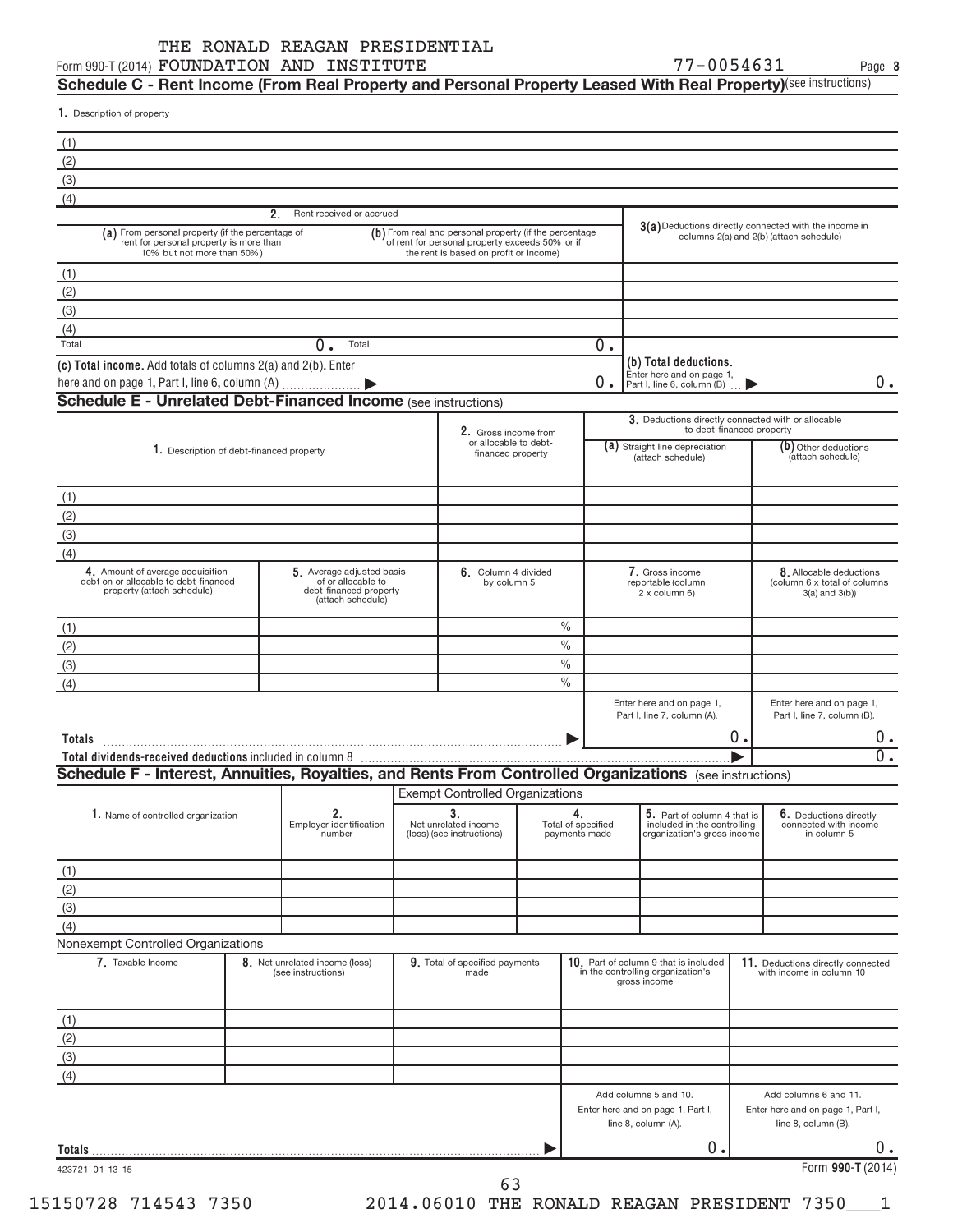#### Form 990-T (2014)  ${\tt FQUNDATION}$   ${\tt AND}$   ${\tt INSTITUTE}$   ${\tt TVT-MI}$   ${\tt TVT-MI}$   ${\tt TVT-MI}$   ${\tt NQCD}$ THE RONALD REAGAN PRESIDENTIAL

**3**

 ${\sf Schedule~C}$  - Rent Income (From Real Property and Personal Property Leased With Real Property)<sup>(see instructions)</sup>

1. Description of property

| (1)                                                                                                                       |                                                      |                                                                   |                                                                                                                                                     |                                           |                                                                                            |    |                                                                                                  |
|---------------------------------------------------------------------------------------------------------------------------|------------------------------------------------------|-------------------------------------------------------------------|-----------------------------------------------------------------------------------------------------------------------------------------------------|-------------------------------------------|--------------------------------------------------------------------------------------------|----|--------------------------------------------------------------------------------------------------|
| (2)                                                                                                                       |                                                      |                                                                   |                                                                                                                                                     |                                           |                                                                                            |    |                                                                                                  |
| (3)                                                                                                                       |                                                      |                                                                   |                                                                                                                                                     |                                           |                                                                                            |    |                                                                                                  |
| (4)                                                                                                                       |                                                      |                                                                   |                                                                                                                                                     |                                           |                                                                                            |    |                                                                                                  |
|                                                                                                                           | 2.<br>Rent received or accrued                       |                                                                   |                                                                                                                                                     |                                           |                                                                                            |    |                                                                                                  |
| (a) From personal property (if the percentage of<br>rent for personal property is more than<br>10% but not more than 50%) |                                                      |                                                                   | (b) From real and personal property (if the percentage<br>of rent for personal property exceeds 50% or if<br>the rent is based on profit or income) |                                           |                                                                                            |    | 3(a) Deductions directly connected with the income in<br>columns 2(a) and 2(b) (attach schedule) |
| (1)                                                                                                                       |                                                      |                                                                   |                                                                                                                                                     |                                           |                                                                                            |    |                                                                                                  |
|                                                                                                                           |                                                      |                                                                   |                                                                                                                                                     |                                           |                                                                                            |    |                                                                                                  |
| (2)                                                                                                                       |                                                      |                                                                   |                                                                                                                                                     |                                           |                                                                                            |    |                                                                                                  |
| (3)                                                                                                                       |                                                      |                                                                   |                                                                                                                                                     |                                           |                                                                                            |    |                                                                                                  |
| (4)                                                                                                                       | $\overline{0}$ .                                     |                                                                   |                                                                                                                                                     | $\overline{0}$ .                          |                                                                                            |    |                                                                                                  |
| Total                                                                                                                     |                                                      | Total                                                             |                                                                                                                                                     |                                           |                                                                                            |    |                                                                                                  |
| (c) Total income. Add totals of columns 2(a) and 2(b). Enter                                                              |                                                      |                                                                   |                                                                                                                                                     | 0.                                        | (b) Total deductions.<br>Enter here and on page 1,<br>Part I, line 6, column (B)           |    | 0.                                                                                               |
| <b>Schedule E - Unrelated Debt-Financed Income (see instructions)</b>                                                     |                                                      |                                                                   |                                                                                                                                                     |                                           |                                                                                            |    |                                                                                                  |
|                                                                                                                           |                                                      |                                                                   |                                                                                                                                                     |                                           | 3. Deductions directly connected with or allocable                                         |    |                                                                                                  |
|                                                                                                                           |                                                      |                                                                   | 2. Gross income from                                                                                                                                |                                           | to debt-financed property                                                                  |    |                                                                                                  |
| 1. Description of debt-financed property                                                                                  |                                                      |                                                                   | or allocable to debt-<br>financed property                                                                                                          |                                           | (a) Straight line depreciation<br>(attach schedule)                                        |    | (b) Other deductions<br>(attach schedule)                                                        |
|                                                                                                                           |                                                      |                                                                   |                                                                                                                                                     |                                           |                                                                                            |    |                                                                                                  |
|                                                                                                                           |                                                      |                                                                   |                                                                                                                                                     |                                           |                                                                                            |    |                                                                                                  |
| (1)                                                                                                                       |                                                      |                                                                   |                                                                                                                                                     |                                           |                                                                                            |    |                                                                                                  |
| (2)                                                                                                                       |                                                      |                                                                   |                                                                                                                                                     |                                           |                                                                                            |    |                                                                                                  |
| (3)                                                                                                                       |                                                      |                                                                   |                                                                                                                                                     |                                           |                                                                                            |    |                                                                                                  |
| (4)                                                                                                                       |                                                      |                                                                   |                                                                                                                                                     |                                           |                                                                                            |    |                                                                                                  |
| 4. Amount of average acquisition<br>debt on or allocable to debt-financed<br>property (attach schedule)                   | 5. Average adjusted basis                            | of or allocable to<br>debt-financed property<br>(attach schedule) | 6. Column 4 divided<br>by column 5                                                                                                                  |                                           | 7. Gross income<br>reportable (column<br>2 x column 6)                                     |    | 8. Allocable deductions<br>(column 6 x total of columns<br>$3(a)$ and $3(b)$ )                   |
|                                                                                                                           |                                                      |                                                                   |                                                                                                                                                     |                                           |                                                                                            |    |                                                                                                  |
| (1)                                                                                                                       |                                                      |                                                                   |                                                                                                                                                     | $\%$                                      |                                                                                            |    |                                                                                                  |
| (2)                                                                                                                       |                                                      |                                                                   |                                                                                                                                                     | $\frac{0}{0}$                             |                                                                                            |    |                                                                                                  |
| (3)                                                                                                                       |                                                      |                                                                   |                                                                                                                                                     | $\frac{0}{0}$                             |                                                                                            |    |                                                                                                  |
| (4)                                                                                                                       |                                                      |                                                                   |                                                                                                                                                     | $\%$                                      |                                                                                            |    |                                                                                                  |
|                                                                                                                           |                                                      |                                                                   |                                                                                                                                                     |                                           | Enter here and on page 1,<br>Part I, line 7, column (A).                                   |    | Enter here and on page 1,<br>Part I, line 7, column (B).                                         |
| Totals                                                                                                                    |                                                      |                                                                   |                                                                                                                                                     |                                           |                                                                                            | 0. |                                                                                                  |
|                                                                                                                           |                                                      |                                                                   |                                                                                                                                                     |                                           |                                                                                            |    | $\overline{0}$ .                                                                                 |
| Schedule F - Interest, Annuities, Royalties, and Rents From Controlled Organizations (see instructions)                   |                                                      |                                                                   |                                                                                                                                                     |                                           |                                                                                            |    |                                                                                                  |
|                                                                                                                           |                                                      |                                                                   | <b>Exempt Controlled Organizations</b>                                                                                                              |                                           |                                                                                            |    |                                                                                                  |
|                                                                                                                           |                                                      |                                                                   |                                                                                                                                                     |                                           |                                                                                            |    |                                                                                                  |
| 1. Name of controlled organization                                                                                        | 2.<br>Employer identification<br>number              |                                                                   | 3.<br>Net unrelated income<br>(loss) (see instructions)                                                                                             | 4.<br>Total of specified<br>payments made | 5. Part of column 4 that is<br>included in the controlling<br>organization's gross income  |    | 6. Deductions directly<br>connected with income<br>in column 5                                   |
|                                                                                                                           |                                                      |                                                                   |                                                                                                                                                     |                                           |                                                                                            |    |                                                                                                  |
| (1)                                                                                                                       |                                                      |                                                                   |                                                                                                                                                     |                                           |                                                                                            |    |                                                                                                  |
| (2)                                                                                                                       |                                                      |                                                                   |                                                                                                                                                     |                                           |                                                                                            |    |                                                                                                  |
| (3)                                                                                                                       |                                                      |                                                                   |                                                                                                                                                     |                                           |                                                                                            |    |                                                                                                  |
| (4)                                                                                                                       |                                                      |                                                                   |                                                                                                                                                     |                                           |                                                                                            |    |                                                                                                  |
| Nonexempt Controlled Organizations                                                                                        |                                                      |                                                                   |                                                                                                                                                     |                                           |                                                                                            |    |                                                                                                  |
| 7. Taxable Income                                                                                                         | 8. Net unrelated income (loss)<br>(see instructions) |                                                                   | 9. Total of specified payments<br>made                                                                                                              |                                           | 10. Part of column 9 that is included<br>in the controlling organization's<br>gross income |    | 11. Deductions directly connected<br>with income in column 10                                    |
|                                                                                                                           |                                                      |                                                                   |                                                                                                                                                     |                                           |                                                                                            |    |                                                                                                  |
| (1)                                                                                                                       |                                                      |                                                                   |                                                                                                                                                     |                                           |                                                                                            |    |                                                                                                  |
| (2)                                                                                                                       |                                                      |                                                                   |                                                                                                                                                     |                                           |                                                                                            |    |                                                                                                  |
| (3)                                                                                                                       |                                                      |                                                                   |                                                                                                                                                     |                                           |                                                                                            |    |                                                                                                  |
| (4)                                                                                                                       |                                                      |                                                                   |                                                                                                                                                     |                                           |                                                                                            |    |                                                                                                  |
|                                                                                                                           |                                                      |                                                                   |                                                                                                                                                     |                                           | Add columns 5 and 10.<br>Enter here and on page 1, Part I,<br>line 8, column (A).          |    | Add columns 6 and 11.<br>Enter here and on page 1, Part I,<br>line 8, column (B).                |
|                                                                                                                           |                                                      |                                                                   |                                                                                                                                                     |                                           | Ο.                                                                                         |    | 0.                                                                                               |
| 423721 01-13-15                                                                                                           |                                                      |                                                                   |                                                                                                                                                     |                                           |                                                                                            |    | Form 990-T (2014)                                                                                |
|                                                                                                                           |                                                      |                                                                   | 63                                                                                                                                                  |                                           |                                                                                            |    |                                                                                                  |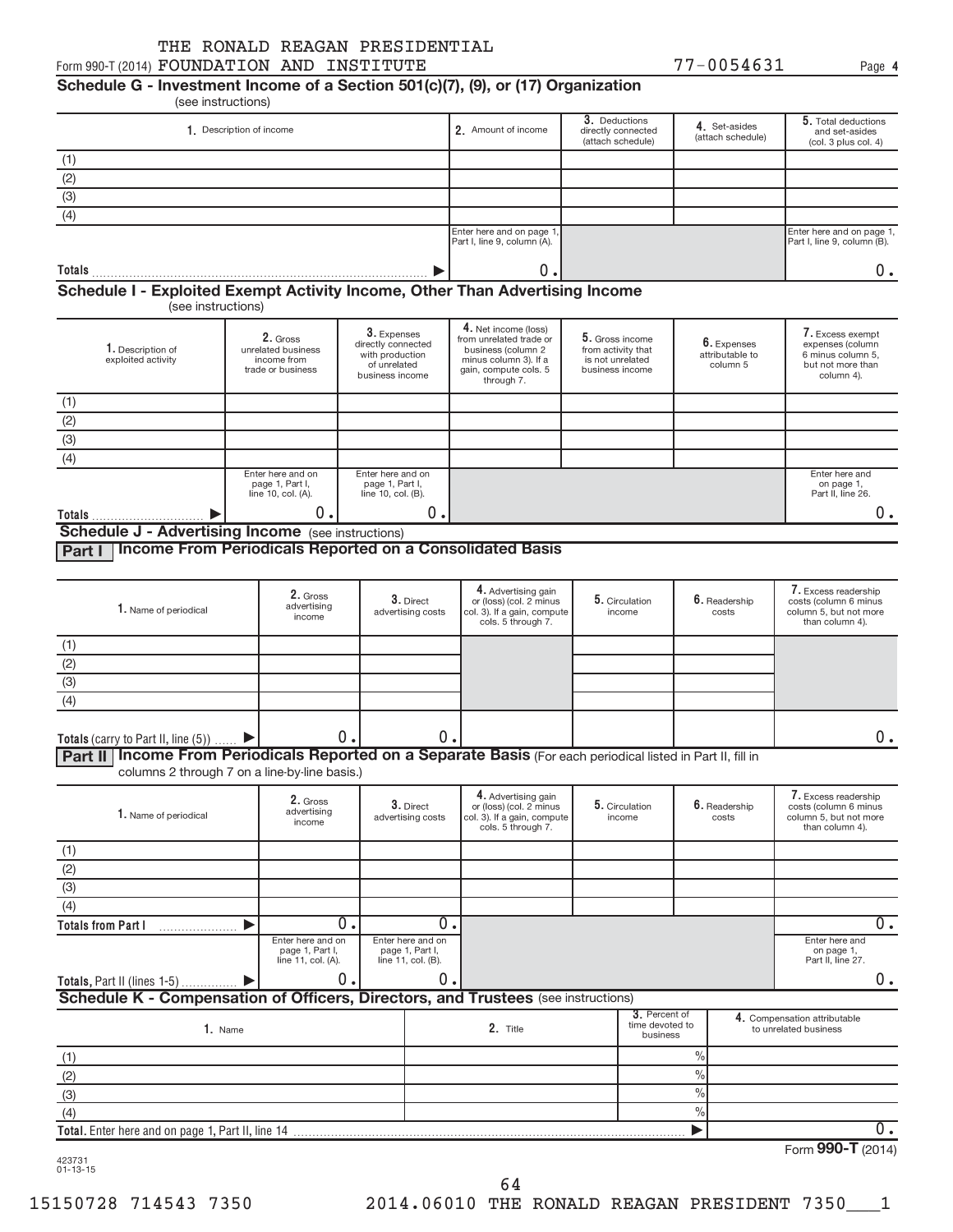**4**

# **Schedule G - Investment Income of a Section 501(c)(7), (9), or (17) Organization**

|                                                                              |                                                                    |                                                                                         |                                                                                                                                       | 3. Deductions                                                                |                                            | 5. Total deductions                                                                          |
|------------------------------------------------------------------------------|--------------------------------------------------------------------|-----------------------------------------------------------------------------------------|---------------------------------------------------------------------------------------------------------------------------------------|------------------------------------------------------------------------------|--------------------------------------------|----------------------------------------------------------------------------------------------|
|                                                                              | 1. Description of income                                           |                                                                                         | 2. Amount of income                                                                                                                   | directly connected<br>(attach schedule)                                      | 4. Set-asides<br>(attach schedule)         | and set-asides<br>(col. 3 plus col. 4)                                                       |
| $\frac{(1)}{(2)}$<br>(3)                                                     |                                                                    |                                                                                         |                                                                                                                                       |                                                                              |                                            |                                                                                              |
|                                                                              |                                                                    |                                                                                         |                                                                                                                                       |                                                                              |                                            |                                                                                              |
|                                                                              |                                                                    |                                                                                         |                                                                                                                                       |                                                                              |                                            |                                                                                              |
| (4)                                                                          |                                                                    |                                                                                         |                                                                                                                                       |                                                                              |                                            |                                                                                              |
|                                                                              |                                                                    |                                                                                         | Enter here and on page 1,<br>Part I, line 9, column (A).                                                                              |                                                                              |                                            | Enter here and on page 1,<br>Part I, line 9, column (B).                                     |
| Totals                                                                       |                                                                    |                                                                                         | 0.                                                                                                                                    |                                                                              |                                            | 0.                                                                                           |
|                                                                              |                                                                    |                                                                                         |                                                                                                                                       |                                                                              |                                            |                                                                                              |
|                                                                              | (see instructions)                                                 |                                                                                         |                                                                                                                                       |                                                                              |                                            |                                                                                              |
| 1. Description of<br>exploited activity                                      | 2. Gross<br>unrelated business<br>income from<br>trade or business | 3. Expenses<br>directly connected<br>with production<br>of unrelated<br>business income | 4. Net income (loss)<br>from unrelated trade or<br>business (column 2<br>minus column 3). If a<br>gain, compute cols. 5<br>through 7. | 5. Gross income<br>from activity that<br>is not unrelated<br>business income | 6. Expenses<br>attributable to<br>column 5 | 7. Excess exempt<br>expenses (column<br>6 minus column 5.<br>but not more than<br>column 4). |
|                                                                              |                                                                    |                                                                                         |                                                                                                                                       |                                                                              |                                            |                                                                                              |
| (1)                                                                          |                                                                    |                                                                                         |                                                                                                                                       |                                                                              |                                            |                                                                                              |
| $\frac{(2)}{(3)}$                                                            |                                                                    |                                                                                         |                                                                                                                                       |                                                                              |                                            |                                                                                              |
| (4)                                                                          |                                                                    |                                                                                         |                                                                                                                                       |                                                                              |                                            |                                                                                              |
| Schedule I - Exploited Exempt Activity Income, Other Than Advertising Income | Enter here and on<br>page 1, Part I,<br>line 10, col. (A).         | Enter here and on<br>page 1, Part I,<br>line 10, col. (B).                              |                                                                                                                                       |                                                                              |                                            | Enter here and<br>on page 1,<br>Part II, line 26.                                            |

**Part I Income From Periodicals Reported on a Consolidated Basis**

| 1. Name of periodical                  | 2. Gross<br>advertising<br>income | 3. Direct<br>advertising costs | 4. Advertising gain<br>or (loss) (col. 2 minus<br>col. 3). If a gain, compute<br>cols. 5 through 7. | 5. Circulation<br>income | $6.$ Readership<br>costs | 7. Excess readership<br>costs (column 6 minus<br>column 5, but not more<br>than column 4). |
|----------------------------------------|-----------------------------------|--------------------------------|-----------------------------------------------------------------------------------------------------|--------------------------|--------------------------|--------------------------------------------------------------------------------------------|
|                                        |                                   |                                |                                                                                                     |                          |                          |                                                                                            |
| (2)                                    |                                   |                                |                                                                                                     |                          |                          |                                                                                            |
| (3)                                    |                                   |                                |                                                                                                     |                          |                          |                                                                                            |
| (4)                                    |                                   |                                |                                                                                                     |                          |                          |                                                                                            |
|                                        |                                   |                                |                                                                                                     |                          |                          |                                                                                            |
| Totals (carry to Part II, line $(5)$ ) | υ.                                | 0                              | __                                                                                                  |                          |                          |                                                                                            |

Part II | Income From Periodicals Reported on a Separate Basis (For each periodical listed in Part II, fill in columns 2 through 7 on a line-by-line basis.)

| 1. Name of periodical                                                             | 2. Gross<br>advertising<br>income                          |  | 3. Direct<br>advertising costs                             | 4. Advertising gain<br>or (loss) (col. 2 minus<br>col. 3). If a gain, compute<br>cols. 5 through 7. | 5. Circulation<br>income |                                              | 6. Readership<br>costs |    | 7. Excess readership<br>costs (column 6 minus<br>column 5, but not more<br>than column 4). |
|-----------------------------------------------------------------------------------|------------------------------------------------------------|--|------------------------------------------------------------|-----------------------------------------------------------------------------------------------------|--------------------------|----------------------------------------------|------------------------|----|--------------------------------------------------------------------------------------------|
| (1)                                                                               |                                                            |  |                                                            |                                                                                                     |                          |                                              |                        |    |                                                                                            |
| (2)                                                                               |                                                            |  |                                                            |                                                                                                     |                          |                                              |                        |    |                                                                                            |
| (3)                                                                               |                                                            |  |                                                            |                                                                                                     |                          |                                              |                        |    |                                                                                            |
| (4)                                                                               |                                                            |  |                                                            |                                                                                                     |                          |                                              |                        |    |                                                                                            |
| <b>Totals from Part I</b>                                                         | Ο.                                                         |  | 0.                                                         |                                                                                                     |                          |                                              |                        | 0. |                                                                                            |
|                                                                                   | Enter here and on<br>page 1, Part I,<br>line 11, col. (A). |  | Enter here and on<br>page 1, Part I,<br>line 11, col. (B). |                                                                                                     |                          |                                              |                        |    | Enter here and<br>on page 1,<br>Part II, line 27.                                          |
| Totals, Part II (lines $1-5$ )                                                    | 0.                                                         |  | 0.                                                         |                                                                                                     |                          |                                              |                        |    | 0.                                                                                         |
| Schedule K - Compensation of Officers, Directors, and Trustees (see instructions) |                                                            |  |                                                            |                                                                                                     |                          |                                              |                        |    |                                                                                            |
| 1. Name                                                                           |                                                            |  | 2. Title                                                   |                                                                                                     |                          | 3. Percent of<br>time devoted to<br>business |                        |    | 4. Compensation attributable<br>to unrelated business                                      |
| (1)                                                                               |                                                            |  |                                                            |                                                                                                     |                          |                                              | $\frac{0}{0}$          |    |                                                                                            |
| (2)                                                                               |                                                            |  |                                                            |                                                                                                     |                          |                                              | $\frac{0}{0}$          |    |                                                                                            |
| (3)                                                                               |                                                            |  |                                                            |                                                                                                     |                          |                                              | $\frac{0}{0}$          |    |                                                                                            |
| (4)                                                                               |                                                            |  |                                                            |                                                                                                     |                          |                                              | $\frac{0}{0}$          |    |                                                                                            |
| <b>Total.</b> Enter here and on page 1, Part II, line 14                          |                                                            |  |                                                            |                                                                                                     |                          |                                              |                        |    | 0.                                                                                         |
|                                                                                   |                                                            |  |                                                            |                                                                                                     |                          |                                              |                        |    |                                                                                            |